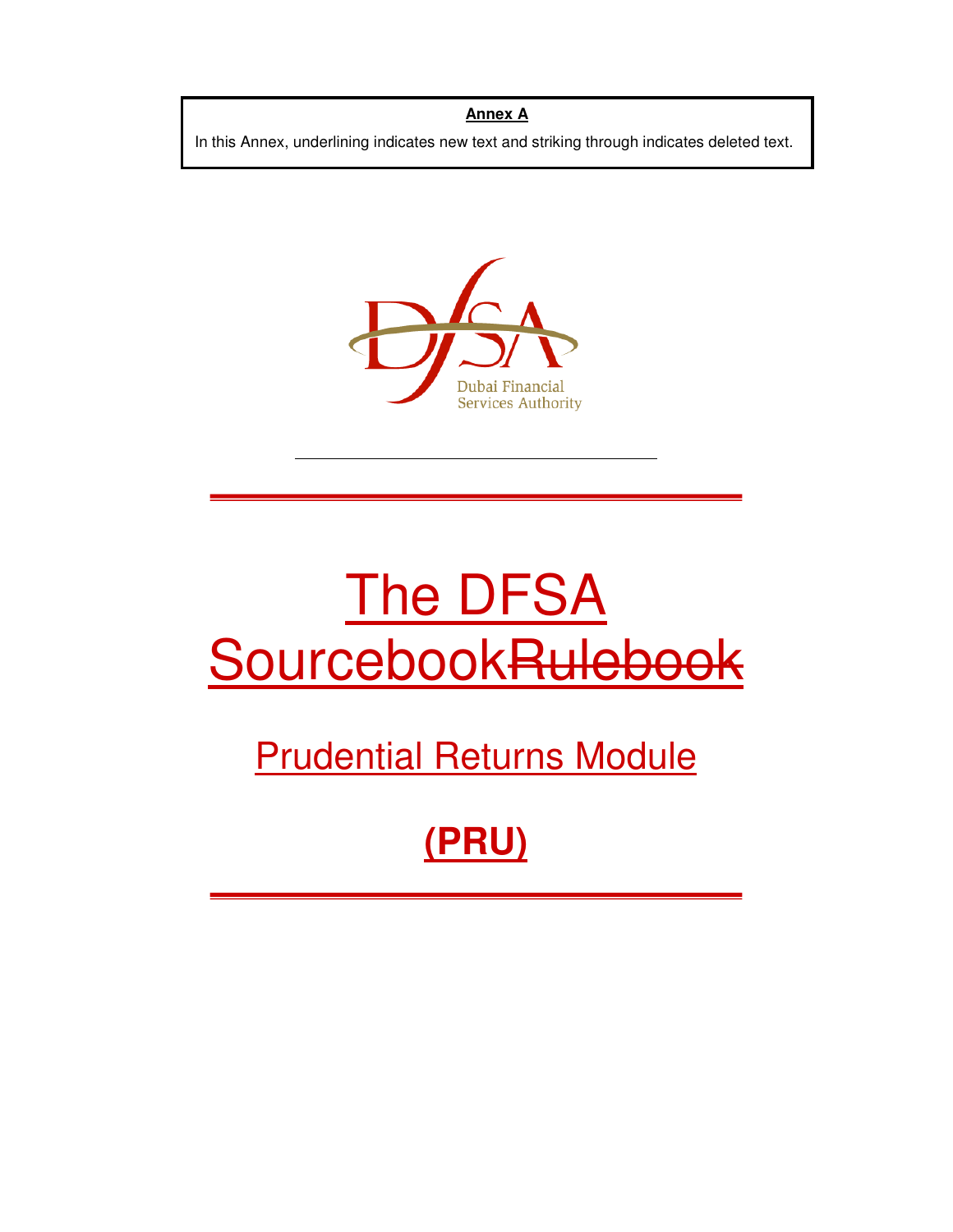## **Annex A**

In this Annex, underlining indicates new text and striking through indicates deleted text.



# The DFSA SourcebookRuleboe

## Prudential Returns Module

## **(PRU)**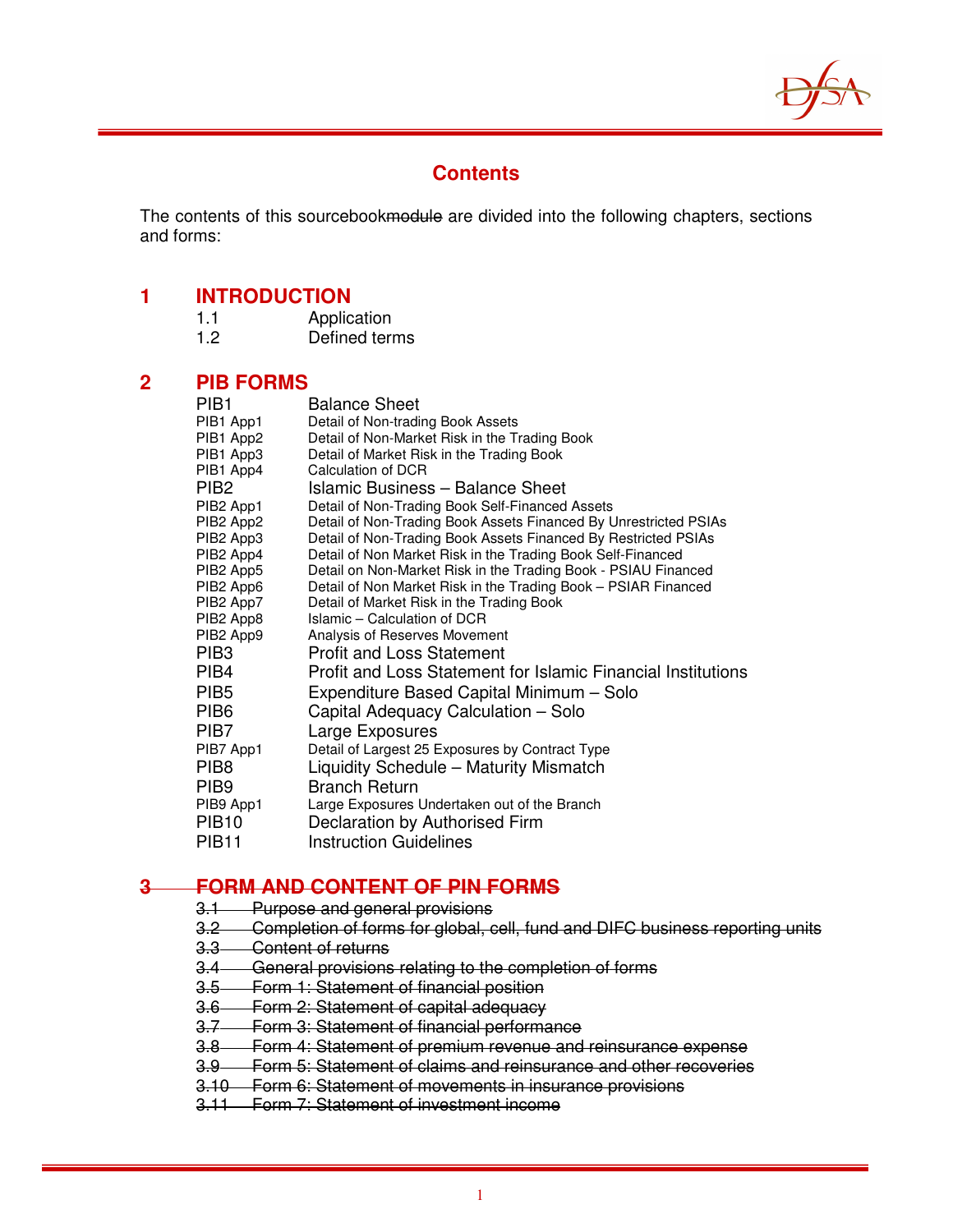

## **Contents**

The contents of this sourcebookmodule are divided into the following chapters, sections and forms:

## **1 INTRODUCTION**

| 1.1 | Application   |
|-----|---------------|
| 1.2 | Defined terms |

## **2 PIB FORMS**

| PIB <sub>1</sub>                  | <b>Balance Sheet</b>                                             |
|-----------------------------------|------------------------------------------------------------------|
| PIB1 App1                         | Detail of Non-trading Book Assets                                |
| PIB1 App2                         | Detail of Non-Market Risk in the Trading Book                    |
| PIB1 App3                         | Detail of Market Risk in the Trading Book                        |
| PIB1 App4                         | Calculation of DCR                                               |
| PIB <sub>2</sub>                  | <b>Islamic Business - Balance Sheet</b>                          |
| PIB2 App1                         | Detail of Non-Trading Book Self-Financed Assets                  |
| PIB <sub>2</sub> App <sub>2</sub> | Detail of Non-Trading Book Assets Financed By Unrestricted PSIAs |
| PIB <sub>2</sub> App <sub>3</sub> | Detail of Non-Trading Book Assets Financed By Restricted PSIAs   |
| PIB <sub>2</sub> App4             | Detail of Non Market Risk in the Trading Book Self-Financed      |
| PIB2 App5                         | Detail on Non-Market Risk in the Trading Book - PSIAU Financed   |
| PIB <sub>2</sub> App <sub>6</sub> | Detail of Non Market Risk in the Trading Book - PSIAR Financed   |
| PIB <sub>2</sub> App <sub>7</sub> | Detail of Market Risk in the Trading Book                        |
| PIB2 App8                         | Islamic - Calculation of DCR                                     |
| PIB <sub>2</sub> App <sub>9</sub> | Analysis of Reserves Movement                                    |
| PIB <sub>3</sub>                  | <b>Profit and Loss Statement</b>                                 |
| PIB4                              | Profit and Loss Statement for Islamic Financial Institutions     |
| PIB <sub>5</sub>                  | Expenditure Based Capital Minimum - Solo                         |
| PIB <sub>6</sub>                  | Capital Adequacy Calculation - Solo                              |
| PIB7                              | Large Exposures                                                  |
| PIB7 App1                         | Detail of Largest 25 Exposures by Contract Type                  |
| PIB <sub>8</sub>                  | Liquidity Schedule - Maturity Mismatch                           |
| PIB <sub>9</sub>                  | <b>Branch Return</b>                                             |
| PIB9 App1                         | Large Exposures Undertaken out of the Branch                     |
| <b>PIB10</b>                      | Declaration by Authorised Firm                                   |
| PIB <sub>11</sub>                 | <b>Instruction Guidelines</b>                                    |

## **3 FORM AND CONTENT OF PIN FORMS**

- 3.1 Purpose and general provisions
- 3.2 Completion of forms for global, cell, fund and DIFC business reporting units
- 3.3 Content of returns
- 3.4 General provisions relating to the completion of forms
- 3.5 Form 1: Statement of financial position
- 3.6 Form 2: Statement of capital adequacy
- 3.7 Form 3: Statement of financial performance
- 3.8 Form 4: Statement of premium revenue and reinsurance expense
- 3.9 Form 5: Statement of claims and reinsurance and other recoveries
- 3.10 Form 6: Statement of movements in insurance provisions
- 3.11 Form 7: Statement of investment income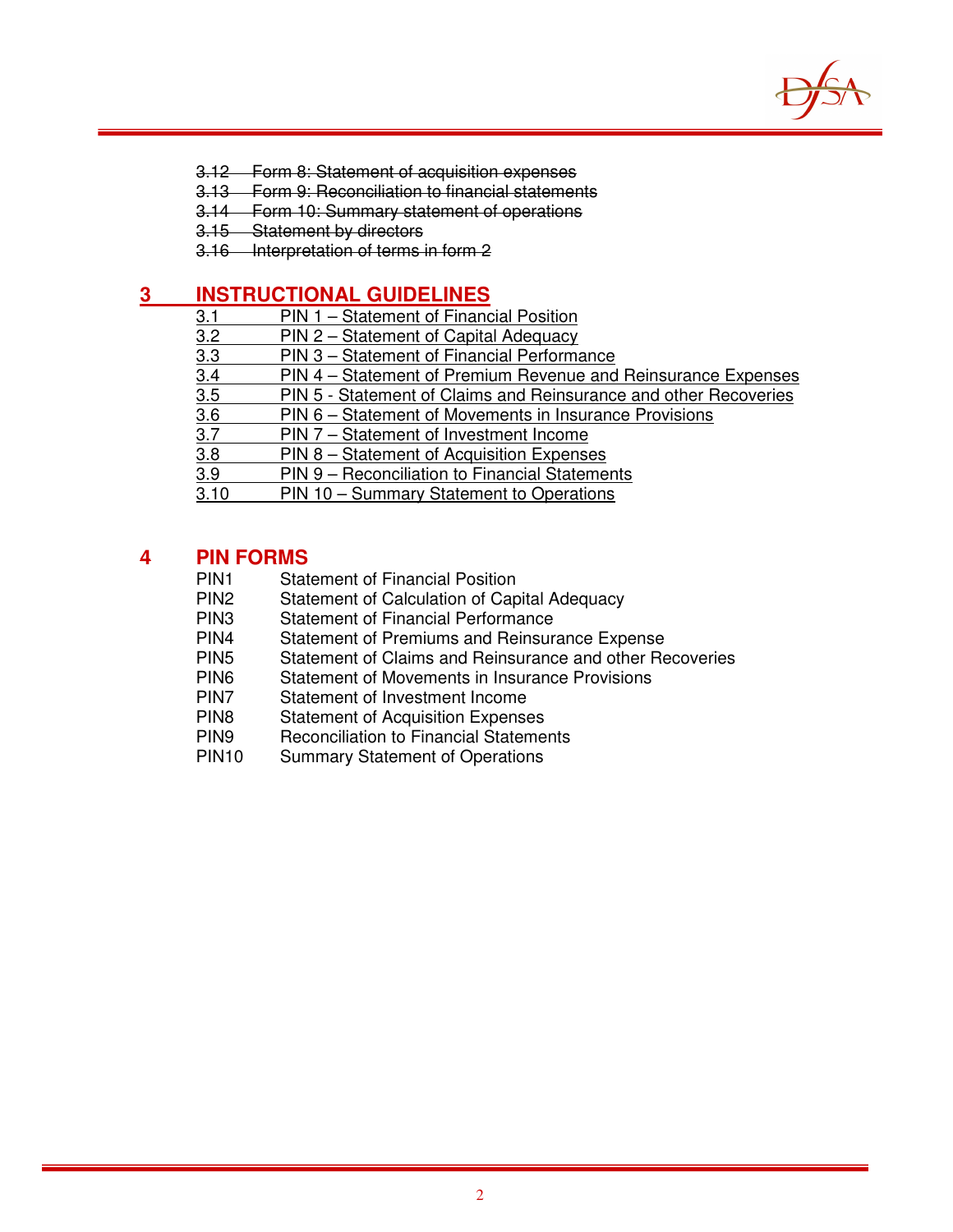

- 3.12 Form 8: Statement of acquisition expenses
- 3.13 Form 9: Reconciliation to financial statements
- 3.14 Form 10: Summary statement of operations
- 3.15 Statement by directors
- 3.16 Interpretation of terms in form 2

## **3 INSTRUCTIONAL GUIDELINES**

- 3.1 PIN 1 Statement of Financial Position<br>3.2 PIN 2 Statement of Capital Adequacy
- 3.2 PIN 2 Statement of Capital Adequacy<br>3.3 PIN 3 Statement of Financial Performa
- PIN 3 Statement of Financial Performance
- 3.4 PIN 4 Statement of Premium Revenue and Reinsurance Expenses<br>3.5 PIN 5 Statement of Claims and Reinsurance and other Recoveries
- PIN 5 Statement of Claims and Reinsurance and other Recoveries
- 3.6 PIN 6 Statement of Movements in Insurance Provisions<br>3.7 PIN 7 Statement of Investment Income
- 3.7 PIN 7 Statement of Investment Income<br>3.8 PIN 8 Statement of Acquisition Expense
- PIN 8 Statement of Acquisition Expenses
- 3.9 PIN 9 Reconciliation to Financial Statements<br>3.10 PIN 10 Summary Statement to Operations
- PIN 10 Summary Statement to Operations

## **4 PIN FORMS**

- PIN1 Statement of Financial Position<br>PIN2 Statement of Calculation of Car
- PIN2 Statement of Calculation of Capital Adequacy<br>PIN3 Statement of Financial Performance
- **Statement of Financial Performance**
- PIN4 Statement of Premiums and Reinsurance Expense
- PIN5 Statement of Claims and Reinsurance and other Recoveries<br>PIN6 Statement of Movements in Insurance Provisions
- PIN6 Statement of Movements in Insurance Provisions<br>PIN7 Statement of Investment Income
- Statement of Investment Income
- PIN8 Statement of Acquisition Expenses<br>PIN9 Reconciliation to Financial Stateme
- Reconciliation to Financial Statements
- PIN10 Summary Statement of Operations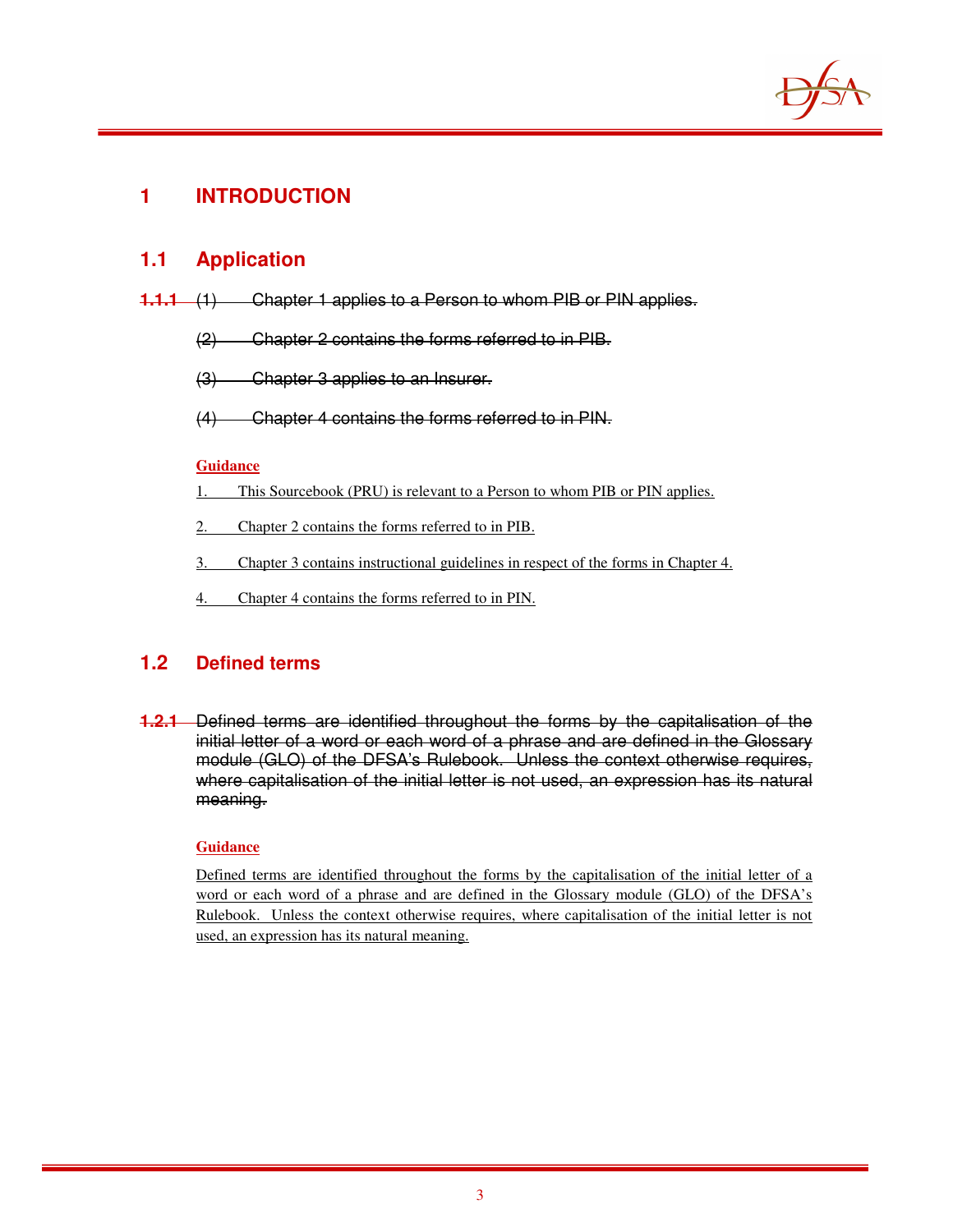

## **1 INTRODUCTION**

## **1.1 Application**

- **1.1.1** (1) Chapter 1 applies to a Person to whom PIB or PIN applies.
	- (2) Chapter 2 contains the forms referred to in PIB.
	- (3) Chapter 3 applies to an Insurer.
	- (4) Chapter 4 contains the forms referred to in PIN.

### **Guidance**

- 1. This Sourcebook (PRU) is relevant to a Person to whom PIB or PIN applies.
- 2. Chapter 2 contains the forms referred to in PIB.
- 3. Chapter 3 contains instructional guidelines in respect of the forms in Chapter 4.
- 4. Chapter 4 contains the forms referred to in PIN.

## **1.2 Defined terms**

**1.2.1** Defined terms are identified throughout the forms by the capitalisation of the initial letter of a word or each word of a phrase and are defined in the Glossary module (GLO) of the DFSA's Rulebook. Unless the context otherwise requires, where capitalisation of the initial letter is not used, an expression has its natural meaning.

### **Guidance**

Defined terms are identified throughout the forms by the capitalisation of the initial letter of a word or each word of a phrase and are defined in the Glossary module (GLO) of the DFSA's Rulebook. Unless the context otherwise requires, where capitalisation of the initial letter is not used, an expression has its natural meaning.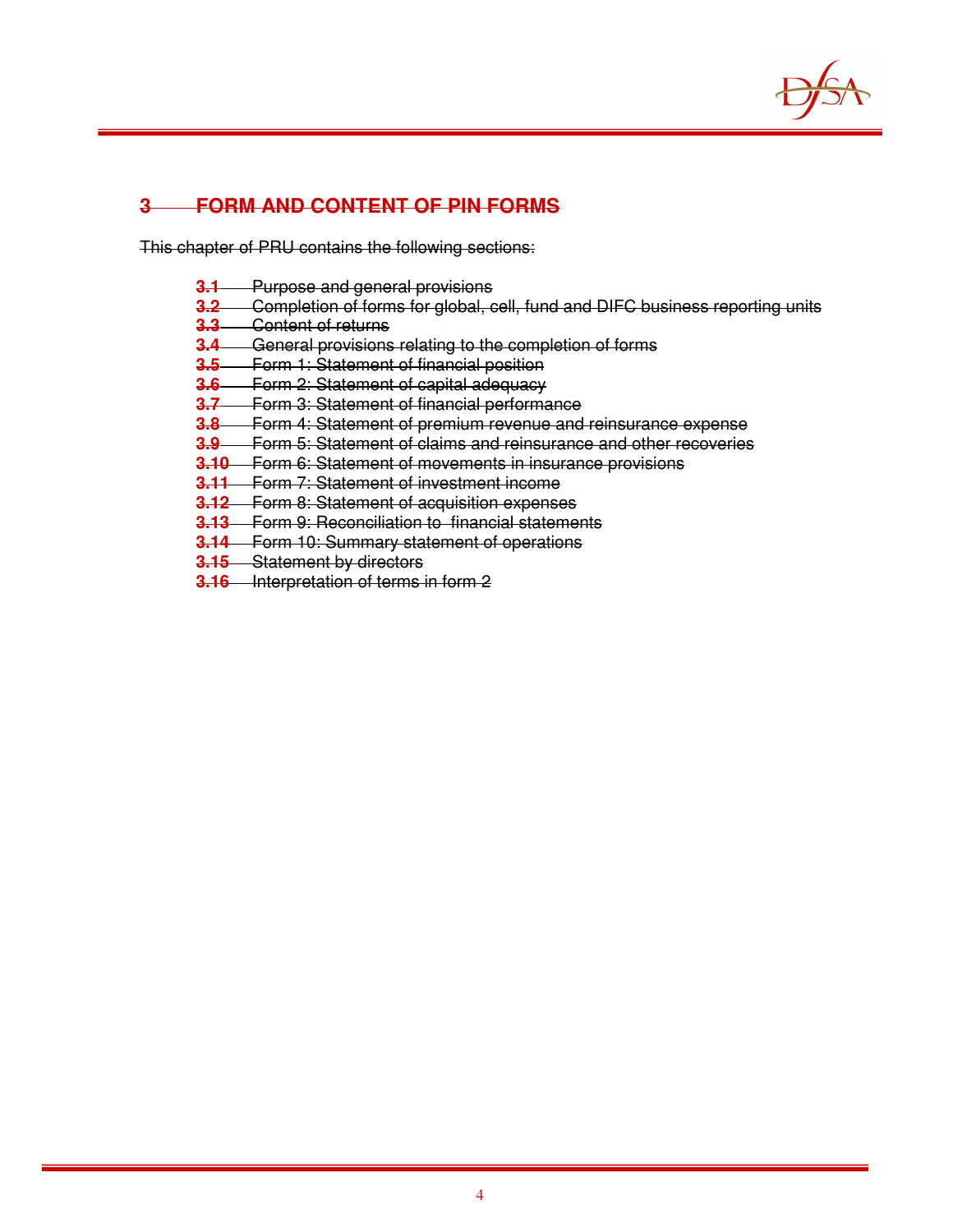

## **3 FORM AND CONTENT OF PIN FORMS**

This chapter of PRU contains the following sections:

- **3.1** Purpose and general provisions
- **3.2** Completion of forms for global, cell, fund and DIFC business reporting units
- **3.3** Content of returns
- **3.4** General provisions relating to the completion of forms
- **3.5** Form 1: Statement of financial position
- **3.6** Form 2: Statement of capital adequacy
- **3.7** Form 3: Statement of financial performance
- **3.8** Form 4: Statement of premium revenue and reinsurance expense
- **3.9** Form 5: Statement of claims and reinsurance and other recoveries
- **3.10** Form 6: Statement of movements in insurance provisions
- **3.11** Form 7: Statement of investment income
- **3.12** Form 8: Statement of acquisition expenses
- **3.13** Form 9: Reconciliation to financial statements
- **3.14** Form 10: Summary statement of operations
- **3.15** Statement by directors
- **3.16** Interpretation of terms in form 2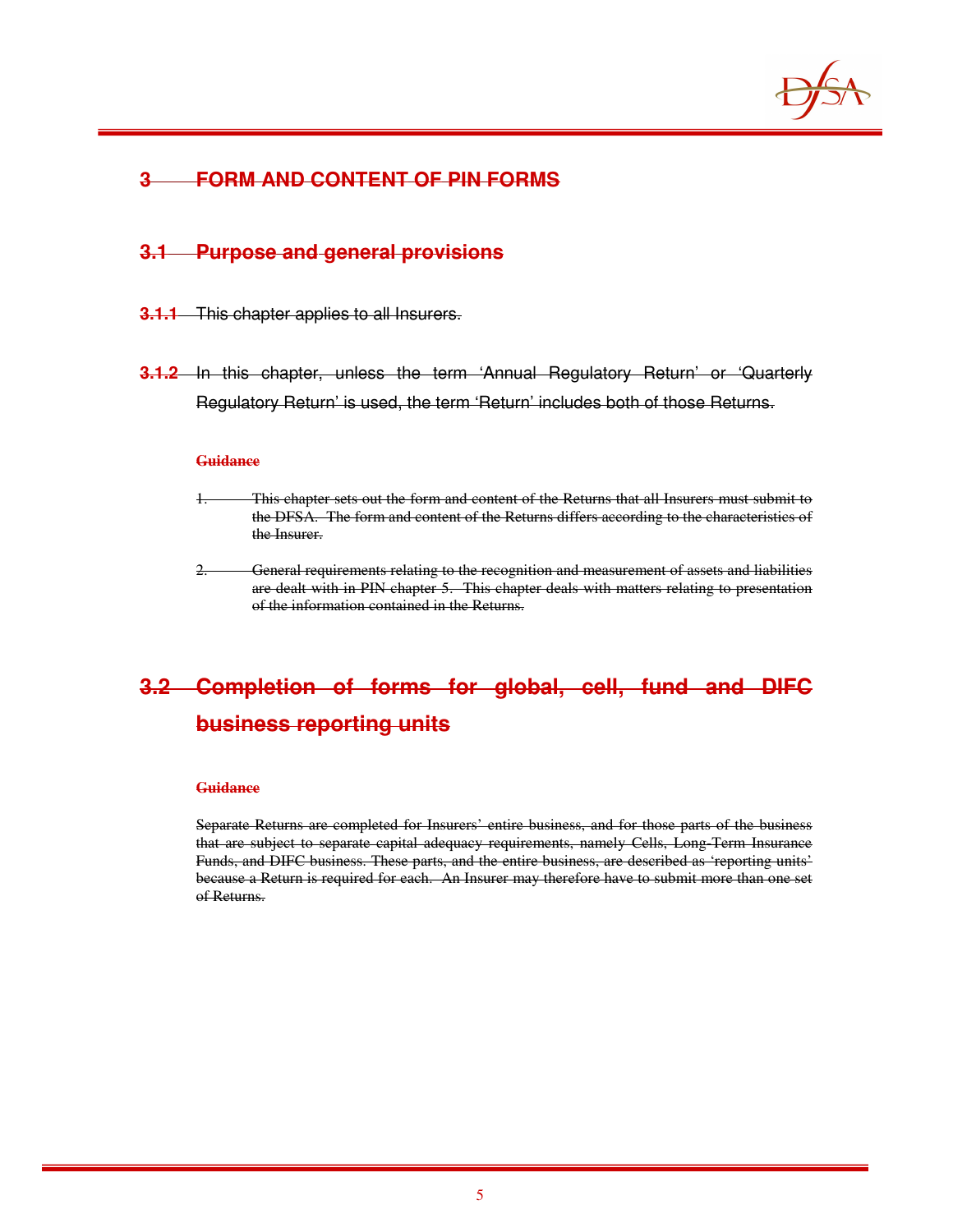

## **3 FORM AND CONTENT OF PIN FORMS**

## **3.1 Purpose and general provisions**

- **3.1.1** This chapter applies to all Insurers.
- **3.1.2** In this chapter, unless the term 'Annual Regulatory Return' or 'Quarterly Regulatory Return' is used, the term 'Return' includes both of those Returns.

#### **Guidance**

- 1. This chapter sets out the form and content of the Returns that all Insurers must submit to the DFSA. The form and content of the Returns differs according to the characteristics of the Insurer.
- 2. General requirements relating to the recognition and measurement of assets and liabilities are dealt with in PIN chapter 5. This chapter deals with matters relating to presentation of the information contained in the Returns.

## **3.2 Completion of forms for global, cell, fund and DIFC business reporting units**

#### **Guidance**

Separate Returns are completed for Insurers' entire business, and for those parts of the business that are subject to separate capital adequacy requirements, namely Cells, Long-Term Insurance Funds, and DIFC business. These parts, and the entire business, are described as 'reporting units' because a Return is required for each. An Insurer may therefore have to submit more than one set of Returns.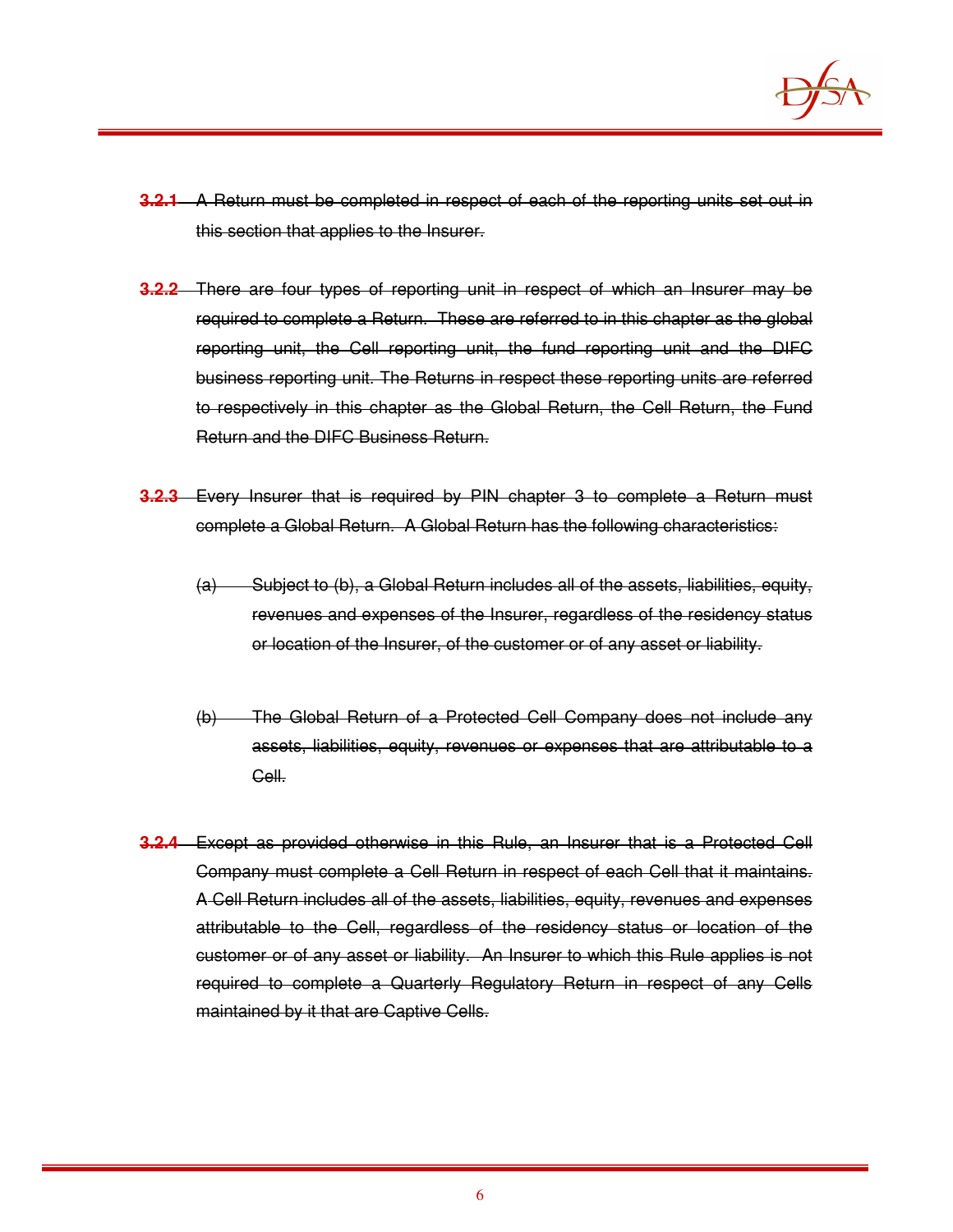

- **3.2.1** A Return must be completed in respect of each of the reporting units set out in this section that applies to the Insurer.
- **3.2.2** There are four types of reporting unit in respect of which an Insurer may be required to complete a Return. These are referred to in this chapter as the global reporting unit, the Cell reporting unit, the fund reporting unit and the DIFC business reporting unit. The Returns in respect these reporting units are referred to respectively in this chapter as the Global Return, the Cell Return, the Fund Return and the DIFC Business Return.
- **3.2.3** Every Insurer that is required by PIN chapter 3 to complete a Return must complete a Global Return. A Global Return has the following characteristics:
	- (a) Subject to (b), a Global Return includes all of the assets, liabilities, equity, revenues and expenses of the Insurer, regardless of the residency status or location of the Insurer, of the customer or of any asset or liability.
	- (b) The Global Return of a Protected Cell Company does not include any assets, liabilities, equity, revenues or expenses that are attributable to a Cell.
- **3.2.4** Except as provided otherwise in this Rule, an Insurer that is a Protected Cell Company must complete a Cell Return in respect of each Cell that it maintains. A Cell Return includes all of the assets, liabilities, equity, revenues and expenses attributable to the Cell, regardless of the residency status or location of the customer or of any asset or liability. An Insurer to which this Rule applies is not required to complete a Quarterly Regulatory Return in respect of any Cells maintained by it that are Captive Cells.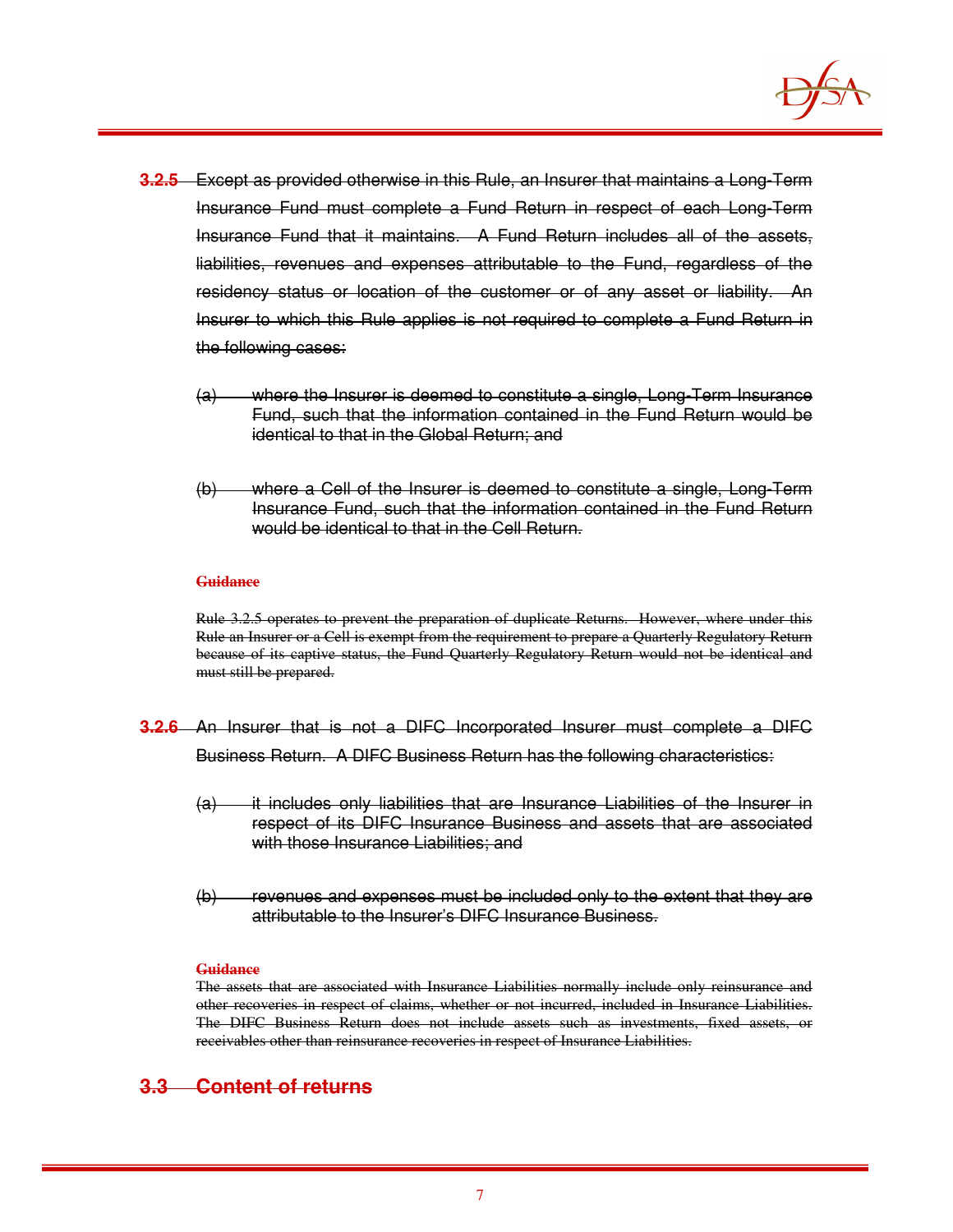

- **3.2.5** Except as provided otherwise in this Rule, an Insurer that maintains a Long-Term Insurance Fund must complete a Fund Return in respect of each Long-Term Insurance Fund that it maintains. A Fund Return includes all of the assets, liabilities, revenues and expenses attributable to the Fund, regardless of the residency status or location of the customer or of any asset or liability. An Insurer to which this Rule applies is not required to complete a Fund Return in the following cases:
	- (a) where the Insurer is deemed to constitute a single, Long-Term Insurance Fund, such that the information contained in the Fund Return would be identical to that in the Global Return; and
	- (b) where a Cell of the Insurer is deemed to constitute a single, Long-Term Insurance Fund, such that the information contained in the Fund Return would be identical to that in the Cell Return.

Rule 3.2.5 operates to prevent the preparation of duplicate Returns. However, where under this Rule an Insurer or a Cell is exempt from the requirement to prepare a Quarterly Regulatory Return because of its captive status, the Fund Quarterly Regulatory Return would not be identical and must still be prepared.

- **3.2.6** An Insurer that is not a DIFC Incorporated Insurer must complete a DIFC Business Return. A DIFC Business Return has the following characteristics:
	- (a) it includes only liabilities that are Insurance Liabilities of the Insurer in respect of its DIFC Insurance Business and assets that are associated with those Insurance Liabilities; and
	- (b) revenues and expenses must be included only to the extent that they are attributable to the Insurer's DIFC Insurance Business.

#### **Guidance**

The assets that are associated with Insurance Liabilities normally include only reinsurance and other recoveries in respect of claims, whether or not incurred, included in Insurance Liabilities. The DIFC Business Return does not include assets such as investments, fixed assets, or receivables other than reinsurance recoveries in respect of Insurance Liabilities.

## **3.3 Content of returns**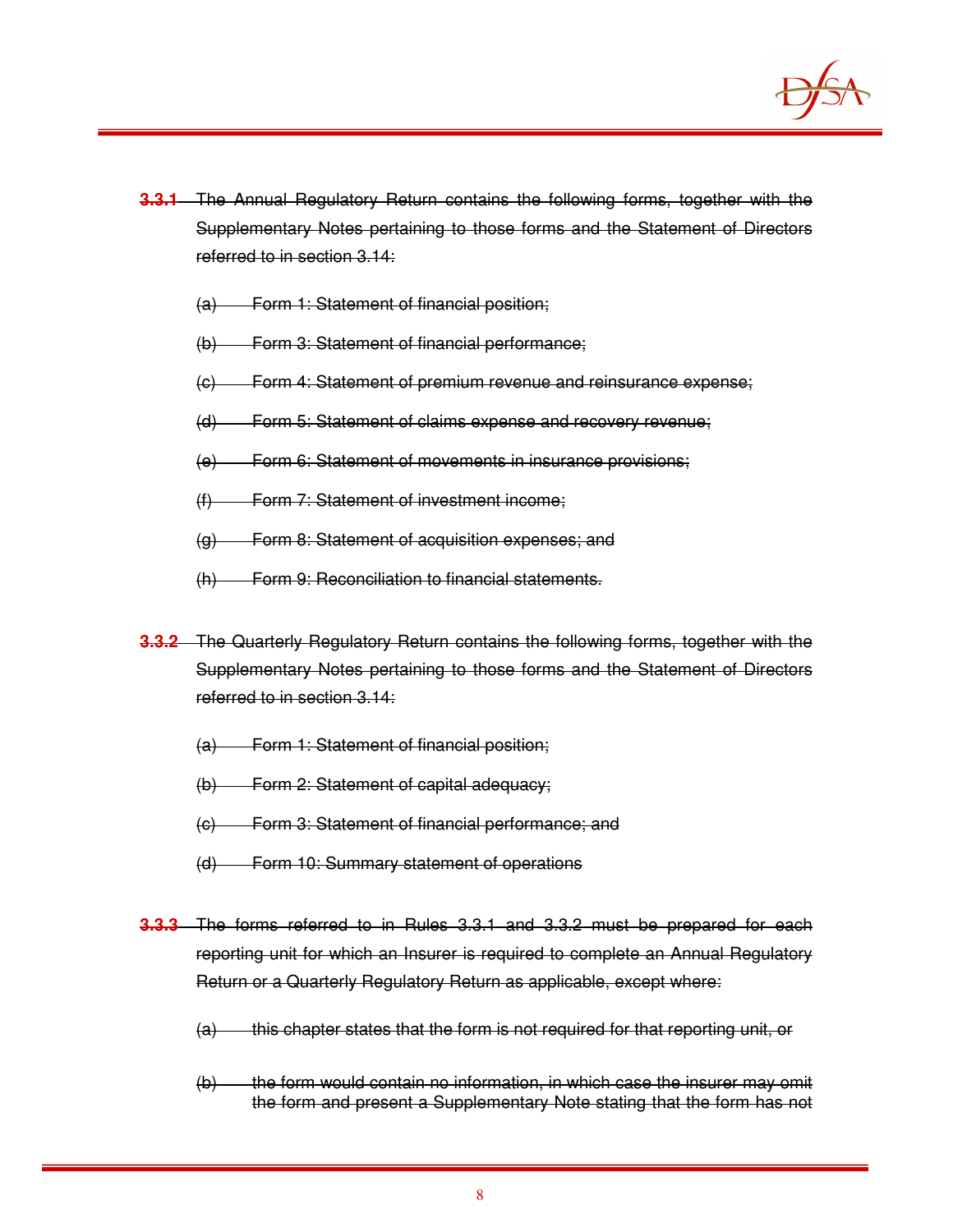

- **3.3.1** The Annual Regulatory Return contains the following forms, together with the Supplementary Notes pertaining to those forms and the Statement of Directors referred to in section 3.14:
	- (a) Form 1: Statement of financial position;
	- (b) Form 3: Statement of financial performance;
	- (c) Form 4: Statement of premium revenue and reinsurance expense;
	- (d) Form 5: Statement of claims expense and recovery revenue;
	- (e) Form 6: Statement of movements in insurance provisions;
	- (f) Form 7: Statement of investment income;
	- (g) Form 8: Statement of acquisition expenses; and
	- (h) Form 9: Reconciliation to financial statements.
- **3.3.2** The Quarterly Regulatory Return contains the following forms, together with the Supplementary Notes pertaining to those forms and the Statement of Directors referred to in section 3.14:
	- (a) Form 1: Statement of financial position;
	- (b) Form 2: Statement of capital adequacy;
	- (c) Form 3: Statement of financial performance; and
	- (d) Form 10: Summary statement of operations
- **3.3.3** The forms referred to in Rules 3.3.1 and 3.3.2 must be prepared for each reporting unit for which an Insurer is required to complete an Annual Regulatory Return or a Quarterly Regulatory Return as applicable, except where:
	- $(a)$  this chapter states that the form is not required for that reporting unit, or
	- (b) the form would contain no information, in which case the insurer may omit the form and present a Supplementary Note stating that the form has not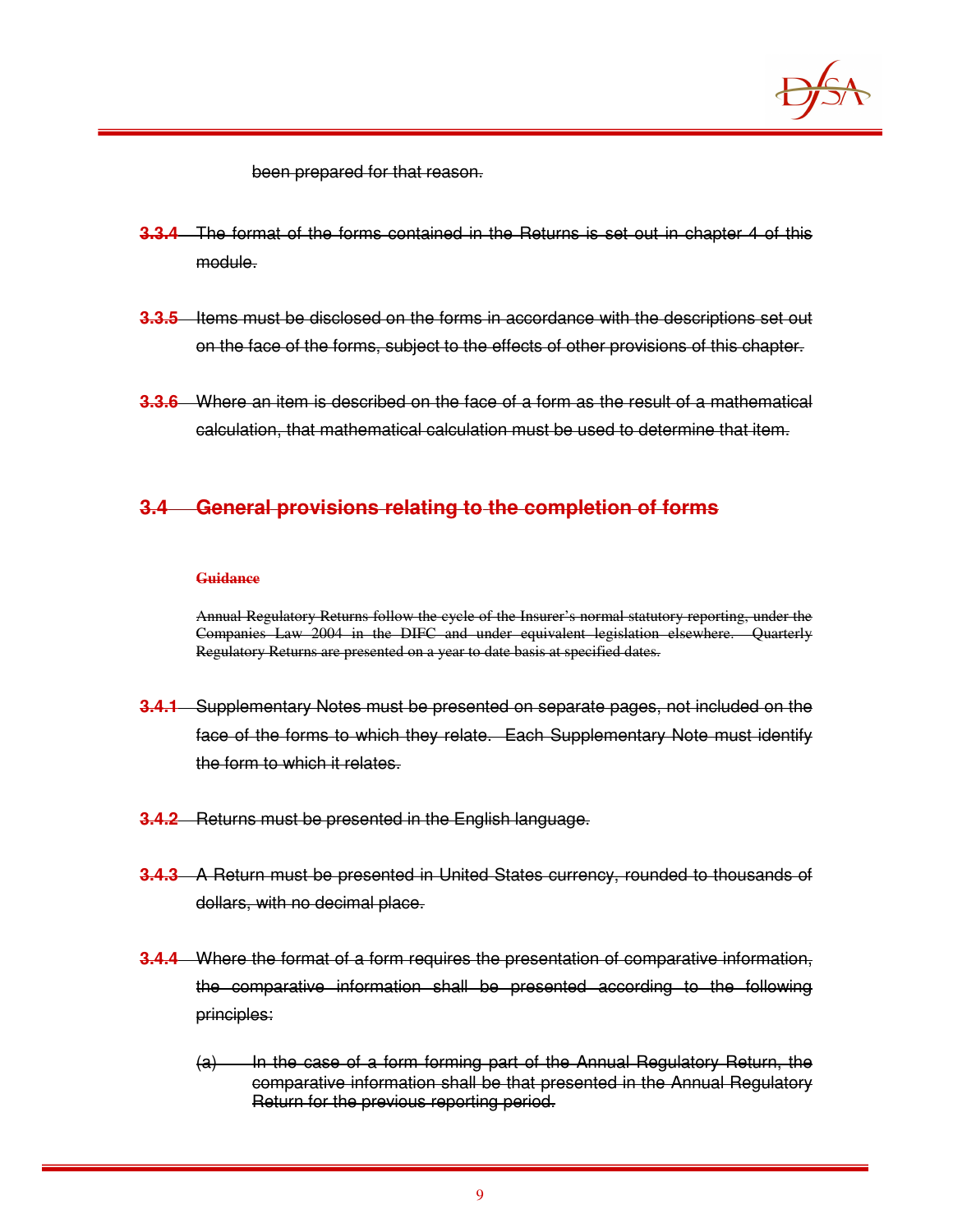

been prepared for that reason.

- **3.3.4** The format of the forms contained in the Returns is set out in chapter 4 of this module.
- **3.3.5** Items must be disclosed on the forms in accordance with the descriptions set out on the face of the forms, subject to the effects of other provisions of this chapter.
- **3.3.6** Where an item is described on the face of a form as the result of a mathematical calculation, that mathematical calculation must be used to determine that item.

## **3.4 General provisions relating to the completion of forms**

#### **Guidance**

Annual Regulatory Returns follow the cycle of the Insurer's normal statutory reporting, under the Companies Law 2004 in the DIFC and under equivalent legislation elsewhere. Quarterly Regulatory Returns are presented on a year to date basis at specified dates.

- **3.4.1** Supplementary Notes must be presented on separate pages, not included on the face of the forms to which they relate. Each Supplementary Note must identify the form to which it relates.
- **3.4.2** Returns must be presented in the English language.
- **3.4.3** A Return must be presented in United States currency, rounded to thousands of dollars, with no decimal place.
- **3.4.4** Where the format of a form requires the presentation of comparative information, the comparative information shall be presented according to the following principles:
	- $(a)$  In the case of a form forming part of the Annual Regulatory Return, the comparative information shall be that presented in the Annual Regulatory Return for the previous reporting period.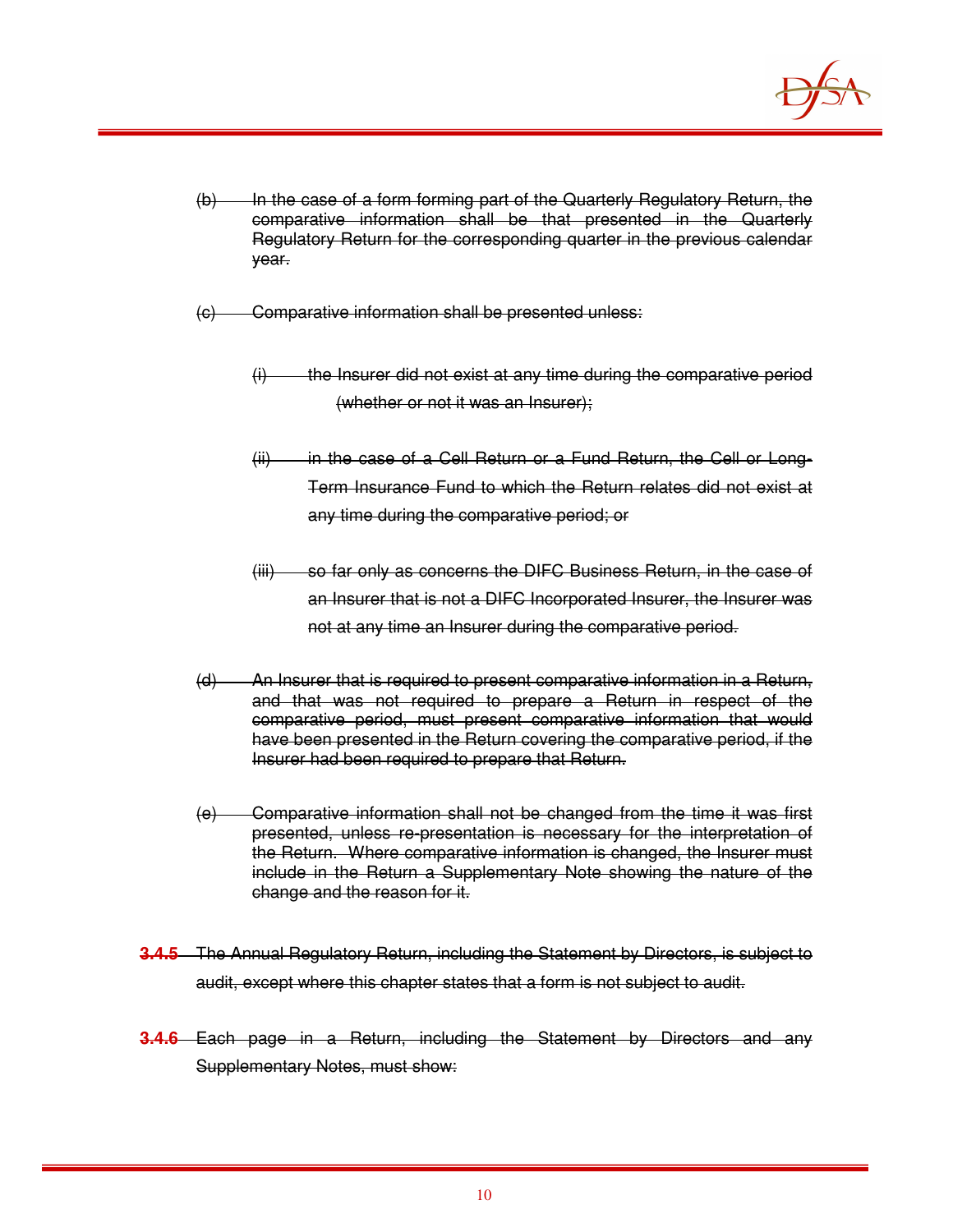

- (b) In the case of a form forming part of the Quarterly Regulatory Return, the comparative information shall be that presented in the Quarterly Regulatory Return for the corresponding quarter in the previous calendar year.
- (c) Comparative information shall be presented unless:
	- $(i)$  the Insurer did not exist at any time during the comparative period (whether or not it was an Insurer);
	- (ii) in the case of a Cell Return or a Fund Return, the Cell or Long-Term Insurance Fund to which the Return relates did not exist at any time during the comparative period; or
	- (iii) so far only as concerns the DIFC Business Return, in the case of an Insurer that is not a DIFC Incorporated Insurer, the Insurer was not at any time an Insurer during the comparative period.
- (d) An Insurer that is required to present comparative information in a Return, and that was not required to prepare a Return in respect of the comparative period, must present comparative information that would have been presented in the Return covering the comparative period, if the Insurer had been required to prepare that Return.
- (e) Comparative information shall not be changed from the time it was first presented, unless re-presentation is necessary for the interpretation of the Return. Where comparative information is changed, the Insurer must include in the Return a Supplementary Note showing the nature of the change and the reason for it.
- **3.4.5** The Annual Regulatory Return, including the Statement by Directors, is subject to audit, except where this chapter states that a form is not subject to audit.
- **3.4.6** Each page in a Return, including the Statement by Directors and any Supplementary Notes, must show: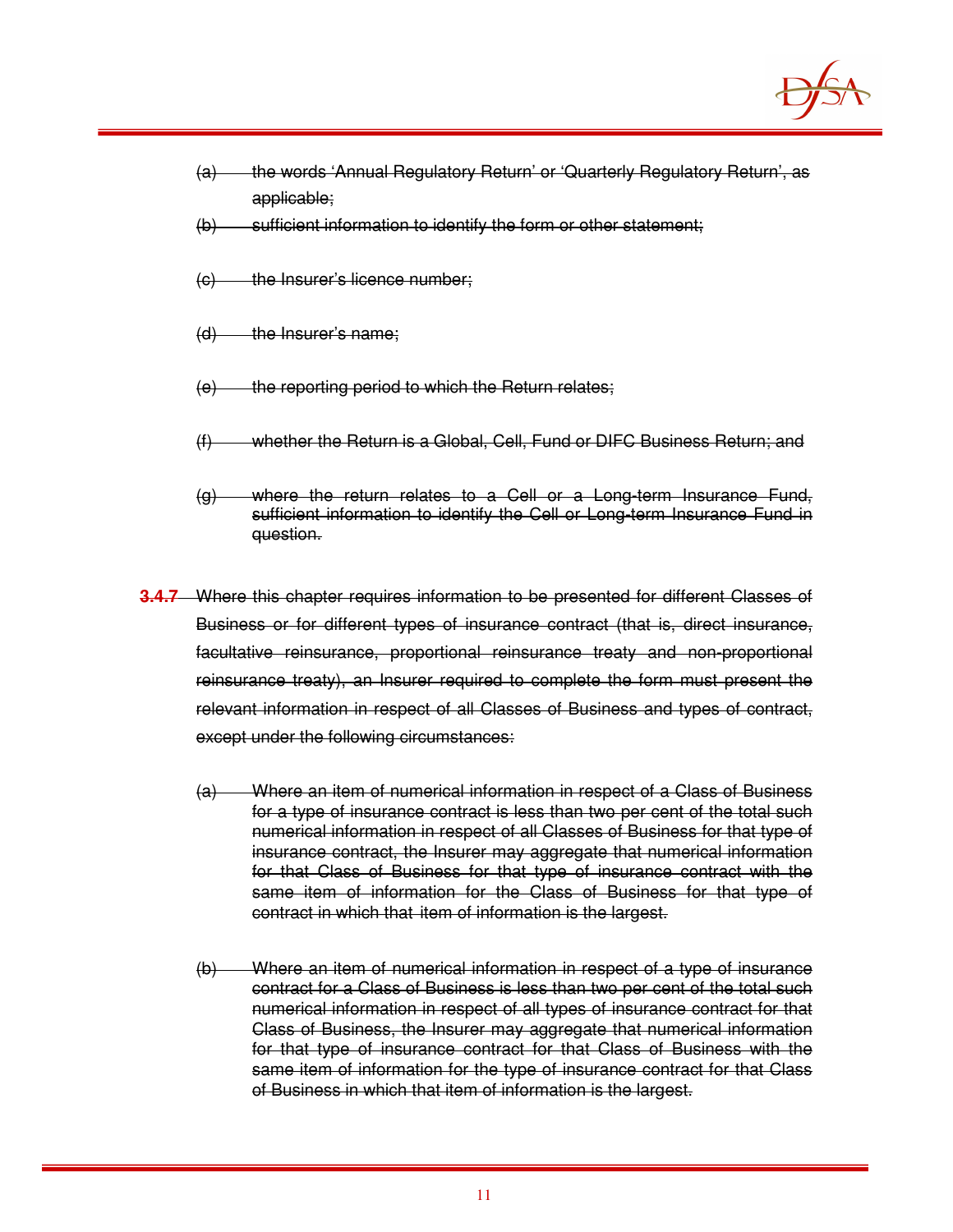

- (a) the words 'Annual Regulatory Return' or 'Quarterly Regulatory Return', as applicable;
- (b) sufficient information to identify the form or other statement:
- (c) the Insurer's licence number;
- $(d)$  the Insurer's name;
- $(e)$  the reporting period to which the Return relates;
- (f) whether the Return is a Global, Cell, Fund or DIFC Business Return; and
- (g) where the return relates to a Cell or a Long-term Insurance Fund, sufficient information to identify the Cell or Long-term Insurance Fund in question.
- **3.4.7** Where this chapter requires information to be presented for different Classes of Business or for different types of insurance contract (that is, direct insurance, facultative reinsurance, proportional reinsurance treaty and non-proportional reinsurance treaty), an Insurer required to complete the form must present the relevant information in respect of all Classes of Business and types of contract, except under the following circumstances:
	- (a) Where an item of numerical information in respect of a Class of Business for a type of insurance contract is less than two per cent of the total such numerical information in respect of all Classes of Business for that type of insurance contract, the Insurer may aggregate that numerical information for that Class of Business for that type of insurance contract with the same item of information for the Class of Business for that type of contract in which that item of information is the largest.
	- (b) Where an item of numerical information in respect of a type of insurance contract for a Class of Business is less than two per cent of the total such numerical information in respect of all types of insurance contract for that Class of Business, the Insurer may aggregate that numerical information for that type of insurance contract for that Class of Business with the same item of information for the type of insurance contract for that Class of Business in which that item of information is the largest.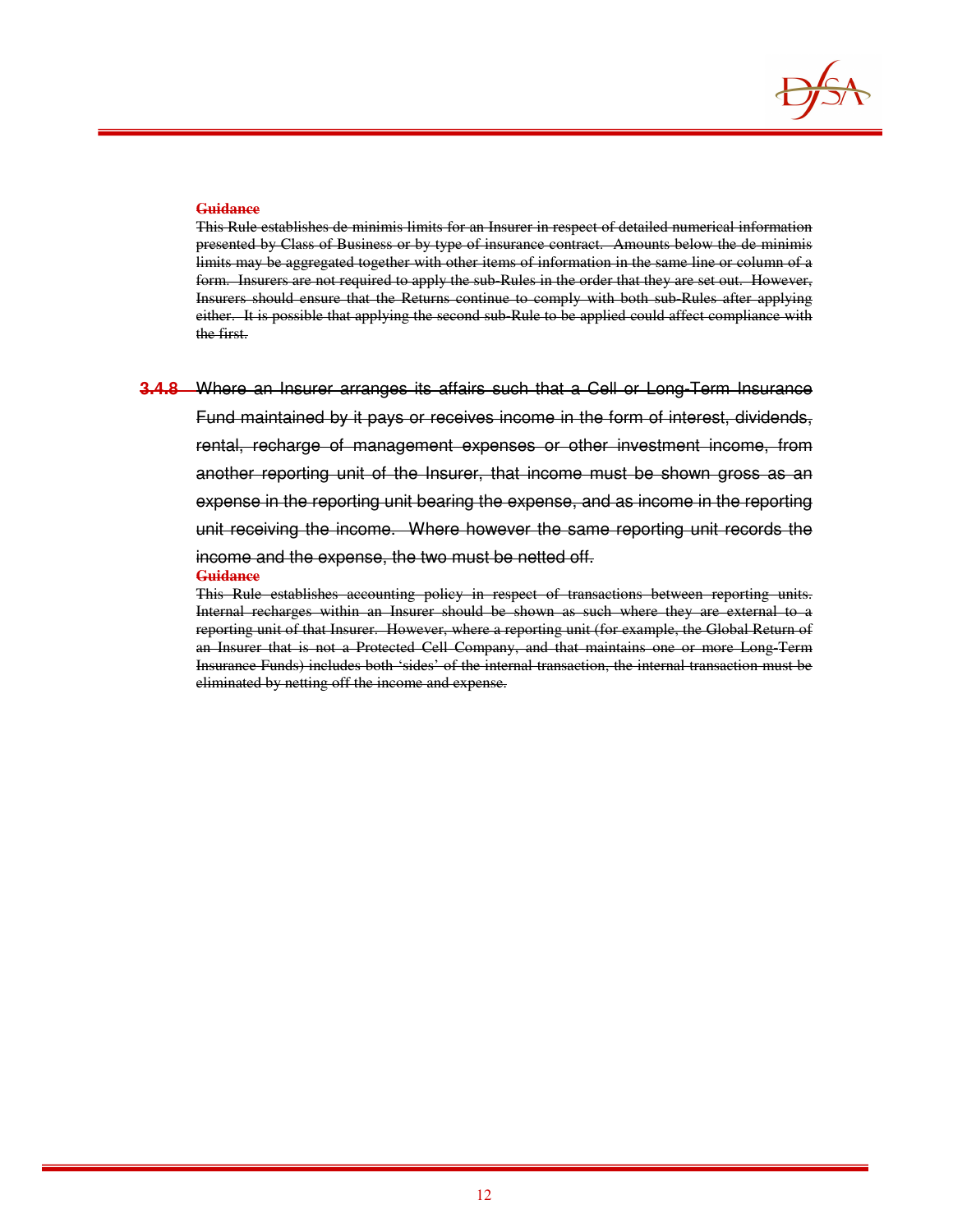

This Rule establishes de minimis limits for an Insurer in respect of detailed numerical information presented by Class of Business or by type of insurance contract. Amounts below the de minimis limits may be aggregated together with other items of information in the same line or column of a form. Insurers are not required to apply the sub-Rules in the order that they are set out. However, Insurers should ensure that the Returns continue to comply with both sub-Rules after applying either. It is possible that applying the second sub-Rule to be applied could affect compliance with the first.

**3.4.8** Where an Insurer arranges its affairs such that a Cell or Long-Term Insurance Fund maintained by it pays or receives income in the form of interest, dividends, rental, recharge of management expenses or other investment income, from another reporting unit of the Insurer, that income must be shown gross as an expense in the reporting unit bearing the expense, and as income in the reporting unit receiving the income. Where however the same reporting unit records the income and the expense, the two must be netted off. **Guidance**

This Rule establishes accounting policy in respect of transactions between reporting units. Internal recharges within an Insurer should be shown as such where they are external to a reporting unit of that Insurer. However, where a reporting unit (for example, the Global Return of an Insurer that is not a Protected Cell Company, and that maintains one or more Long-Term Insurance Funds) includes both 'sides' of the internal transaction, the internal transaction must be eliminated by netting off the income and expense.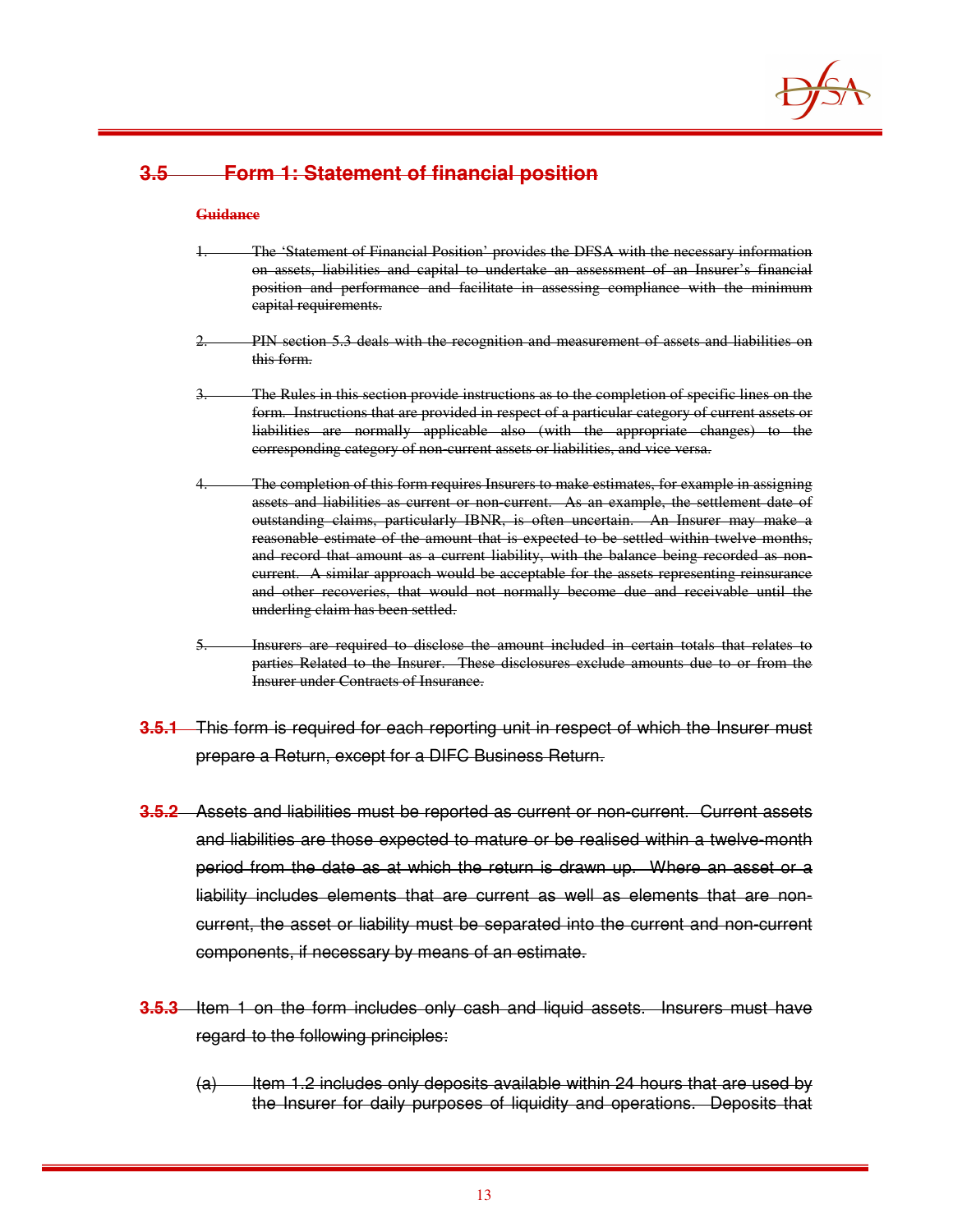

## **3.5 Form 1: Statement of financial position**

#### **Guidance**

- The 'Statement of Financial Position' provides the DFSA with the necessary information on assets, liabilities and capital to undertake an assessment of an Insurer's financial position and performance and facilitate in assessing compliance with the minimum capital requirements.
- PIN section 5.3 deals with the recognition and measurement of assets and liabilities on this form.
- The Rules in this section provide instructions as to the completion of specific lines on the form. Instructions that are provided in respect of a particular category of current assets or liabilities are normally applicable also (with the appropriate changes) to the corresponding category of non-current assets or liabilities, and vice versa.
- The completion of this form requires Insurers to make estimates, for example in assigning assets and liabilities as current or non-current. As an example, the settlement date of outstanding claims, particularly IBNR, is often uncertain. An Insurer may make a reasonable estimate of the amount that is expected to be settled within twelve months, and record that amount as a current liability, with the balance being recorded as noncurrent. A similar approach would be acceptable for the assets representing reinsurance and other recoveries, that would not normally become due and receivable until the underling claim has been settled.
- 5. Insurers are required to disclose the amount included in certain totals that relates to parties Related to the Insurer. These disclosures exclude amounts due to or from the Insurer under Contracts of Insurance.
- **3.5.1** This form is required for each reporting unit in respect of which the Insurer must prepare a Return, except for a DIFC Business Return.
- **3.5.2** Assets and liabilities must be reported as current or non-current. Current assets and liabilities are those expected to mature or be realised within a twelve-month period from the date as at which the return is drawn up. Where an asset or a liability includes elements that are current as well as elements that are noncurrent, the asset or liability must be separated into the current and non-current components, if necessary by means of an estimate.
- **3.5.3** Item 1 on the form includes only cash and liquid assets. Insurers must have regard to the following principles:
	- $(a)$  Item 1.2 includes only deposits available within 24 hours that are used by the Insurer for daily purposes of liquidity and operations. Deposits that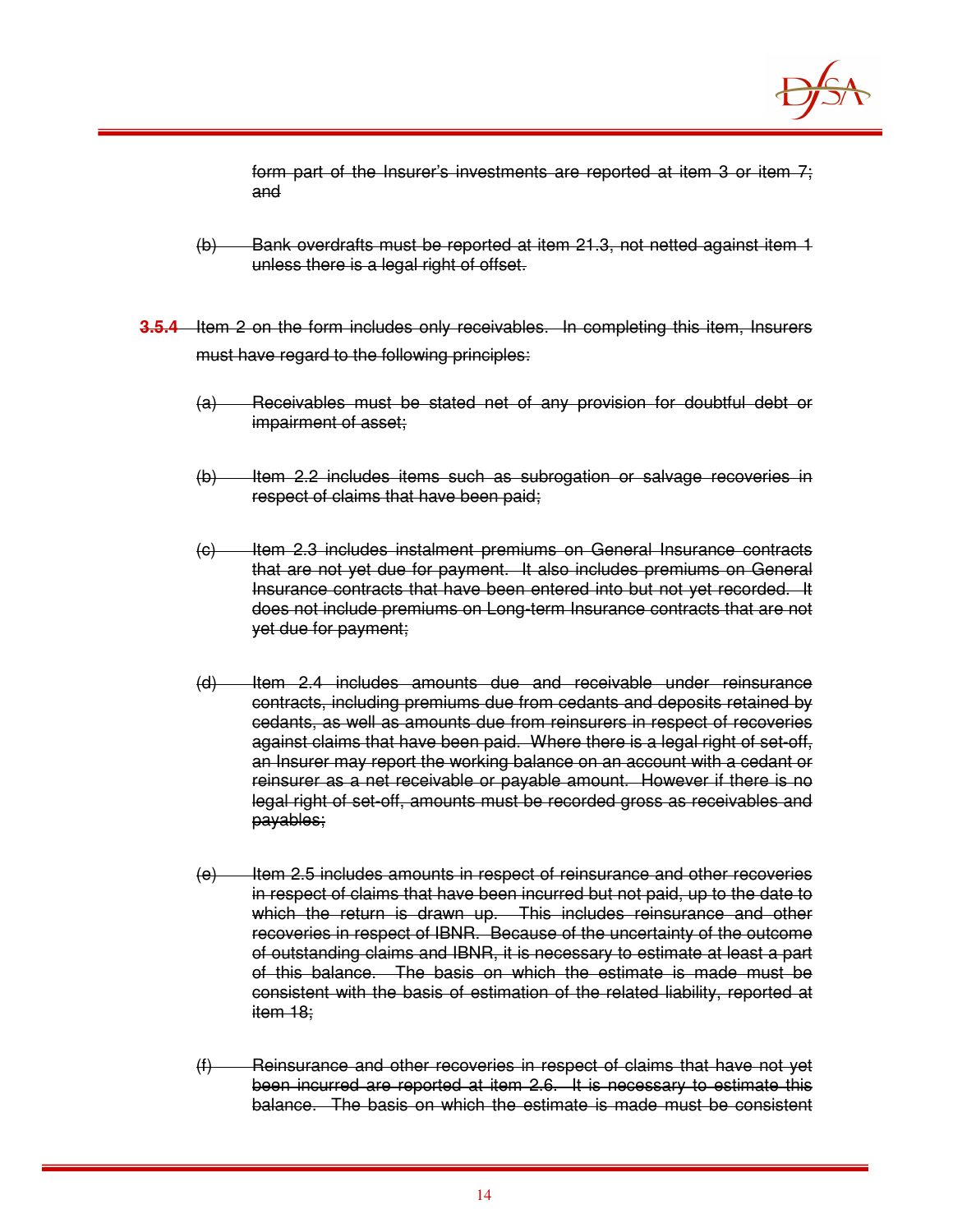

form part of the Insurer's investments are reported at item 3 or item 7; and

- (b) Bank overdrafts must be reported at item 21.3, not netted against item 1 unless there is a legal right of offset.
- **3.5.4** Item 2 on the form includes only receivables. In completing this item, Insurers must have regard to the following principles:
	- (a) Receivables must be stated net of any provision for doubtful debt or impairment of asset;
	- (b) Item 2.2 includes items such as subrogation or salvage recoveries in respect of claims that have been paid;
	- (c) Item 2.3 includes instalment premiums on General Insurance contracts that are not yet due for payment. It also includes premiums on General Insurance contracts that have been entered into but not yet recorded. It does not include premiums on Long-term Insurance contracts that are not yet due for payment;
	- (d) Item 2.4 includes amounts due and receivable under reinsurance contracts, including premiums due from cedants and deposits retained by cedants, as well as amounts due from reinsurers in respect of recoveries against claims that have been paid. Where there is a legal right of set-off, an Insurer may report the working balance on an account with a cedant or reinsurer as a net receivable or payable amount. However if there is no legal right of set-off, amounts must be recorded gross as receivables and payables;
	- $(e)$  Item 2.5 includes amounts in respect of reinsurance and other recoveries in respect of claims that have been incurred but not paid, up to the date to which the return is drawn up. This includes reinsurance and other recoveries in respect of IBNR. Because of the uncertainty of the outcome of outstanding claims and IBNR, it is necessary to estimate at least a part of this balance. The basis on which the estimate is made must be consistent with the basis of estimation of the related liability, reported at item 18;
	- (f) Reinsurance and other recoveries in respect of claims that have not yet been incurred are reported at item 2.6. It is necessary to estimate this balance. The basis on which the estimate is made must be consistent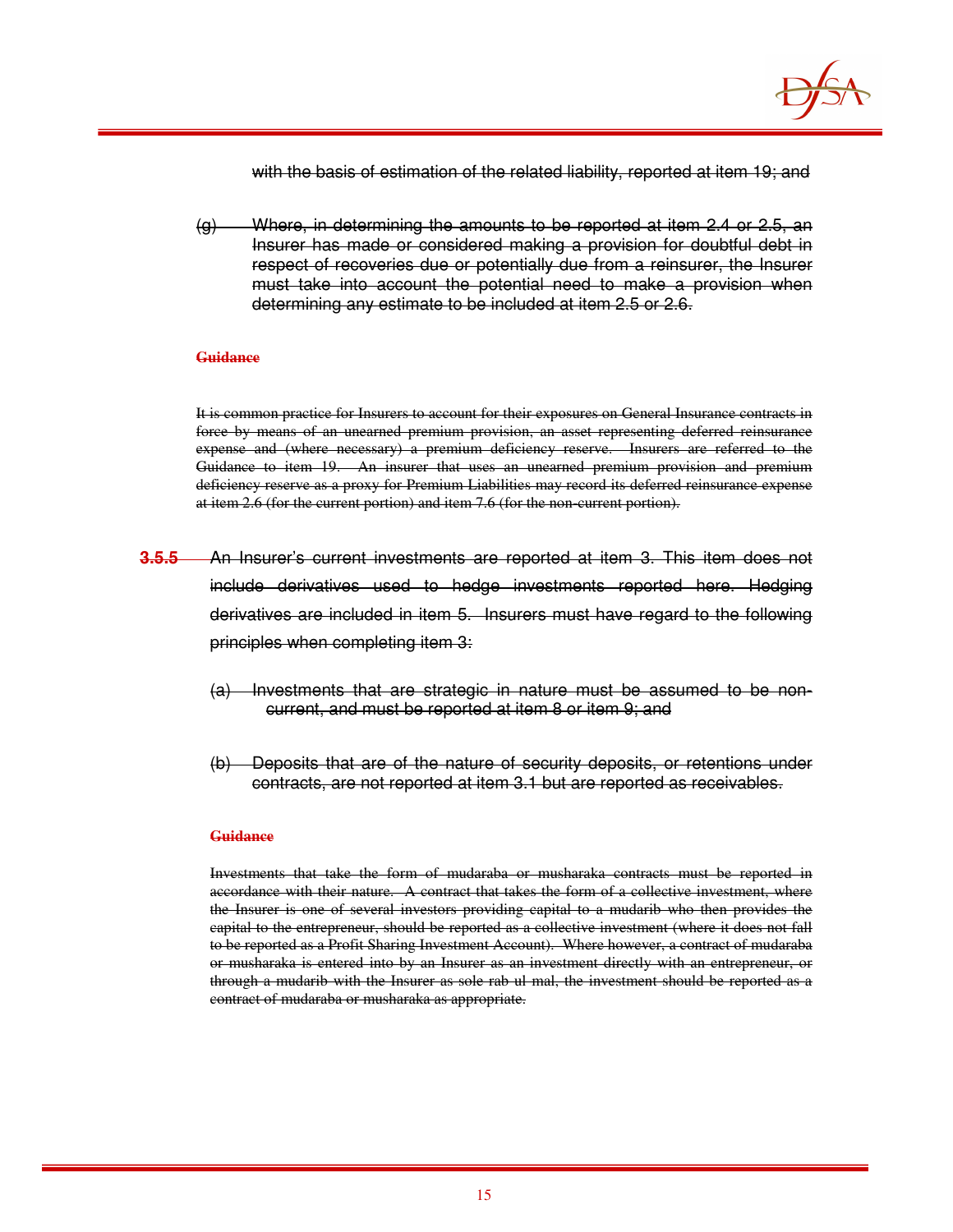

with the basis of estimation of the related liability, reported at item 19; and

(g) Where, in determining the amounts to be reported at item 2.4 or 2.5, an Insurer has made or considered making a provision for doubtful debt in respect of recoveries due or potentially due from a reinsurer, the Insurer must take into account the potential need to make a provision when determining any estimate to be included at item 2.5 or 2.6.

#### **Guidance**

It is common practice for Insurers to account for their exposures on General Insurance contracts in force by means of an unearned premium provision, an asset representing deferred reinsurance expense and (where necessary) a premium deficiency reserve. Insurers are referred to the Guidance to item 19. An insurer that uses an unearned premium provision and premium deficiency reserve as a proxy for Premium Liabilities may record its deferred reinsurance expense at item 2.6 (for the current portion) and item 7.6 (for the non-current portion).

- **3.5.5** An Insurer's current investments are reported at item 3. This item does not include derivatives used to hedge investments reported here. Hedging derivatives are included in item 5. Insurers must have regard to the following principles when completing item 3:
	- (a) Investments that are strategic in nature must be assumed to be noncurrent, and must be reported at item 8 or item 9; and
	- (b) Deposits that are of the nature of security deposits, or retentions under contracts, are not reported at item 3.1 but are reported as receivables.

#### **Guidance**

Investments that take the form of mudaraba or musharaka contracts must be reported in accordance with their nature. A contract that takes the form of a collective investment, where the Insurer is one of several investors providing capital to a mudarib who then provides the capital to the entrepreneur, should be reported as a collective investment (where it does not fall to be reported as a Profit Sharing Investment Account). Where however, a contract of mudaraba or musharaka is entered into by an Insurer as an investment directly with an entrepreneur, or through a mudarib with the Insurer as sole rab ul mal, the investment should be reported as a contract of mudaraba or musharaka as appropriate.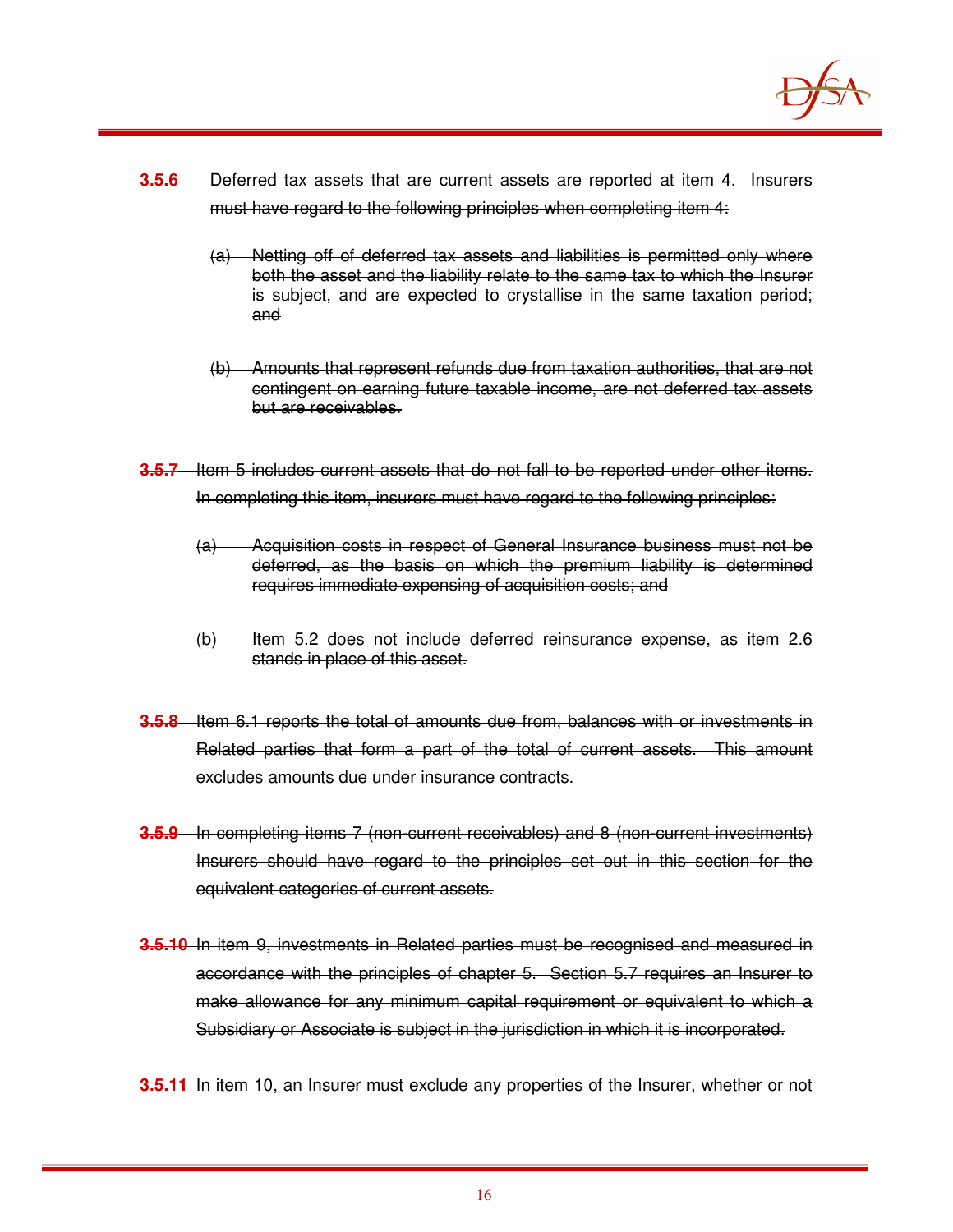

- **3.5.6** Deferred tax assets that are current assets are reported at item 4. Insurers must have regard to the following principles when completing item 4:
	- (a) Netting off of deferred tax assets and liabilities is permitted only where both the asset and the liability relate to the same tax to which the Insurer is subject, and are expected to crystallise in the same taxation period; and
	- (b) Amounts that represent refunds due from taxation authorities, that are not contingent on earning future taxable income, are not deferred tax assets but are receivables.
- **3.5.7** Item 5 includes current assets that do not fall to be reported under other items. In completing this item, insurers must have regard to the following principles:
	- (a) Acquisition costs in respect of General Insurance business must not be deferred, as the basis on which the premium liability is determined requires immediate expensing of acquisition costs; and
	- (b) Item 5.2 does not include deferred reinsurance expense, as item 2.6 stands in place of this asset.
- **3.5.8** Item 6.1 reports the total of amounts due from, balances with or investments in Related parties that form a part of the total of current assets. This amount excludes amounts due under insurance contracts.
- **3.5.9** In completing items 7 (non-current receivables) and 8 (non-current investments) Insurers should have regard to the principles set out in this section for the equivalent categories of current assets.
- **3.5.10** In item 9, investments in Related parties must be recognised and measured in accordance with the principles of chapter 5. Section 5.7 requires an Insurer to make allowance for any minimum capital requirement or equivalent to which a Subsidiary or Associate is subject in the jurisdiction in which it is incorporated.
- **3.5.11** In item 10, an Insurer must exclude any properties of the Insurer, whether or not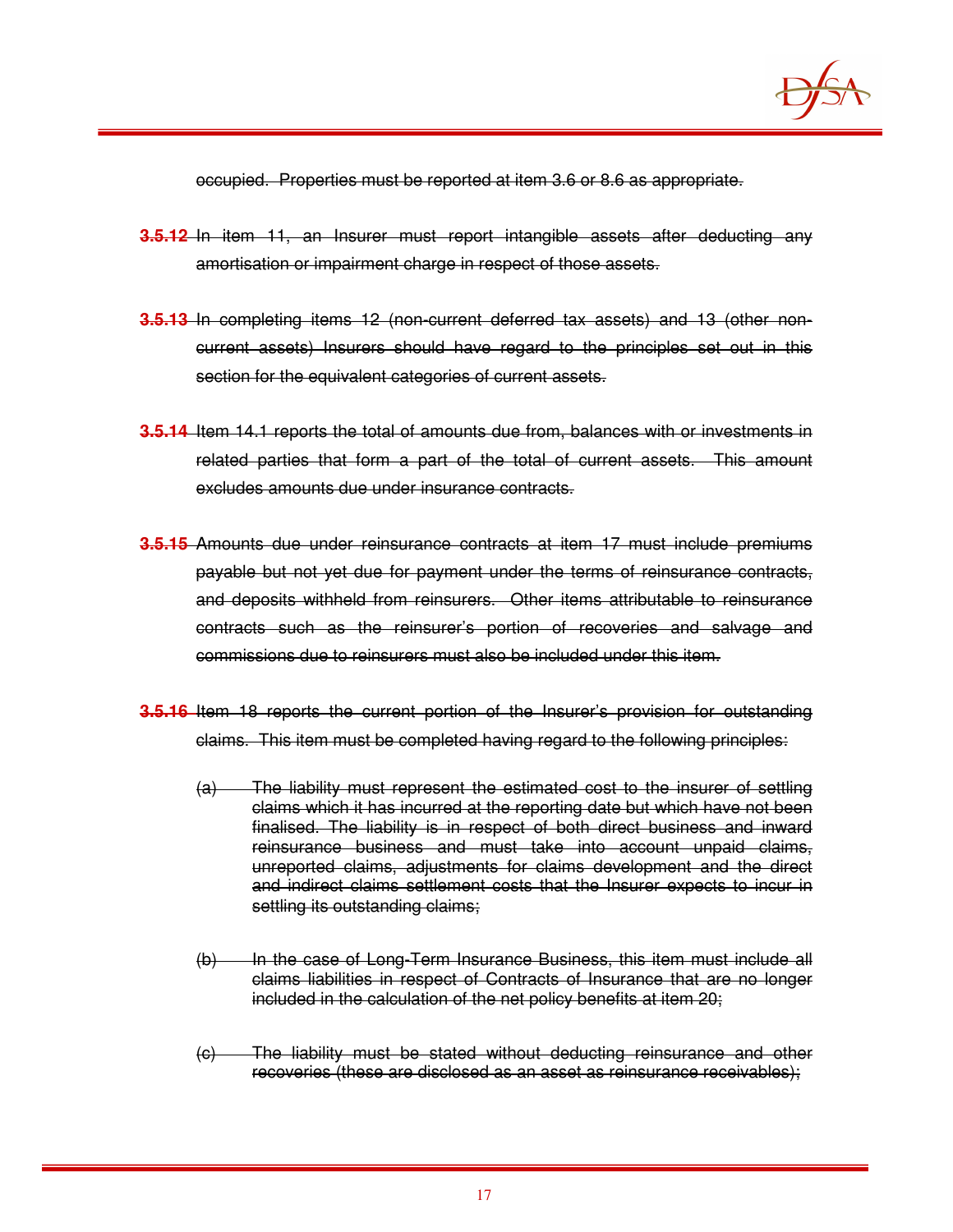

occupied. Properties must be reported at item 3.6 or 8.6 as appropriate.

- **3.5.12** In item 11, an Insurer must report intangible assets after deducting any amortisation or impairment charge in respect of those assets.
- **3.5.13** In completing items 12 (non-current deferred tax assets) and 13 (other noncurrent assets) Insurers should have regard to the principles set out in this section for the equivalent categories of current assets.
- **3.5.14** Item 14.1 reports the total of amounts due from, balances with or investments in related parties that form a part of the total of current assets. This amount excludes amounts due under insurance contracts.
- **3.5.15** Amounts due under reinsurance contracts at item 17 must include premiums payable but not yet due for payment under the terms of reinsurance contracts, and deposits withheld from reinsurers. Other items attributable to reinsurance contracts such as the reinsurer's portion of recoveries and salvage and commissions due to reinsurers must also be included under this item.
- **3.5.16** Item 18 reports the current portion of the Insurer's provision for outstanding claims. This item must be completed having regard to the following principles:
	- (a) The liability must represent the estimated cost to the insurer of settling claims which it has incurred at the reporting date but which have not been finalised. The liability is in respect of both direct business and inward reinsurance business and must take into account unpaid claims, unreported claims, adjustments for claims development and the direct and indirect claims settlement costs that the Insurer expects to incur in settling its outstanding claims;
	- (b) In the case of Long-Term Insurance Business, this item must include all claims liabilities in respect of Contracts of Insurance that are no longer included in the calculation of the net policy benefits at item 20;
	- (c) The liability must be stated without deducting reinsurance and other recoveries (these are disclosed as an asset as reinsurance receivables);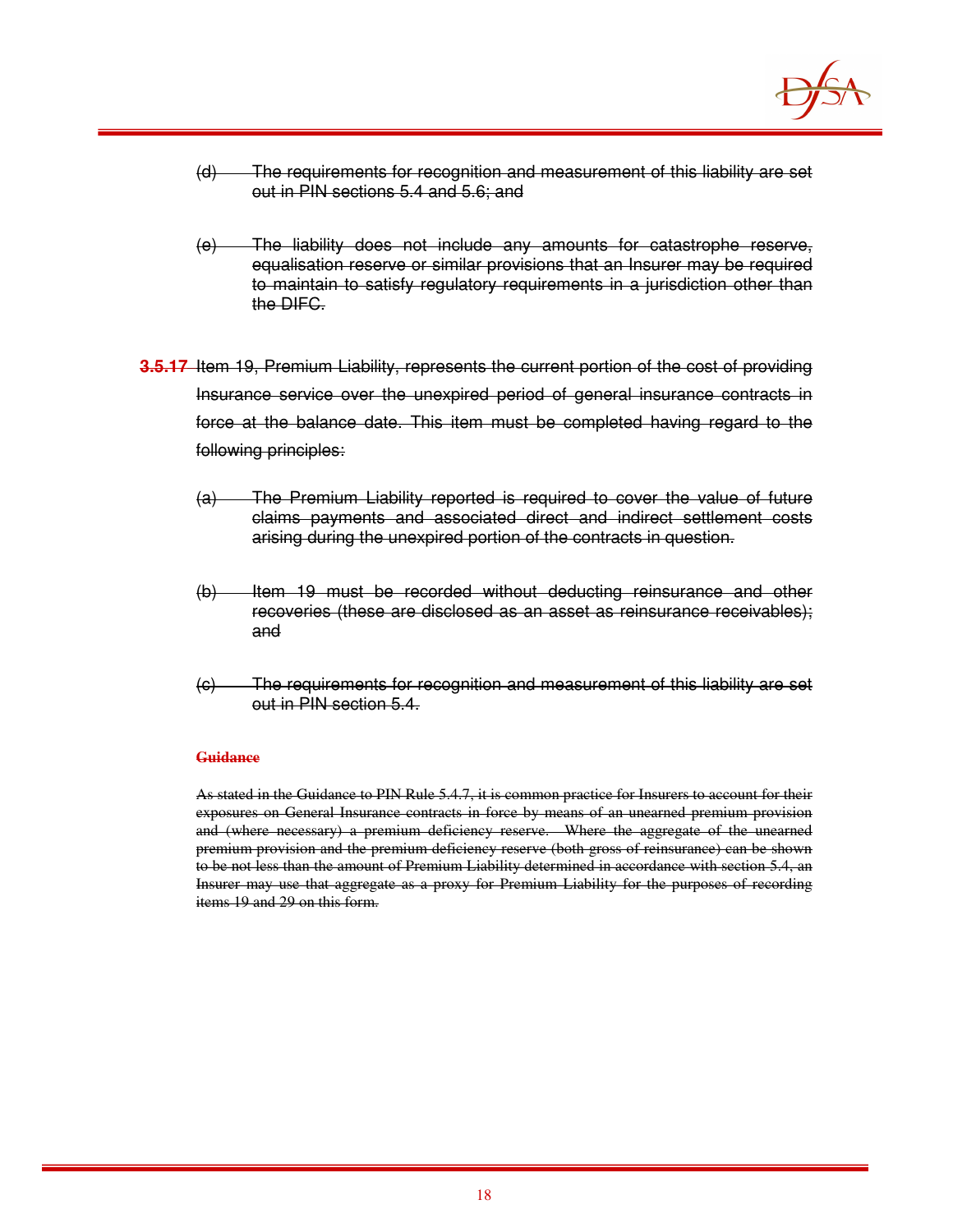

- (d) The requirements for recognition and measurement of this liability are set out in PIN sections 5.4 and 5.6; and
- (e) The liability does not include any amounts for catastrophe reserve, equalisation reserve or similar provisions that an Insurer may be required to maintain to satisfy regulatory requirements in a jurisdiction other than the DIFC.
- **3.5.17** Item 19, Premium Liability, represents the current portion of the cost of providing Insurance service over the unexpired period of general insurance contracts in force at the balance date. This item must be completed having regard to the following principles:
	- (a) The Premium Liability reported is required to cover the value of future claims payments and associated direct and indirect settlement costs arising during the unexpired portion of the contracts in question.
	- (b) Item 19 must be recorded without deducting reinsurance and other recoveries (these are disclosed as an asset as reinsurance receivables); and
	- (c) The requirements for recognition and measurement of this liability are set out in PIN section 5.4.

As stated in the Guidance to PIN Rule 5.4.7, it is common practice for Insurers to account for their exposures on General Insurance contracts in force by means of an unearned premium provision and (where necessary) a premium deficiency reserve. Where the aggregate of the unearned premium provision and the premium deficiency reserve (both gross of reinsurance) can be shown to be not less than the amount of Premium Liability determined in accordance with section 5.4, an Insurer may use that aggregate as a proxy for Premium Liability for the purposes of recording items 19 and 29 on this form.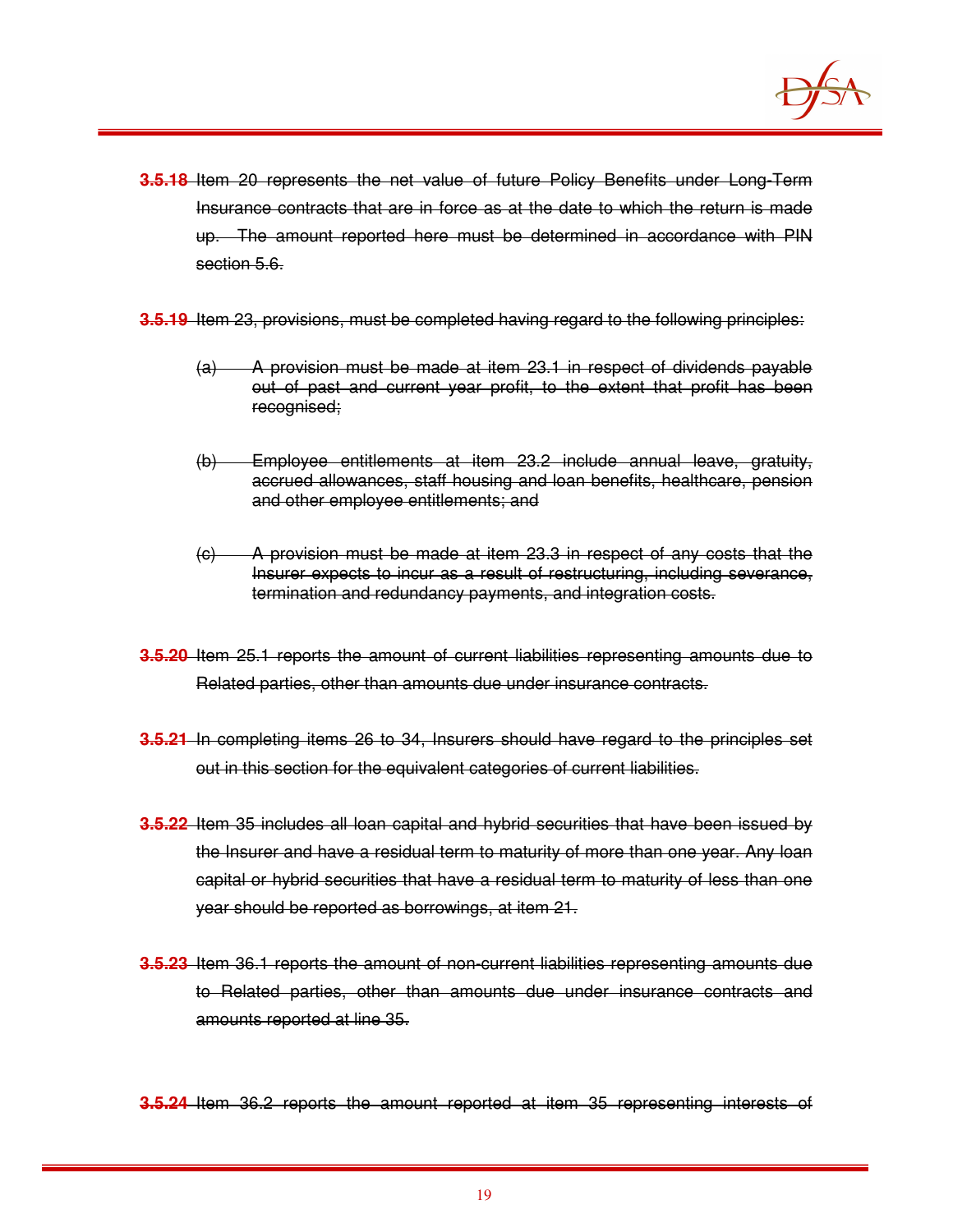

- **3.5.18** Item 20 represents the net value of future Policy Benefits under Long-Term Insurance contracts that are in force as at the date to which the return is made up. The amount reported here must be determined in accordance with PIN section 5.6.
- **3.5.19** Item 23, provisions, must be completed having regard to the following principles:
	- (a) A provision must be made at item 23.1 in respect of dividends payable out of past and current year profit, to the extent that profit has been recognised;
	- (b) Employee entitlements at item 23.2 include annual leave, gratuity, accrued allowances, staff housing and loan benefits, healthcare, pension and other employee entitlements; and
	- (c) A provision must be made at item 23.3 in respect of any costs that the Insurer expects to incur as a result of restructuring, including severance, termination and redundancy payments, and integration costs.
- **3.5.20** Item 25.1 reports the amount of current liabilities representing amounts due to Related parties, other than amounts due under insurance contracts.
- **3.5.21** In completing items 26 to 34, Insurers should have regard to the principles set out in this section for the equivalent categories of current liabilities.
- **3.5.22** Item 35 includes all loan capital and hybrid securities that have been issued by the Insurer and have a residual term to maturity of more than one year. Any loan capital or hybrid securities that have a residual term to maturity of less than one year should be reported as borrowings, at item 21.
- **3.5.23** Item 36.1 reports the amount of non-current liabilities representing amounts due to Related parties, other than amounts due under insurance contracts and amounts reported at line 35.

**3.5.24** Item 36.2 reports the amount reported at item 35 representing interests of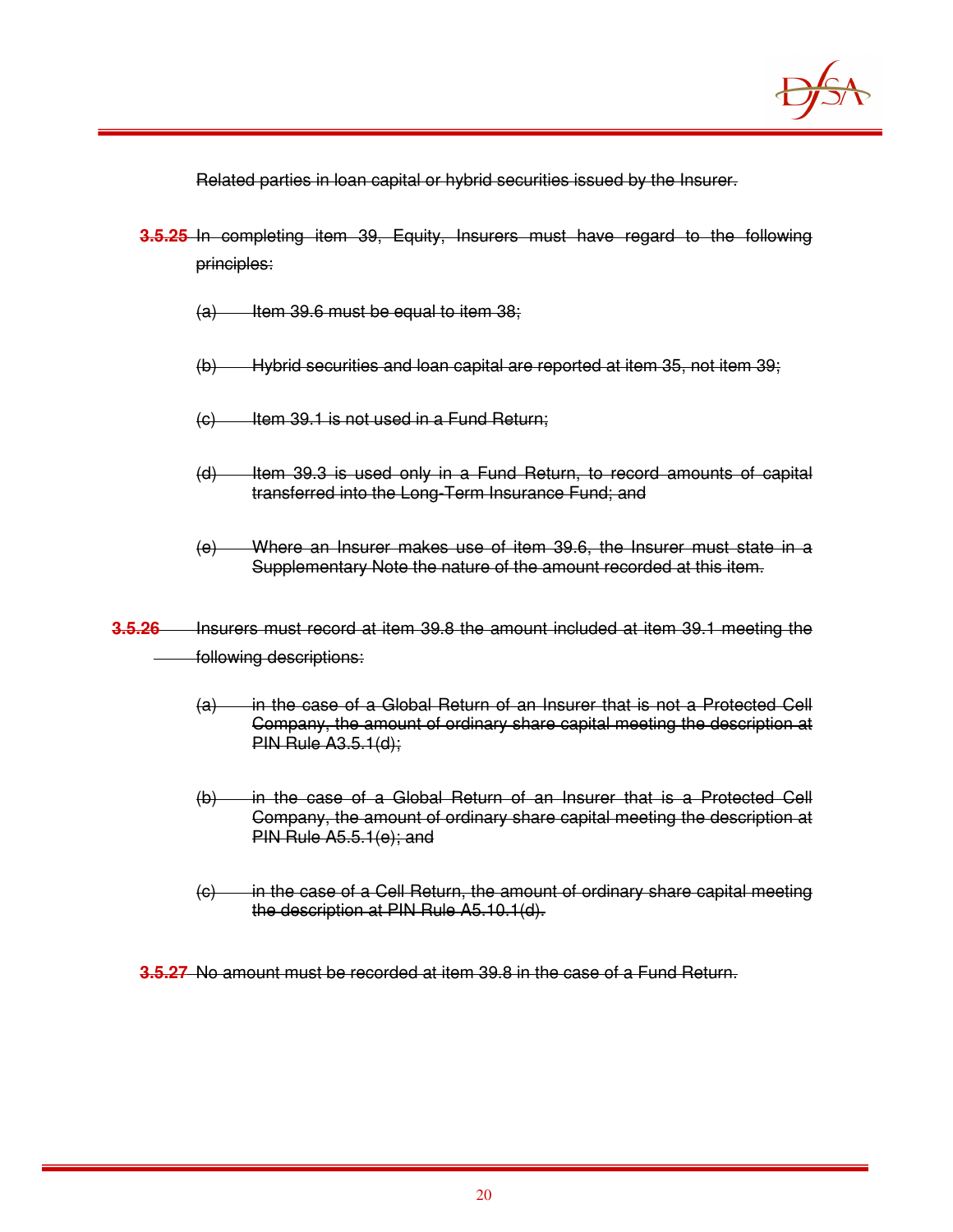

Related parties in loan capital or hybrid securities issued by the Insurer.

- **3.5.25** In completing item 39, Equity, Insurers must have regard to the following principles:
	- $(a)$  Item 39.6 must be equal to item 38;
	- (b) Hybrid securities and loan capital are reported at item 35, not item 39;
	- $(c)$  Item 39.1 is not used in a Fund Return;
	- (d) Item 39.3 is used only in a Fund Return, to record amounts of capital transferred into the Long-Term Insurance Fund; and
	- (e) Where an Insurer makes use of item 39.6, the Insurer must state in a Supplementary Note the nature of the amount recorded at this item.
- **3.5.26** Insurers must record at item 39.8 the amount included at item 39.1 meeting the following descriptions:
	- (a) in the case of a Global Return of an Insurer that is not a Protected Cell Company, the amount of ordinary share capital meeting the description at PIN Rule A3.5.1(d);
	- (b) in the case of a Global Return of an Insurer that is a Protected Cell Company, the amount of ordinary share capital meeting the description at PIN Rule A5.5.1(e); and
	- (c) in the case of a Cell Return, the amount of ordinary share capital meeting the description at PIN Rule A5.10.1(d).

**3.5.27** No amount must be recorded at item 39.8 in the case of a Fund Return.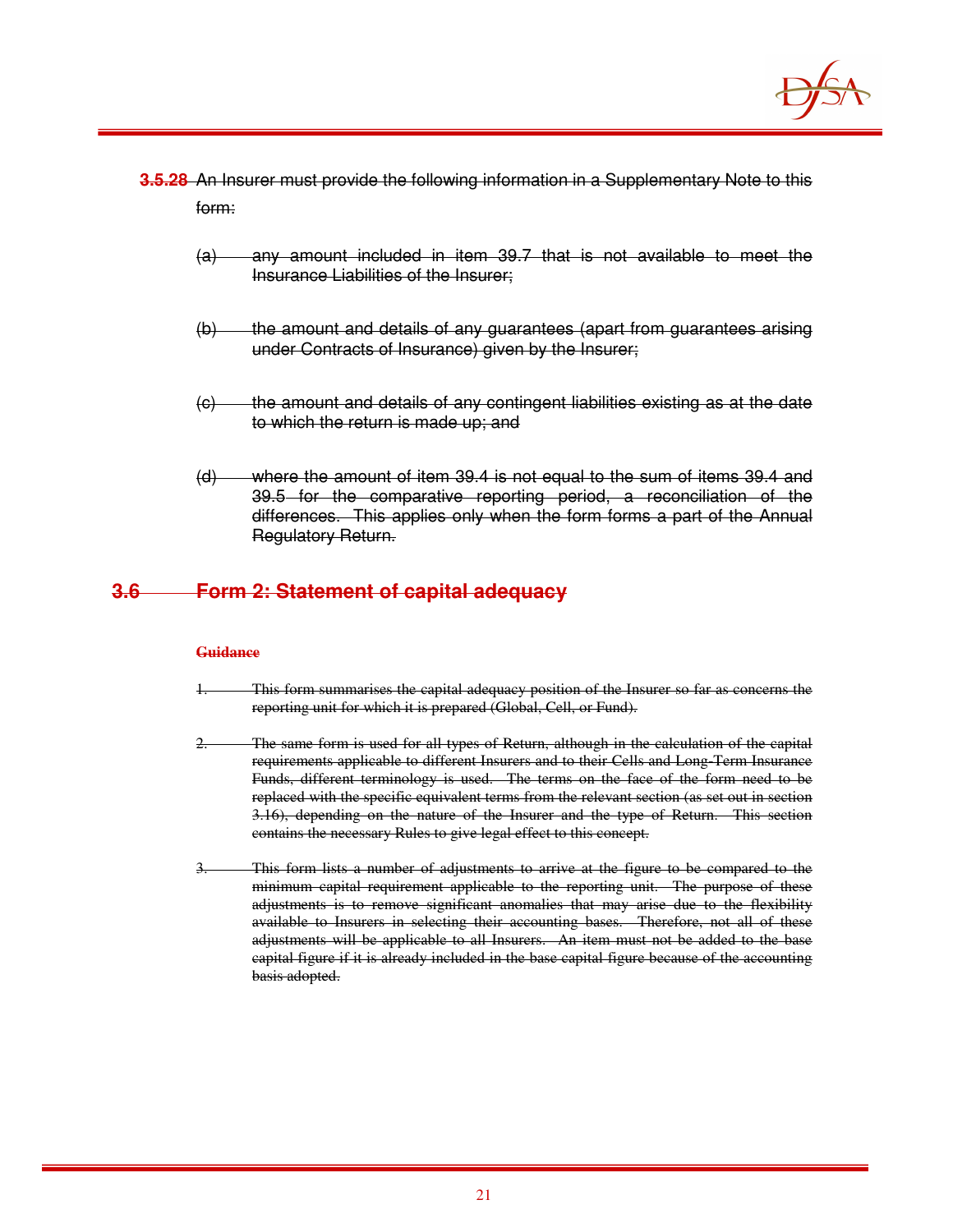

- **3.5.28** An Insurer must provide the following information in a Supplementary Note to this form:
	- (a) any amount included in item 39.7 that is not available to meet the Insurance Liabilities of the Insurer;
	- (b) the amount and details of any guarantees (apart from guarantees arising under Contracts of Insurance) given by the Insurer;
	- (c) the amount and details of any contingent liabilities existing as at the date to which the return is made up; and
	- (d) where the amount of item 39.4 is not equal to the sum of items 39.4 and 39.5 for the comparative reporting period, a reconciliation of the differences. This applies only when the form forms a part of the Annual Regulatory Return.

## **3.6 Form 2: Statement of capital adequacy**

#### **Guidance**

- This form summarises the capital adequacy position of the Insurer so far as concerns the reporting unit for which it is prepared (Global, Cell, or Fund).
- 2. The same form is used for all types of Return, although in the calculation of the capital requirements applicable to different Insurers and to their Cells and Long-Term Insurance Funds, different terminology is used. The terms on the face of the form need to be replaced with the specific equivalent terms from the relevant section (as set out in section 3.16), depending on the nature of the Insurer and the type of Return. This section contains the necessary Rules to give legal effect to this concept.
- This form lists a number of adjustments to arrive at the figure to be compared to the minimum capital requirement applicable to the reporting unit. The purpose of these adjustments is to remove significant anomalies that may arise due to the flexibility available to Insurers in selecting their accounting bases. Therefore, not all of these adjustments will be applicable to all Insurers. An item must not be added to the base capital figure if it is already included in the base capital figure because of the accounting basis adopted.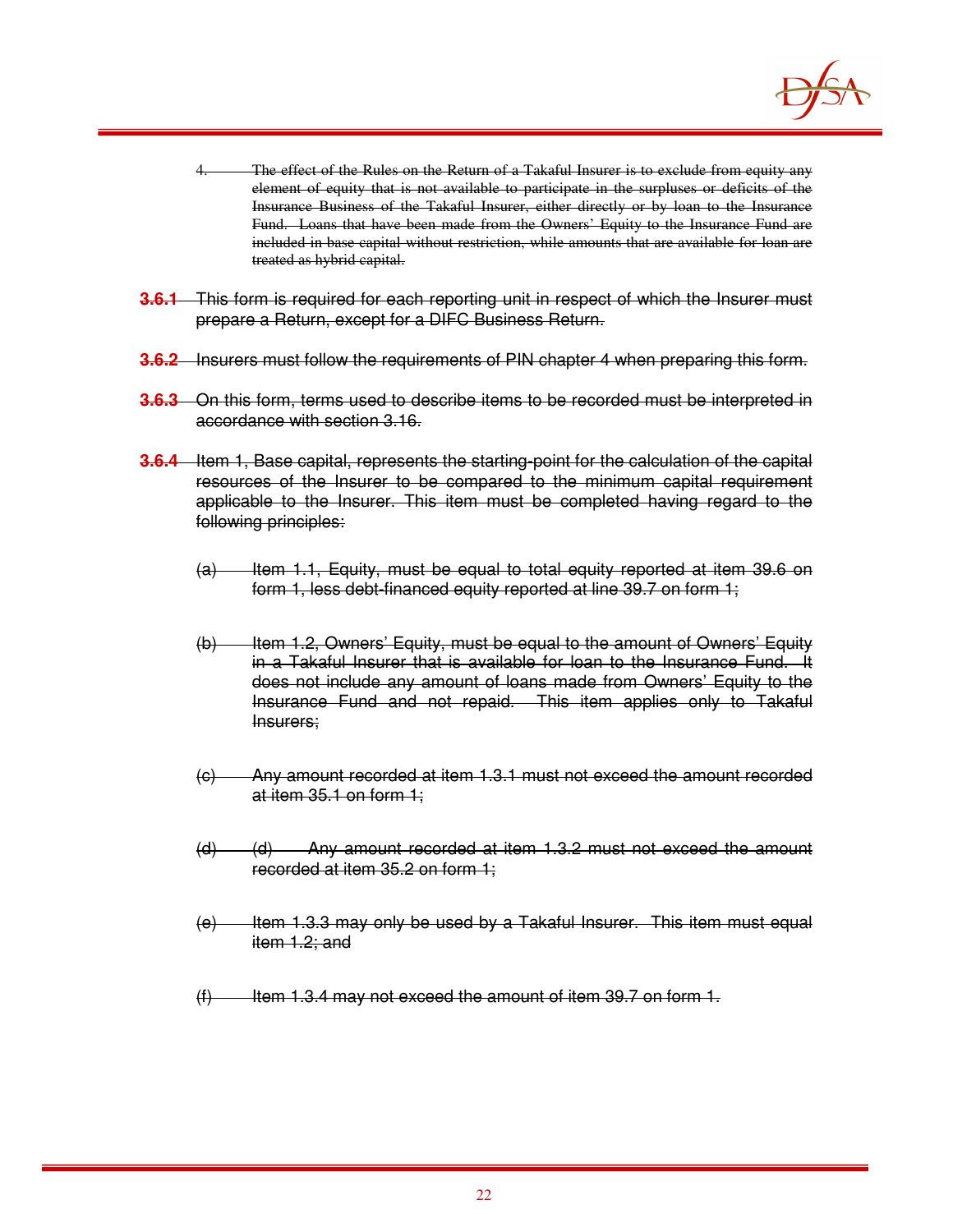

- The effect of the Rules on the Return of a Takaful Insurer is to exclude from equity any element of equity that is not available to participate in the surpluses or deficits of the Insurance Business of the Takaful Insurer, either directly or by loan to the Insurance Fund. Loans that have been made from the Owners' Equity to the Insurance Fund are included in base capital without restriction, while amounts that are available for loan are treated as hybrid capital.
- **3.6.1** This form is required for each reporting unit in respect of which the Insurer must prepare a Return, except for a DIFC Business Return.
- **3.6.2** Insurers must follow the requirements of PIN chapter 4 when preparing this form.
- **3.6.3** On this form, terms used to describe items to be recorded must be interpreted in accordance with section 3.16.
- **3.6.4** Item 1, Base capital, represents the starting-point for the calculation of the capital resources of the Insurer to be compared to the minimum capital requirement applicable to the Insurer. This item must be completed having regard to the following principles:
	- $(a)$  Item 1.1, Equity, must be equal to total equity reported at item 39.6 on form 1, less debt-financed equity reported at line 39.7 on form 1;
	- (b) Item 1.2, Owners' Equity, must be equal to the amount of Owners' Equity in a Takaful Insurer that is available for loan to the Insurance Fund. It does not include any amount of loans made from Owners' Equity to the Insurance Fund and not repaid. This item applies only to Takaful Insurers;
	- (c) Any amount recorded at item 1.3.1 must not exceed the amount recorded at item 35.1 on form 1;
	- (d) (d) Any amount recorded at item 1.3.2 must not exceed the amount recorded at item 35.2 on form 1;
	- $(e)$  Item 1.3.3 may only be used by a Takaful Insurer. This item must equal item 1.2; and
	- $(f)$  Item 1.3.4 may not exceed the amount of item 39.7 on form 1.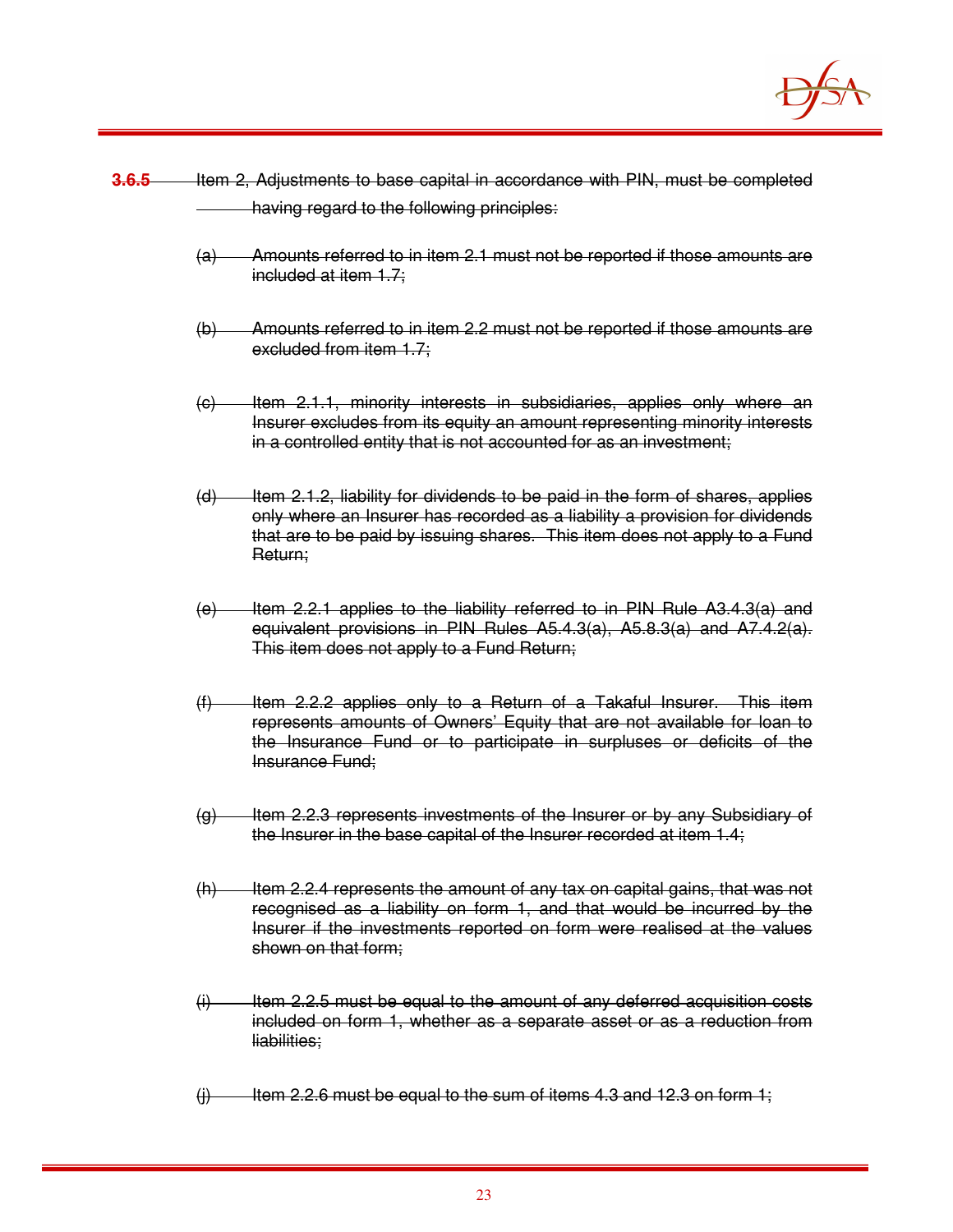

- **3.6.5** Item 2, Adjustments to base capital in accordance with PIN, must be completed having regard to the following principles:
	- (a) Amounts referred to in item 2.1 must not be reported if those amounts are included at item 1.7;
	- (b) Amounts referred to in item 2.2 must not be reported if those amounts are excluded from item 1.7;
	- (c) Item 2.1.1, minority interests in subsidiaries, applies only where an Insurer excludes from its equity an amount representing minority interests in a controlled entity that is not accounted for as an investment;
	- $(d)$  Item 2.1.2, liability for dividends to be paid in the form of shares, applies only where an Insurer has recorded as a liability a provision for dividends that are to be paid by issuing shares. This item does not apply to a Fund Return;
	- $(e)$  Item 2.2.1 applies to the liability referred to in PIN Rule A3.4.3(a) and equivalent provisions in PIN Rules A5.4.3(a), A5.8.3(a) and A7.4.2(a). This item does not apply to a Fund Return;
	- (f) Item 2.2.2 applies only to a Return of a Takaful Insurer. This item represents amounts of Owners' Equity that are not available for loan to the Insurance Fund or to participate in surpluses or deficits of the Insurance Fund;
	- (g) Item 2.2.3 represents investments of the Insurer or by any Subsidiary of the Insurer in the base capital of the Insurer recorded at item 1.4;
	- $(h)$  Item 2.2.4 represents the amount of any tax on capital gains, that was not recognised as a liability on form 1, and that would be incurred by the Insurer if the investments reported on form were realised at the values shown on that form;
	- $(i)$  Item 2.2.5 must be equal to the amount of any deferred acquisition costs included on form 1, whether as a separate asset or as a reduction from liabilities;
	- $(i)$  Item 2.2.6 must be equal to the sum of items 4.3 and 12.3 on form 1;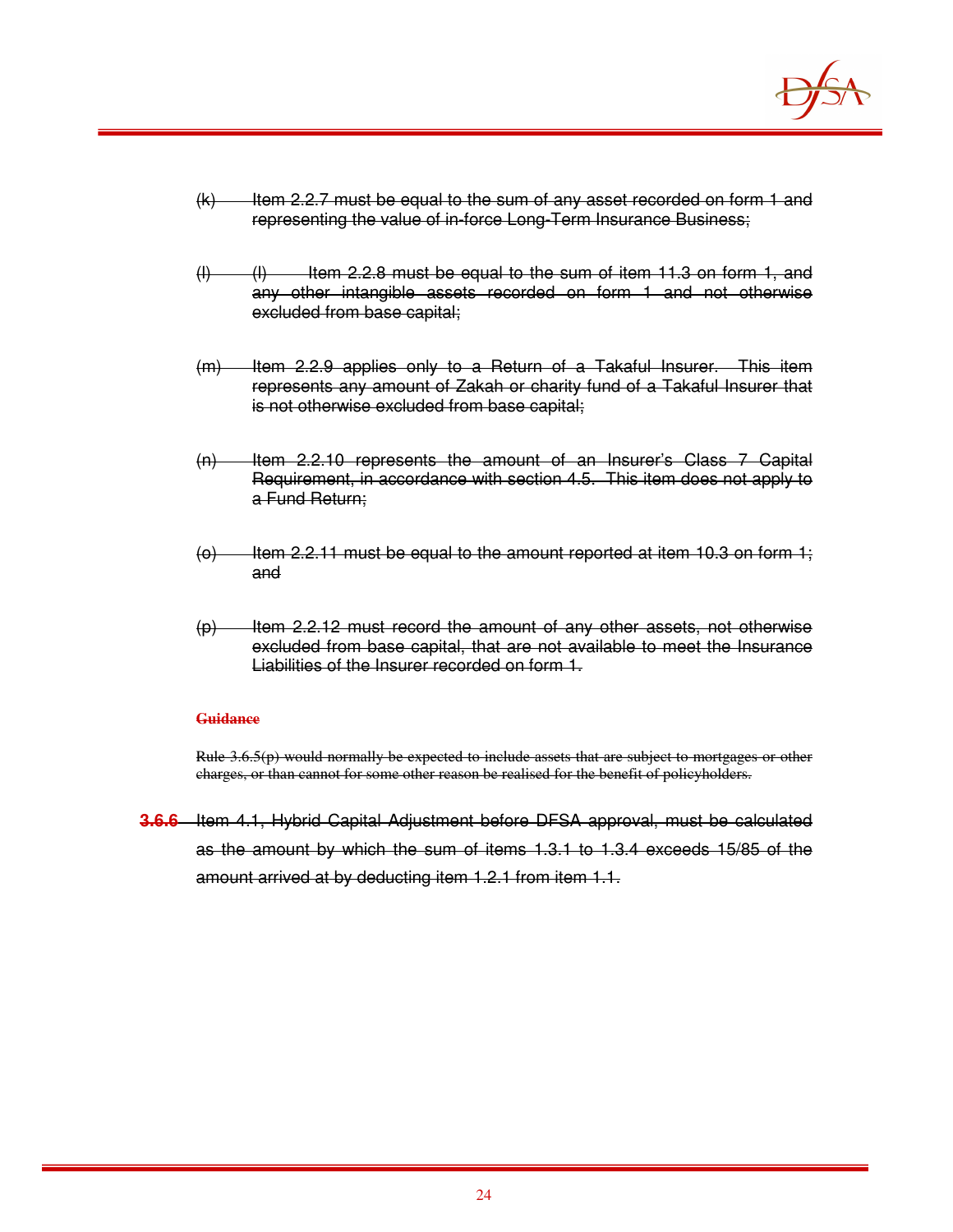

- $(k)$  Item 2.2.7 must be equal to the sum of any asset recorded on form 1 and representing the value of in-force Long-Term Insurance Business;
- $(l)$  (I) Item 2.2.8 must be equal to the sum of item 11.3 on form 1, and any other intangible assets recorded on form 1 and not otherwise excluded from base capital;
- (m) Item 2.2.9 applies only to a Return of a Takaful Insurer. This item represents any amount of Zakah or charity fund of a Takaful Insurer that is not otherwise excluded from base capital;
- (n) Item 2.2.10 represents the amount of an Insurer's Class 7 Capital Requirement, in accordance with section 4.5. This item does not apply to a Fund Return;
- $(0)$  Item 2.2.11 must be equal to the amount reported at item 10.3 on form 1; and
- $(p)$  Item 2.2.12 must record the amount of any other assets, not otherwise excluded from base capital, that are not available to meet the Insurance Liabilities of the Insurer recorded on form 1.

Rule 3.6.5(p) would normally be expected to include assets that are subject to mortgages or other charges, or than cannot for some other reason be realised for the benefit of policyholders.

**3.6.6** Item 4.1, Hybrid Capital Adjustment before DFSA approval, must be calculated as the amount by which the sum of items 1.3.1 to 1.3.4 exceeds 15/85 of the amount arrived at by deducting item 1.2.1 from item 1.1.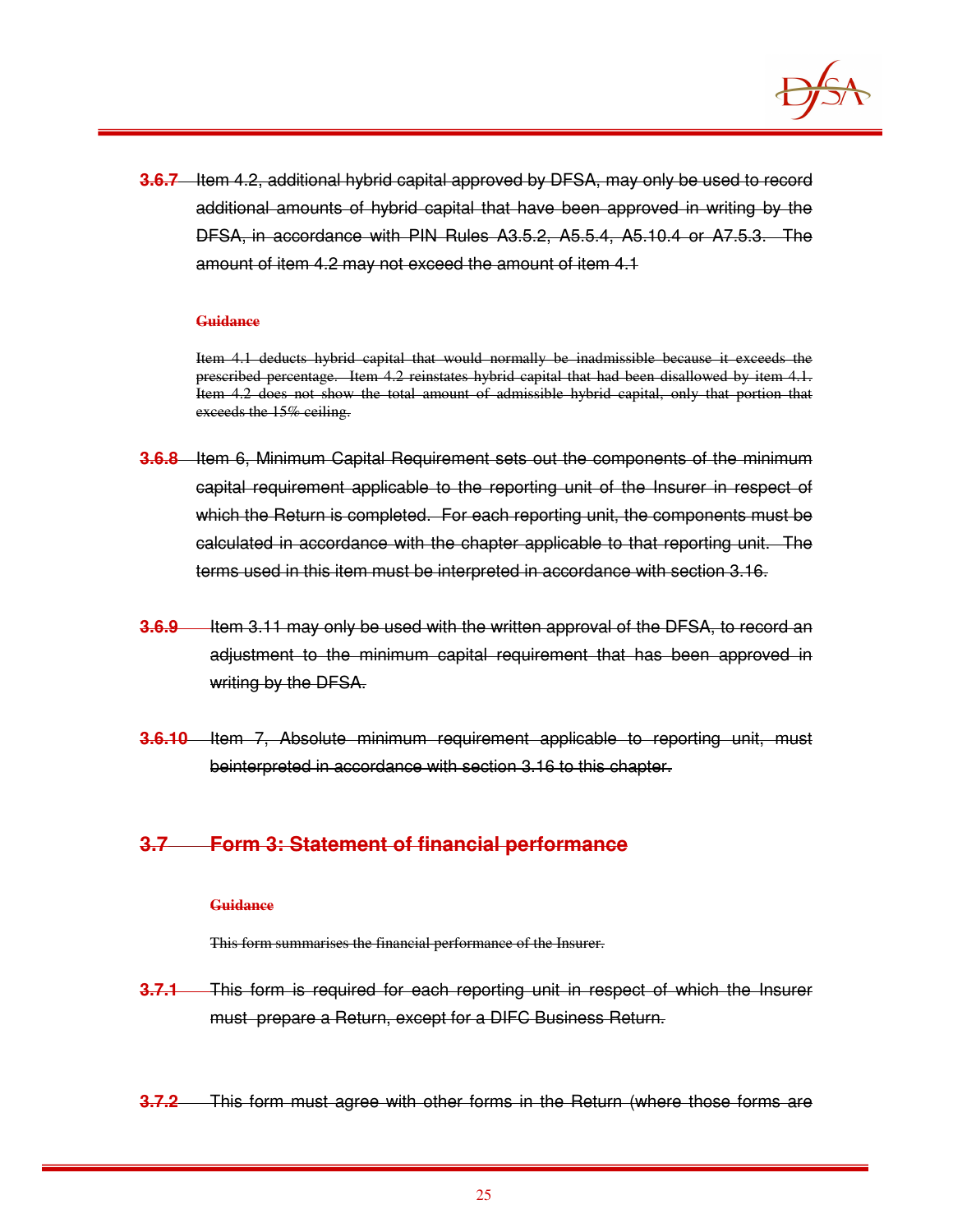

**3.6.7** Item 4.2, additional hybrid capital approved by DFSA, may only be used to record additional amounts of hybrid capital that have been approved in writing by the DFSA, in accordance with PIN Rules A3.5.2, A5.5.4, A5.10.4 or A7.5.3. The amount of item 4.2 may not exceed the amount of item 4.1

#### **Guidance**

Item 4.1 deducts hybrid capital that would normally be inadmissible because it exceeds the prescribed percentage. Item 4.2 reinstates hybrid capital that had been disallowed by item 4.1. Item 4.2 does not show the total amount of admissible hybrid capital, only that portion that exceeds the 15% ceiling.

- **3.6.8** Item 6, Minimum Capital Requirement sets out the components of the minimum capital requirement applicable to the reporting unit of the Insurer in respect of which the Return is completed. For each reporting unit, the components must be calculated in accordance with the chapter applicable to that reporting unit. The terms used in this item must be interpreted in accordance with section 3.16.
- **3.6.9** Item 3.11 may only be used with the written approval of the DFSA, to record an adjustment to the minimum capital requirement that has been approved in writing by the DFSA.
- **3.6.10** Item 7, Absolute minimum requirement applicable to reporting unit, must beinterpreted in accordance with section 3.16 to this chapter.

## **3.7 Form 3: Statement of financial performance**

#### **Guidance**

This form summarises the financial performance of the Insurer.

- **3.7.1** This form is required for each reporting unit in respect of which the Insurer must prepare a Return, except for a DIFC Business Return.
- **3.7.2** This form must agree with other forms in the Return (where those forms are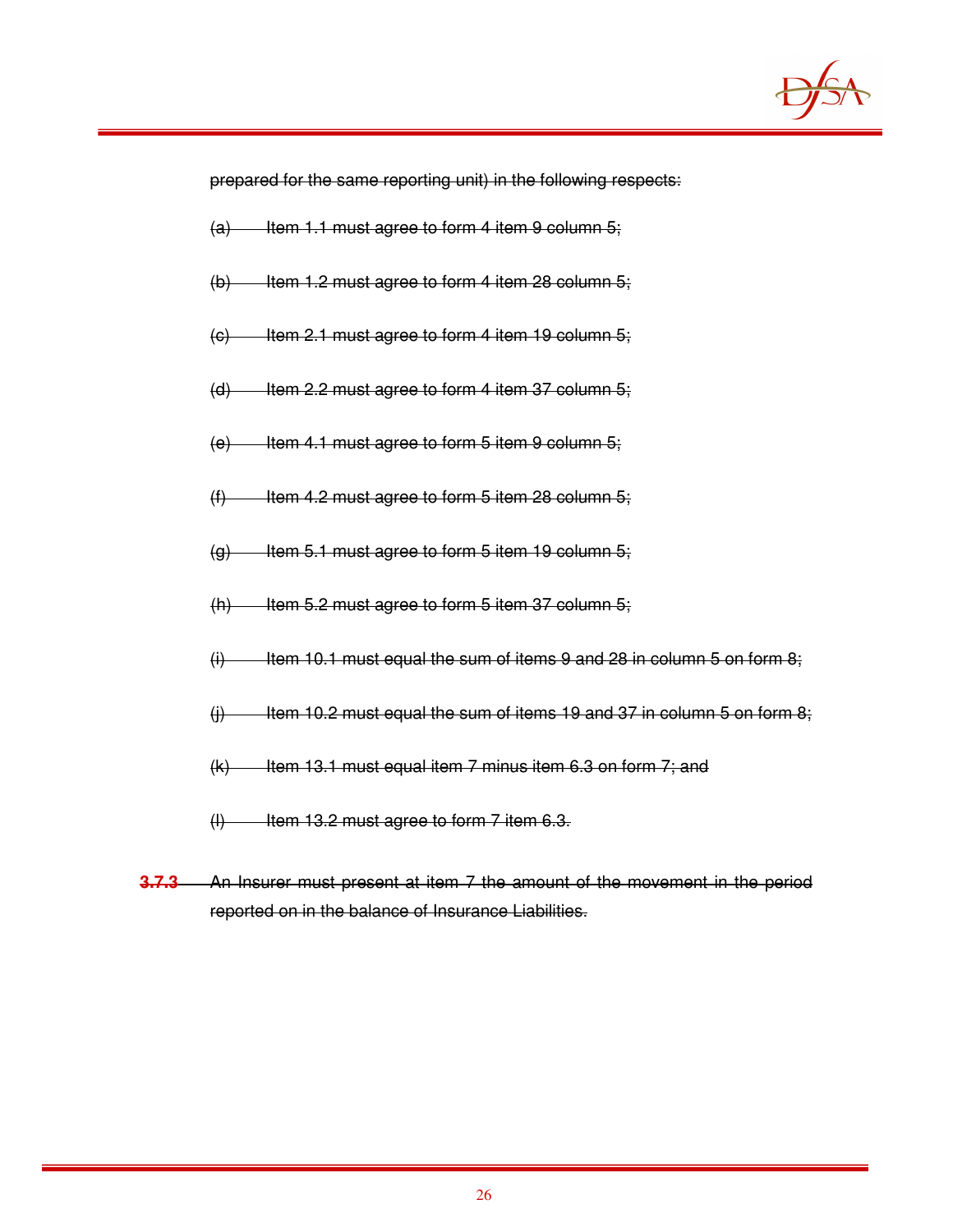

prepared for the same reporting unit) in the following respects:

- $(a)$  Item 1.1 must agree to form 4 item 9 column 5;
- $(b)$  Item 1.2 must agree to form 4 item 28 column 5;
- $(e)$  Item 2.1 must agree to form 4 item 19 column 5;
- $(d)$  Item 2.2 must agree to form 4 item 37 column 5;
- $(e)$  Item 4.1 must agree to form 5 item 9 column 5;
- $(f)$  Item 4.2 must agree to form 5 item 28 column 5;
- $(q)$  Item 5.1 must agree to form 5 item 19 column 5;
- $(h)$  Item 5.2 must agree to form 5 item 37 column 5;
- $(i)$  Item 10.1 must equal the sum of items 9 and 28 in column 5 on form 8;
- $(i)$  Item 10.2 must equal the sum of items 19 and 37 in column 5 on form 8;
- $(k)$  Item 13.1 must equal item 7 minus item 6.3 on form 7; and
- $(H)$  Item 13.2 must agree to form 7 item 6.3.
- **3.7.3** An Insurer must present at item 7 the amount of the movement in the period reported on in the balance of Insurance Liabilities.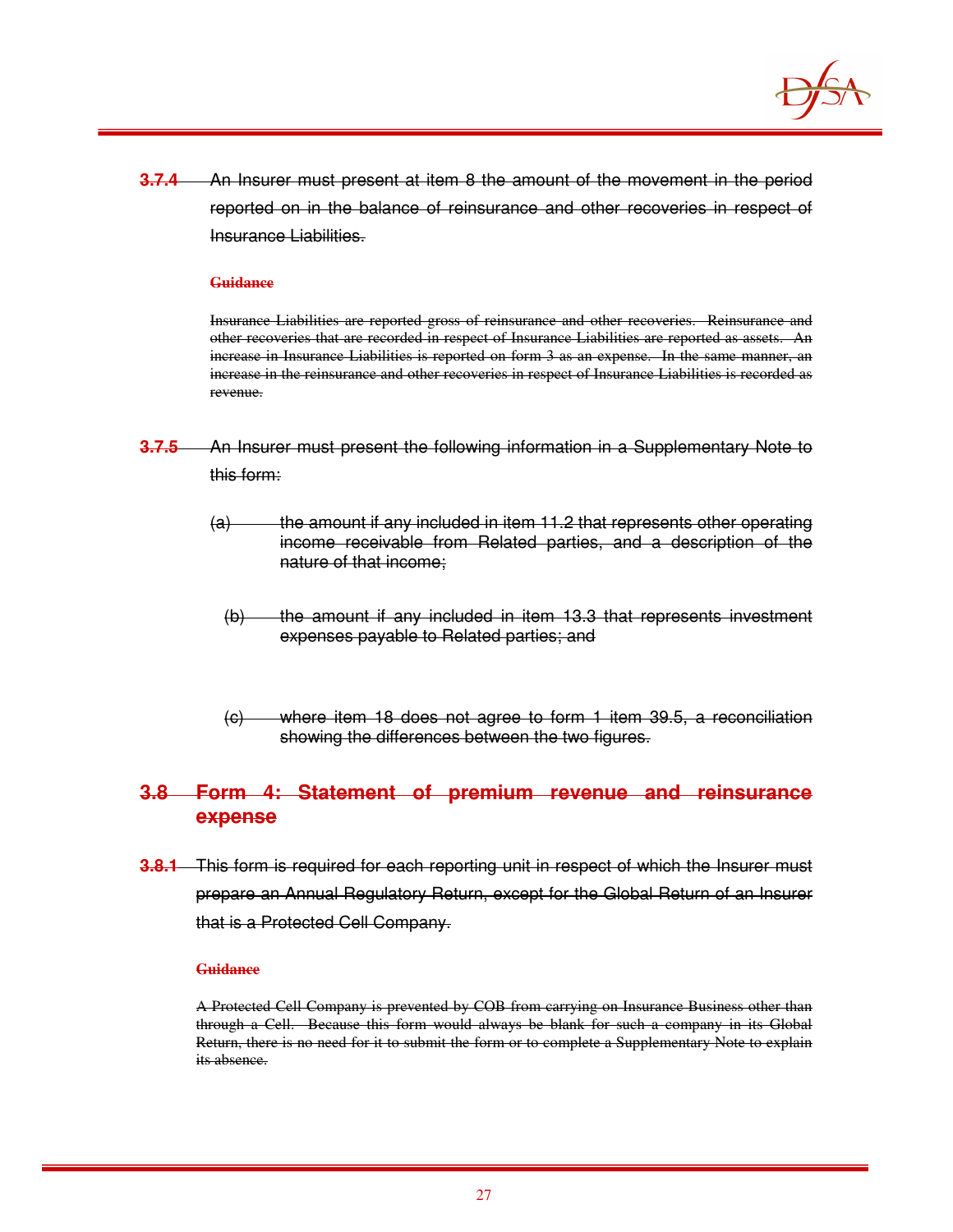

**3.7.4** An Insurer must present at item 8 the amount of the movement in the period reported on in the balance of reinsurance and other recoveries in respect of Insurance Liabilities.

#### **Guidance**

Insurance Liabilities are reported gross of reinsurance and other recoveries. Reinsurance and other recoveries that are recorded in respect of Insurance Liabilities are reported as assets. An increase in Insurance Liabilities is reported on form 3 as an expense. In the same manner, an increase in the reinsurance and other recoveries in respect of Insurance Liabilities is recorded as revenue.

- **3.7.5** An Insurer must present the following information in a Supplementary Note to this form:
	- (a) the amount if any included in item 11.2 that represents other operating income receivable from Related parties, and a description of the nature of that income;
		- (b) the amount if any included in item 13.3 that represents investment expenses payable to Related parties; and
		- (c) where item 18 does not agree to form 1 item 39.5, a reconciliation showing the differences between the two figures.

## **3.8 Form 4: Statement of premium revenue and reinsurance expense**

**3.8.1** This form is required for each reporting unit in respect of which the Insurer must prepare an Annual Regulatory Return, except for the Global Return of an Insurer that is a Protected Cell Company.

#### **Guidance**

A Protected Cell Company is prevented by COB from carrying on Insurance Business other than through a Cell. Because this form would always be blank for such a company in its Global Return, there is no need for it to submit the form or to complete a Supplementary Note to explain its absence.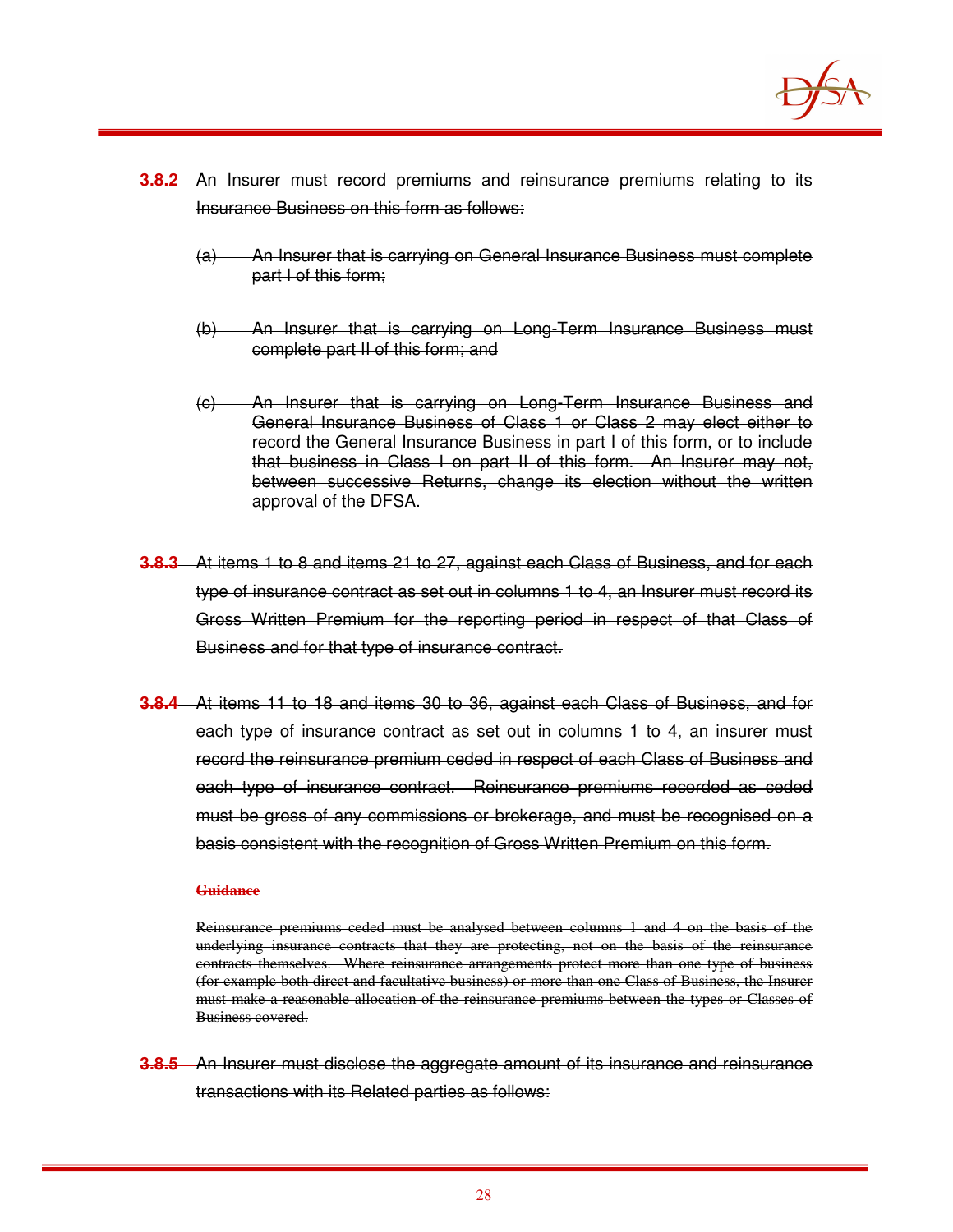

- **3.8.2** An Insurer must record premiums and reinsurance premiums relating to its Insurance Business on this form as follows:
	- (a) An Insurer that is carrying on General Insurance Business must complete part I of this form;
	- (b) An Insurer that is carrying on Long-Term Insurance Business must complete part II of this form; and
	- (c) An Insurer that is carrying on Long-Term Insurance Business and General Insurance Business of Class 1 or Class 2 may elect either to record the General Insurance Business in part I of this form, or to include that business in Class I on part II of this form. An Insurer may not, between successive Returns, change its election without the written approval of the DFSA.
- **3.8.3** At items 1 to 8 and items 21 to 27, against each Class of Business, and for each type of insurance contract as set out in columns 1 to 4, an Insurer must record its Gross Written Premium for the reporting period in respect of that Class of Business and for that type of insurance contract.
- **3.8.4** At items 11 to 18 and items 30 to 36, against each Class of Business, and for each type of insurance contract as set out in columns 1 to 4, an insurer must record the reinsurance premium ceded in respect of each Class of Business and each type of insurance contract. Reinsurance premiums recorded as ceded must be gross of any commissions or brokerage, and must be recognised on a basis consistent with the recognition of Gross Written Premium on this form.

Reinsurance premiums ceded must be analysed between columns 1 and 4 on the basis of the underlying insurance contracts that they are protecting, not on the basis of the reinsurance contracts themselves. Where reinsurance arrangements protect more than one type of business (for example both direct and facultative business) or more than one Class of Business, the Insurer must make a reasonable allocation of the reinsurance premiums between the types or Classes of Business covered.

**3.8.5** An Insurer must disclose the aggregate amount of its insurance and reinsurance transactions with its Related parties as follows: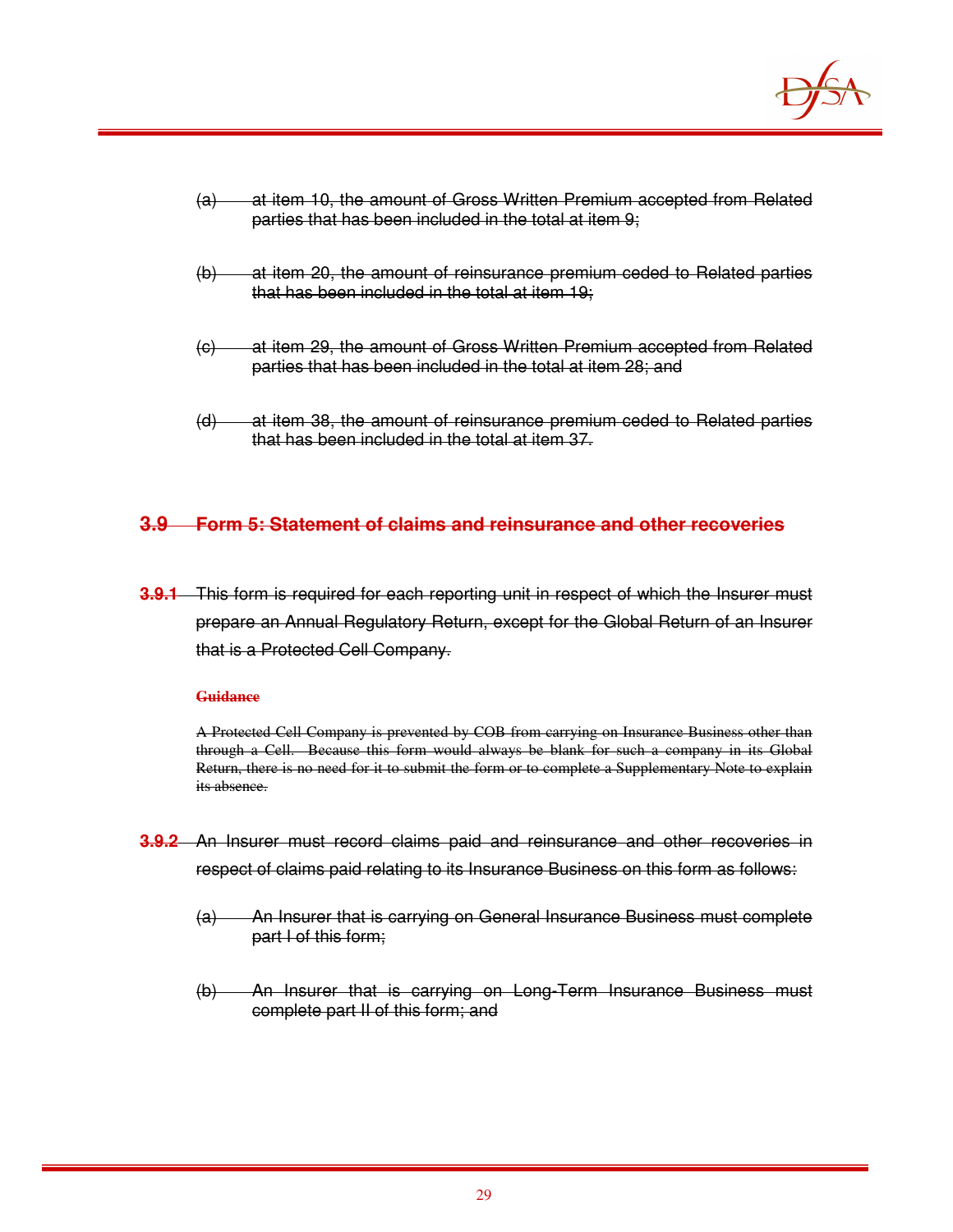

| $\left( a\right)$ | at item 10, the amount of Gross Written Premium accepted from Related |
|-------------------|-----------------------------------------------------------------------|
|                   | parties that has been included in the total at item 9;                |

- (b) at item 20, the amount of reinsurance premium ceded to Related parties that has been included in the total at item 19;
- (c) at item 29, the amount of Gross Written Premium accepted from Related parties that has been included in the total at item 28; and
- (d) at item 38, the amount of reinsurance premium ceded to Related parties that has been included in the total at item 37.

## **3.9 Form 5: Statement of claims and reinsurance and other recoveries**

**3.9.1** This form is required for each reporting unit in respect of which the Insurer must prepare an Annual Regulatory Return, except for the Global Return of an Insurer that is a Protected Cell Company.

#### **Guidance**

A Protected Cell Company is prevented by COB from carrying on Insurance Business other than through a Cell. Because this form would always be blank for such a company in its Global Return, there is no need for it to submit the form or to complete a Supplementary Note to explain its absence.

- **3.9.2** An Insurer must record claims paid and reinsurance and other recoveries in respect of claims paid relating to its Insurance Business on this form as follows:
	- (a) An Insurer that is carrying on General Insurance Business must complete part I of this form;
	- (b) An Insurer that is carrying on Long-Term Insurance Business must complete part II of this form; and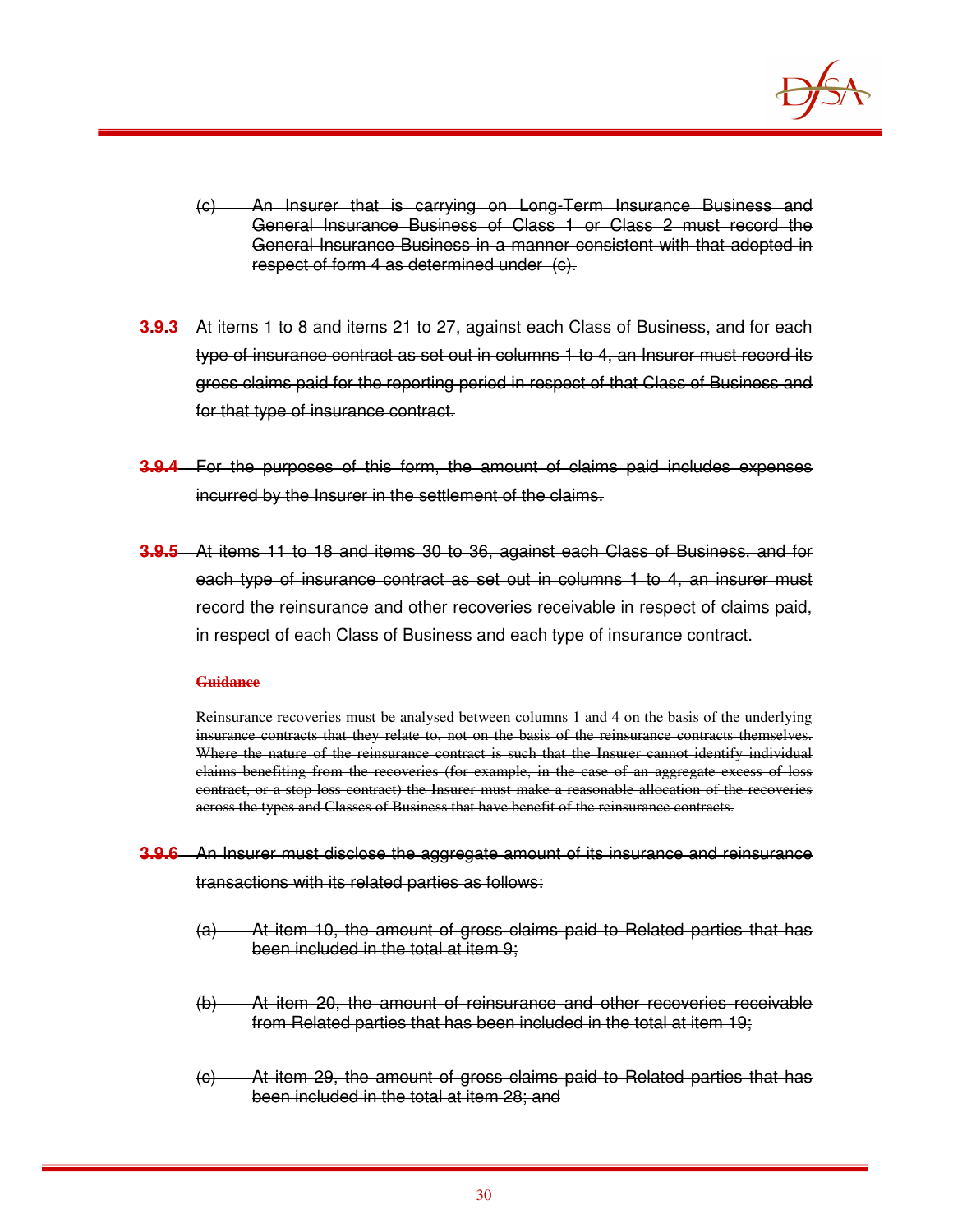

- (c) An Insurer that is carrying on Long-Term Insurance Business and General Insurance Business of Class 1 or Class 2 must record the General Insurance Business in a manner consistent with that adopted in respect of form 4 as determined under (c).
- **3.9.3** At items 1 to 8 and items 21 to 27, against each Class of Business, and for each type of insurance contract as set out in columns 1 to 4, an Insurer must record its gross claims paid for the reporting period in respect of that Class of Business and for that type of insurance contract.
- **3.9.4** For the purposes of this form, the amount of claims paid includes expenses incurred by the Insurer in the settlement of the claims.
- **3.9.5** At items 11 to 18 and items 30 to 36, against each Class of Business, and for each type of insurance contract as set out in columns 1 to 4, an insurer must record the reinsurance and other recoveries receivable in respect of claims paid, in respect of each Class of Business and each type of insurance contract.

Reinsurance recoveries must be analysed between columns 1 and 4 on the basis of the underlying insurance contracts that they relate to, not on the basis of the reinsurance contracts themselves. Where the nature of the reinsurance contract is such that the Insurer cannot identify individual claims benefiting from the recoveries (for example, in the case of an aggregate excess of loss contract, or a stop loss contract) the Insurer must make a reasonable allocation of the recoveries across the types and Classes of Business that have benefit of the reinsurance contracts.

- **3.9.6** An Insurer must disclose the aggregate amount of its insurance and reinsurance transactions with its related parties as follows:
	- (a) At item 10, the amount of gross claims paid to Related parties that has been included in the total at item 9;
	- (b) At item 20, the amount of reinsurance and other recoveries receivable from Related parties that has been included in the total at item 19;
	- (c) At item 29, the amount of gross claims paid to Related parties that has been included in the total at item 28; and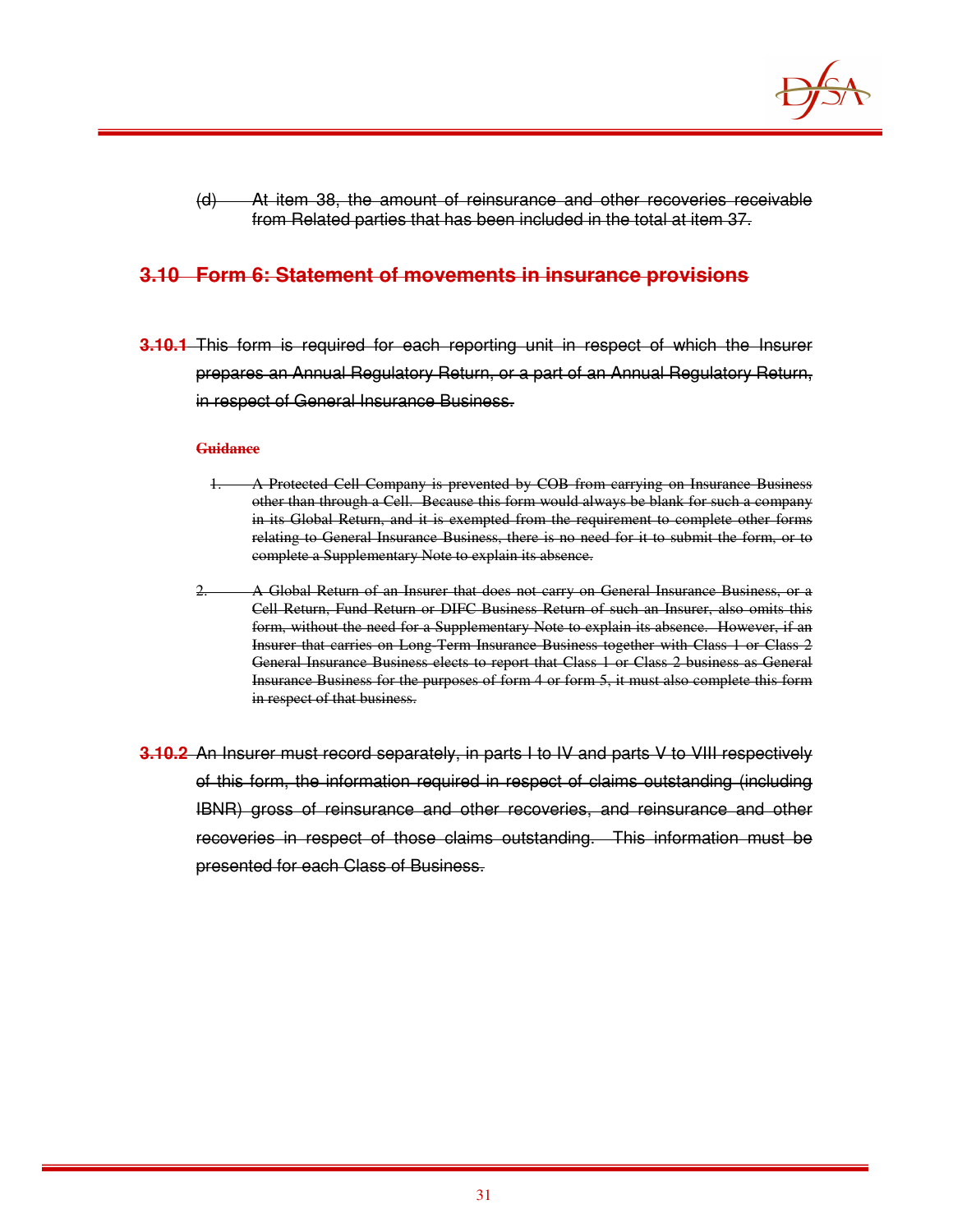

(d) At item 38, the amount of reinsurance and other recoveries receivable from Related parties that has been included in the total at item 37.

## **3.10 Form 6: Statement of movements in insurance provisions**

**3.10.1** This form is required for each reporting unit in respect of which the Insurer prepares an Annual Regulatory Return, or a part of an Annual Regulatory Return, in respect of General Insurance Business.

#### **Guidance**

- 1. A Protected Cell Company is prevented by COB from carrying on Insurance Business other than through a Cell. Because this form would always be blank for such a company in its Global Return, and it is exempted from the requirement to complete other forms relating to General Insurance Business, there is no need for it to submit the form, or to complete a Supplementary Note to explain its absence.
- 2. A Global Return of an Insurer that does not carry on General Insurance Business, or a Cell Return, Fund Return or DIFC Business Return of such an Insurer, also omits this form, without the need for a Supplementary Note to explain its absence. However, if an Insurer that carries on Long-Term Insurance Business together with Class 1 or Class 2 General Insurance Business elects to report that Class 1 or Class 2 business as General Insurance Business for the purposes of form 4 or form 5, it must also complete this form in respect of that business.
- **3.10.2** An Insurer must record separately, in parts I to IV and parts V to VIII respectively of this form, the information required in respect of claims outstanding (including IBNR) gross of reinsurance and other recoveries, and reinsurance and other recoveries in respect of those claims outstanding. This information must be presented for each Class of Business.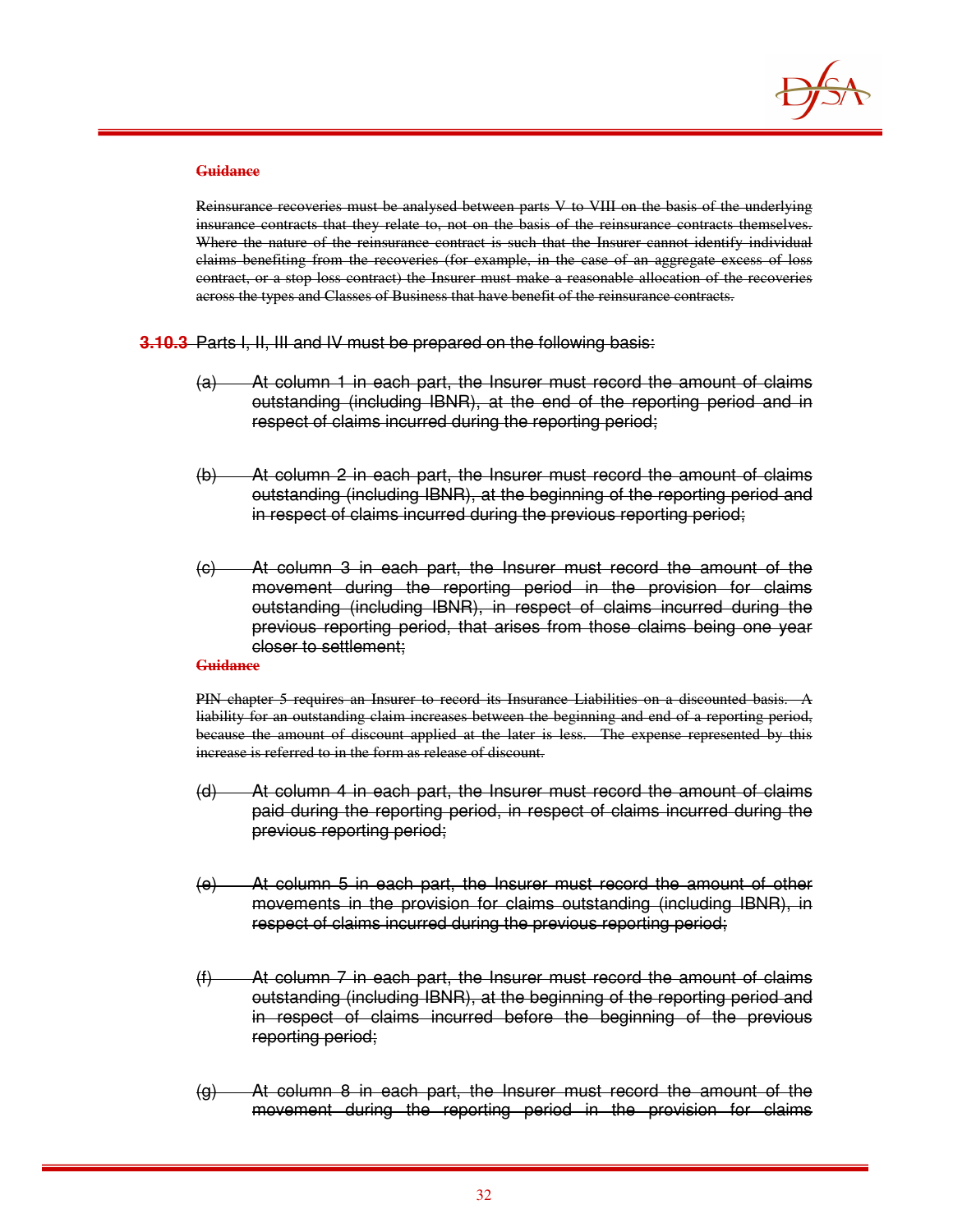

Reinsurance recoveries must be analysed between parts V to VIII on the basis of the underlying insurance contracts that they relate to, not on the basis of the reinsurance contracts themselves. Where the nature of the reinsurance contract is such that the Insurer cannot identify individual claims benefiting from the recoveries (for example, in the case of an aggregate excess of loss contract, or a stop loss contract) the Insurer must make a reasonable allocation of the recoveries across the types and Classes of Business that have benefit of the reinsurance contracts.

**3.10.3** Parts I, II, III and IV must be prepared on the following basis:

- (a) At column 1 in each part, the Insurer must record the amount of claims outstanding (including IBNR), at the end of the reporting period and in respect of claims incurred during the reporting period;
- (b) At column 2 in each part, the Insurer must record the amount of claims outstanding (including IBNR), at the beginning of the reporting period and in respect of claims incurred during the previous reporting period;
- (c) At column 3 in each part, the Insurer must record the amount of the movement during the reporting period in the provision for claims outstanding (including IBNR), in respect of claims incurred during the previous reporting period, that arises from those claims being one year closer to settlement;

#### **Guidance**

PIN chapter 5 requires an Insurer to record its Insurance Liabilities on a discounted basis. A liability for an outstanding claim increases between the beginning and end of a reporting period, because the amount of discount applied at the later is less. The expense represented by this increase is referred to in the form as release of discount.

- (d) At column 4 in each part, the Insurer must record the amount of claims paid during the reporting period, in respect of claims incurred during the previous reporting period;
- (e) At column 5 in each part, the Insurer must record the amount of other movements in the provision for claims outstanding (including IBNR), in respect of claims incurred during the previous reporting period;
- (f) At column 7 in each part, the Insurer must record the amount of claims outstanding (including IBNR), at the beginning of the reporting period and in respect of claims incurred before the beginning of the previous reporting period;
- (g) At column 8 in each part, the Insurer must record the amount of the movement during the reporting period in the provision for claims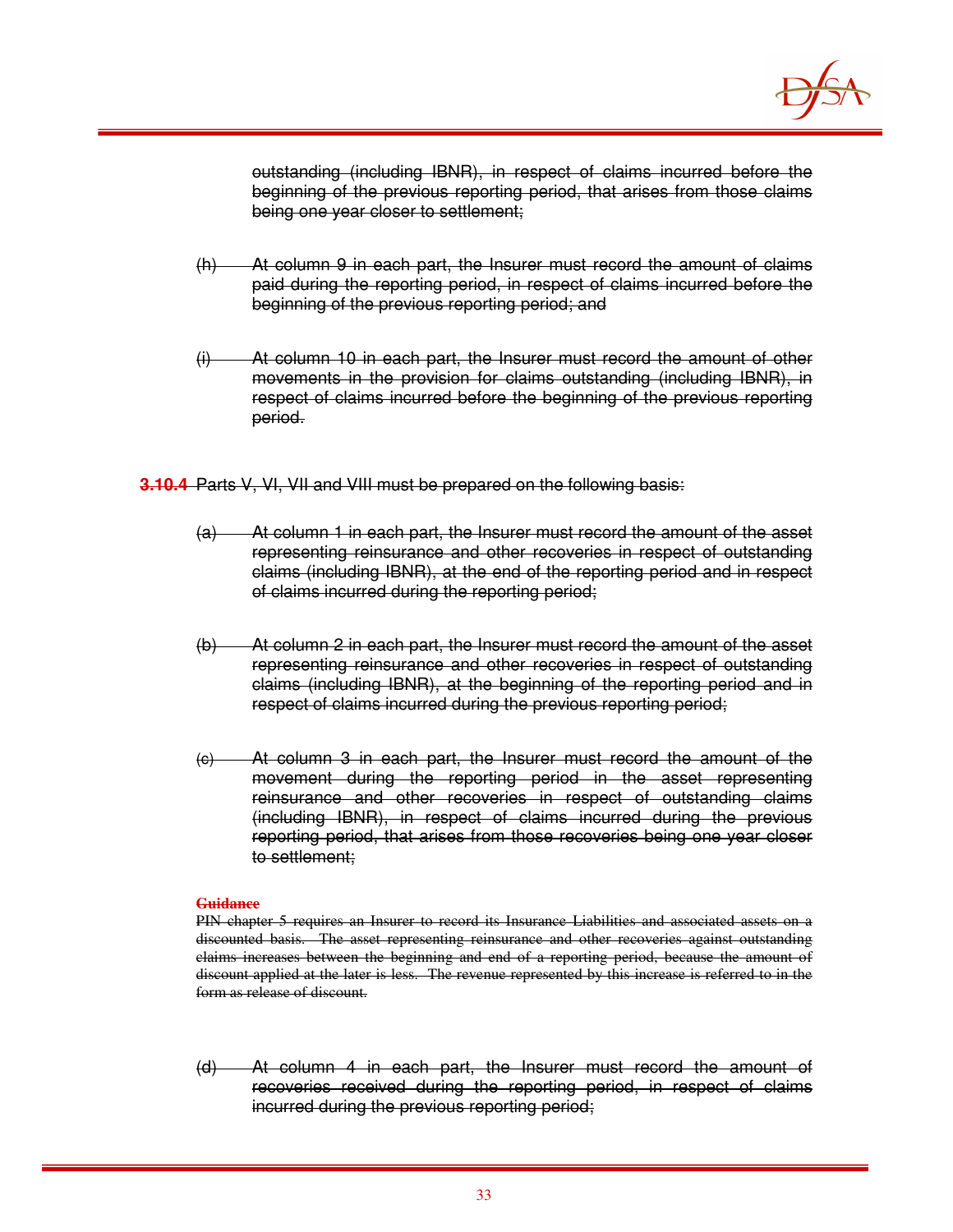

outstanding (including IBNR), in respect of claims incurred before the beginning of the previous reporting period, that arises from those claims being one year closer to settlement;

- (h) At column 9 in each part, the Insurer must record the amount of claims paid during the reporting period, in respect of claims incurred before the beginning of the previous reporting period; and
- (i) At column 10 in each part, the Insurer must record the amount of other movements in the provision for claims outstanding (including IBNR), in respect of claims incurred before the beginning of the previous reporting period.

**3.10.4** Parts V, VI, VII and VIII must be prepared on the following basis:

- (a) At column 1 in each part, the Insurer must record the amount of the asset representing reinsurance and other recoveries in respect of outstanding claims (including IBNR), at the end of the reporting period and in respect of claims incurred during the reporting period;
- (b) At column 2 in each part, the Insurer must record the amount of the asset representing reinsurance and other recoveries in respect of outstanding claims (including IBNR), at the beginning of the reporting period and in respect of claims incurred during the previous reporting period;
- (c) At column 3 in each part, the Insurer must record the amount of the movement during the reporting period in the asset representing reinsurance and other recoveries in respect of outstanding claims (including IBNR), in respect of claims incurred during the previous reporting period, that arises from those recoveries being one year closer to settlement;

#### **Guidance**

PIN chapter 5 requires an Insurer to record its Insurance Liabilities and associated assets on a discounted basis. The asset representing reinsurance and other recoveries against outstanding claims increases between the beginning and end of a reporting period, because the amount of discount applied at the later is less. The revenue represented by this increase is referred to in the form as release of discount.

(d) At column 4 in each part, the Insurer must record the amount of recoveries received during the reporting period, in respect of claims incurred during the previous reporting period;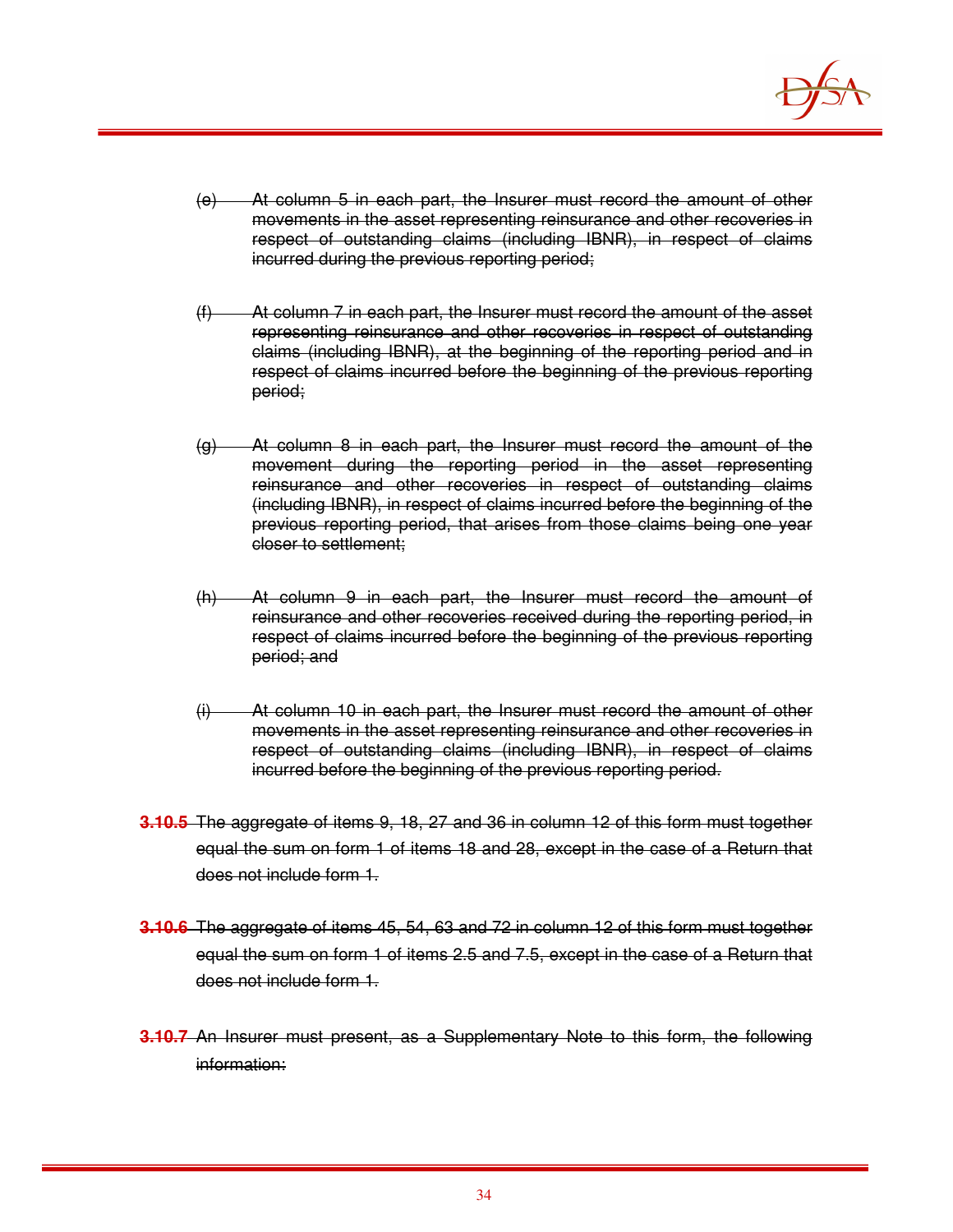

- (e) At column 5 in each part, the Insurer must record the amount of other movements in the asset representing reinsurance and other recoveries in respect of outstanding claims (including IBNR), in respect of claims incurred during the previous reporting period;
- (f) At column 7 in each part, the Insurer must record the amount of the asset representing reinsurance and other recoveries in respect of outstanding claims (including IBNR), at the beginning of the reporting period and in respect of claims incurred before the beginning of the previous reporting period;
- $(q)$  At column 8 in each part, the Insurer must record the amount of the movement during the reporting period in the asset representing reinsurance and other recoveries in respect of outstanding claims (including IBNR), in respect of claims incurred before the beginning of the previous reporting period, that arises from those claims being one year closer to settlement;
- (h) At column 9 in each part, the Insurer must record the amount of reinsurance and other recoveries received during the reporting period, in respect of claims incurred before the beginning of the previous reporting period; and
- (i) At column 10 in each part, the Insurer must record the amount of other movements in the asset representing reinsurance and other recoveries in respect of outstanding claims (including IBNR), in respect of claims incurred before the beginning of the previous reporting period.
- **3.10.5** The aggregate of items 9, 18, 27 and 36 in column 12 of this form must together equal the sum on form 1 of items 18 and 28, except in the case of a Return that does not include form 1.
- **3.10.6** The aggregate of items 45, 54, 63 and 72 in column 12 of this form must together equal the sum on form 1 of items 2.5 and 7.5, except in the case of a Return that does not include form 1.
- **3.10.7** An Insurer must present, as a Supplementary Note to this form, the following information: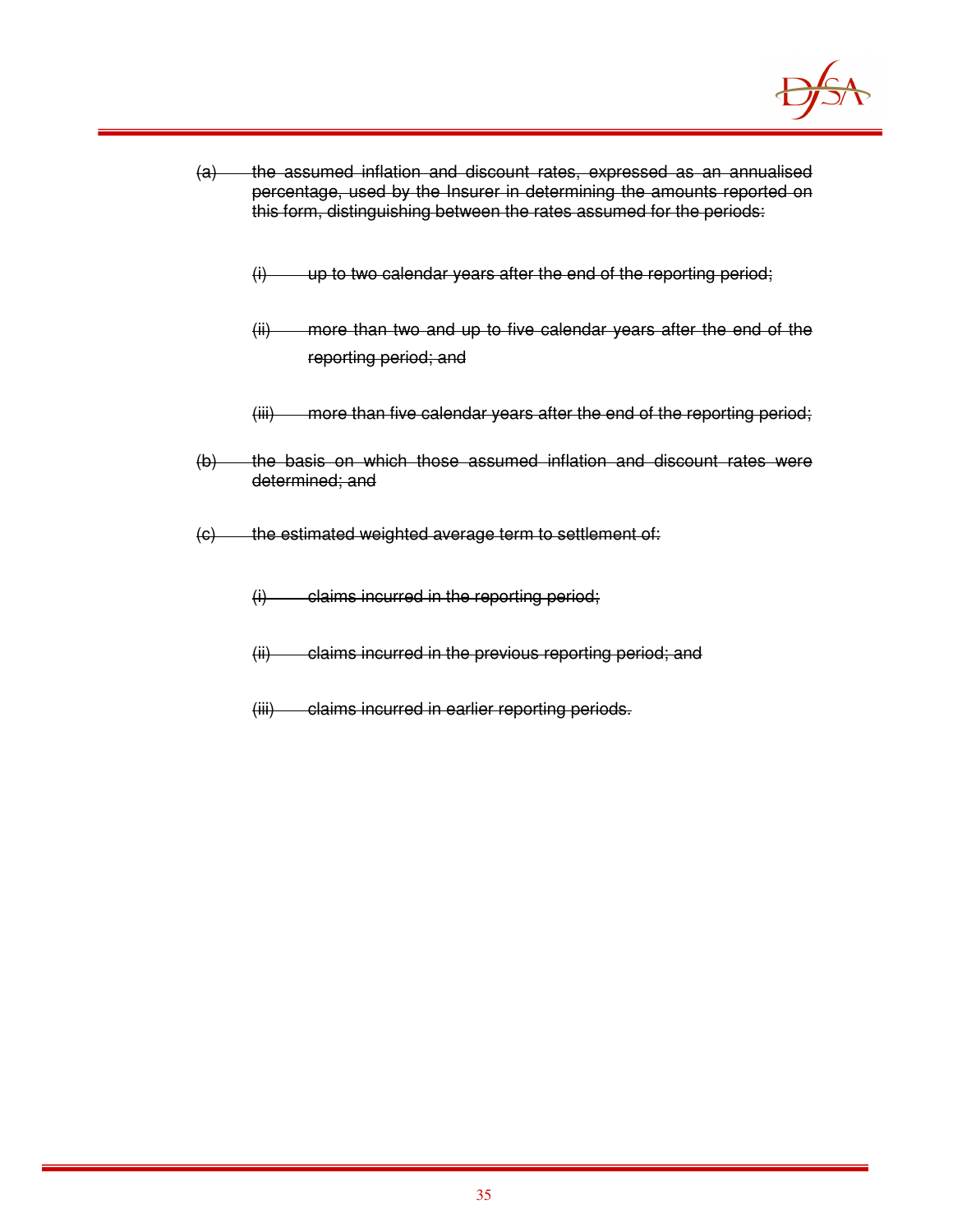

- (a) the assumed inflation and discount rates, expressed as an annualised percentage, used by the Insurer in determining the amounts reported on this form, distinguishing between the rates assumed for the periods:
	- $(i)$  up to two calendar years after the end of the reporting period;
	- (ii) more than two and up to five calendar years after the end of the reporting period; and
	- (iii) more than five calendar years after the end of the reporting period;
- (b) the basis on which those assumed inflation and discount rates were determined; and
- (c) the estimated weighted average term to settlement of:
	- $(i)$  claims incurred in the reporting period;
	- (ii) claims incurred in the previous reporting period; and
	- (iii) claims incurred in earlier reporting periods.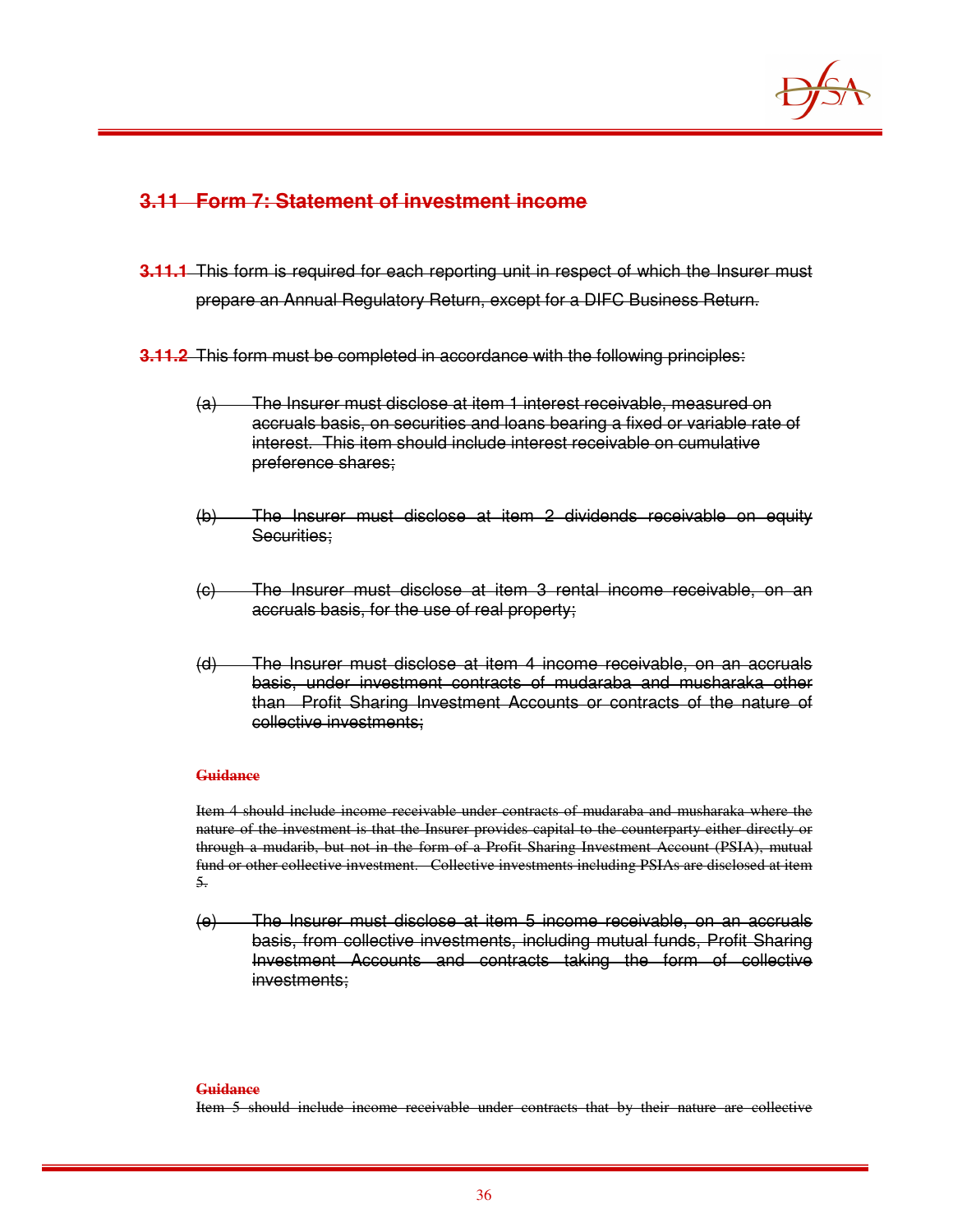

## **3.11 Form 7: Statement of investment income**

- **3.11.1** This form is required for each reporting unit in respect of which the Insurer must prepare an Annual Regulatory Return, except for a DIFC Business Return.
- **3.11.2** This form must be completed in accordance with the following principles:
	- (a) The Insurer must disclose at item 1 interest receivable, measured on accruals basis, on securities and loans bearing a fixed or variable rate of interest. This item should include interest receivable on cumulative preference shares;
	- (b) The Insurer must disclose at item 2 dividends receivable on equity Securities:
	- (c) The Insurer must disclose at item 3 rental income receivable, on an accruals basis, for the use of real property;
	- (d) The Insurer must disclose at item 4 income receivable, on an accruals basis, under investment contracts of mudaraba and musharaka other than Profit Sharing Investment Accounts or contracts of the nature of collective investments;

### **Guidance**

Item 4 should include income receivable under contracts of mudaraba and musharaka where the nature of the investment is that the Insurer provides capital to the counterparty either directly or through a mudarib, but not in the form of a Profit Sharing Investment Account (PSIA), mutual fund or other collective investment. Collective investments including PSIAs are disclosed at item 5.

(e) The Insurer must disclose at item 5 income receivable, on an accruals basis, from collective investments, including mutual funds, Profit Sharing Investment Accounts and contracts taking the form of collective investments;

#### **Guidance**

Item 5 should include income receivable under contracts that by their nature are collective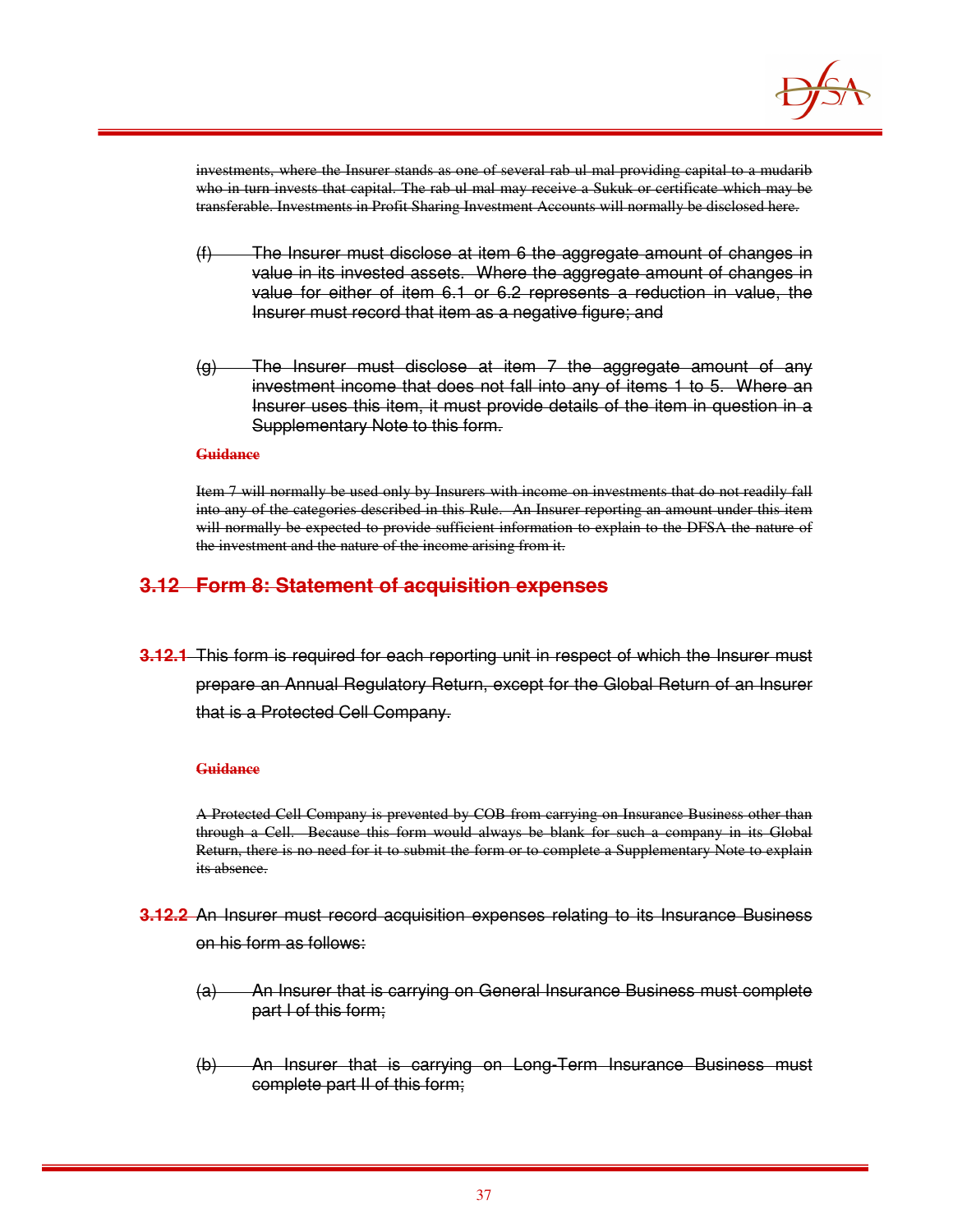

investments, where the Insurer stands as one of several rab ul mal providing capital to a mudarib who in turn invests that capital. The rab ul mal may receive a Sukuk or certificate which may be transferable. Investments in Profit Sharing Investment Accounts will normally be disclosed here.

- (f) The Insurer must disclose at item 6 the aggregate amount of changes in value in its invested assets. Where the aggregate amount of changes in value for either of item 6.1 or 6.2 represents a reduction in value, the Insurer must record that item as a negative figure; and
- $(g)$  The Insurer must disclose at item 7 the aggregate amount of any investment income that does not fall into any of items 1 to 5. Where an Insurer uses this item, it must provide details of the item in question in a Supplementary Note to this form.

#### **Guidance**

Item 7 will normally be used only by Insurers with income on investments that do not readily fall into any of the categories described in this Rule. An Insurer reporting an amount under this item will normally be expected to provide sufficient information to explain to the DFSA the nature of the investment and the nature of the income arising from it.

### **3.12 Form 8: Statement of acquisition expenses**

**3.12.1** This form is required for each reporting unit in respect of which the Insurer must prepare an Annual Regulatory Return, except for the Global Return of an Insurer that is a Protected Cell Company.

### **Guidance**

A Protected Cell Company is prevented by COB from carrying on Insurance Business other than through a Cell. Because this form would always be blank for such a company in its Global Return, there is no need for it to submit the form or to complete a Supplementary Note to explain its absence.

- **3.12.2** An Insurer must record acquisition expenses relating to its Insurance Business on his form as follows:
	- (a) An Insurer that is carrying on General Insurance Business must complete part I of this form;
	- (b) An Insurer that is carrying on Long-Term Insurance Business must complete part II of this form;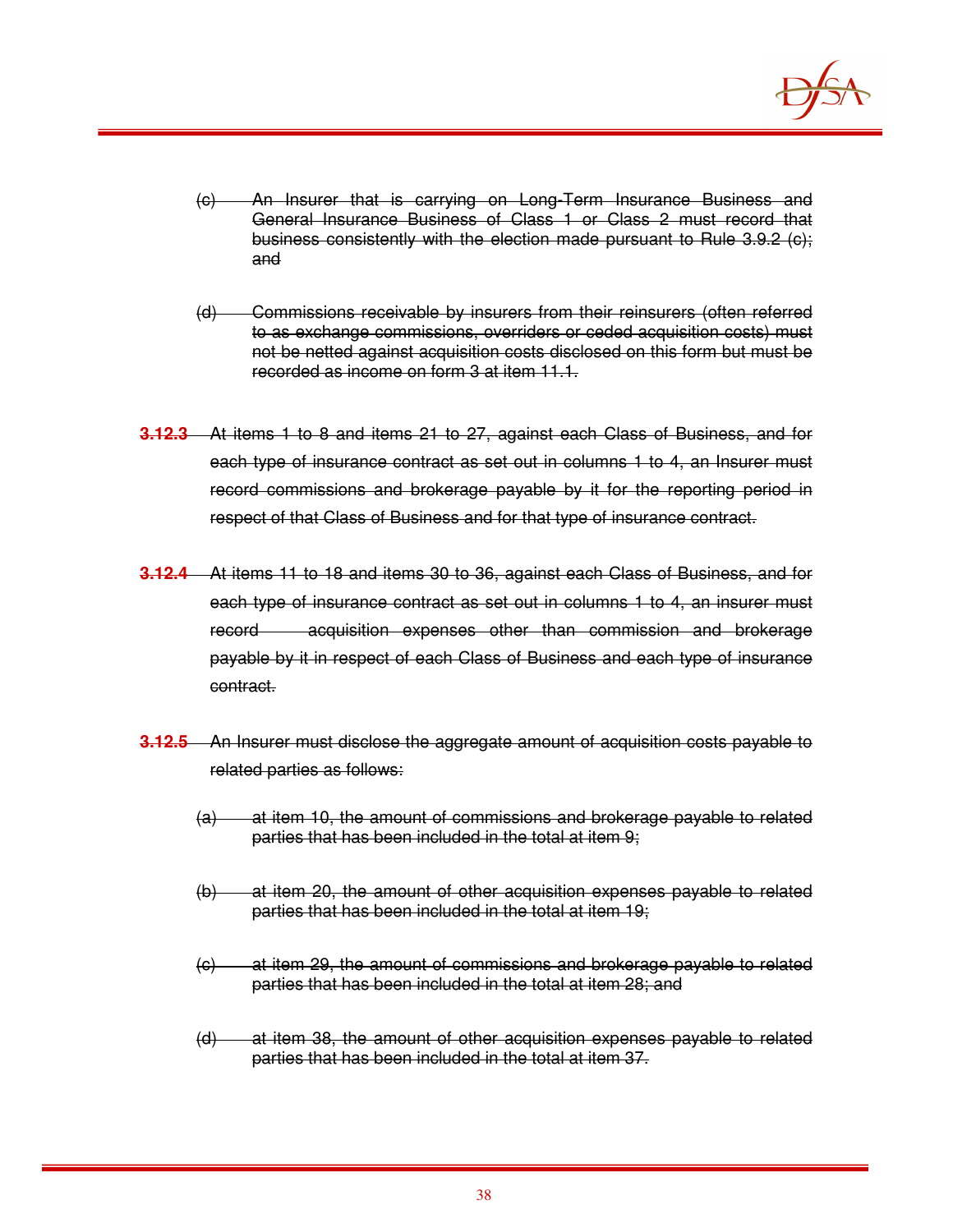

- (c) An Insurer that is carrying on Long-Term Insurance Business and General Insurance Business of Class 1 or Class 2 must record that business consistently with the election made pursuant to Rule 3.9.2 (c); and
- (d) Commissions receivable by insurers from their reinsurers (often referred to as exchange commissions, overriders or ceded acquisition costs) must not be netted against acquisition costs disclosed on this form but must be recorded as income on form 3 at item 11.1.
- **3.12.3** At items 1 to 8 and items 21 to 27, against each Class of Business, and for each type of insurance contract as set out in columns 1 to 4, an Insurer must record commissions and brokerage payable by it for the reporting period in respect of that Class of Business and for that type of insurance contract.
- **3.12.4** At items 11 to 18 and items 30 to 36, against each Class of Business, and for each type of insurance contract as set out in columns 1 to 4, an insurer must record acquisition expenses other than commission and brokerage payable by it in respect of each Class of Business and each type of insurance contract.
- **3.12.5** An Insurer must disclose the aggregate amount of acquisition costs payable to related parties as follows:
	- (a) at item 10, the amount of commissions and brokerage payable to related parties that has been included in the total at item 9;
	- (b) at item 20, the amount of other acquisition expenses payable to related parties that has been included in the total at item 19;
	- (c) at item 29, the amount of commissions and brokerage payable to related parties that has been included in the total at item 28; and
	- (d) at item 38, the amount of other acquisition expenses payable to related parties that has been included in the total at item 37.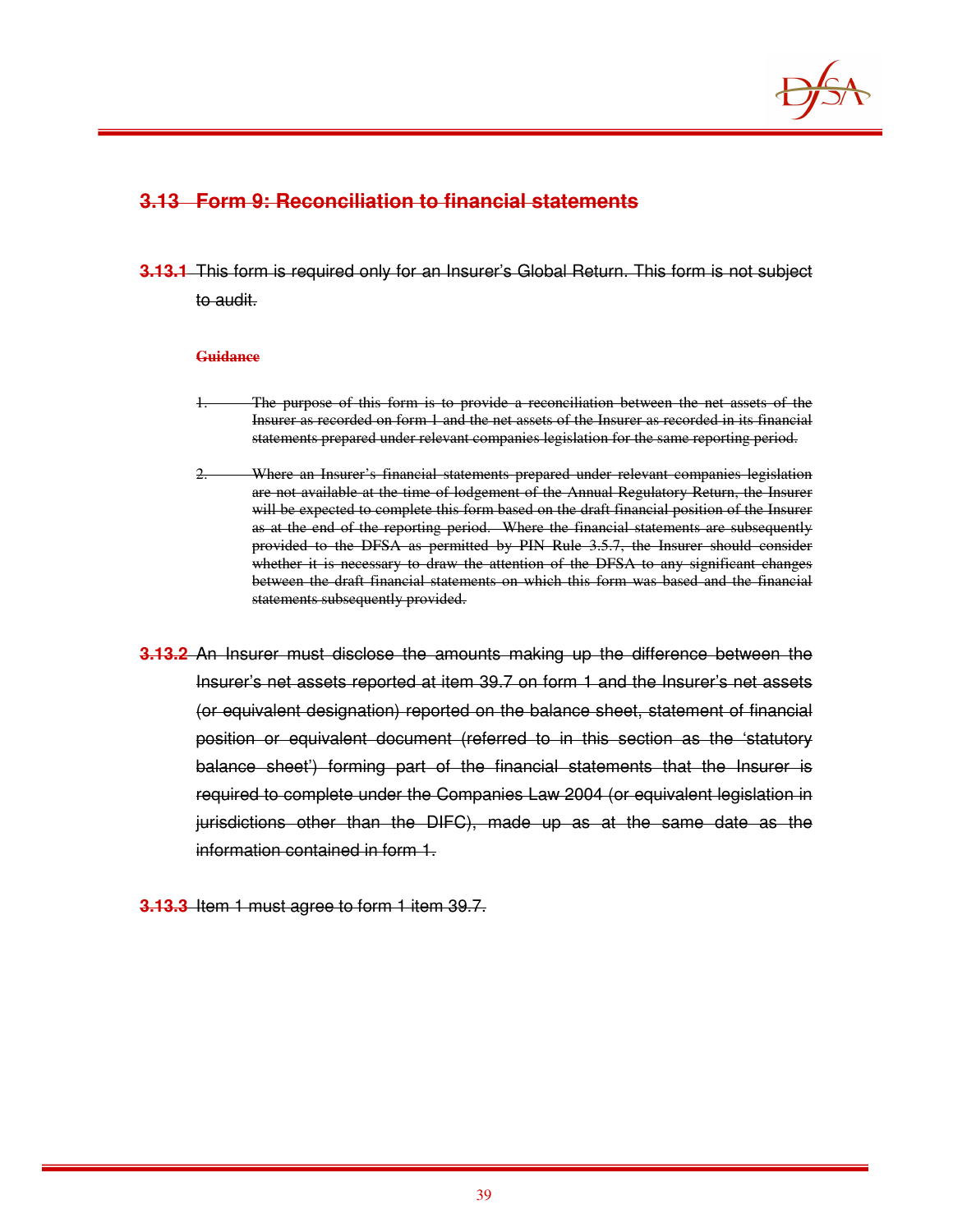

## **3.13 Form 9: Reconciliation to financial statements**

**3.13.1** This form is required only for an Insurer's Global Return. This form is not subject to audit.

#### **Guidance**

- The purpose of this form is to provide a reconciliation between the net assets of the Insurer as recorded on form 1 and the net assets of the Insurer as recorded in its financial statements prepared under relevant companies legislation for the same reporting period.
- 2. Where an Insurer's financial statements prepared under relevant companies legislation are not available at the time of lodgement of the Annual Regulatory Return, the Insurer will be expected to complete this form based on the draft financial position of the Insurer as at the end of the reporting period. Where the financial statements are subsequently provided to the DFSA as permitted by PIN Rule 3.5.7, the Insurer should consider whether it is necessary to draw the attention of the DFSA to any significant changes between the draft financial statements on which this form was based and the financial statements subsequently provided.
- **3.13.2** An Insurer must disclose the amounts making up the difference between the Insurer's net assets reported at item 39.7 on form 1 and the Insurer's net assets (or equivalent designation) reported on the balance sheet, statement of financial position or equivalent document (referred to in this section as the 'statutory balance sheet') forming part of the financial statements that the Insurer is required to complete under the Companies Law 2004 (or equivalent legislation in jurisdictions other than the DIFC), made up as at the same date as the information contained in form 1.
- **3.13.3** Item 1 must agree to form 1 item 39.7.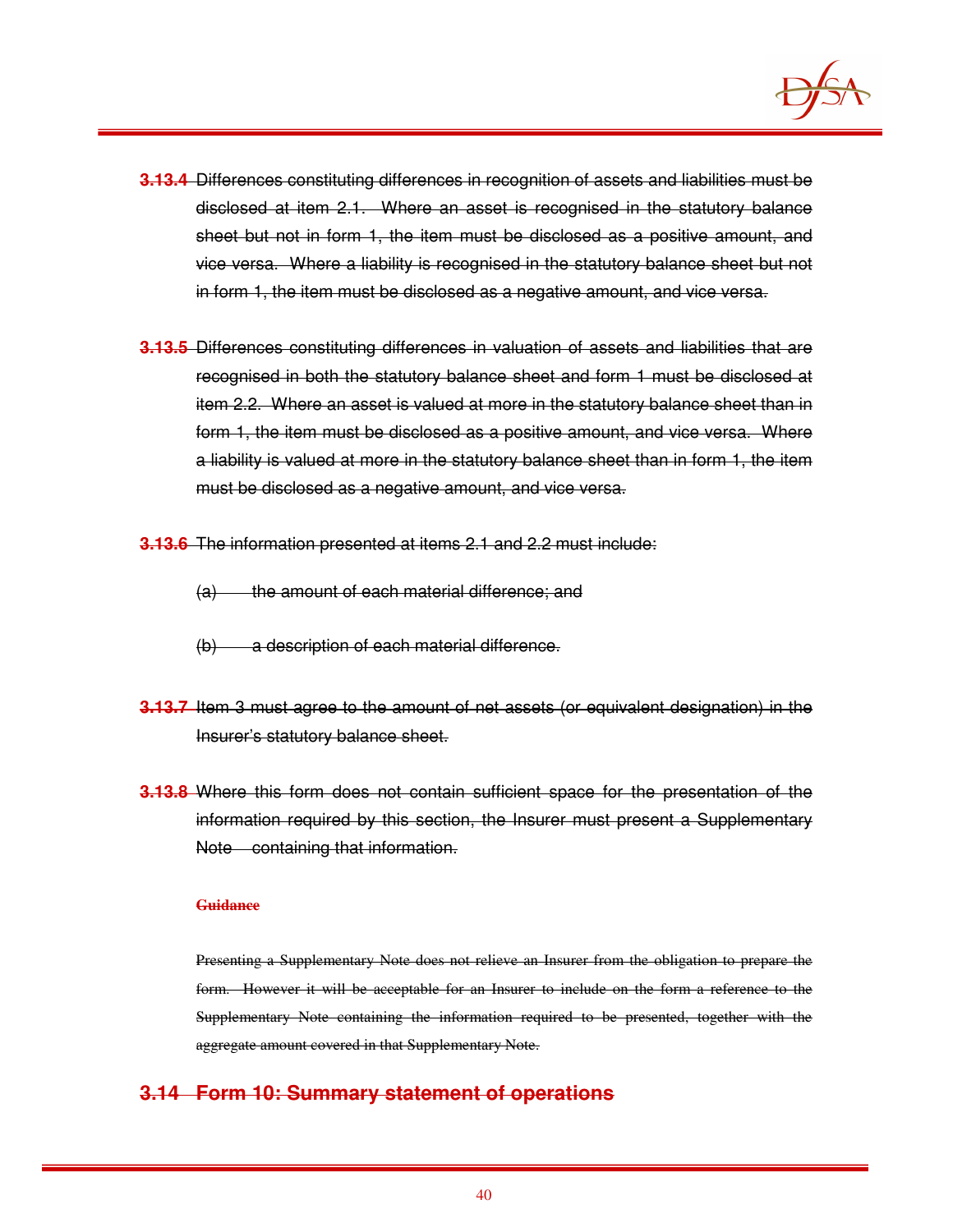

- **3.13.4** Differences constituting differences in recognition of assets and liabilities must be disclosed at item 2.1. Where an asset is recognised in the statutory balance sheet but not in form 1, the item must be disclosed as a positive amount, and vice versa. Where a liability is recognised in the statutory balance sheet but not in form 1, the item must be disclosed as a negative amount, and vice versa.
- **3.13.5** Differences constituting differences in valuation of assets and liabilities that are recognised in both the statutory balance sheet and form 1 must be disclosed at item 2.2. Where an asset is valued at more in the statutory balance sheet than in form 1, the item must be disclosed as a positive amount, and vice versa. Where a liability is valued at more in the statutory balance sheet than in form 1, the item must be disclosed as a negative amount, and vice versa.
- **3.13.6** The information presented at items 2.1 and 2.2 must include:
	- (a) the amount of each material difference; and
	- (b) a description of each material difference.
- **3.13.7** Item 3 must agree to the amount of net assets (or equivalent designation) in the Insurer's statutory balance sheet.
- **3.13.8** Where this form does not contain sufficient space for the presentation of the information required by this section, the Insurer must present a Supplementary Note containing that information.

#### **Guidance**

Presenting a Supplementary Note does not relieve an Insurer from the obligation to prepare the form. However it will be acceptable for an Insurer to include on the form a reference to the Supplementary Note containing the information required to be presented, together with the aggregate amount covered in that Supplementary Note.

## **3.14 Form 10: Summary statement of operations**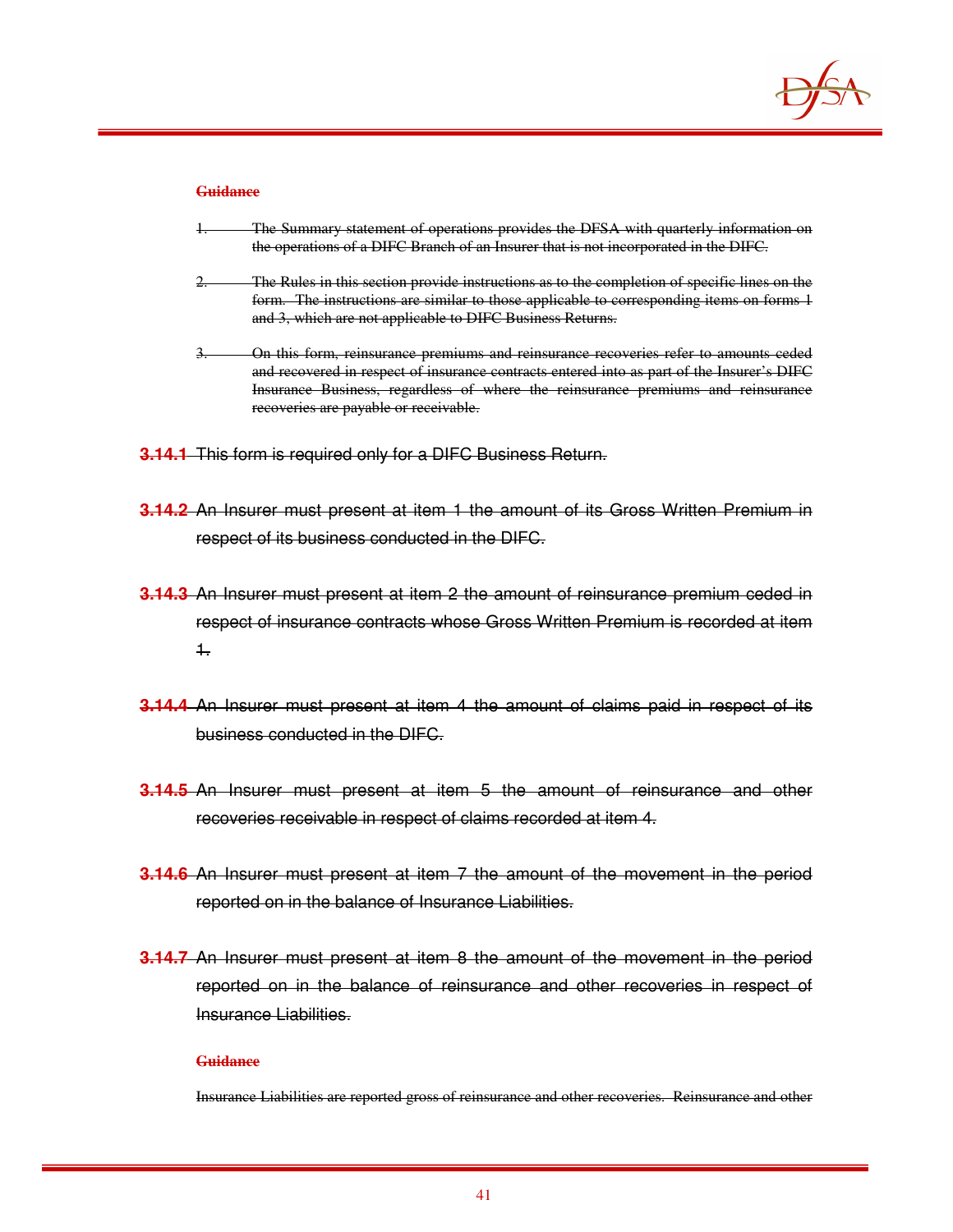

#### **Guidance**

- The Summary statement of operations provides the DFSA with quarterly information on the operations of a DIFC Branch of an Insurer that is not incorporated in the DIFC.
- 2. The Rules in this section provide instructions as to the completion of specific lines on the form. The instructions are similar to those applicable to corresponding items on forms 1 and 3, which are not applicable to DIFC Business Returns.
- 3. On this form, reinsurance premiums and reinsurance recoveries refer to amounts ceded and recovered in respect of insurance contracts entered into as part of the Insurer's DIFC Insurance Business, regardless of where the reinsurance premiums and reinsurance recoveries are payable or receivable.
- **3.14.1** This form is required only for a DIFC Business Return.
- **3.14.2** An Insurer must present at item 1 the amount of its Gross Written Premium in respect of its business conducted in the DIFC.
- **3.14.3** An Insurer must present at item 2 the amount of reinsurance premium ceded in respect of insurance contracts whose Gross Written Premium is recorded at item 1.
- **3.14.4** An Insurer must present at item 4 the amount of claims paid in respect of its business conducted in the DIFC.
- **3.14.5** An Insurer must present at item 5 the amount of reinsurance and other recoveries receivable in respect of claims recorded at item 4.
- **3.14.6** An Insurer must present at item 7 the amount of the movement in the period reported on in the balance of Insurance Liabilities.
- **3.14.7** An Insurer must present at item 8 the amount of the movement in the period reported on in the balance of reinsurance and other recoveries in respect of Insurance Liabilities.

#### **Guidance**

Insurance Liabilities are reported gross of reinsurance and other recoveries. Reinsurance and other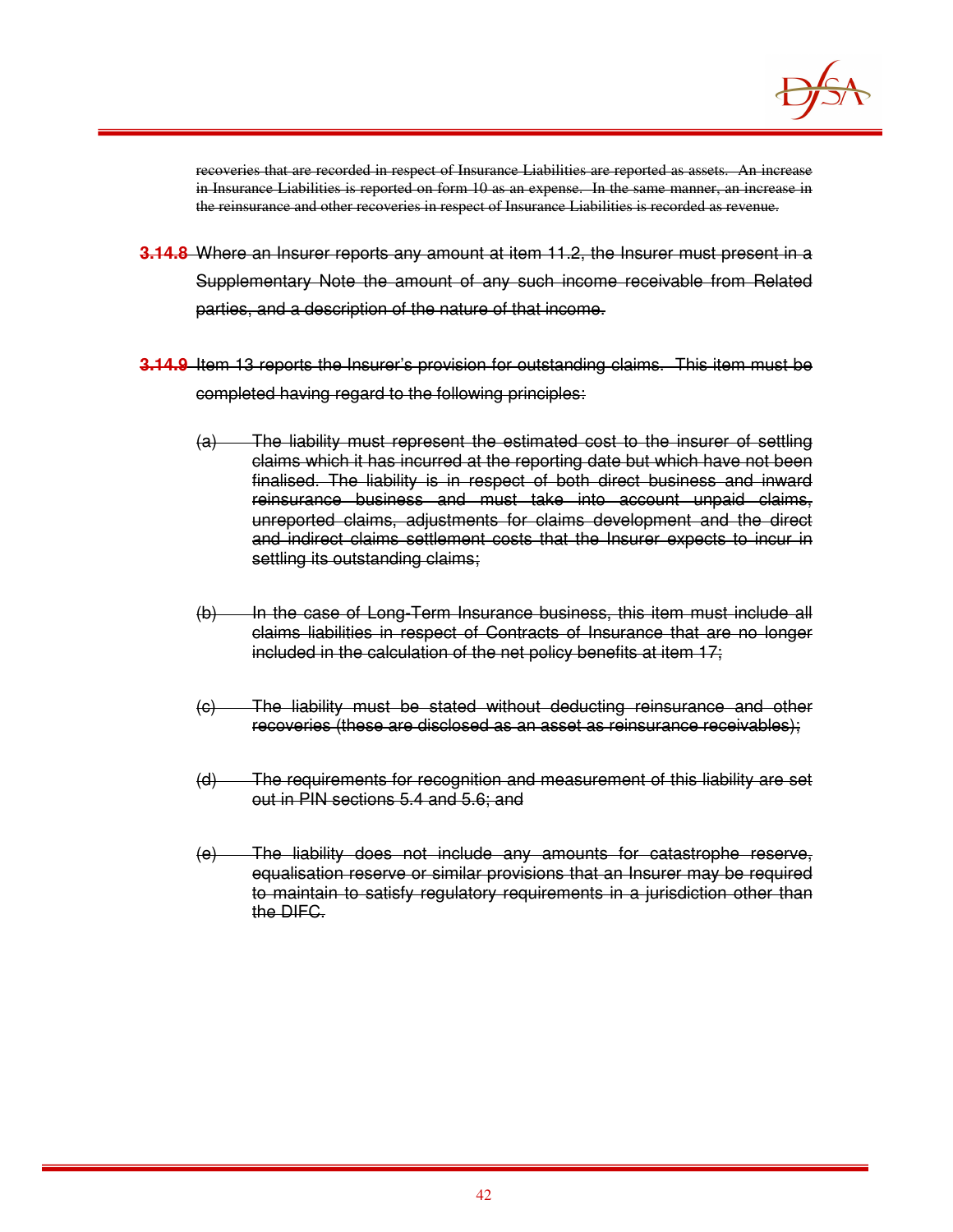

recoveries that are recorded in respect of Insurance Liabilities are reported as assets. An increase in Insurance Liabilities is reported on form 10 as an expense. In the same manner, an increase in the reinsurance and other recoveries in respect of Insurance Liabilities is recorded as revenue.

- **3.14.8** Where an Insurer reports any amount at item 11.2, the Insurer must present in a Supplementary Note the amount of any such income receivable from Related parties, and a description of the nature of that income.
- **3.14.9** Item 13 reports the Insurer's provision for outstanding claims. This item must be completed having regard to the following principles:
	- (a) The liability must represent the estimated cost to the insurer of settling claims which it has incurred at the reporting date but which have not been finalised. The liability is in respect of both direct business and inward reinsurance business and must take into account unpaid claims, unreported claims, adjustments for claims development and the direct and indirect claims settlement costs that the Insurer expects to incur in settling its outstanding claims;
	- (b) In the case of Long-Term Insurance business, this item must include all claims liabilities in respect of Contracts of Insurance that are no longer included in the calculation of the net policy benefits at item 17;
	- (c) The liability must be stated without deducting reinsurance and other recoveries (these are disclosed as an asset as reinsurance receivables);
	- (d) The requirements for recognition and measurement of this liability are set out in PIN sections 5.4 and 5.6; and
	- (e) The liability does not include any amounts for catastrophe reserve, equalisation reserve or similar provisions that an Insurer may be required to maintain to satisfy regulatory requirements in a jurisdiction other than the DIFC.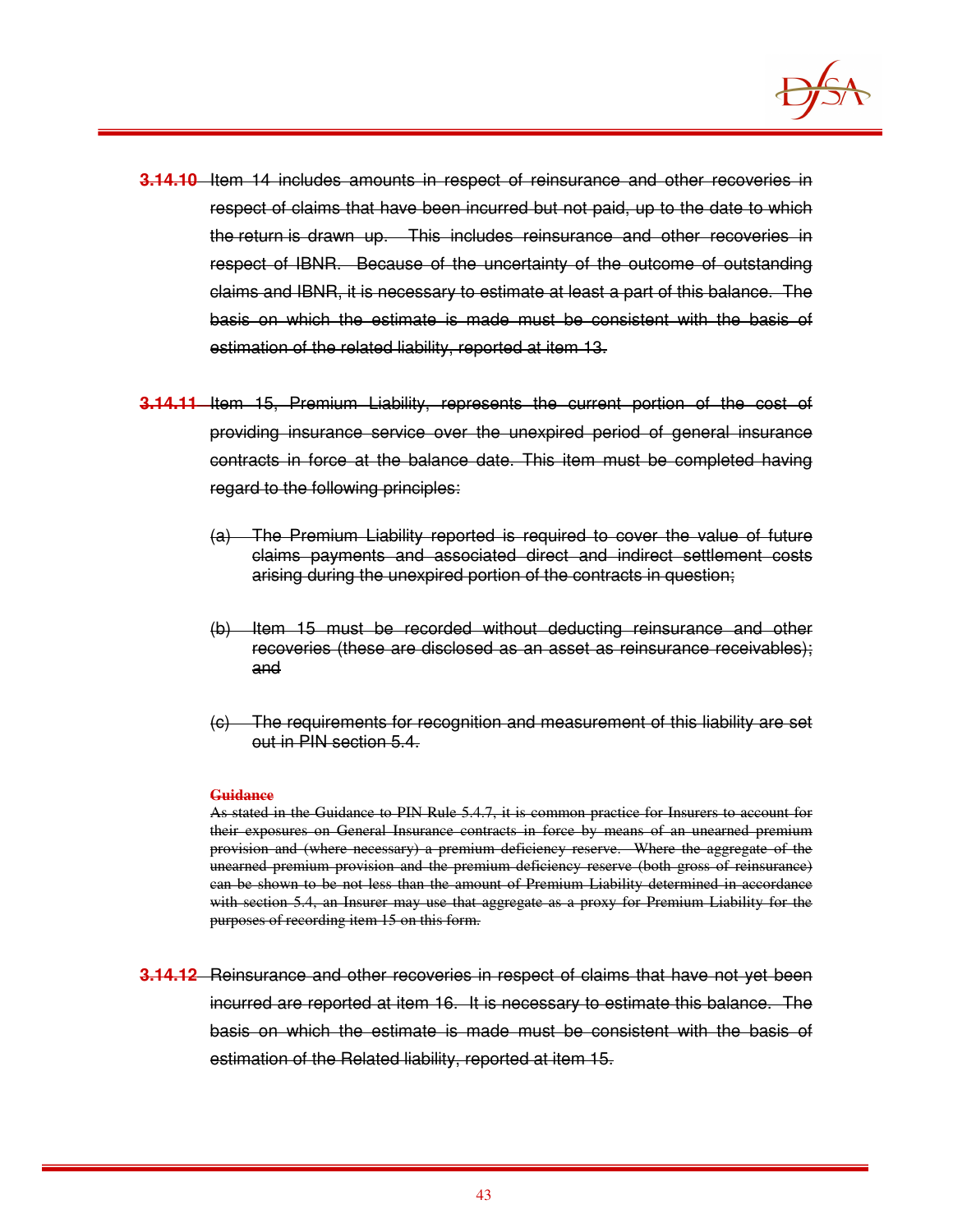

- **3.14.10** Item 14 includes amounts in respect of reinsurance and other recoveries in respect of claims that have been incurred but not paid, up to the date to which the return is drawn up. This includes reinsurance and other recoveries in respect of IBNR. Because of the uncertainty of the outcome of outstanding claims and IBNR, it is necessary to estimate at least a part of this balance. The basis on which the estimate is made must be consistent with the basis of estimation of the related liability, reported at item 13.
- **3.14.11** Item 15, Premium Liability, represents the current portion of the cost of providing insurance service over the unexpired period of general insurance contracts in force at the balance date. This item must be completed having regard to the following principles:
	- (a) The Premium Liability reported is required to cover the value of future claims payments and associated direct and indirect settlement costs arising during the unexpired portion of the contracts in question;
	- (b) Item 15 must be recorded without deducting reinsurance and other recoveries (these are disclosed as an asset as reinsurance receivables); and
	- (c) The requirements for recognition and measurement of this liability are set out in PIN section 5.4.

#### **Guidance**

As stated in the Guidance to PIN Rule 5.4.7, it is common practice for Insurers to account for their exposures on General Insurance contracts in force by means of an unearned premium provision and (where necessary) a premium deficiency reserve. Where the aggregate of the unearned premium provision and the premium deficiency reserve (both gross of reinsurance) can be shown to be not less than the amount of Premium Liability determined in accordance with section 5.4, an Insurer may use that aggregate as a proxy for Premium Liability for the purposes of recording item 15 on this form.

**3.14.12** Reinsurance and other recoveries in respect of claims that have not yet been incurred are reported at item 16. It is necessary to estimate this balance. The basis on which the estimate is made must be consistent with the basis of estimation of the Related liability, reported at item 15.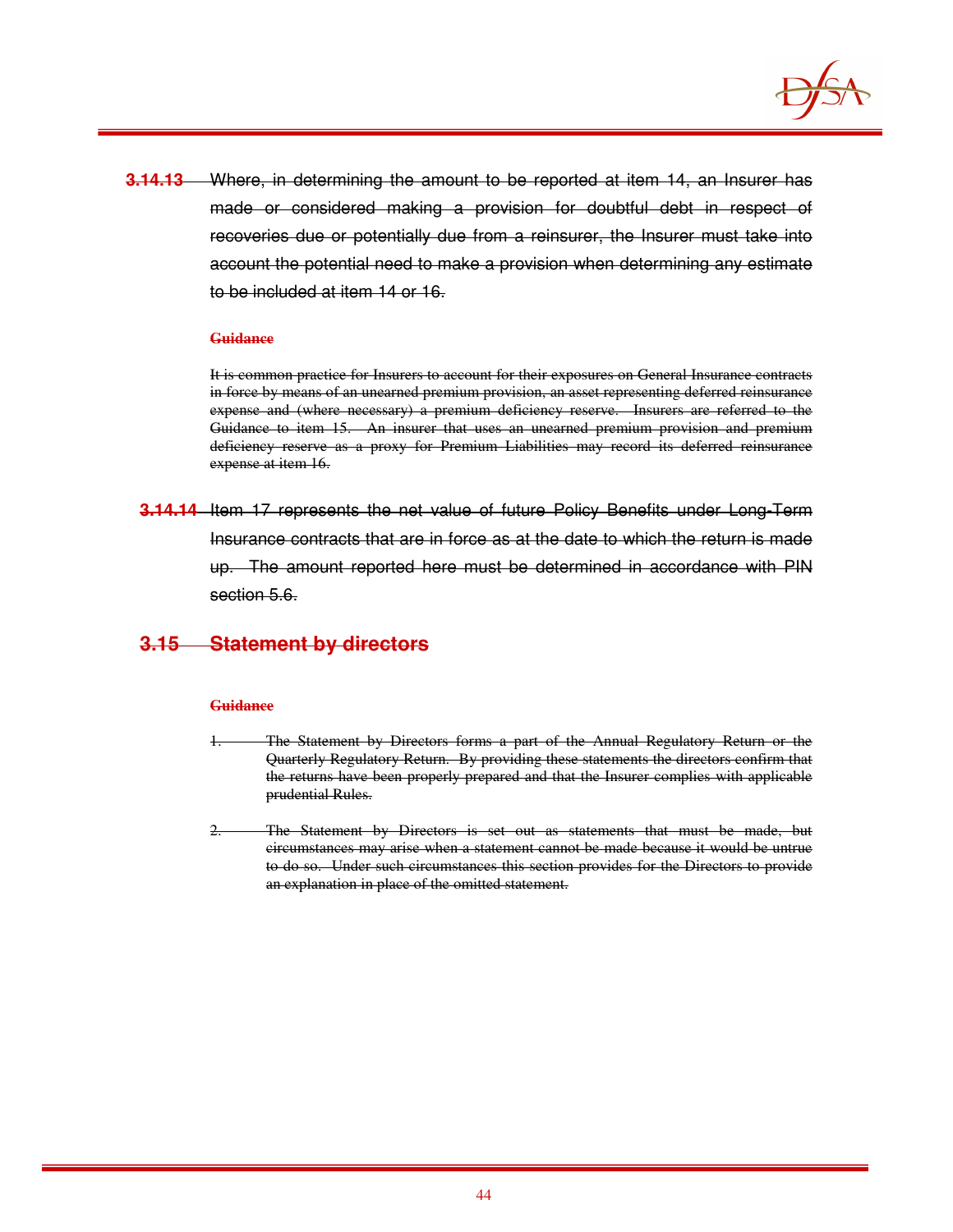

**3.14.13** Where, in determining the amount to be reported at item 14, an Insurer has made or considered making a provision for doubtful debt in respect of recoveries due or potentially due from a reinsurer, the Insurer must take into account the potential need to make a provision when determining any estimate to be included at item 14 or 16.

#### **Guidance**

It is common practice for Insurers to account for their exposures on General Insurance contracts in force by means of an unearned premium provision, an asset representing deferred reinsurance expense and (where necessary) a premium deficiency reserve. Insurers are referred to the Guidance to item 15. An insurer that uses an unearned premium provision and premium deficiency reserve as a proxy for Premium Liabilities may record its deferred reinsurance expense at item 16.

**3.14.14** Item 17 represents the net value of future Policy Benefits under Long-Term Insurance contracts that are in force as at the date to which the return is made up. The amount reported here must be determined in accordance with PIN section 5.6.

### **3.15 Statement by directors**

#### **Guidance**

- The Statement by Directors forms a part of the Annual Regulatory Return or the Quarterly Regulatory Return. By providing these statements the directors confirm that the returns have been properly prepared and that the Insurer complies with applicable prudential Rules.
- The Statement by Directors is set out as statements that must be made, but circumstances may arise when a statement cannot be made because it would be untrue to do so. Under such circumstances this section provides for the Directors to provide an explanation in place of the omitted statement.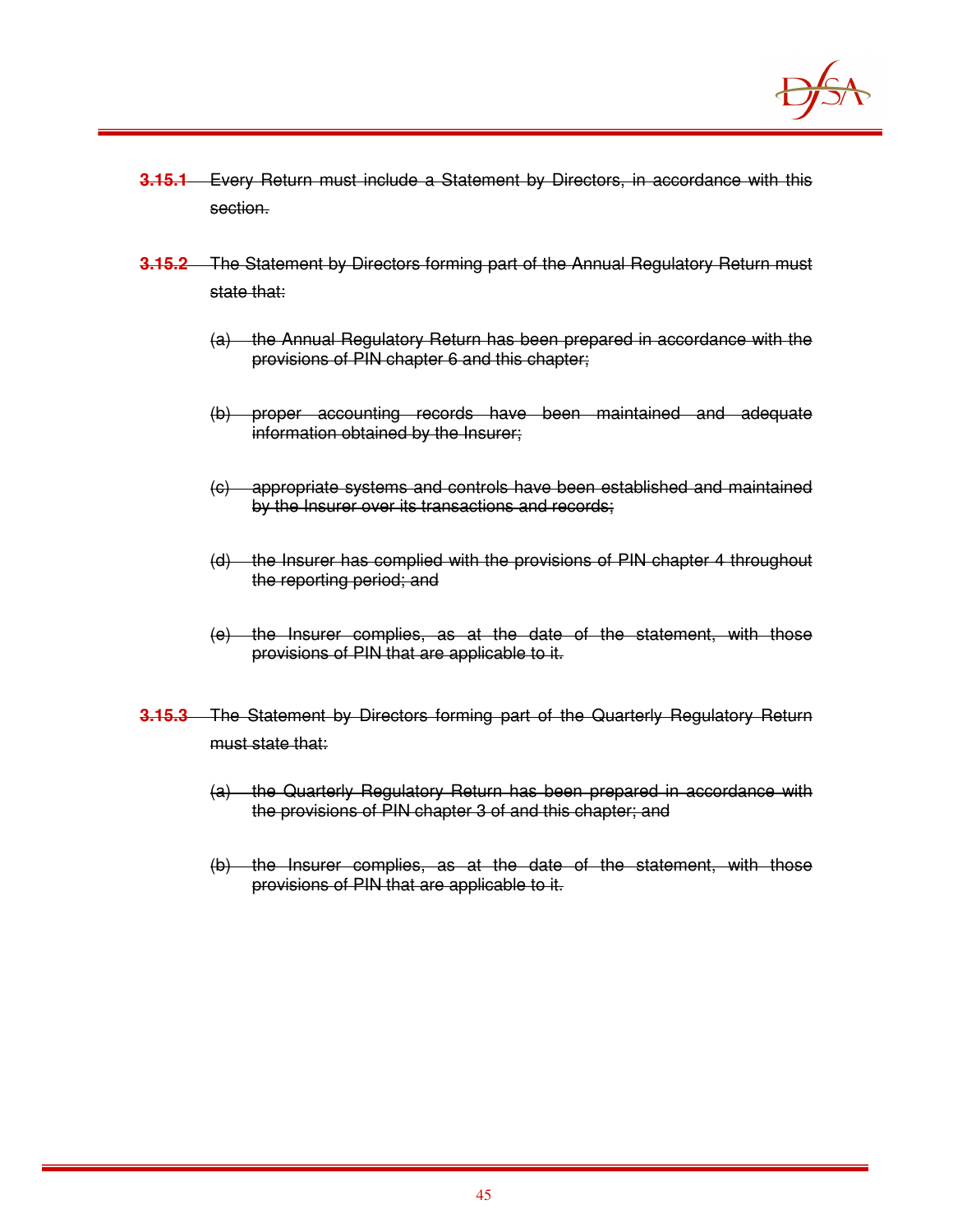

- **3.15.1** Every Return must include a Statement by Directors, in accordance with this section.
- **3.15.2** The Statement by Directors forming part of the Annual Regulatory Return must state that:
	- (a) the Annual Regulatory Return has been prepared in accordance with the provisions of PIN chapter 6 and this chapter;
	- (b) proper accounting records have been maintained and adequate information obtained by the Insurer;
	- (c) appropriate systems and controls have been established and maintained by the Insurer over its transactions and records;
	- (d) the Insurer has complied with the provisions of PIN chapter 4 throughout the reporting period; and
	- (e) the Insurer complies, as at the date of the statement, with those provisions of PIN that are applicable to it.
- **3.15.3** The Statement by Directors forming part of the Quarterly Regulatory Return must state that:
	- (a) the Quarterly Regulatory Return has been prepared in accordance with the provisions of PIN chapter 3 of and this chapter; and
	- (b) the Insurer complies, as at the date of the statement, with those provisions of PIN that are applicable to it.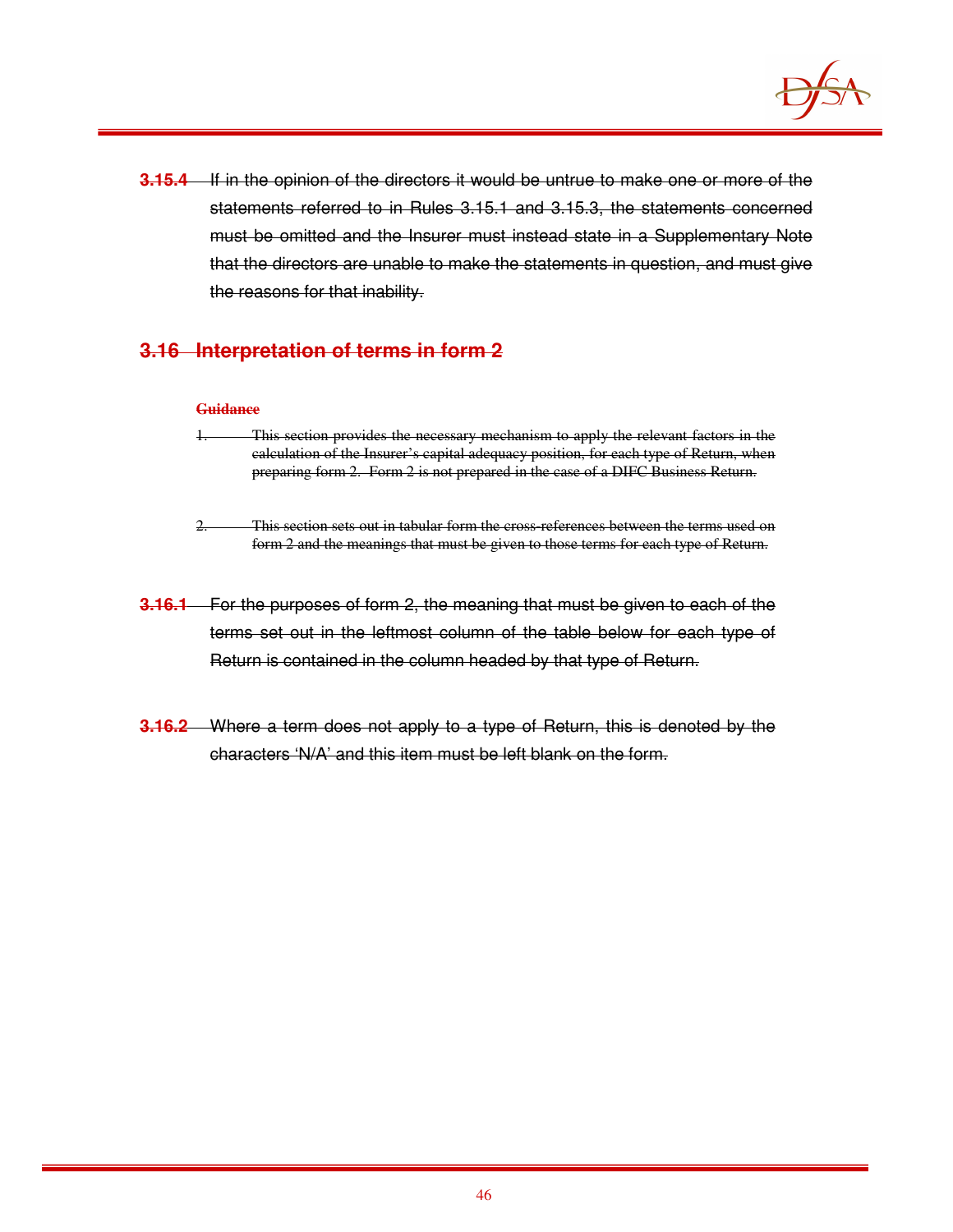

**3.15.4** If in the opinion of the directors it would be untrue to make one or more of the statements referred to in Rules 3.15.1 and 3.15.3, the statements concerned must be omitted and the Insurer must instead state in a Supplementary Note that the directors are unable to make the statements in question, and must give the reasons for that inability.

## **3.16 Interpretation of terms in form 2**

#### **Guidance**

- 1. This section provides the necessary mechanism to apply the relevant factors in the calculation of the Insurer's capital adequacy position, for each type of Return, when preparing form 2. Form 2 is not prepared in the case of a DIFC Business Return.
- 2. This section sets out in tabular form the cross-references between the terms used on form 2 and the meanings that must be given to those terms for each type of Return.
- **3.16.1** For the purposes of form 2, the meaning that must be given to each of the terms set out in the leftmost column of the table below for each type of Return is contained in the column headed by that type of Return.
- **3.16.2** Where a term does not apply to a type of Return, this is denoted by the characters 'N/A' and this item must be left blank on the form.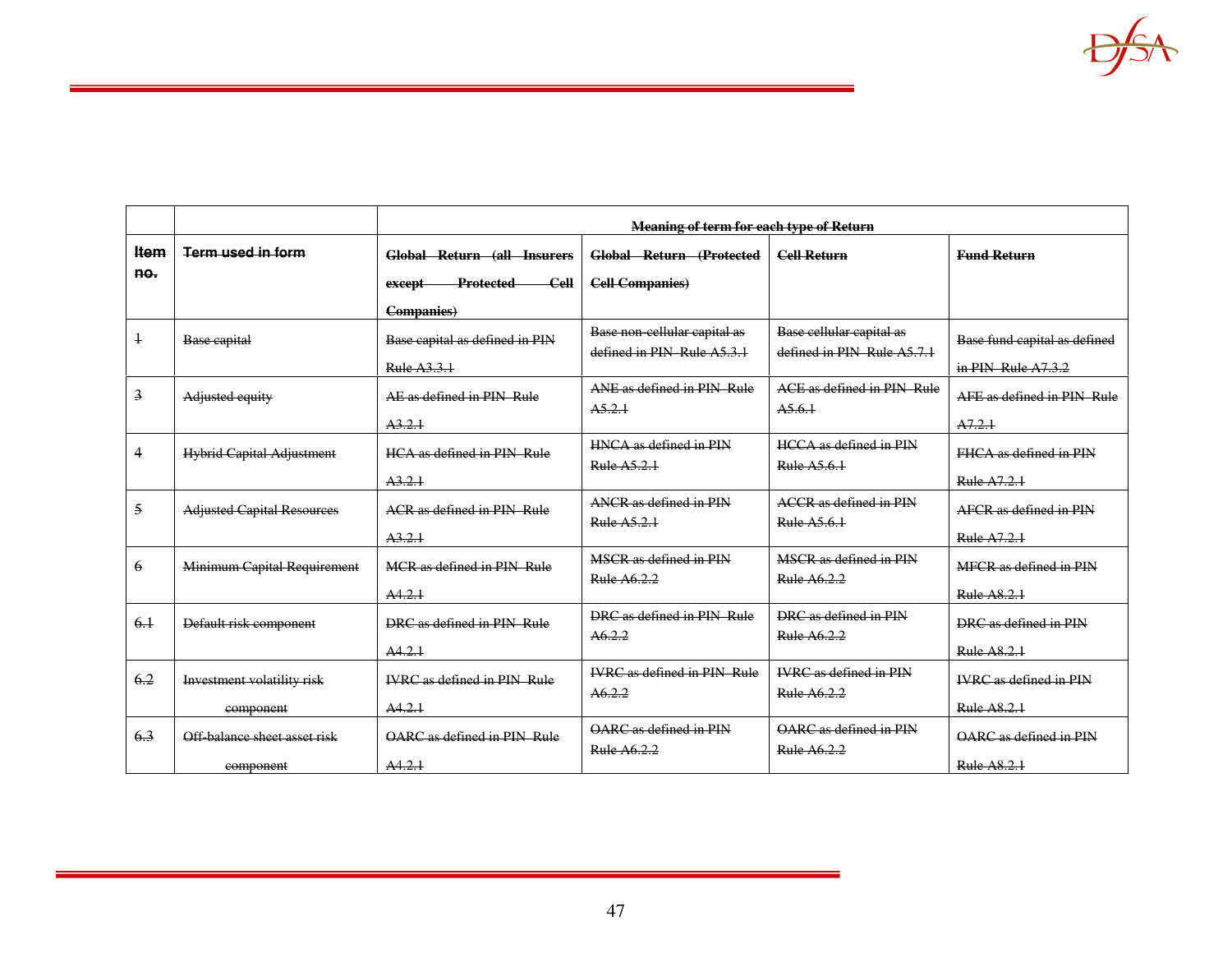|                |                                   | <b>Meaning of term for each type of Return</b> |                                                            |                                                        |                               |
|----------------|-----------------------------------|------------------------------------------------|------------------------------------------------------------|--------------------------------------------------------|-------------------------------|
| Item           | Term used in form                 | <b>Global Return (all Insurers</b>             | Global Return (Protected                                   | <b>Cell Return</b>                                     | <b>Fund Return</b>            |
| no.            |                                   | $cell$<br><b>Protected</b><br>except           | <b>Cell Companies)</b>                                     |                                                        |                               |
|                |                                   | <b>Companies</b> )                             |                                                            |                                                        |                               |
| $\overline{1}$ | Base capital                      | Base capital as defined in PIN                 | Base non-cellular capital as<br>defined in PIN Rule A5.3.1 | Base cellular capital as<br>defined in PIN Rule A5.7.1 | Base fund capital as defined  |
|                |                                   | <b>Rule A3.3.1</b>                             |                                                            |                                                        | in $PIN$ Rule $A7.3.2$        |
| $\overline{3}$ | Adjusted equity                   | AE as defined in PIN Rule                      | ANE as defined in PIN Rule<br>A5.2.1                       | ACE as defined in PIN Rule<br>A5.6.1                   | AFF as defined in PIN Rule    |
|                |                                   | A3.2.1                                         |                                                            |                                                        | A7.2.1                        |
| $\overline{4}$ | <b>Hybrid Capital Adjustment</b>  | HCA as defined in PIN Rule                     | HNCA as defined in PIN<br>Rule A5.2.1                      | <b>HCCA</b> as defined in PIN<br>Rule A5.6.1           | FHCA as defined in PIN        |
|                |                                   | A3.2.1                                         |                                                            |                                                        | <b>Rule A7.2.1</b>            |
| 5              | <b>Adjusted Capital Resources</b> | ACR as defined in PIN Rule                     | ANCR as defined in PIN<br>Rule A5.2.1                      | <b>ACCR</b> as defined in PIN<br>Rule A5.6.1           | AFCR as defined in PIN        |
|                |                                   | A3.2.1                                         |                                                            |                                                        | Rule A7.2.1                   |
| 6              | Minimum Capital Requirement       | MCR as defined in PIN Rule                     | MSCR as defined in PIN<br><b>Rule A6.2.2</b>               | MSCR as defined in PIN<br>Rule A6.2.2                  | MFCR as defined in PIN        |
|                |                                   | A4.2.1                                         |                                                            |                                                        | <b>Rule A8.2.1</b>            |
| 6.1            | Default risk component            | DRC as defined in PIN Rule                     | DRC as defined in PIN, Rule<br>A6.2.2                      | DRC as defined in PIN<br><b>Rule A6.2.2</b>            | DRC as defined in PIN         |
|                |                                   | A4.2.1                                         |                                                            |                                                        | <b>Rule A8.2.1</b>            |
| 6.2            | Investment volatility risk        | <b>IVRC</b> as defined in PIN Rule             | <b>IVRC</b> as defined in PIN Rule<br>A6.2.2               | <b>IVRC</b> as defined in PIN<br><b>Rule A6.2.2</b>    | <b>IVRC</b> as defined in PIN |
|                | component                         | A4.2.1                                         |                                                            |                                                        | Rule A8.2.1                   |
| 6.3            | Off-balance sheet asset risk      | OARC as defined in PIN Rule                    | OARC as defined in PIN<br>Rule A6.2.2                      | OARC as defined in PIN<br>Rule A6.2.2                  | OARC as defined in PIN        |
|                | component                         | A4.2.1                                         |                                                            |                                                        | <b>Rule A8.2.1</b>            |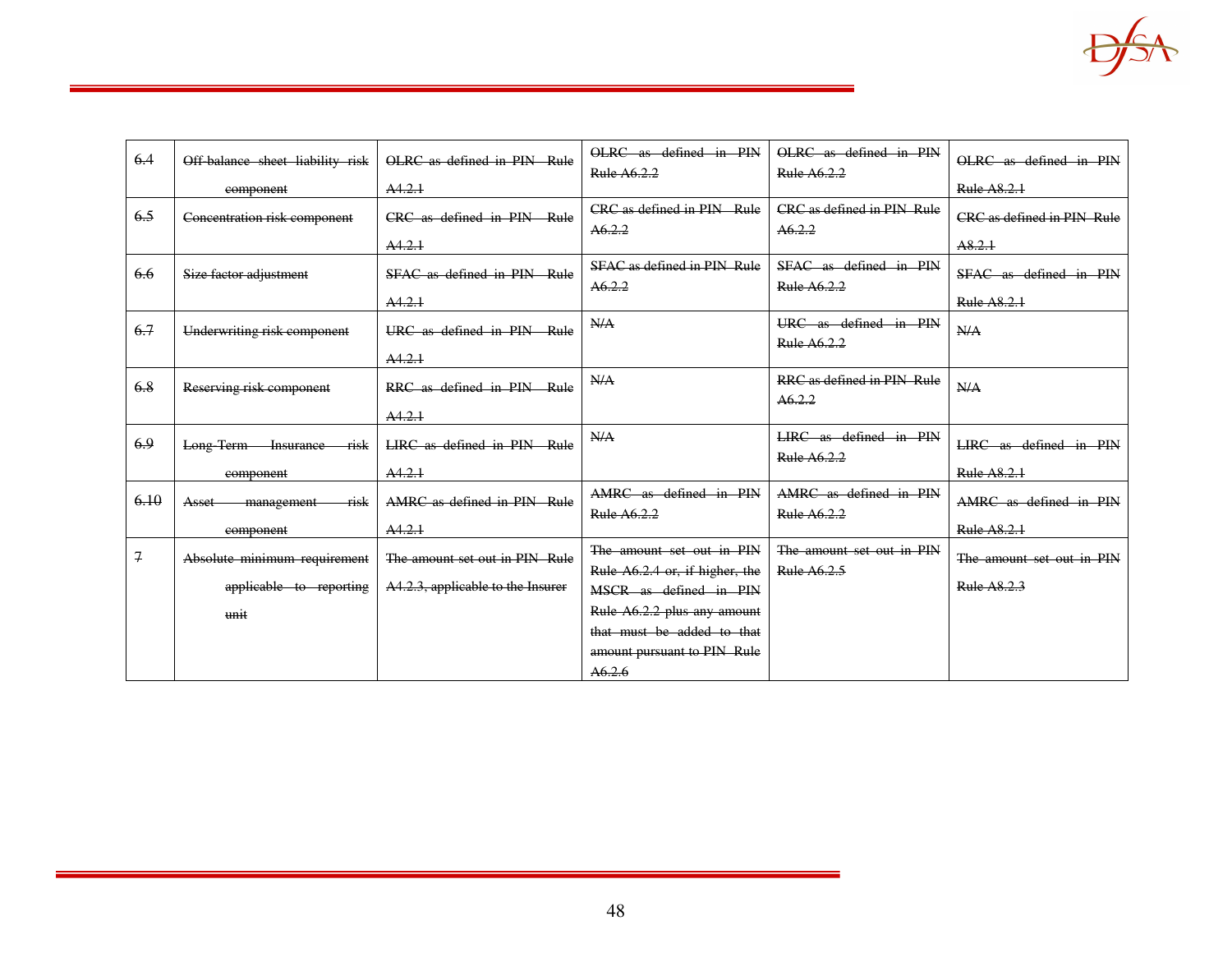

| 6.4           | Off-balance sheet liability risk        | OLRC as defined in PIN Rule       | OLRC as defined in PIN<br>Rule A6.2.2                       | OLRC as defined in PIN<br>Rule A6.2.2    | OLRC as defined in PIN            |
|---------------|-----------------------------------------|-----------------------------------|-------------------------------------------------------------|------------------------------------------|-----------------------------------|
|               | component                               | A4.2.1                            |                                                             |                                          | Rule A8.2.1                       |
| 6.5           | Concentration risk component            | CRC as defined in PIN Rule        | CRC as defined in PIN Rule<br>A6.2.2                        | CRC as defined in PIN Rule<br>A6.2.2     | <b>CRC</b> as defined in PIN Rule |
|               |                                         | A4.2.1                            |                                                             |                                          | A8.2.1                            |
| 6.6           | Size factor adjustment                  | SFAC as defined in PIN Rule       | <b>SFAC as defined in PIN Rule</b><br>A6.2.2                | SFAC as defined in PIN<br>Rule A6.2.2    | SFAC as defined in PIN            |
|               |                                         | A4.2.1                            |                                                             |                                          | <b>Rule A8.2.1</b>                |
| 6.7           | Underwriting risk component             | URC as defined in PIN Rule        | N/A                                                         | URC as defined in PIN<br>Rule A6.2.2     | N/A                               |
|               |                                         | A4.2.1                            |                                                             |                                          |                                   |
| 6.8           | Reserving risk component                | RRC as defined in PIN Rule        | N/A                                                         | RRC as defined in PIN Rule<br>A6.2.2     | N/A                               |
|               |                                         | A4.2.1                            |                                                             |                                          |                                   |
| 6.9           | Long-Term-<br><b>Insurance</b><br>-risk | LIRC as defined in PIN Rule       | N/A                                                         | LIRC as defined in PIN<br>Rule A6.2.2    | LIRC as defined in PIN            |
|               | component                               | A4.2.1                            |                                                             |                                          | Rule A8.2.1                       |
| 6.10          | risk<br><b>Asset</b><br>management      | AMRC as defined in PIN Rule       | AMRC as defined in PIN<br>Rule A6.2.2                       | AMRC as defined in PIN<br>Rule A6.2.2    | AMRC as defined in PIN            |
|               | component                               | A4.2.1                            |                                                             |                                          | Rule A8.2.1                       |
| $\mathcal{I}$ | Absolute minimum requirement            | The amount set out in PIN Rule    | The amount set out in PIN<br>Rule A6.2.4 or, if higher, the | The amount set out in PIN<br>Rule A6.2.5 | The amount set out in PIN         |
|               | applicable to reporting                 | A4.2.3, applicable to the Insurer | MSCR as defined in PIN                                      |                                          | Rule A8.2.3                       |
|               | unit                                    |                                   | Rule A6.2.2 plus any amount                                 |                                          |                                   |
|               |                                         |                                   | that must be added to that                                  |                                          |                                   |
|               |                                         |                                   | amount pursuant to PIN Rule                                 |                                          |                                   |
|               |                                         |                                   | A6.2.6                                                      |                                          |                                   |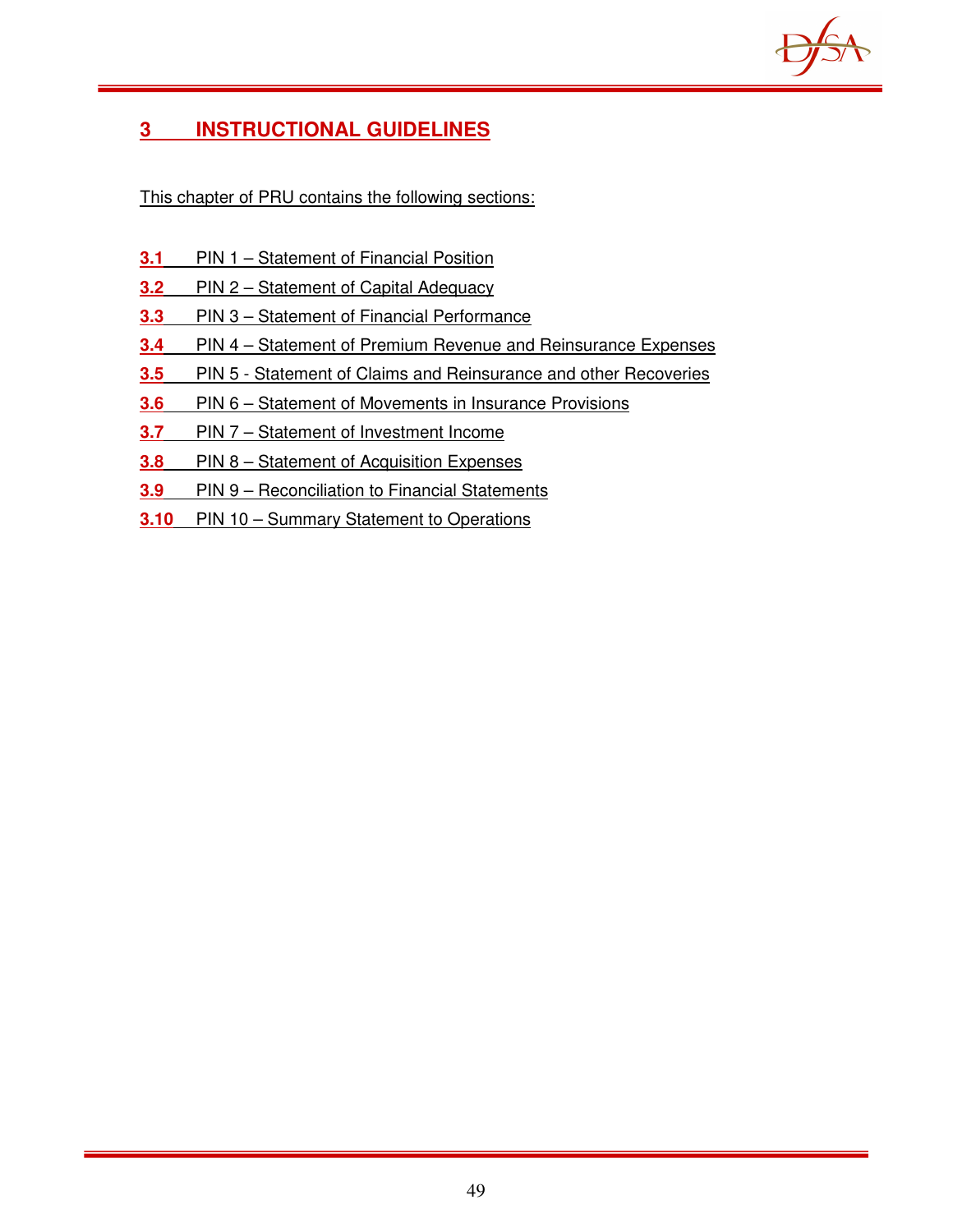

# **3 INSTRUCTIONAL GUIDELINES**

This chapter of PRU contains the following sections:

- **3.1** PIN 1 Statement of Financial Position
- **3.2** PIN 2 Statement of Capital Adequacy
- **3.3** PIN 3 Statement of Financial Performance
- **3.4** PIN 4 Statement of Premium Revenue and Reinsurance Expenses
- **3.5** PIN 5 Statement of Claims and Reinsurance and other Recoveries
- **3.6** PIN 6 Statement of Movements in Insurance Provisions
- **3.7** PIN 7 Statement of Investment Income
- **3.8** PIN 8 Statement of Acquisition Expenses
- **3.9** PIN 9 Reconciliation to Financial Statements
- **3.10** PIN 10 Summary Statement to Operations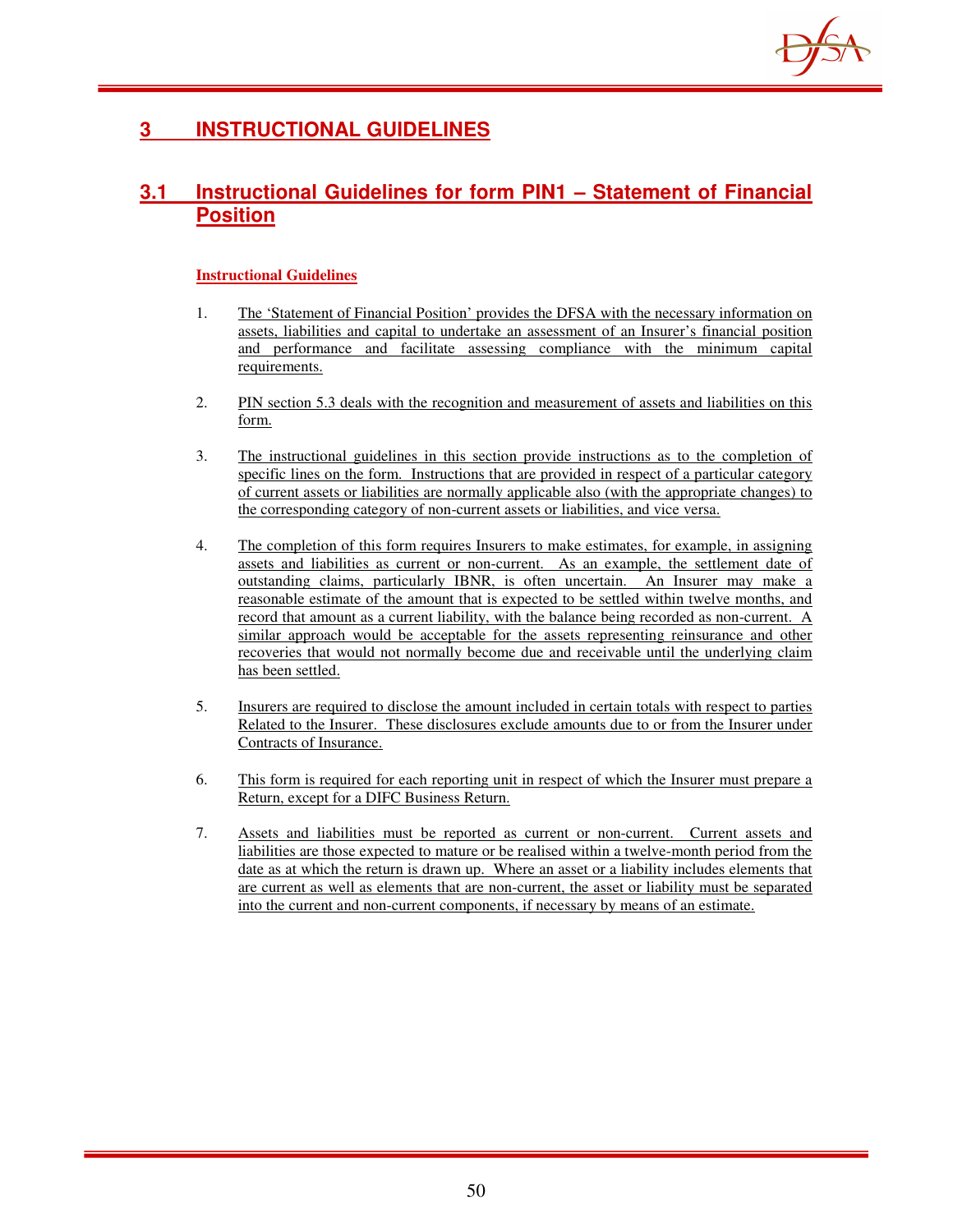

# **3 INSTRUCTIONAL GUIDELINES**

## **3.1 Instructional Guidelines for form PIN1 – Statement of Financial Position**

- 1. The 'Statement of Financial Position' provides the DFSA with the necessary information on assets, liabilities and capital to undertake an assessment of an Insurer's financial position and performance and facilitate assessing compliance with the minimum capital requirements.
- 2. PIN section 5.3 deals with the recognition and measurement of assets and liabilities on this form.
- 3. The instructional guidelines in this section provide instructions as to the completion of specific lines on the form. Instructions that are provided in respect of a particular category of current assets or liabilities are normally applicable also (with the appropriate changes) to the corresponding category of non-current assets or liabilities, and vice versa.
- 4. The completion of this form requires Insurers to make estimates, for example, in assigning assets and liabilities as current or non-current. As an example, the settlement date of outstanding claims, particularly IBNR, is often uncertain. An Insurer may make a reasonable estimate of the amount that is expected to be settled within twelve months, and record that amount as a current liability, with the balance being recorded as non-current. A similar approach would be acceptable for the assets representing reinsurance and other recoveries that would not normally become due and receivable until the underlying claim has been settled.
- 5. Insurers are required to disclose the amount included in certain totals with respect to parties Related to the Insurer. These disclosures exclude amounts due to or from the Insurer under Contracts of Insurance.
- 6. This form is required for each reporting unit in respect of which the Insurer must prepare a Return, except for a DIFC Business Return.
- 7. Assets and liabilities must be reported as current or non-current. Current assets and liabilities are those expected to mature or be realised within a twelve-month period from the date as at which the return is drawn up. Where an asset or a liability includes elements that are current as well as elements that are non-current, the asset or liability must be separated into the current and non-current components, if necessary by means of an estimate.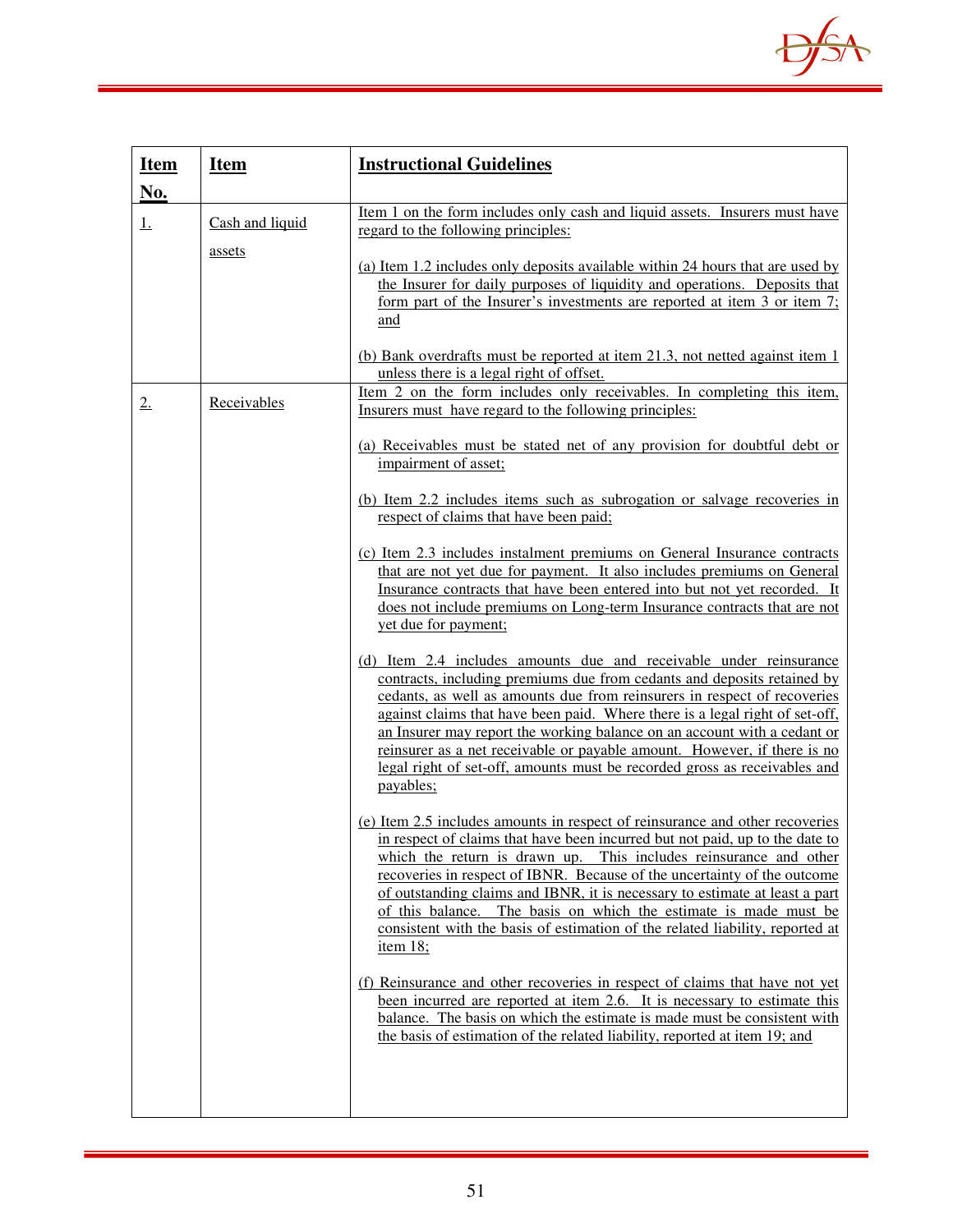

| <b>Item</b><br>No. | <b>Item</b>               | <b>Instructional Guidelines</b>                                                                                                                                                                                                                                                                                                                                                                                                                                                                                                                                                                                                                                                                                                                                                                                                                                                                                                                                                                                                                                                                                                                                                                                                                                                                                                                                                                                                                                                                                                                                                                                                                                                                                                                                                                                                                                                                                                                                                                                                                                                                                                                                                                     |
|--------------------|---------------------------|-----------------------------------------------------------------------------------------------------------------------------------------------------------------------------------------------------------------------------------------------------------------------------------------------------------------------------------------------------------------------------------------------------------------------------------------------------------------------------------------------------------------------------------------------------------------------------------------------------------------------------------------------------------------------------------------------------------------------------------------------------------------------------------------------------------------------------------------------------------------------------------------------------------------------------------------------------------------------------------------------------------------------------------------------------------------------------------------------------------------------------------------------------------------------------------------------------------------------------------------------------------------------------------------------------------------------------------------------------------------------------------------------------------------------------------------------------------------------------------------------------------------------------------------------------------------------------------------------------------------------------------------------------------------------------------------------------------------------------------------------------------------------------------------------------------------------------------------------------------------------------------------------------------------------------------------------------------------------------------------------------------------------------------------------------------------------------------------------------------------------------------------------------------------------------------------------------|
| <u>1.</u>          | Cash and liquid<br>assets | <u>Item 1 on the form includes only cash and liquid assets. Insurers must have</u><br>regard to the following principles:<br>(a) Item 1.2 includes only deposits available within 24 hours that are used by<br>the Insurer for daily purposes of liquidity and operations. Deposits that<br>form part of the Insurer's investments are reported at item 3 or item 7;<br>and<br>(b) Bank overdrafts must be reported at item 21.3, not netted against item 1                                                                                                                                                                                                                                                                                                                                                                                                                                                                                                                                                                                                                                                                                                                                                                                                                                                                                                                                                                                                                                                                                                                                                                                                                                                                                                                                                                                                                                                                                                                                                                                                                                                                                                                                         |
| 2.                 | Receivables               | unless there is a legal right of offset.<br>Item 2 on the form includes only receivables. In completing this item,<br>Insurers must have regard to the following principles:<br>(a) Receivables must be stated net of any provision for doubtful debt or<br>impairment of asset;<br>(b) Item 2.2 includes items such as subrogation or salvage recoveries in<br>respect of claims that have been paid;<br>(c) Item 2.3 includes instalment premiums on General Insurance contracts<br>that are not yet due for payment. It also includes premiums on General<br>Insurance contracts that have been entered into but not yet recorded. It<br>does not include premiums on Long-term Insurance contracts that are not<br>yet due for payment;<br>(d) Item 2.4 includes amounts due and receivable under reinsurance<br>contracts, including premiums due from cedants and deposits retained by<br>cedants, as well as amounts due from reinsurers in respect of recoveries<br>against claims that have been paid. Where there is a legal right of set-off,<br>an Insurer may report the working balance on an account with a cedant or<br>reinsurer as a net receivable or payable amount. However, if there is no<br>legal right of set-off, amounts must be recorded gross as receivables and<br>payables;<br>(e) Item 2.5 includes amounts in respect of reinsurance and other recoveries<br>in respect of claims that have been incurred but not paid, up to the date to<br>which the return is drawn up. This includes reinsurance and other<br>recoveries in respect of IBNR. Because of the uncertainty of the outcome<br>of outstanding claims and IBNR, it is necessary to estimate at least a part<br>of this balance. The basis on which the estimate is made must be<br>consistent with the basis of estimation of the related liability, reported at<br>item $18$ ;<br>(f) Reinsurance and other recoveries in respect of claims that have not yet<br>been incurred are reported at item 2.6. It is necessary to estimate this<br>balance. The basis on which the estimate is made must be consistent with<br>the basis of estimation of the related liability, reported at item 19; and |
|                    |                           |                                                                                                                                                                                                                                                                                                                                                                                                                                                                                                                                                                                                                                                                                                                                                                                                                                                                                                                                                                                                                                                                                                                                                                                                                                                                                                                                                                                                                                                                                                                                                                                                                                                                                                                                                                                                                                                                                                                                                                                                                                                                                                                                                                                                     |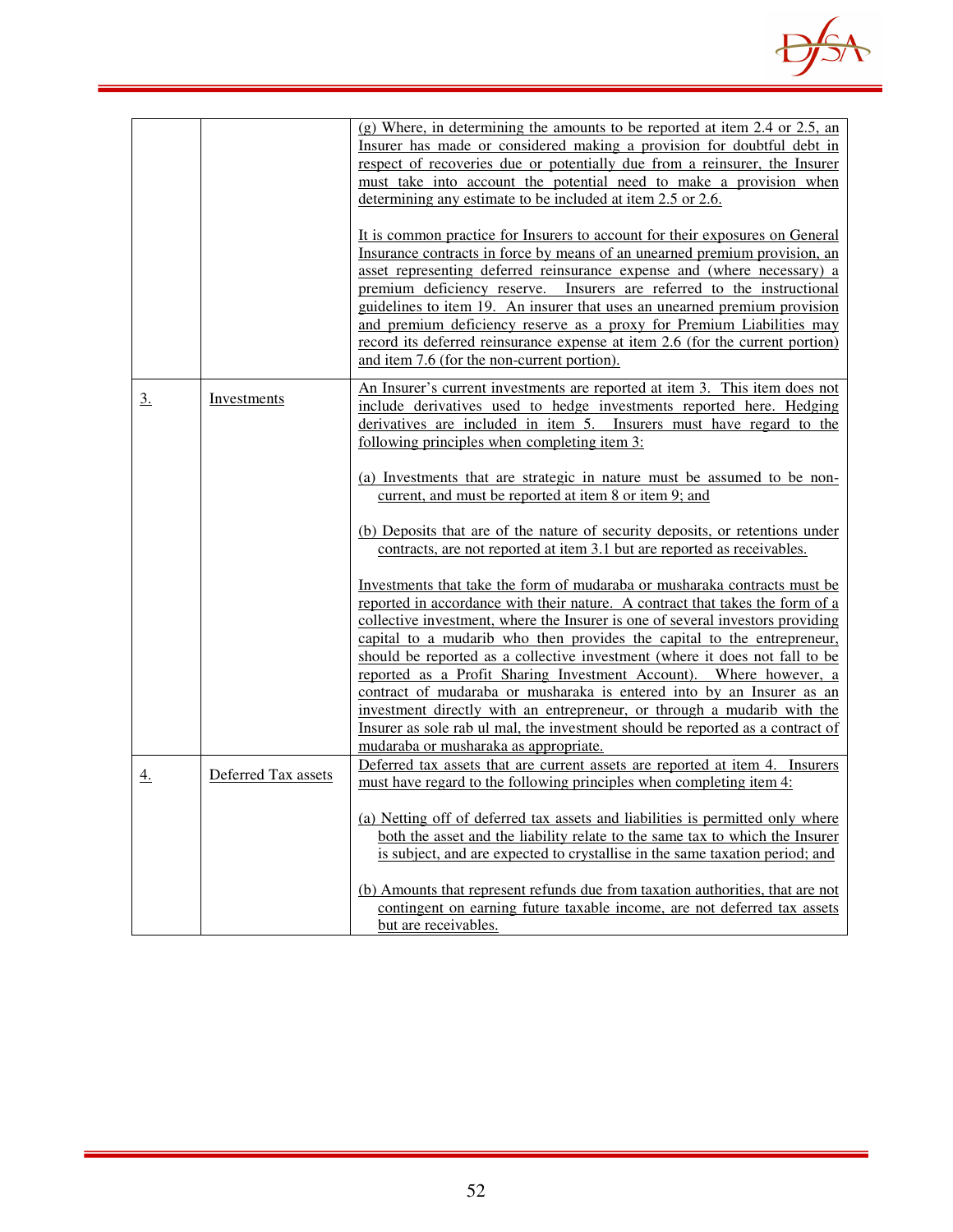

|                  |                     | (g) Where, in determining the amounts to be reported at item 2.4 or 2.5, an<br>Insurer has made or considered making a provision for doubtful debt in<br>respect of recoveries due or potentially due from a reinsurer, the Insurer<br>must take into account the potential need to make a provision when<br>determining any estimate to be included at item 2.5 or 2.6.<br>It is common practice for Insurers to account for their exposures on General<br>Insurance contracts in force by means of an unearned premium provision, an<br>asset representing deferred reinsurance expense and (where necessary) a<br>premium deficiency reserve. Insurers are referred to the instructional<br>guidelines to item 19. An insurer that uses an unearned premium provision<br>and premium deficiency reserve as a proxy for Premium Liabilities may<br>record its deferred reinsurance expense at item 2.6 (for the current portion)<br>and item 7.6 (for the non-current portion).                                                                                                                                                                                                                                                                                                                                                            |
|------------------|---------------------|----------------------------------------------------------------------------------------------------------------------------------------------------------------------------------------------------------------------------------------------------------------------------------------------------------------------------------------------------------------------------------------------------------------------------------------------------------------------------------------------------------------------------------------------------------------------------------------------------------------------------------------------------------------------------------------------------------------------------------------------------------------------------------------------------------------------------------------------------------------------------------------------------------------------------------------------------------------------------------------------------------------------------------------------------------------------------------------------------------------------------------------------------------------------------------------------------------------------------------------------------------------------------------------------------------------------------------------------|
| $\overline{3}$ . | Investments         | An Insurer's current investments are reported at item 3. This item does not<br>include derivatives used to hedge investments reported here. Hedging<br>derivatives are included in item 5. Insurers must have regard to the<br>following principles when completing item 3:<br>(a) Investments that are strategic in nature must be assumed to be non-<br>current, and must be reported at item 8 or item 9; and<br>(b) Deposits that are of the nature of security deposits, or retentions under<br>contracts, are not reported at item 3.1 but are reported as receivables.<br>Investments that take the form of mudaraba or musharaka contracts must be<br>reported in accordance with their nature. A contract that takes the form of a<br>collective investment, where the Insurer is one of several investors providing<br>capital to a mudarib who then provides the capital to the entrepreneur,<br>should be reported as a collective investment (where it does not fall to be<br>reported as a Profit Sharing Investment Account). Where however, a<br>contract of mudaraba or musharaka is entered into by an Insurer as an<br>investment directly with an entrepreneur, or through a mudarib with the<br>Insurer as sole rab ul mal, the investment should be reported as a contract of<br>mudaraba or musharaka as appropriate. |
| $\overline{4}$ . | Deferred Tax assets | Deferred tax assets that are current assets are reported at item 4. Insurers<br>must have regard to the following principles when completing item 4:<br>(a) Netting off of deferred tax assets and liabilities is permitted only where<br>both the asset and the liability relate to the same tax to which the Insurer<br>is subject, and are expected to crystallise in the same taxation period; and<br>(b) Amounts that represent refunds due from taxation authorities, that are not<br>contingent on earning future taxable income, are not deferred tax assets<br>but are receivables.                                                                                                                                                                                                                                                                                                                                                                                                                                                                                                                                                                                                                                                                                                                                                 |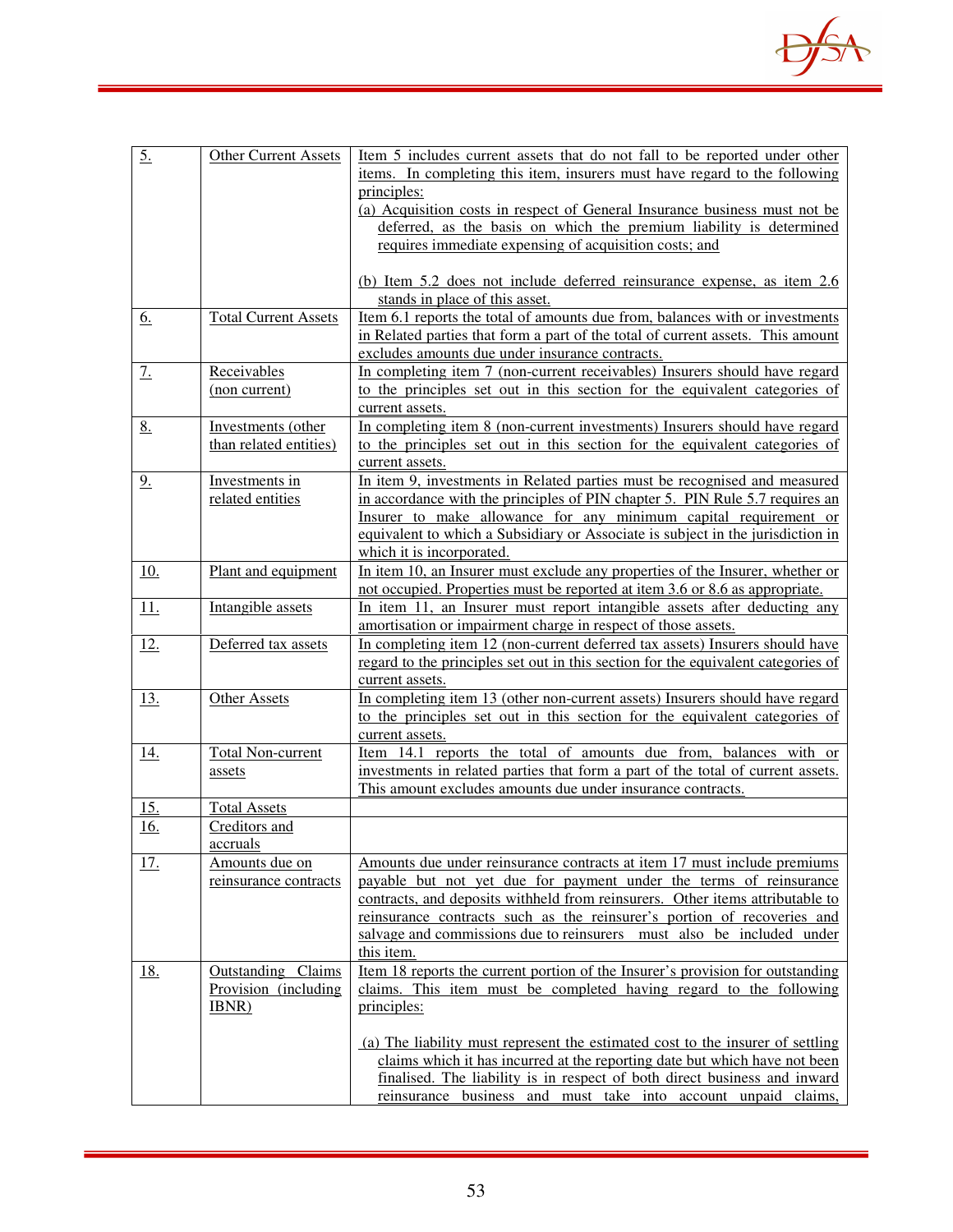

| 5.         | <b>Other Current Assets</b>                         | Item 5 includes current assets that do not fall to be reported under other<br>items. In completing this item, insurers must have regard to the following<br>principles:<br>(a) Acquisition costs in respect of General Insurance business must not be                                                                                                                                             |
|------------|-----------------------------------------------------|---------------------------------------------------------------------------------------------------------------------------------------------------------------------------------------------------------------------------------------------------------------------------------------------------------------------------------------------------------------------------------------------------|
|            |                                                     | deferred, as the basis on which the premium liability is determined<br>requires immediate expensing of acquisition costs; and                                                                                                                                                                                                                                                                     |
|            |                                                     | (b) Item 5.2 does not include deferred reinsurance expense, as item 2.6<br>stands in place of this asset.                                                                                                                                                                                                                                                                                         |
| <u>6.</u>  | <b>Total Current Assets</b>                         | Item 6.1 reports the total of amounts due from, balances with or investments<br>in Related parties that form a part of the total of current assets. This amount<br>excludes amounts due under insurance contracts.                                                                                                                                                                                |
| 7.         | Receivables<br>(non current)                        | In completing item 7 (non-current receivables) Insurers should have regard<br>to the principles set out in this section for the equivalent categories of<br>current assets.                                                                                                                                                                                                                       |
| 8.         | Investments (other<br>than related entities)        | In completing item 8 (non-current investments) Insurers should have regard<br>to the principles set out in this section for the equivalent categories of<br>current assets.                                                                                                                                                                                                                       |
| 9.         | Investments in<br>related entities                  | In item 9, investments in Related parties must be recognised and measured<br>in accordance with the principles of PIN chapter 5. PIN Rule 5.7 requires an<br>Insurer to make allowance for any minimum capital requirement or<br>equivalent to which a Subsidiary or Associate is subject in the jurisdiction in<br>which it is incorporated.                                                     |
| 10.        | Plant and equipment                                 | In item 10, an Insurer must exclude any properties of the Insurer, whether or<br>not occupied. Properties must be reported at item 3.6 or 8.6 as appropriate.                                                                                                                                                                                                                                     |
| 11.        | Intangible assets                                   | In item 11, an Insurer must report intangible assets after deducting any<br>amortisation or impairment charge in respect of those assets.                                                                                                                                                                                                                                                         |
| <u>12.</u> | Deferred tax assets                                 | In completing item 12 (non-current deferred tax assets) Insurers should have<br>regard to the principles set out in this section for the equivalent categories of<br>current assets.                                                                                                                                                                                                              |
| <u>13.</u> | <b>Other Assets</b>                                 | In completing item 13 (other non-current assets) Insurers should have regard<br>to the principles set out in this section for the equivalent categories of<br>current assets.                                                                                                                                                                                                                     |
| <u>14.</u> | <b>Total Non-current</b><br>assets                  | Item 14.1 reports the total of amounts due from, balances with or<br>investments in related parties that form a part of the total of current assets.<br>This amount excludes amounts due under insurance contracts.                                                                                                                                                                               |
| <u>15.</u> | <b>Total Assets</b>                                 |                                                                                                                                                                                                                                                                                                                                                                                                   |
| 16.        | Creditors and<br>accruals                           |                                                                                                                                                                                                                                                                                                                                                                                                   |
| <u>17.</u> | Amounts due on<br>reinsurance contracts             | Amounts due under reinsurance contracts at item 17 must include premiums<br>payable but not yet due for payment under the terms of reinsurance<br>contracts, and deposits withheld from reinsurers. Other items attributable to<br>reinsurance contracts such as the reinsurer's portion of recoveries and<br>salvage and commissions due to reinsurers must also be included under<br>this item. |
| <u>18.</u> | Outstanding Claims<br>Provision (including<br>IBNR) | Item 18 reports the current portion of the Insurer's provision for outstanding<br>claims. This item must be completed having regard to the following<br>principles:                                                                                                                                                                                                                               |
|            |                                                     | (a) The liability must represent the estimated cost to the insurer of settling<br>claims which it has incurred at the reporting date but which have not been<br>finalised. The liability is in respect of both direct business and inward<br>reinsurance business and must take into account unpaid claims,                                                                                       |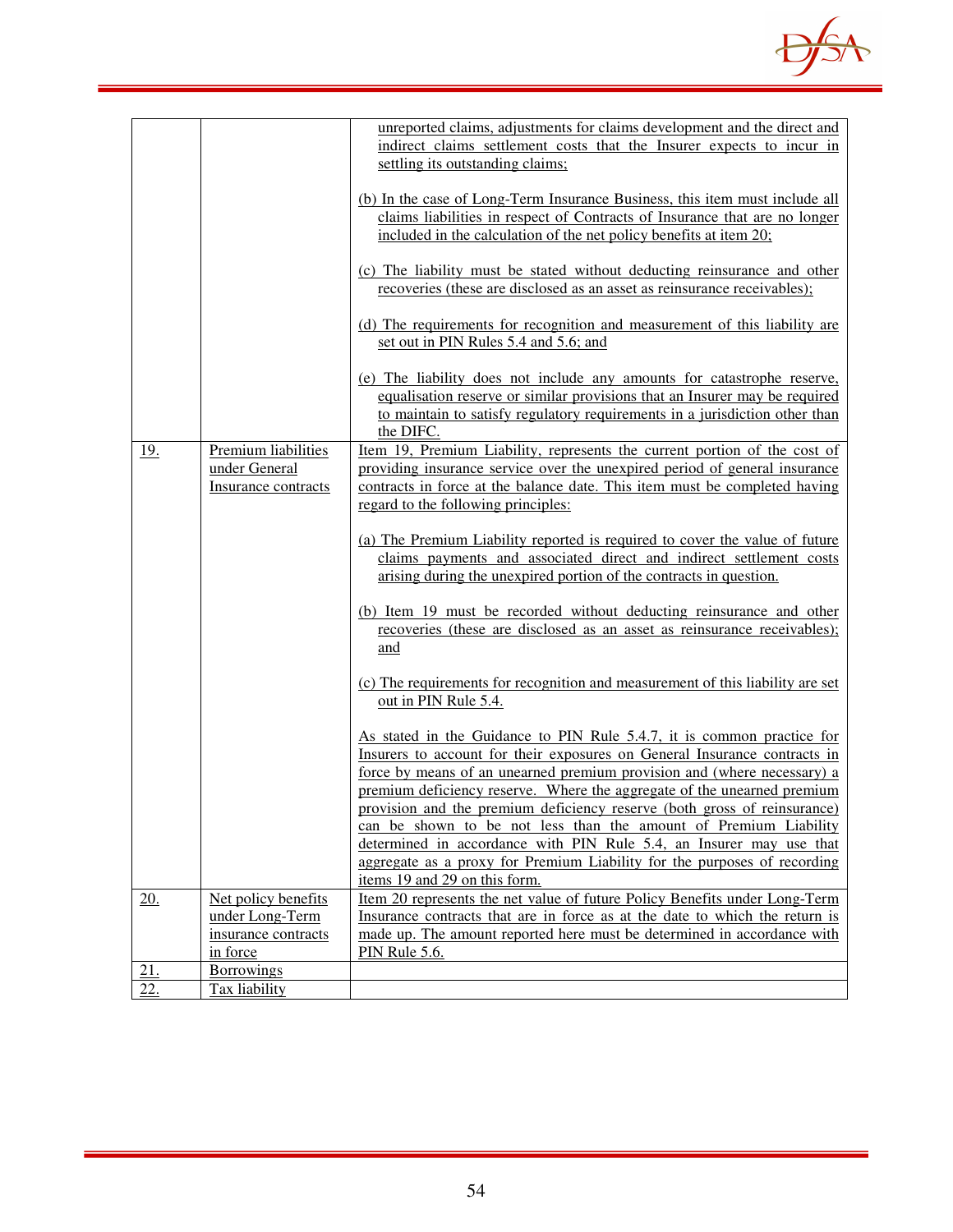

|            |                     | unreported claims, adjustments for claims development and the direct and         |
|------------|---------------------|----------------------------------------------------------------------------------|
|            |                     | indirect claims settlement costs that the Insurer expects to incur in            |
|            |                     | settling its outstanding claims;                                                 |
|            |                     |                                                                                  |
|            |                     | (b) In the case of Long-Term Insurance Business, this item must include all      |
|            |                     | claims liabilities in respect of Contracts of Insurance that are no longer       |
|            |                     | included in the calculation of the net policy benefits at item 20;               |
|            |                     |                                                                                  |
|            |                     | (c) The liability must be stated without deducting reinsurance and other         |
|            |                     | recoveries (these are disclosed as an asset as reinsurance receivables);         |
|            |                     | (d) The requirements for recognition and measurement of this liability are       |
|            |                     | set out in PIN Rules 5.4 and 5.6; and                                            |
|            |                     |                                                                                  |
|            |                     | (e) The liability does not include any amounts for catastrophe reserve,          |
|            |                     | equalisation reserve or similar provisions that an Insurer may be required       |
|            |                     | to maintain to satisfy regulatory requirements in a jurisdiction other than      |
|            |                     | the DIFC.                                                                        |
| <u>19.</u> | Premium liabilities | <u>Item 19, Premium Liability, represents the current portion of the cost of</u> |
|            | under General       | providing insurance service over the unexpired period of general insurance       |
|            | Insurance contracts | contracts in force at the balance date. This item must be completed having       |
|            |                     | regard to the following principles:                                              |
|            |                     |                                                                                  |
|            |                     | (a) The Premium Liability reported is required to cover the value of future      |
|            |                     | claims payments and associated direct and indirect settlement costs              |
|            |                     | arising during the unexpired portion of the contracts in question.               |
|            |                     |                                                                                  |
|            |                     | (b) Item 19 must be recorded without deducting reinsurance and other             |
|            |                     | recoveries (these are disclosed as an asset as reinsurance receivables);         |
|            |                     | and                                                                              |
|            |                     | (c) The requirements for recognition and measurement of this liability are set   |
|            |                     | out in PIN Rule 5.4.                                                             |
|            |                     |                                                                                  |
|            |                     | As stated in the Guidance to PIN Rule 5.4.7, it is common practice for           |
|            |                     | Insurers to account for their exposures on General Insurance contracts in        |
|            |                     | force by means of an unearned premium provision and (where necessary) a          |
|            |                     | premium deficiency reserve. Where the aggregate of the unearned premium          |
|            |                     | provision and the premium deficiency reserve (both gross of reinsurance)         |
|            |                     | can be shown to be not less than the amount of Premium Liability                 |
|            |                     | determined in accordance with PIN Rule 5.4, an Insurer may use that              |
|            |                     | aggregate as a proxy for Premium Liability for the purposes of recording         |
|            |                     | items 19 and 29 on this form.                                                    |
| 20.        | Net policy benefits | Item 20 represents the net value of future Policy Benefits under Long-Term       |
|            | under Long-Term     | Insurance contracts that are in force as at the date to which the return is      |
|            | insurance contracts | made up. The amount reported here must be determined in accordance with          |
|            | in force            | <b>PIN Rule 5.6.</b>                                                             |
| 21.        | Borrowings          |                                                                                  |
| 22.        | Tax liability       |                                                                                  |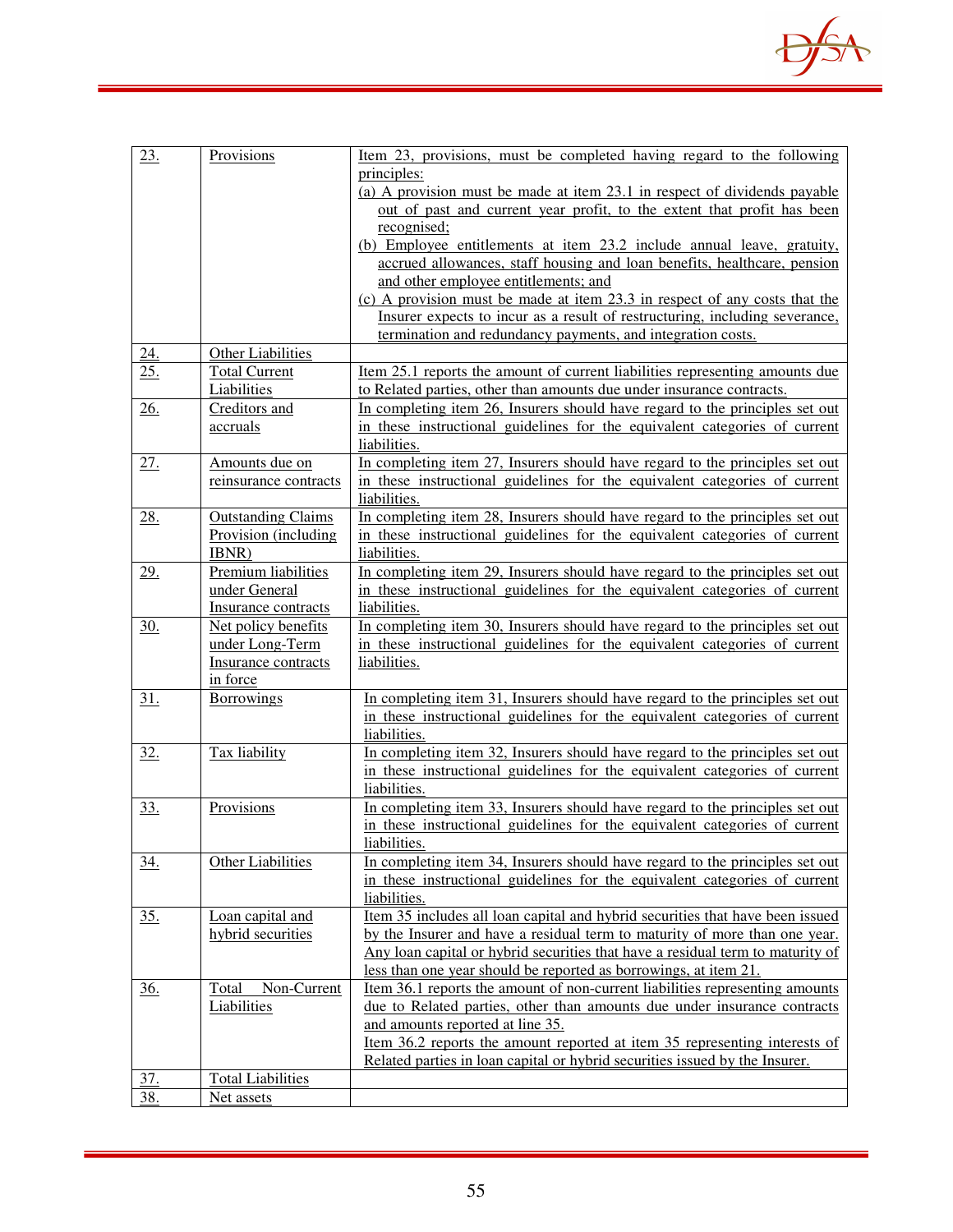

| 23.        | Provisions                                        | <u>Item 23, provisions, must be completed having regard to the following</u>                                                                         |
|------------|---------------------------------------------------|------------------------------------------------------------------------------------------------------------------------------------------------------|
|            |                                                   | principles:                                                                                                                                          |
|            |                                                   | (a) A provision must be made at item 23.1 in respect of dividends payable<br>out of past and current year profit, to the extent that profit has been |
|            |                                                   | recognised;                                                                                                                                          |
|            |                                                   | (b) Employee entitlements at item 23.2 include annual leave, gratuity,                                                                               |
|            |                                                   | accrued allowances, staff housing and loan benefits, healthcare, pension                                                                             |
|            |                                                   | and other employee entitlements; and                                                                                                                 |
|            |                                                   | (c) A provision must be made at item 23.3 in respect of any costs that the                                                                           |
|            |                                                   | Insurer expects to incur as a result of restructuring, including severance,                                                                          |
|            |                                                   | termination and redundancy payments, and integration costs.                                                                                          |
| 24.        | Other Liabilities                                 |                                                                                                                                                      |
| 25.        | <b>Total Current</b>                              | Item 25.1 reports the amount of current liabilities representing amounts due                                                                         |
|            | Liabilities                                       | to Related parties, other than amounts due under insurance contracts.                                                                                |
| <u>26.</u> | Creditors and                                     | In completing item 26, Insurers should have regard to the principles set out                                                                         |
|            | accruals                                          | in these instructional guidelines for the equivalent categories of current                                                                           |
|            |                                                   | liabilities.                                                                                                                                         |
| 27.        | Amounts due on                                    | In completing item 27, Insurers should have regard to the principles set out                                                                         |
|            | reinsurance contracts                             | in these instructional guidelines for the equivalent categories of current                                                                           |
|            |                                                   | liabilities.                                                                                                                                         |
| 28.        | <b>Outstanding Claims</b><br>Provision (including | In completing item 28, Insurers should have regard to the principles set out                                                                         |
|            | IBNR)                                             | in these instructional guidelines for the equivalent categories of current<br>liabilities.                                                           |
| 29.        | Premium liabilities                               | In completing item 29, Insurers should have regard to the principles set out                                                                         |
|            | under General                                     | in these instructional guidelines for the equivalent categories of current                                                                           |
|            | Insurance contracts                               | liabilities.                                                                                                                                         |
| <u>30.</u> | Net policy benefits                               | In completing item 30, Insurers should have regard to the principles set out                                                                         |
|            | under Long-Term                                   | in these instructional guidelines for the equivalent categories of current                                                                           |
|            | Insurance contracts                               | liabilities.                                                                                                                                         |
|            | in force                                          |                                                                                                                                                      |
| <u>31.</u> | <b>Borrowings</b>                                 | In completing item 31, Insurers should have regard to the principles set out                                                                         |
|            |                                                   | in these instructional guidelines for the equivalent categories of current                                                                           |
|            |                                                   | liabilities.                                                                                                                                         |
| <u>32.</u> | Tax liability                                     | In completing item 32, Insurers should have regard to the principles set out                                                                         |
|            |                                                   | in these instructional guidelines for the equivalent categories of current                                                                           |
|            |                                                   | liabilities.                                                                                                                                         |
| <u>33.</u> | Provisions                                        | In completing item 33, Insurers should have regard to the principles set out                                                                         |
|            |                                                   | in these instructional guidelines for the equivalent categories of current<br>liabilities.                                                           |
| <u>34.</u> | Other Liabilities                                 | In completing item 34, Insurers should have regard to the principles set out                                                                         |
|            |                                                   | in these instructional guidelines for the equivalent categories of current                                                                           |
|            |                                                   | liabilities.                                                                                                                                         |
| <u>35.</u> | Loan capital and                                  | Item 35 includes all loan capital and hybrid securities that have been issued                                                                        |
|            | hybrid securities                                 | by the Insurer and have a residual term to maturity of more than one year.                                                                           |
|            |                                                   | Any loan capital or hybrid securities that have a residual term to maturity of                                                                       |
|            |                                                   | less than one year should be reported as borrowings, at item 21.                                                                                     |
| <u>36.</u> | Non-Current<br>Total                              | Item 36.1 reports the amount of non-current liabilities representing amounts                                                                         |
|            | Liabilities                                       | due to Related parties, other than amounts due under insurance contracts                                                                             |
|            |                                                   | and amounts reported at line 35.                                                                                                                     |
|            |                                                   | Item 36.2 reports the amount reported at item 35 representing interests of                                                                           |
|            |                                                   | Related parties in loan capital or hybrid securities issued by the Insurer.                                                                          |
| <u>37.</u> | <b>Total Liabilities</b>                          |                                                                                                                                                      |
| 38.        | Net assets                                        |                                                                                                                                                      |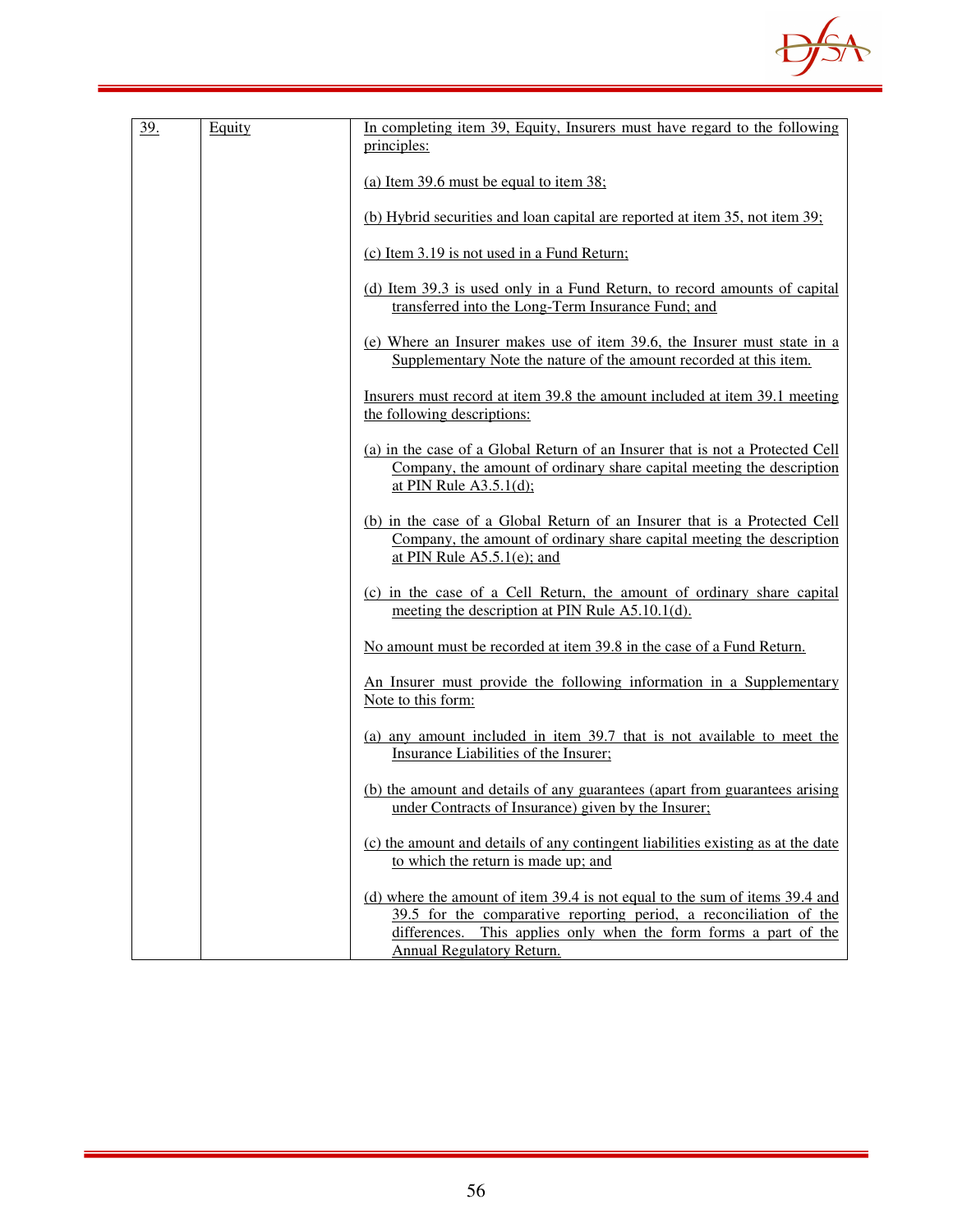

| 39. | Equity | In completing item 39, Equity, Insurers must have regard to the following<br>principles:                                                                                                                                                           |
|-----|--------|----------------------------------------------------------------------------------------------------------------------------------------------------------------------------------------------------------------------------------------------------|
|     |        | (a) Item 39.6 must be equal to item 38;                                                                                                                                                                                                            |
|     |        | (b) Hybrid securities and loan capital are reported at item 35, not item 39;                                                                                                                                                                       |
|     |        | (c) Item 3.19 is not used in a Fund Return;                                                                                                                                                                                                        |
|     |        | (d) Item 39.3 is used only in a Fund Return, to record amounts of capital<br>transferred into the Long-Term Insurance Fund; and                                                                                                                    |
|     |        | (e) Where an Insurer makes use of item 39.6, the Insurer must state in a<br>Supplementary Note the nature of the amount recorded at this item.                                                                                                     |
|     |        | Insurers must record at item 39.8 the amount included at item 39.1 meeting<br>the following descriptions:                                                                                                                                          |
|     |        | (a) in the case of a Global Return of an Insurer that is not a Protected Cell<br>Company, the amount of ordinary share capital meeting the description<br>at PIN Rule $A3.5.1(d)$ ;                                                                |
|     |        | (b) in the case of a Global Return of an Insurer that is a Protected Cell<br>Company, the amount of ordinary share capital meeting the description<br>at PIN Rule $A5.5.1(e)$ ; and                                                                |
|     |        | (c) in the case of a Cell Return, the amount of ordinary share capital<br>meeting the description at PIN Rule A5.10.1(d).                                                                                                                          |
|     |        | No amount must be recorded at item 39.8 in the case of a Fund Return.                                                                                                                                                                              |
|     |        | An Insurer must provide the following information in a Supplementary<br>Note to this form:                                                                                                                                                         |
|     |        | (a) any amount included in item 39.7 that is not available to meet the<br>Insurance Liabilities of the Insurer;                                                                                                                                    |
|     |        | (b) the amount and details of any guarantees (apart from guarantees arising<br>under Contracts of Insurance) given by the Insurer:                                                                                                                 |
|     |        | (c) the amount and details of any contingent liabilities existing as at the date<br>to which the return is made up; and                                                                                                                            |
|     |        | (d) where the amount of item 39.4 is not equal to the sum of items 39.4 and<br>39.5 for the comparative reporting period, a reconciliation of the<br>differences. This applies only when the form forms a part of the<br>Annual Regulatory Return. |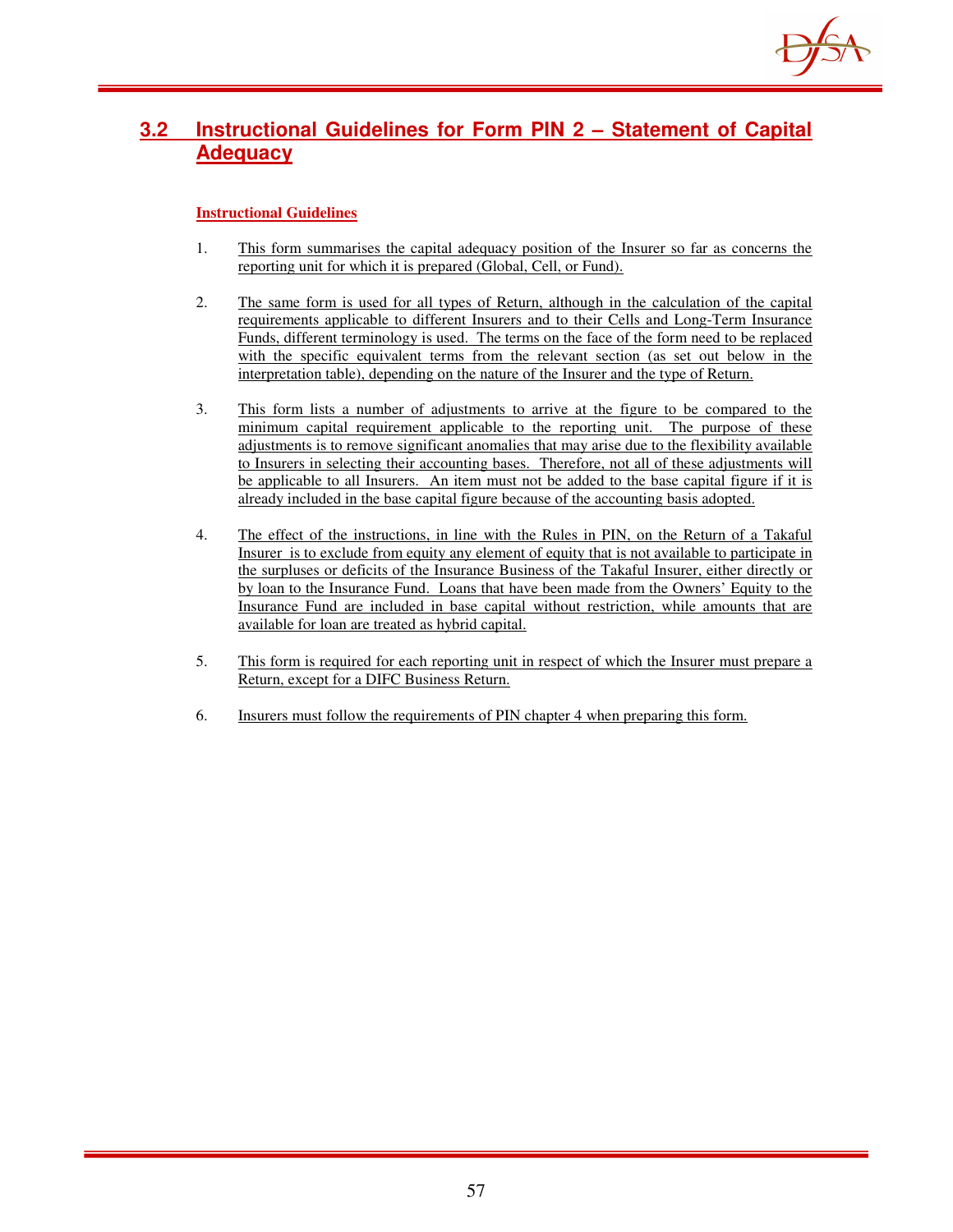

# **3.2 Instructional Guidelines for Form PIN 2 – Statement of Capital Adequacy**

- 1. This form summarises the capital adequacy position of the Insurer so far as concerns the reporting unit for which it is prepared (Global, Cell, or Fund).
- 2. The same form is used for all types of Return, although in the calculation of the capital requirements applicable to different Insurers and to their Cells and Long-Term Insurance Funds, different terminology is used. The terms on the face of the form need to be replaced with the specific equivalent terms from the relevant section (as set out below in the interpretation table), depending on the nature of the Insurer and the type of Return.
- 3. This form lists a number of adjustments to arrive at the figure to be compared to the minimum capital requirement applicable to the reporting unit. The purpose of these adjustments is to remove significant anomalies that may arise due to the flexibility available to Insurers in selecting their accounting bases. Therefore, not all of these adjustments will be applicable to all Insurers. An item must not be added to the base capital figure if it is already included in the base capital figure because of the accounting basis adopted.
- 4. The effect of the instructions, in line with the Rules in PIN, on the Return of a Takaful Insurer is to exclude from equity any element of equity that is not available to participate in the surpluses or deficits of the Insurance Business of the Takaful Insurer, either directly or by loan to the Insurance Fund. Loans that have been made from the Owners' Equity to the Insurance Fund are included in base capital without restriction, while amounts that are available for loan are treated as hybrid capital.
- 5. This form is required for each reporting unit in respect of which the Insurer must prepare a Return, except for a DIFC Business Return.
- 6. Insurers must follow the requirements of PIN chapter 4 when preparing this form.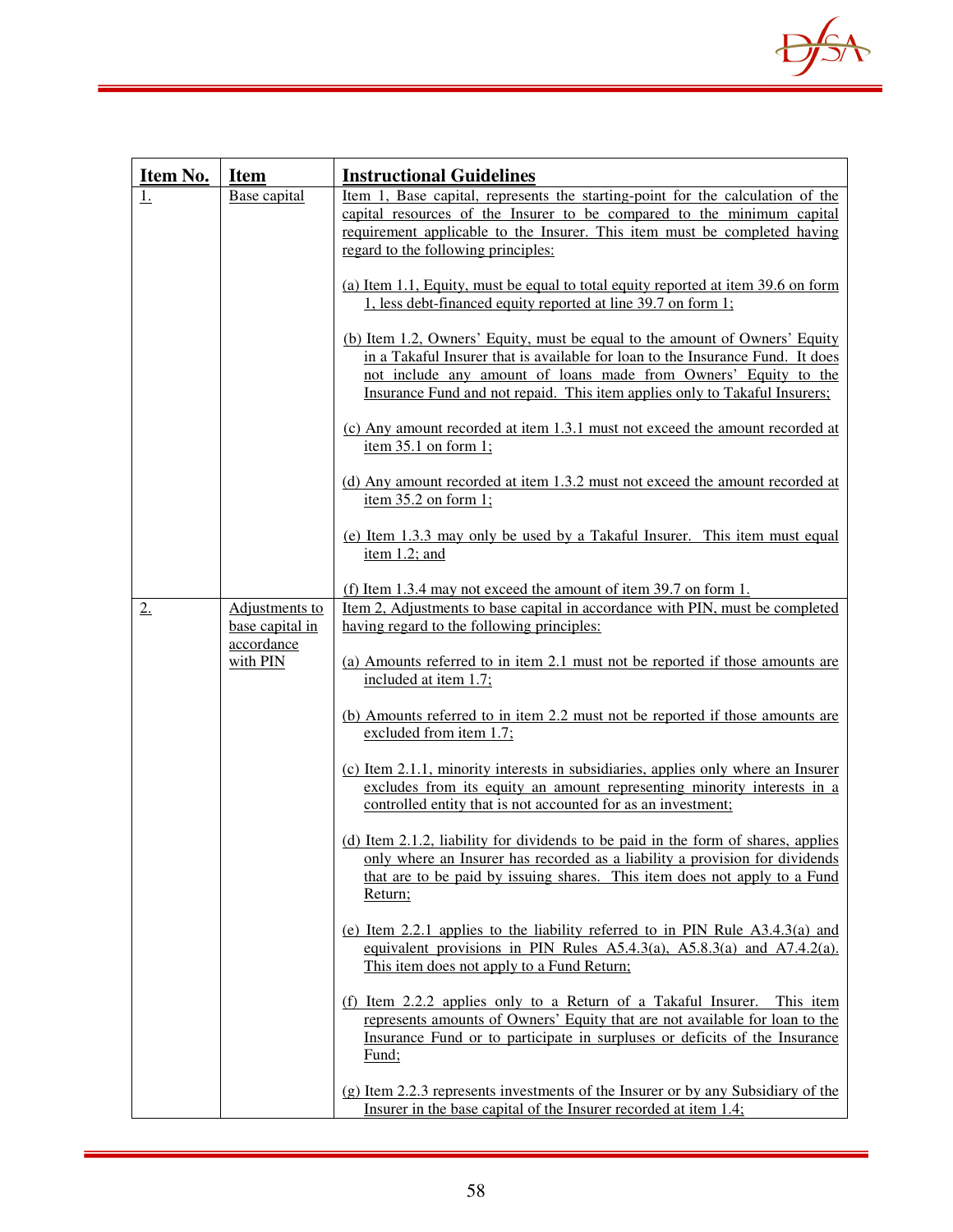

| Item No.          | <b>Item</b>                       | <b>Instructional Guidelines</b>                                                                                                                                                                                                                                                                                |  |  |
|-------------------|-----------------------------------|----------------------------------------------------------------------------------------------------------------------------------------------------------------------------------------------------------------------------------------------------------------------------------------------------------------|--|--|
| $\underline{1}$ . | Base capital                      | Item 1, Base capital, represents the starting-point for the calculation of the                                                                                                                                                                                                                                 |  |  |
|                   |                                   | capital resources of the Insurer to be compared to the minimum capital                                                                                                                                                                                                                                         |  |  |
|                   |                                   | requirement applicable to the Insurer. This item must be completed having<br>regard to the following principles:                                                                                                                                                                                               |  |  |
|                   |                                   |                                                                                                                                                                                                                                                                                                                |  |  |
|                   |                                   | (a) Item 1.1, Equity, must be equal to total equity reported at item 39.6 on form<br>1, less debt-financed equity reported at line 39.7 on form 1;                                                                                                                                                             |  |  |
|                   |                                   | (b) Item 1.2, Owners' Equity, must be equal to the amount of Owners' Equity<br>in a Takaful Insurer that is available for loan to the Insurance Fund. It does<br>not include any amount of loans made from Owners' Equity to the<br>Insurance Fund and not repaid. This item applies only to Takaful Insurers; |  |  |
|                   |                                   | (c) Any amount recorded at item 1.3.1 must not exceed the amount recorded at<br>item $35.1$ on form 1;                                                                                                                                                                                                         |  |  |
|                   |                                   | (d) Any amount recorded at item 1.3.2 must not exceed the amount recorded at<br>item $35.2$ on form 1;                                                                                                                                                                                                         |  |  |
|                   |                                   | (e) Item 1.3.3 may only be used by a Takaful Insurer. This item must equal<br>item $1.2$ ; and                                                                                                                                                                                                                 |  |  |
| 2.                | Adjustments to<br>base capital in | (f) Item 1.3.4 may not exceed the amount of item 39.7 on form 1.<br>Item 2, Adjustments to base capital in accordance with PIN, must be completed<br>having regard to the following principles:                                                                                                                |  |  |
|                   | accordance<br>with PIN            | (a) Amounts referred to in item 2.1 must not be reported if those amounts are<br>included at item 1.7;                                                                                                                                                                                                         |  |  |
|                   |                                   | (b) Amounts referred to in item 2.2 must not be reported if those amounts are<br>excluded from item 1.7;                                                                                                                                                                                                       |  |  |
|                   |                                   | (c) Item 2.1.1, minority interests in subsidiaries, applies only where an Insurer<br>excludes from its equity an amount representing minority interests in a<br>controlled entity that is not accounted for as an investment;                                                                                  |  |  |
|                   |                                   | (d) Item 2.1.2, liability for dividends to be paid in the form of shares, applies<br>only where an Insurer has recorded as a liability a provision for dividends<br>that are to be paid by issuing shares. This item does not apply to a Fund<br>Return;                                                       |  |  |
|                   |                                   | (e) Item 2.2.1 applies to the liability referred to in PIN Rule $A3.4.3(a)$ and<br>equivalent provisions in PIN Rules $A5.4.3(a)$ , $A5.8.3(a)$ and $A7.4.2(a)$ .<br>This item does not apply to a Fund Return;                                                                                                |  |  |
|                   |                                   | (f) Item 2.2.2 applies only to a Return of a Takaful Insurer. This item<br>represents amounts of Owners' Equity that are not available for loan to the<br>Insurance Fund or to participate in surpluses or deficits of the Insurance<br>Fund;                                                                  |  |  |
|                   |                                   | (g) Item 2.2.3 represents investments of the Insurer or by any Subsidiary of the<br>Insurer in the base capital of the Insurer recorded at item 1.4;                                                                                                                                                           |  |  |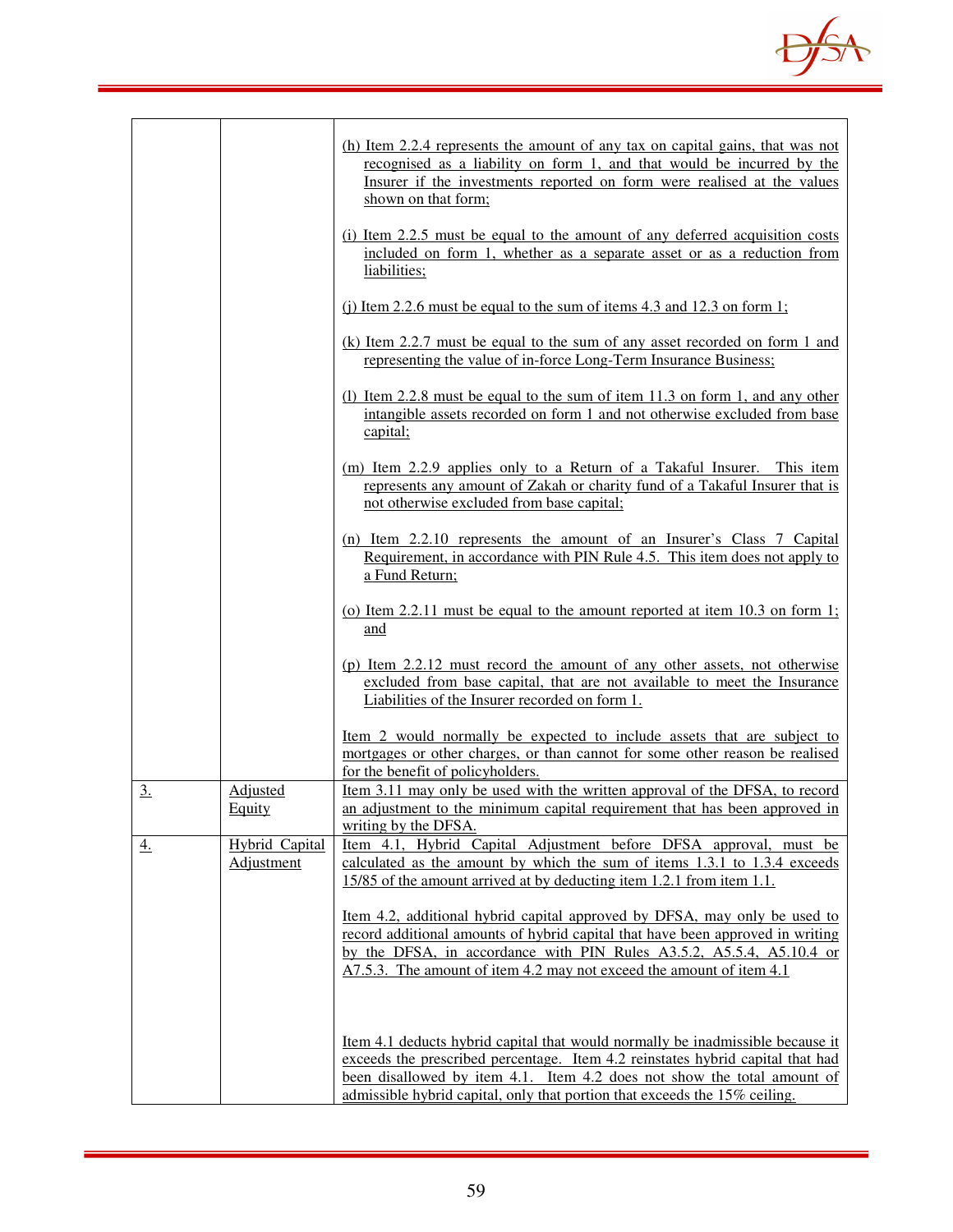

|           |                                     | (h) Item 2.2.4 represents the amount of any tax on capital gains, that was not<br>recognised as a liability on form 1, and that would be incurred by the<br>Insurer if the investments reported on form were realised at the values<br>shown on that form;                                                                       |
|-----------|-------------------------------------|----------------------------------------------------------------------------------------------------------------------------------------------------------------------------------------------------------------------------------------------------------------------------------------------------------------------------------|
|           |                                     | (i) Item 2.2.5 must be equal to the amount of any deferred acquisition costs<br>included on form 1, whether as a separate asset or as a reduction from<br>liabilities;                                                                                                                                                           |
|           |                                     | (i) Item 2.2.6 must be equal to the sum of items 4.3 and 12.3 on form 1;                                                                                                                                                                                                                                                         |
|           |                                     | (k) Item 2.2.7 must be equal to the sum of any asset recorded on form 1 and<br>representing the value of in-force Long-Term Insurance Business;                                                                                                                                                                                  |
|           |                                     | (1) Item 2.2.8 must be equal to the sum of item 11.3 on form 1, and any other<br>intangible assets recorded on form 1 and not otherwise excluded from base<br>capital;                                                                                                                                                           |
|           |                                     | (m) Item 2.2.9 applies only to a Return of a Takaful Insurer. This item<br>represents any amount of Zakah or charity fund of a Takaful Insurer that is<br>not otherwise excluded from base capital;                                                                                                                              |
|           |                                     | (n) Item 2.2.10 represents the amount of an Insurer's Class 7 Capital<br>Requirement, in accordance with PIN Rule 4.5. This item does not apply to<br>a Fund Return;                                                                                                                                                             |
|           |                                     | (o) Item 2.2.11 must be equal to the amount reported at item $10.3$ on form 1;<br>and                                                                                                                                                                                                                                            |
|           |                                     | (p) Item 2.2.12 must record the amount of any other assets, not otherwise<br>excluded from base capital, that are not available to meet the Insurance<br>Liabilities of the Insurer recorded on form 1.                                                                                                                          |
|           |                                     | Item 2 would normally be expected to include assets that are subject to<br>mortgages or other charges, or than cannot for some other reason be realised<br>for the benefit of policyholders.                                                                                                                                     |
| 3.        | Adjusted<br>Equity                  | <u>Item 3.11 may only be used with the written approval of the DFSA, to record</u><br>an adjustment to the minimum capital requirement that has been approved in<br>writing by the DFSA.                                                                                                                                         |
| <u>4.</u> | <b>Hybrid Capital</b><br>Adjustment | Item 4.1, Hybrid Capital Adjustment before DFSA approval, must be<br>calculated as the amount by which the sum of items 1.3.1 to 1.3.4 exceeds<br>15/85 of the amount arrived at by deducting item 1.2.1 from item 1.1.                                                                                                          |
|           |                                     | <u>Item 4.2, additional hybrid capital approved by DFSA, may only be used to</u><br>record additional amounts of hybrid capital that have been approved in writing<br>by the DFSA, in accordance with PIN Rules A3.5.2, A5.5.4, A5.10.4 or<br>A7.5.3. The amount of item 4.2 may not exceed the amount of item 4.1               |
|           |                                     | <u>Item 4.1 deducts hybrid capital that would normally be inadmissible because it</u><br>exceeds the prescribed percentage. Item 4.2 reinstates hybrid capital that had<br>been disallowed by item 4.1. Item 4.2 does not show the total amount of<br>admissible hybrid capital, only that portion that exceeds the 15% ceiling. |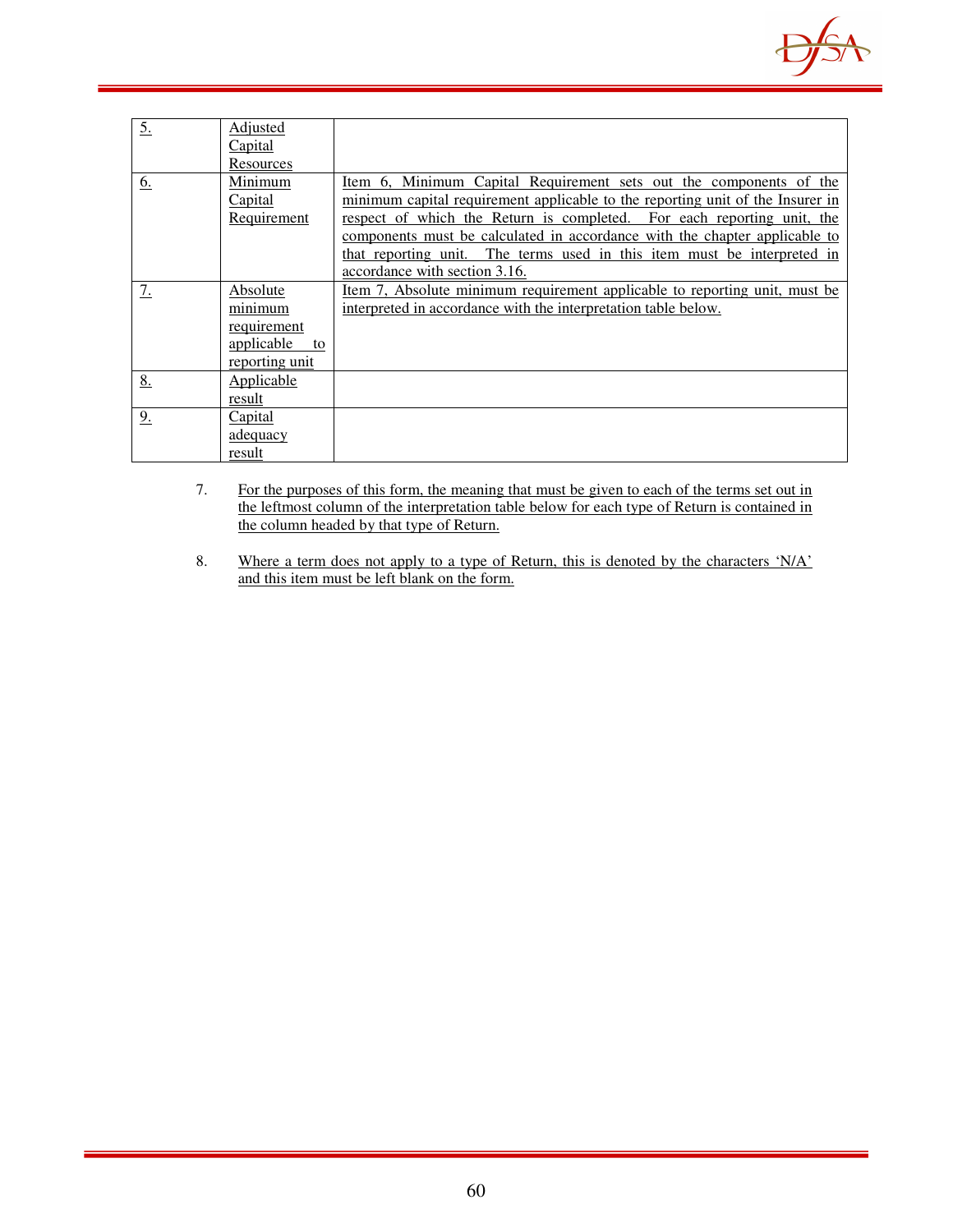

| 5. | <b>Adjusted</b><br>Capital<br>Resources                                  |                                                                                                                                                                                                                                                                                                                                                                                                                          |
|----|--------------------------------------------------------------------------|--------------------------------------------------------------------------------------------------------------------------------------------------------------------------------------------------------------------------------------------------------------------------------------------------------------------------------------------------------------------------------------------------------------------------|
| 6. | Minimum<br>Capital<br>Requirement                                        | Item 6, Minimum Capital Requirement sets out the components of the<br>minimum capital requirement applicable to the reporting unit of the Insurer in<br>respect of which the Return is completed. For each reporting unit, the<br>components must be calculated in accordance with the chapter applicable to<br>that reporting unit. The terms used in this item must be interpreted in<br>accordance with section 3.16. |
| 7. | Absolute<br>minimum<br>requirement<br>applicable<br>to<br>reporting unit | Item 7, Absolute minimum requirement applicable to reporting unit, must be<br>interpreted in accordance with the interpretation table below.                                                                                                                                                                                                                                                                             |
| 8. | Applicable<br>result                                                     |                                                                                                                                                                                                                                                                                                                                                                                                                          |
| 9. | <b>Capital</b><br>adequacy<br>result                                     |                                                                                                                                                                                                                                                                                                                                                                                                                          |

- 7. For the purposes of this form, the meaning that must be given to each of the terms set out in the leftmost column of the interpretation table below for each type of Return is contained in the column headed by that type of Return.
- 8. Where a term does not apply to a type of Return, this is denoted by the characters 'N/A' and this item must be left blank on the form.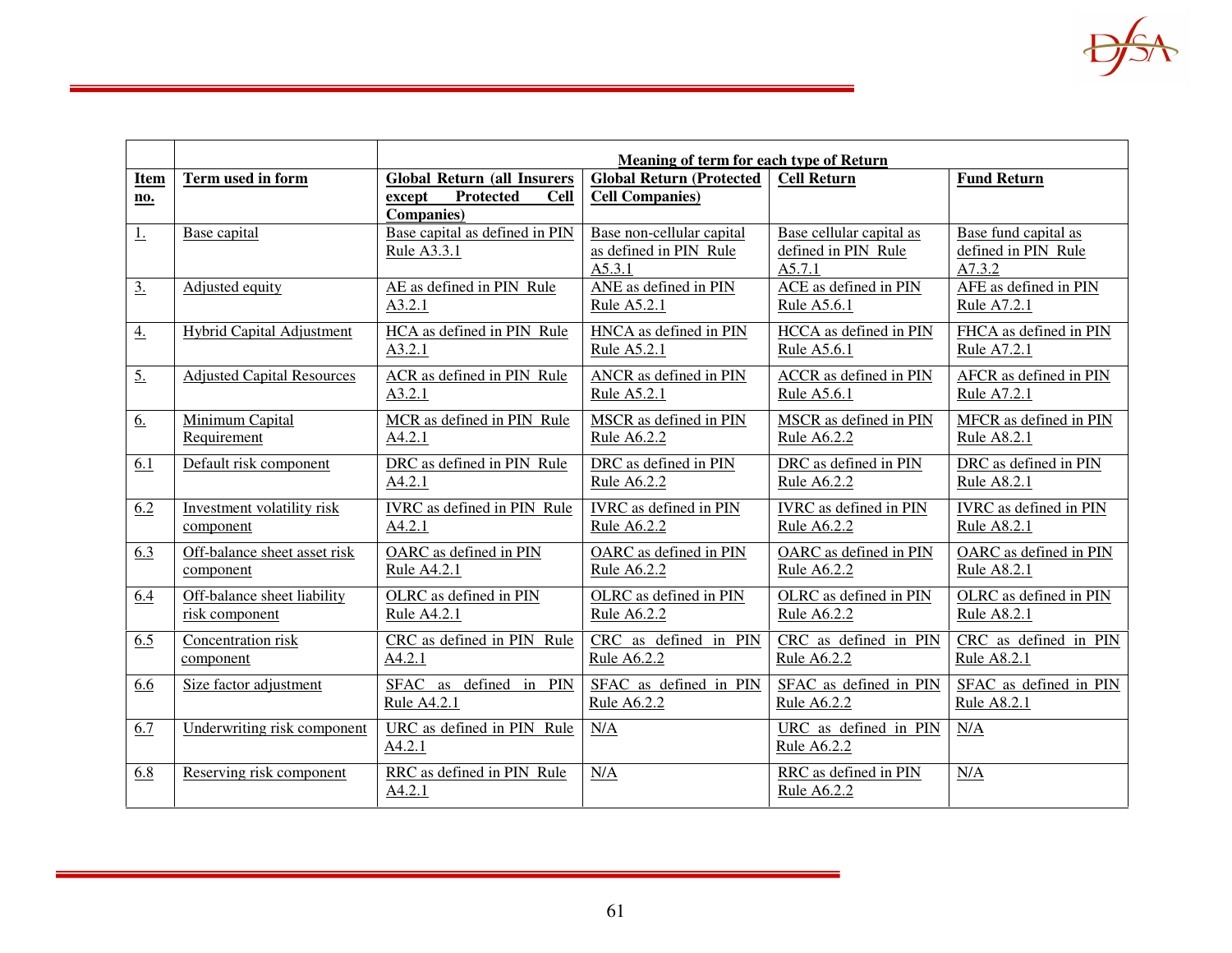|                   |                                   | Meaning of term for each type of Return   |                                  |                               |                        |
|-------------------|-----------------------------------|-------------------------------------------|----------------------------------|-------------------------------|------------------------|
| Item              | Term used in form                 | <b>Global Return (all Insurers</b>        | <b>Global Return (Protected)</b> | <b>Cell Return</b>            | <b>Fund Return</b>     |
| no.               |                                   | <b>Protected</b><br><b>Cell</b><br>except | <b>Cell Companies)</b>           |                               |                        |
|                   |                                   | <b>Companies</b> )                        |                                  |                               |                        |
| 1.                | Base capital                      | Base capital as defined in PIN            | Base non-cellular capital        | Base cellular capital as      | Base fund capital as   |
|                   |                                   | Rule A3.3.1                               | as defined in PIN Rule           | defined in PIN Rule           | defined in PIN Rule    |
|                   |                                   |                                           | A5.3.1                           | A5.7.1                        | A7.3.2                 |
| $\underline{3}$ . | Adjusted equity                   | AE as defined in PIN Rule                 | ANE as defined in PIN            | ACE as defined in PIN         | AFE as defined in PIN  |
|                   |                                   | A3.2.1                                    | Rule A5.2.1                      | Rule A5.6.1                   | Rule A7.2.1            |
| $\overline{4}$ .  | <b>Hybrid Capital Adjustment</b>  | HCA as defined in PIN Rule                | HNCA as defined in PIN           | HCCA as defined in PIN        | FHCA as defined in PIN |
|                   |                                   | A3.2.1                                    | Rule A5.2.1                      | Rule A5.6.1                   | Rule A7.2.1            |
| $\overline{5}$ .  | <b>Adjusted Capital Resources</b> | ACR as defined in PIN Rule                | ANCR as defined in PIN           | ACCR as defined in PIN        | AFCR as defined in PIN |
|                   |                                   | A3.2.1                                    | Rule A5.2.1                      | Rule A5.6.1                   | Rule A7.2.1            |
|                   |                                   |                                           |                                  |                               |                        |
| 6.                | Minimum Capital                   | MCR as defined in PIN Rule                | MSCR as defined in PIN           | MSCR as defined in PIN        | MFCR as defined in PIN |
|                   | Requirement                       | A4.2.1                                    | <b>Rule A6.2.2</b>               | <b>Rule A6.2.2</b>            | <b>Rule A8.2.1</b>     |
| 6.1               | Default risk component            | DRC as defined in PIN Rule                | DRC as defined in PIN            | DRC as defined in PIN         | DRC as defined in PIN  |
|                   |                                   | A4.2.1                                    | Rule A6.2.2                      | Rule A6.2.2                   | Rule A8.2.1            |
| 6.2               | Investment volatility risk        | <b>IVRC</b> as defined in PIN Rule        | <b>IVRC</b> as defined in PIN    | <b>IVRC</b> as defined in PIN | IVRC as defined in PIN |
|                   | component                         | A4.2.1                                    | Rule A6.2.2                      | Rule A6.2.2                   | Rule A8.2.1            |
| 6.3               | Off-balance sheet asset risk      | OARC as defined in PIN                    | OARC as defined in PIN           | OARC as defined in PIN        | OARC as defined in PIN |
|                   | component                         | Rule A4.2.1                               | Rule A6.2.2                      | Rule A6.2.2                   | Rule A8.2.1            |
| 6.4               | Off-balance sheet liability       | OLRC as defined in PIN                    | OLRC as defined in PIN           | OLRC as defined in PIN        | OLRC as defined in PIN |
|                   | risk component                    | Rule A4.2.1                               | Rule A6.2.2                      | Rule A6.2.2                   | Rule A8.2.1            |
|                   |                                   |                                           |                                  |                               |                        |
| 6.5               | Concentration risk                | CRC as defined in PIN Rule                | CRC as defined in PIN            | CRC as defined in PIN         | CRC as defined in PIN  |
|                   | component                         | <u>A4.2.1</u>                             | Rule A6.2.2                      | Rule A6.2.2                   | <b>Rule A8.2.1</b>     |
| 6.6               | Size factor adjustment            | SFAC as defined in PIN                    | SFAC as defined in PIN           | SFAC as defined in PIN        | SFAC as defined in PIN |
|                   |                                   | Rule A4.2.1                               | <b>Rule A6.2.2</b>               | Rule A6.2.2                   | Rule A8.2.1            |
| 6.7               | Underwriting risk component       | URC as defined in PIN Rule                | N/A                              | URC as defined in PIN         | N/A                    |
|                   |                                   | A4.2.1                                    |                                  | <b>Rule A6.2.2</b>            |                        |
|                   |                                   |                                           |                                  |                               |                        |
| 6.8               | Reserving risk component          | RRC as defined in PIN Rule                | N/A                              | RRC as defined in PIN         | N/A                    |
|                   |                                   | A4.2.1                                    |                                  | Rule A6.2.2                   |                        |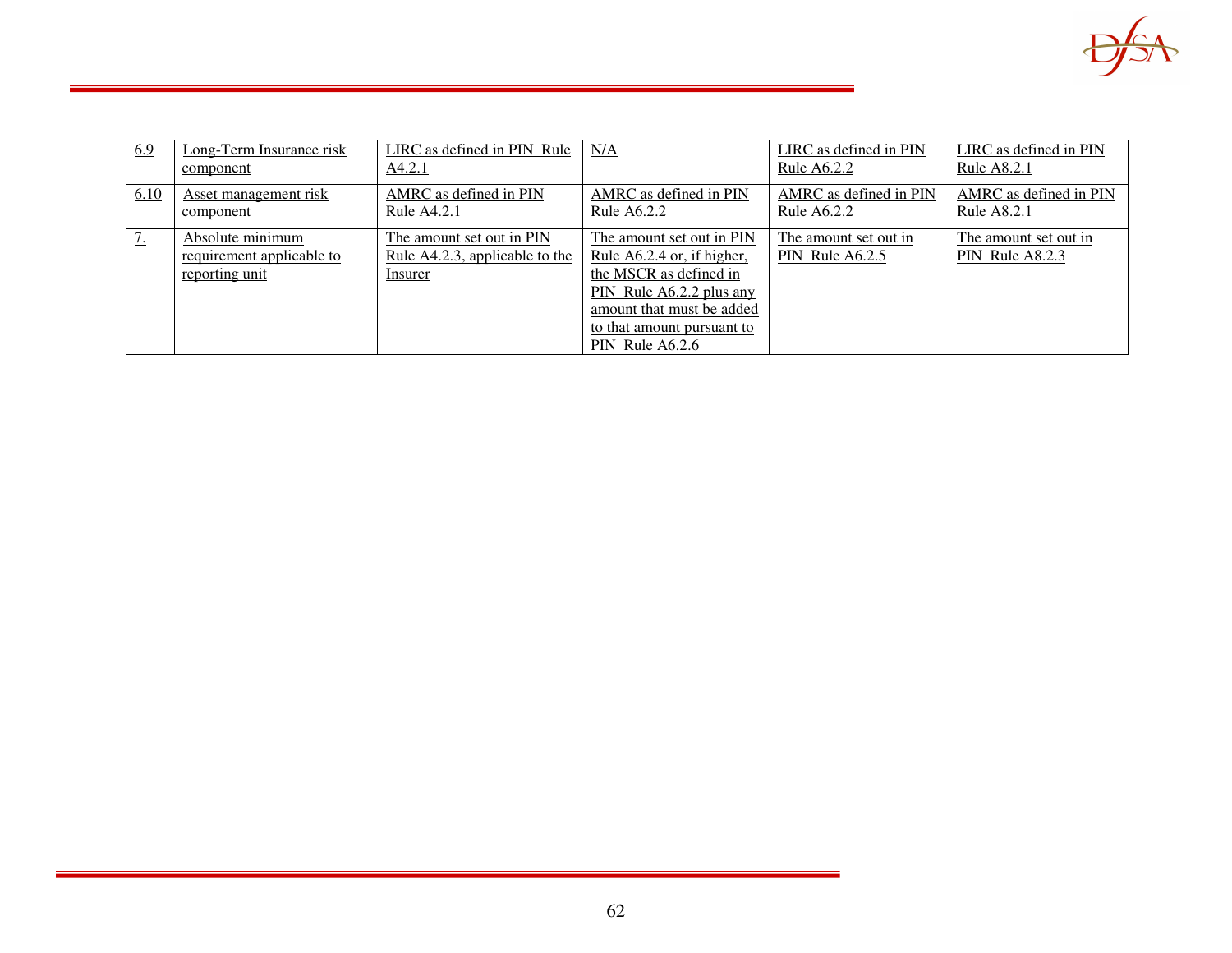

| 6.9       | Long-Term Insurance risk<br>component                           | LIRC as defined in PIN Rule<br>A4.2.1                                  | N/A                                                                                                                                                                                         | LIRC as defined in PIN<br>Rule A6.2.2    | LIRC as defined in PIN<br>Rule A8.2.1    |
|-----------|-----------------------------------------------------------------|------------------------------------------------------------------------|---------------------------------------------------------------------------------------------------------------------------------------------------------------------------------------------|------------------------------------------|------------------------------------------|
| 6.10      | Asset management risk<br>component                              | AMRC as defined in PIN<br>Rule A4.2.1                                  | AMRC as defined in PIN<br>Rule A6.2.2                                                                                                                                                       | AMRC as defined in PIN<br>Rule A6.2.2    | AMRC as defined in PIN<br>Rule A8.2.1    |
| <u>7.</u> | Absolute minimum<br>requirement applicable to<br>reporting unit | The amount set out in PIN<br>Rule A4.2.3, applicable to the<br>Insurer | The amount set out in PIN<br>Rule A6.2.4 or, if higher,<br>the MSCR as defined in<br>PIN Rule A6.2.2 plus any<br>amount that must be added<br>to that amount pursuant to<br>PIN Rule A6.2.6 | The amount set out in<br>PIN Rule A6.2.5 | The amount set out in<br>PIN Rule A8.2.3 |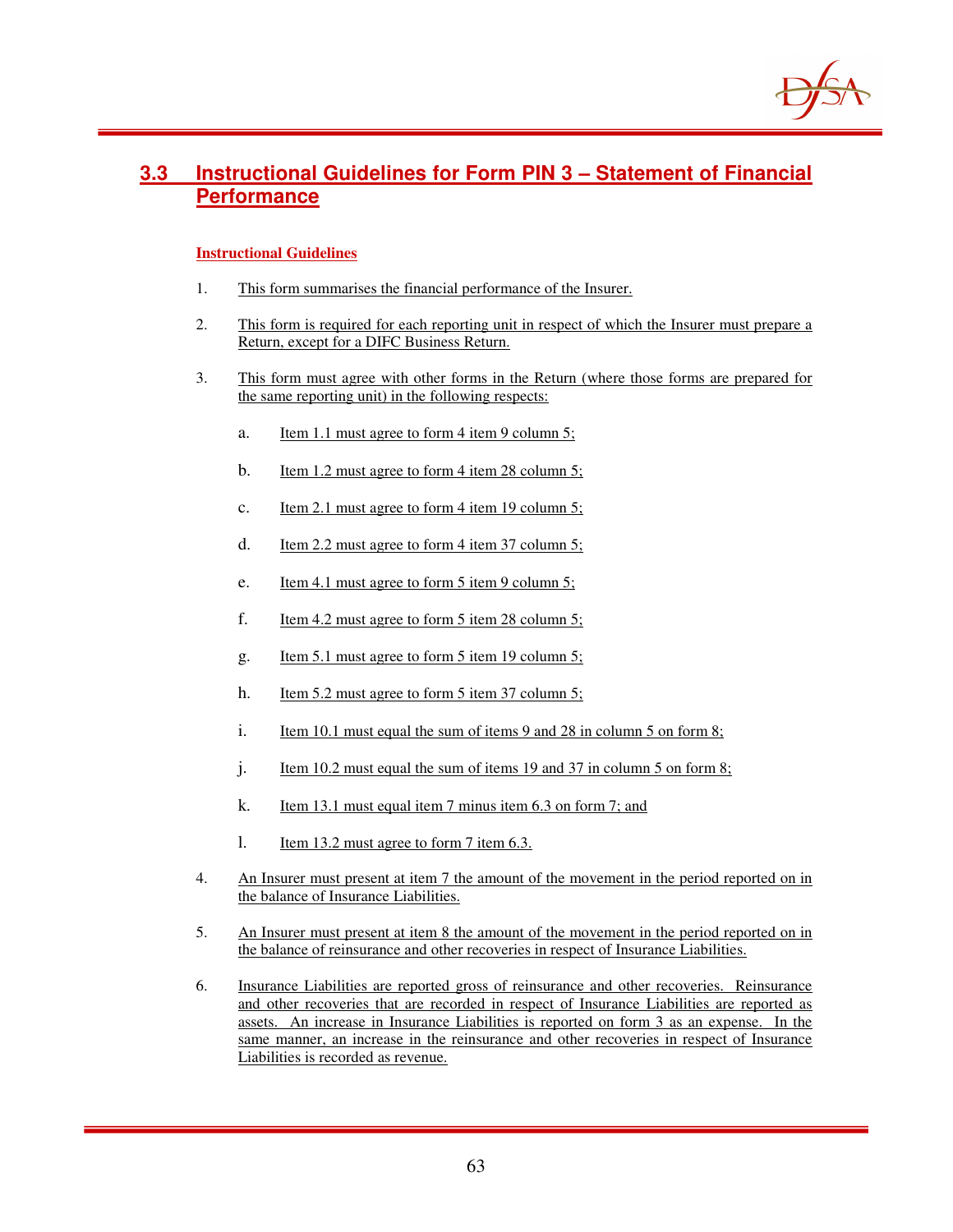

## **3.3 Instructional Guidelines for Form PIN 3 – Statement of Financial Performance**

- 1. This form summarises the financial performance of the Insurer.
- 2. This form is required for each reporting unit in respect of which the Insurer must prepare a Return, except for a DIFC Business Return.
- 3. This form must agree with other forms in the Return (where those forms are prepared for the same reporting unit) in the following respects:
	- a. Item 1.1 must agree to form 4 item 9 column 5;
	- b. Item 1.2 must agree to form 4 item 28 column 5;
	- c. Item 2.1 must agree to form 4 item 19 column 5;
	- d. Item 2.2 must agree to form 4 item 37 column 5;
	- e. Item 4.1 must agree to form 5 item 9 column 5;
	- f. Item 4.2 must agree to form 5 item 28 column 5;
	- g. Item 5.1 must agree to form 5 item 19 column 5;
	- h. Item 5.2 must agree to form 5 item 37 column 5;
	- i. Item 10.1 must equal the sum of items 9 and 28 in column 5 on form 8;
	- j. Item 10.2 must equal the sum of items 19 and 37 in column 5 on form 8;
	- k. Item 13.1 must equal item 7 minus item 6.3 on form 7; and
	- l. Item 13.2 must agree to form 7 item 6.3.
- 4. An Insurer must present at item 7 the amount of the movement in the period reported on in the balance of Insurance Liabilities.
- 5. An Insurer must present at item 8 the amount of the movement in the period reported on in the balance of reinsurance and other recoveries in respect of Insurance Liabilities.
- 6. Insurance Liabilities are reported gross of reinsurance and other recoveries. Reinsurance and other recoveries that are recorded in respect of Insurance Liabilities are reported as assets. An increase in Insurance Liabilities is reported on form 3 as an expense. In the same manner, an increase in the reinsurance and other recoveries in respect of Insurance Liabilities is recorded as revenue.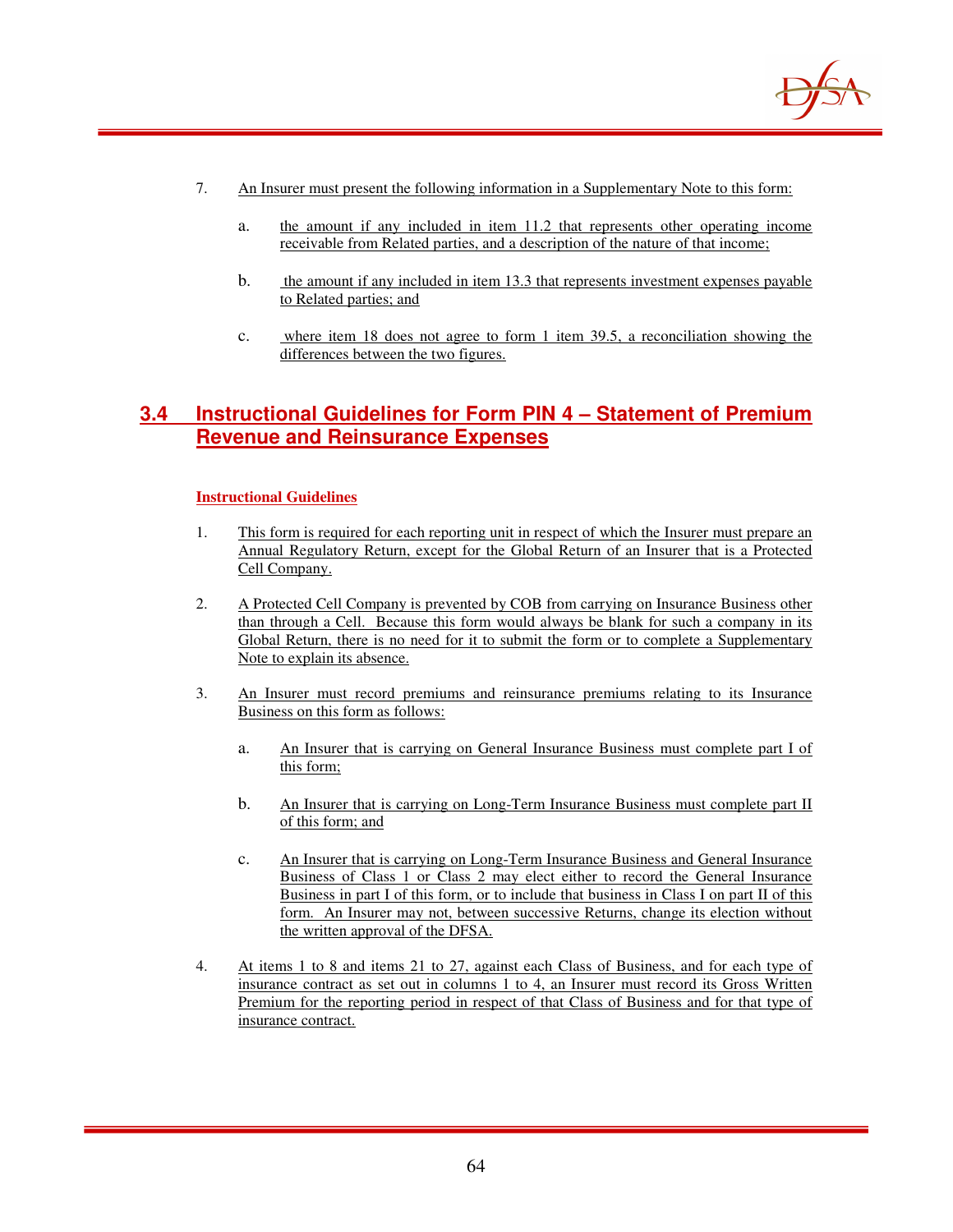

- 7. An Insurer must present the following information in a Supplementary Note to this form:
	- a. the amount if any included in item 11.2 that represents other operating income receivable from Related parties, and a description of the nature of that income;
	- b. the amount if any included in item 13.3 that represents investment expenses payable to Related parties; and
	- c. where item 18 does not agree to form 1 item 39.5, a reconciliation showing the differences between the two figures.

## **3.4 Instructional Guidelines for Form PIN 4 – Statement of Premium Revenue and Reinsurance Expenses**

- 1. This form is required for each reporting unit in respect of which the Insurer must prepare an Annual Regulatory Return, except for the Global Return of an Insurer that is a Protected Cell Company.
- 2. A Protected Cell Company is prevented by COB from carrying on Insurance Business other than through a Cell. Because this form would always be blank for such a company in its Global Return, there is no need for it to submit the form or to complete a Supplementary Note to explain its absence.
- 3. An Insurer must record premiums and reinsurance premiums relating to its Insurance Business on this form as follows:
	- a. An Insurer that is carrying on General Insurance Business must complete part I of this form;
	- b. An Insurer that is carrying on Long-Term Insurance Business must complete part II of this form; and
	- c. An Insurer that is carrying on Long-Term Insurance Business and General Insurance Business of Class 1 or Class 2 may elect either to record the General Insurance Business in part I of this form, or to include that business in Class I on part II of this form. An Insurer may not, between successive Returns, change its election without the written approval of the DFSA.
- 4. At items 1 to 8 and items 21 to 27, against each Class of Business, and for each type of insurance contract as set out in columns 1 to 4, an Insurer must record its Gross Written Premium for the reporting period in respect of that Class of Business and for that type of insurance contract.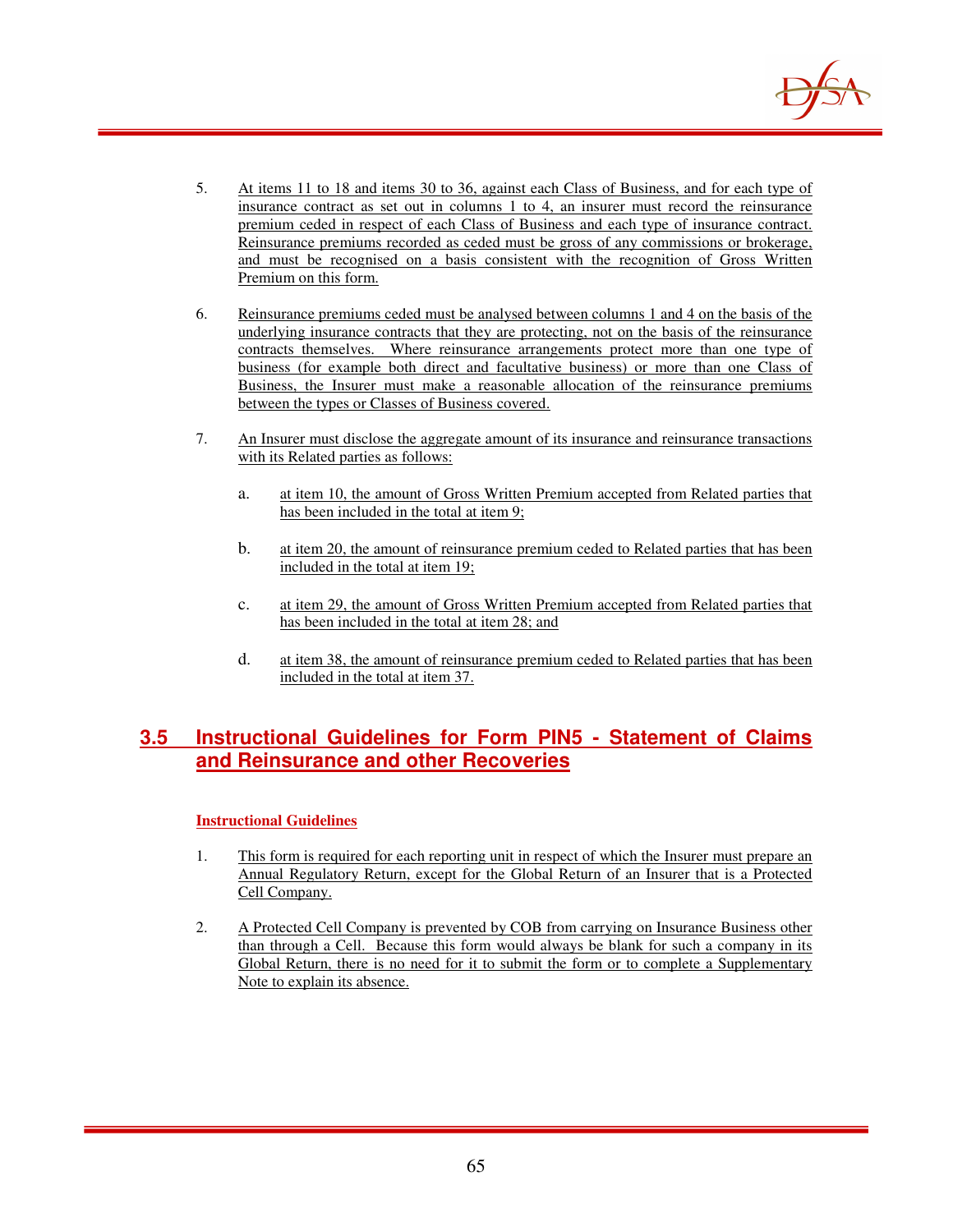

- 5. At items 11 to 18 and items 30 to 36, against each Class of Business, and for each type of insurance contract as set out in columns 1 to 4, an insurer must record the reinsurance premium ceded in respect of each Class of Business and each type of insurance contract. Reinsurance premiums recorded as ceded must be gross of any commissions or brokerage, and must be recognised on a basis consistent with the recognition of Gross Written Premium on this form.
- 6. Reinsurance premiums ceded must be analysed between columns 1 and 4 on the basis of the underlying insurance contracts that they are protecting, not on the basis of the reinsurance contracts themselves. Where reinsurance arrangements protect more than one type of business (for example both direct and facultative business) or more than one Class of Business, the Insurer must make a reasonable allocation of the reinsurance premiums between the types or Classes of Business covered.
- 7. An Insurer must disclose the aggregate amount of its insurance and reinsurance transactions with its Related parties as follows:
	- a. at item 10, the amount of Gross Written Premium accepted from Related parties that has been included in the total at item 9;
	- b. at item 20, the amount of reinsurance premium ceded to Related parties that has been included in the total at item 19;
	- c. at item 29, the amount of Gross Written Premium accepted from Related parties that has been included in the total at item 28; and
	- d. at item 38, the amount of reinsurance premium ceded to Related parties that has been included in the total at item 37.

## **3.5 Instructional Guidelines for Form PIN5 - Statement of Claims and Reinsurance and other Recoveries**

- 1. This form is required for each reporting unit in respect of which the Insurer must prepare an Annual Regulatory Return, except for the Global Return of an Insurer that is a Protected Cell Company.
- 2. A Protected Cell Company is prevented by COB from carrying on Insurance Business other than through a Cell. Because this form would always be blank for such a company in its Global Return, there is no need for it to submit the form or to complete a Supplementary Note to explain its absence.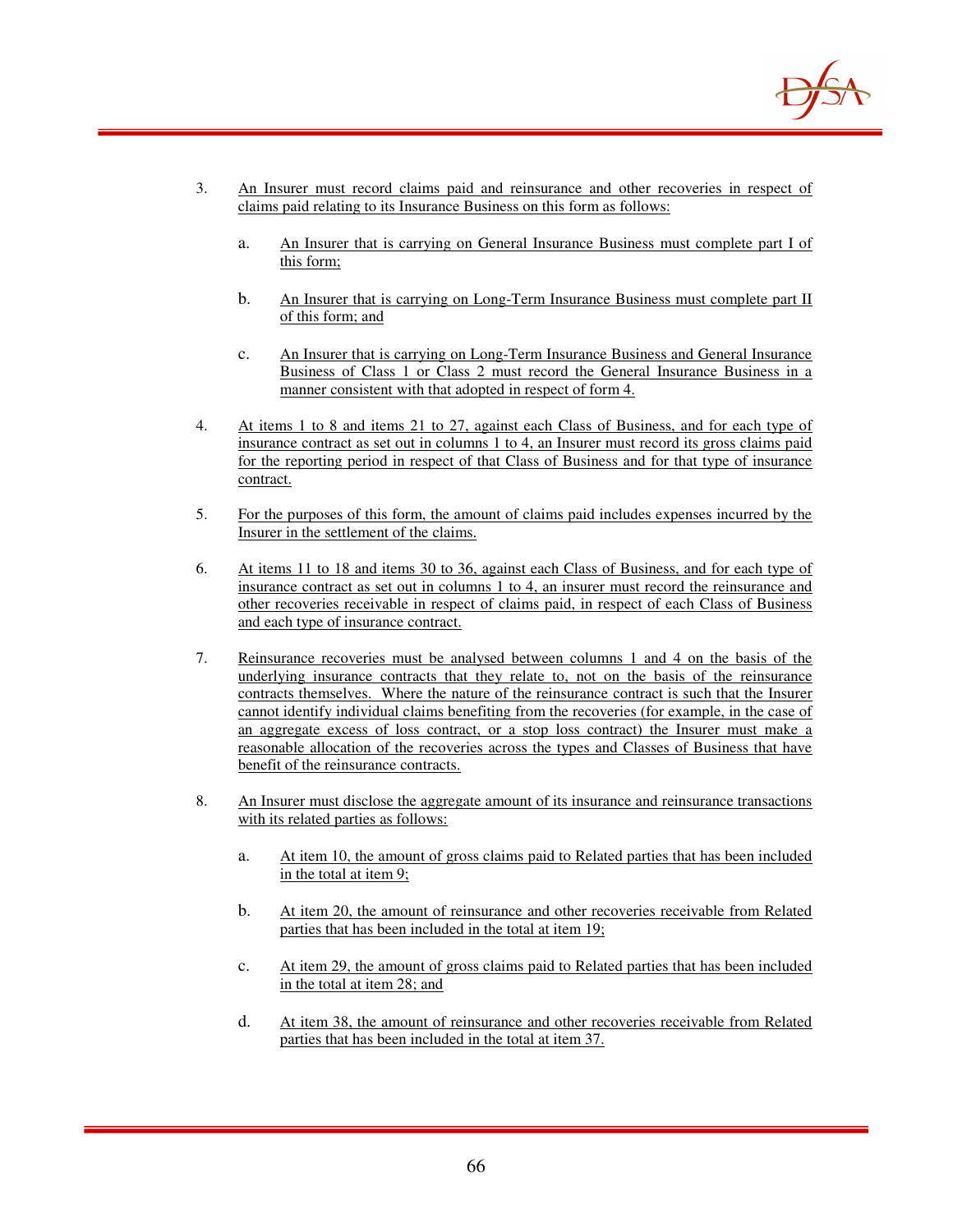

- 3. An Insurer must record claims paid and reinsurance and other recoveries in respect of claims paid relating to its Insurance Business on this form as follows:
	- a. An Insurer that is carrying on General Insurance Business must complete part I of this form;
	- b. An Insurer that is carrying on Long-Term Insurance Business must complete part II of this form; and
	- c. An Insurer that is carrying on Long-Term Insurance Business and General Insurance Business of Class 1 or Class 2 must record the General Insurance Business in a manner consistent with that adopted in respect of form 4.
- 4. At items 1 to 8 and items 21 to 27, against each Class of Business, and for each type of insurance contract as set out in columns 1 to 4, an Insurer must record its gross claims paid for the reporting period in respect of that Class of Business and for that type of insurance contract.
- 5. For the purposes of this form, the amount of claims paid includes expenses incurred by the Insurer in the settlement of the claims.
- 6. At items 11 to 18 and items 30 to 36, against each Class of Business, and for each type of insurance contract as set out in columns 1 to 4, an insurer must record the reinsurance and other recoveries receivable in respect of claims paid, in respect of each Class of Business and each type of insurance contract.
- 7. Reinsurance recoveries must be analysed between columns 1 and 4 on the basis of the underlying insurance contracts that they relate to, not on the basis of the reinsurance contracts themselves. Where the nature of the reinsurance contract is such that the Insurer cannot identify individual claims benefiting from the recoveries (for example, in the case of an aggregate excess of loss contract, or a stop loss contract) the Insurer must make a reasonable allocation of the recoveries across the types and Classes of Business that have benefit of the reinsurance contracts.
- 8. An Insurer must disclose the aggregate amount of its insurance and reinsurance transactions with its related parties as follows:
	- a. At item 10, the amount of gross claims paid to Related parties that has been included in the total at item 9;
	- b. At item 20, the amount of reinsurance and other recoveries receivable from Related parties that has been included in the total at item 19;
	- c. At item 29, the amount of gross claims paid to Related parties that has been included in the total at item 28; and
	- d. At item 38, the amount of reinsurance and other recoveries receivable from Related parties that has been included in the total at item 37.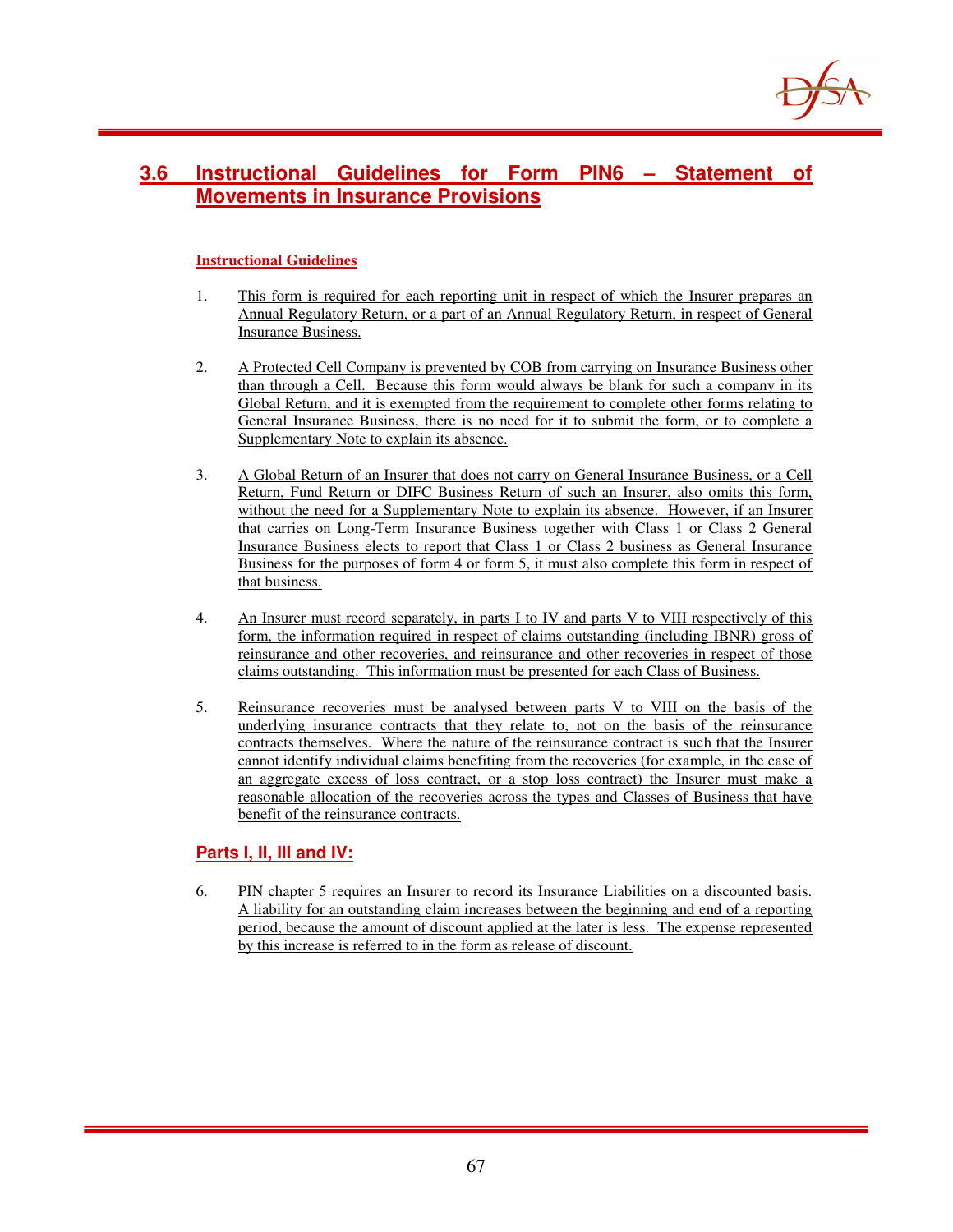

## **3.6 Instructional Guidelines for Form PIN6 – Statement of Movements in Insurance Provisions**

### **Instructional Guidelines**

- 1. This form is required for each reporting unit in respect of which the Insurer prepares an Annual Regulatory Return, or a part of an Annual Regulatory Return, in respect of General Insurance Business.
- 2. A Protected Cell Company is prevented by COB from carrying on Insurance Business other than through a Cell. Because this form would always be blank for such a company in its Global Return, and it is exempted from the requirement to complete other forms relating to General Insurance Business, there is no need for it to submit the form, or to complete a Supplementary Note to explain its absence.
- 3. A Global Return of an Insurer that does not carry on General Insurance Business, or a Cell Return, Fund Return or DIFC Business Return of such an Insurer, also omits this form, without the need for a Supplementary Note to explain its absence. However, if an Insurer that carries on Long-Term Insurance Business together with Class 1 or Class 2 General Insurance Business elects to report that Class 1 or Class 2 business as General Insurance Business for the purposes of form 4 or form 5, it must also complete this form in respect of that business.
- 4. An Insurer must record separately, in parts I to IV and parts V to VIII respectively of this form, the information required in respect of claims outstanding (including IBNR) gross of reinsurance and other recoveries, and reinsurance and other recoveries in respect of those claims outstanding. This information must be presented for each Class of Business.
- 5. Reinsurance recoveries must be analysed between parts V to VIII on the basis of the underlying insurance contracts that they relate to, not on the basis of the reinsurance contracts themselves. Where the nature of the reinsurance contract is such that the Insurer cannot identify individual claims benefiting from the recoveries (for example, in the case of an aggregate excess of loss contract, or a stop loss contract) the Insurer must make a reasonable allocation of the recoveries across the types and Classes of Business that have benefit of the reinsurance contracts.

### **Parts I, II, III and IV:**

6. PIN chapter 5 requires an Insurer to record its Insurance Liabilities on a discounted basis. A liability for an outstanding claim increases between the beginning and end of a reporting period, because the amount of discount applied at the later is less. The expense represented by this increase is referred to in the form as release of discount.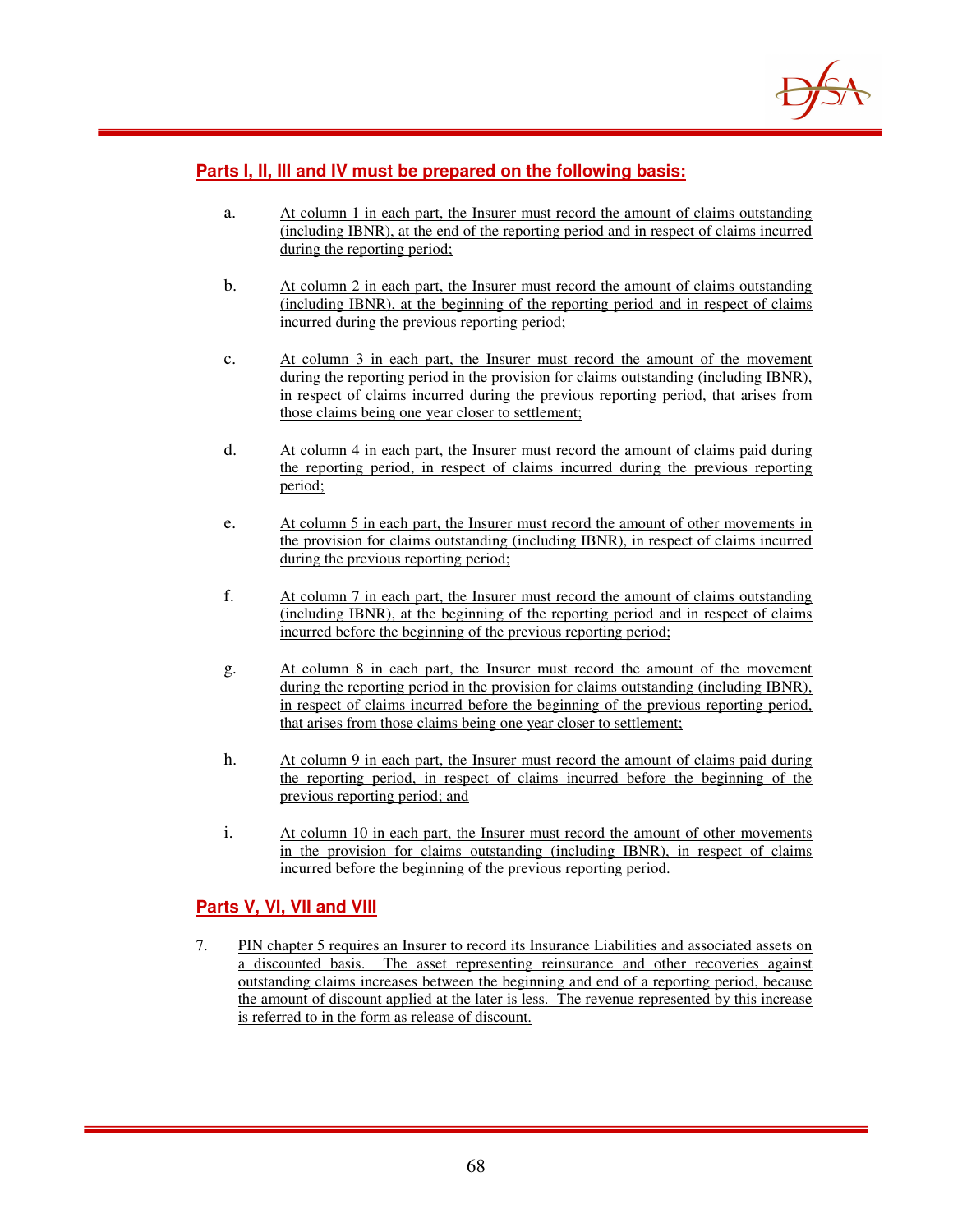

### **Parts I, II, III and IV must be prepared on the following basis:**

- a. At column 1 in each part, the Insurer must record the amount of claims outstanding (including IBNR), at the end of the reporting period and in respect of claims incurred during the reporting period;
- b. At column 2 in each part, the Insurer must record the amount of claims outstanding (including IBNR), at the beginning of the reporting period and in respect of claims incurred during the previous reporting period;
- c. At column 3 in each part, the Insurer must record the amount of the movement during the reporting period in the provision for claims outstanding (including IBNR), in respect of claims incurred during the previous reporting period, that arises from those claims being one year closer to settlement;
- d. At column 4 in each part, the Insurer must record the amount of claims paid during the reporting period, in respect of claims incurred during the previous reporting period;
- e. At column 5 in each part, the Insurer must record the amount of other movements in the provision for claims outstanding (including IBNR), in respect of claims incurred during the previous reporting period;
- f. At column 7 in each part, the Insurer must record the amount of claims outstanding (including IBNR), at the beginning of the reporting period and in respect of claims incurred before the beginning of the previous reporting period;
- g. At column 8 in each part, the Insurer must record the amount of the movement during the reporting period in the provision for claims outstanding (including IBNR), in respect of claims incurred before the beginning of the previous reporting period, that arises from those claims being one year closer to settlement;
- h. At column 9 in each part, the Insurer must record the amount of claims paid during the reporting period, in respect of claims incurred before the beginning of the previous reporting period; and
- i. At column 10 in each part, the Insurer must record the amount of other movements in the provision for claims outstanding (including IBNR), in respect of claims incurred before the beginning of the previous reporting period.

### **Parts V, VI, VII and VIII**

7. PIN chapter 5 requires an Insurer to record its Insurance Liabilities and associated assets on a discounted basis. The asset representing reinsurance and other recoveries against outstanding claims increases between the beginning and end of a reporting period, because the amount of discount applied at the later is less. The revenue represented by this increase is referred to in the form as release of discount.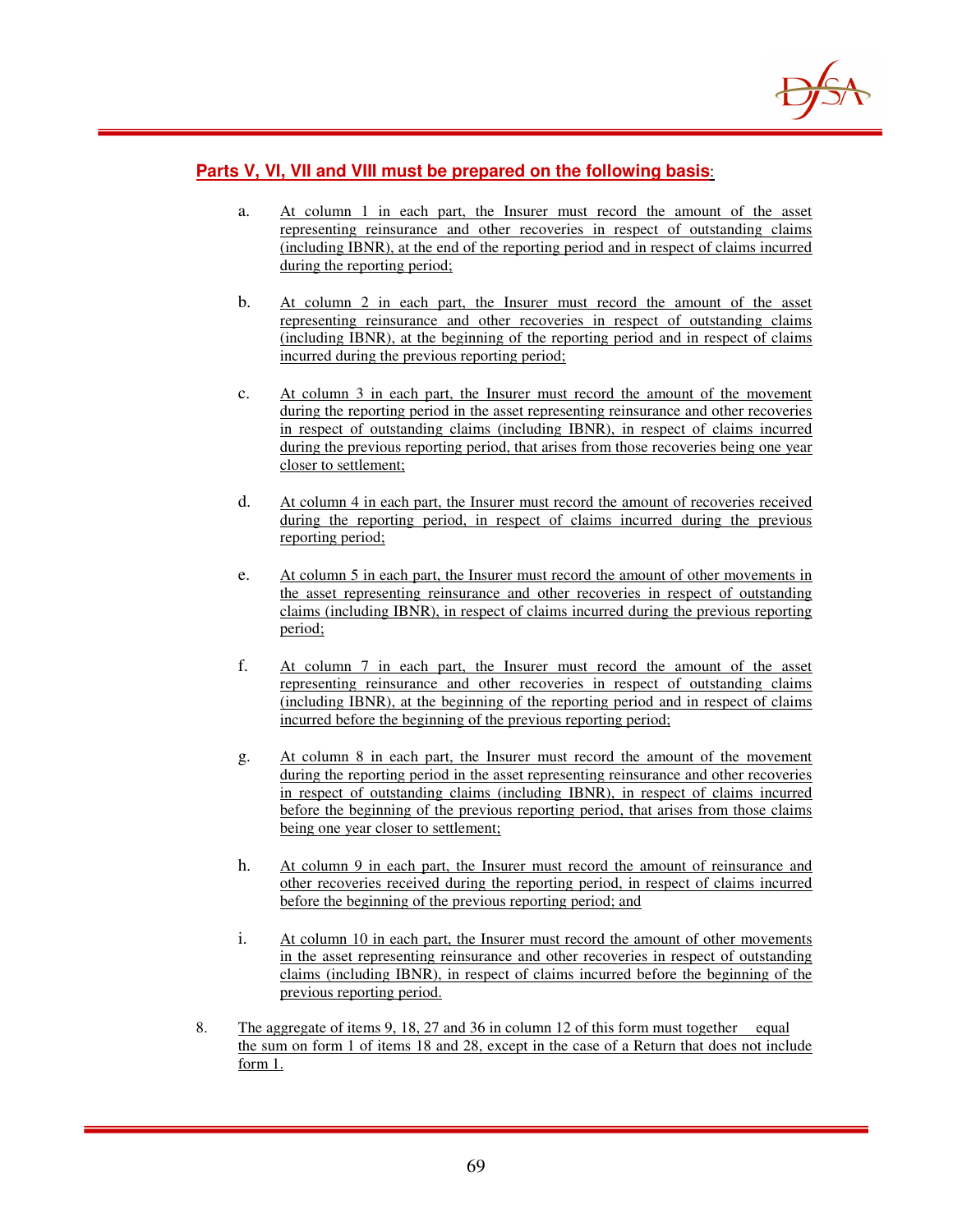

### **Parts V, VI, VII and VIII must be prepared on the following basis**:

- a. At column 1 in each part, the Insurer must record the amount of the asset representing reinsurance and other recoveries in respect of outstanding claims (including IBNR), at the end of the reporting period and in respect of claims incurred during the reporting period;
- b. At column 2 in each part, the Insurer must record the amount of the asset representing reinsurance and other recoveries in respect of outstanding claims (including IBNR), at the beginning of the reporting period and in respect of claims incurred during the previous reporting period;
- c. At column 3 in each part, the Insurer must record the amount of the movement during the reporting period in the asset representing reinsurance and other recoveries in respect of outstanding claims (including IBNR), in respect of claims incurred during the previous reporting period, that arises from those recoveries being one year closer to settlement;
- d. At column 4 in each part, the Insurer must record the amount of recoveries received during the reporting period, in respect of claims incurred during the previous reporting period;
- e. At column 5 in each part, the Insurer must record the amount of other movements in the asset representing reinsurance and other recoveries in respect of outstanding claims (including IBNR), in respect of claims incurred during the previous reporting period;
- f. At column 7 in each part, the Insurer must record the amount of the asset representing reinsurance and other recoveries in respect of outstanding claims (including IBNR), at the beginning of the reporting period and in respect of claims incurred before the beginning of the previous reporting period;
- g. At column 8 in each part, the Insurer must record the amount of the movement during the reporting period in the asset representing reinsurance and other recoveries in respect of outstanding claims (including IBNR), in respect of claims incurred before the beginning of the previous reporting period, that arises from those claims being one year closer to settlement;
- h. At column 9 in each part, the Insurer must record the amount of reinsurance and other recoveries received during the reporting period, in respect of claims incurred before the beginning of the previous reporting period; and
- i. At column 10 in each part, the Insurer must record the amount of other movements in the asset representing reinsurance and other recoveries in respect of outstanding claims (including IBNR), in respect of claims incurred before the beginning of the previous reporting period.
- 8. The aggregate of items 9, 18, 27 and 36 in column 12 of this form must together equal the sum on form 1 of items 18 and 28, except in the case of a Return that does not include form 1.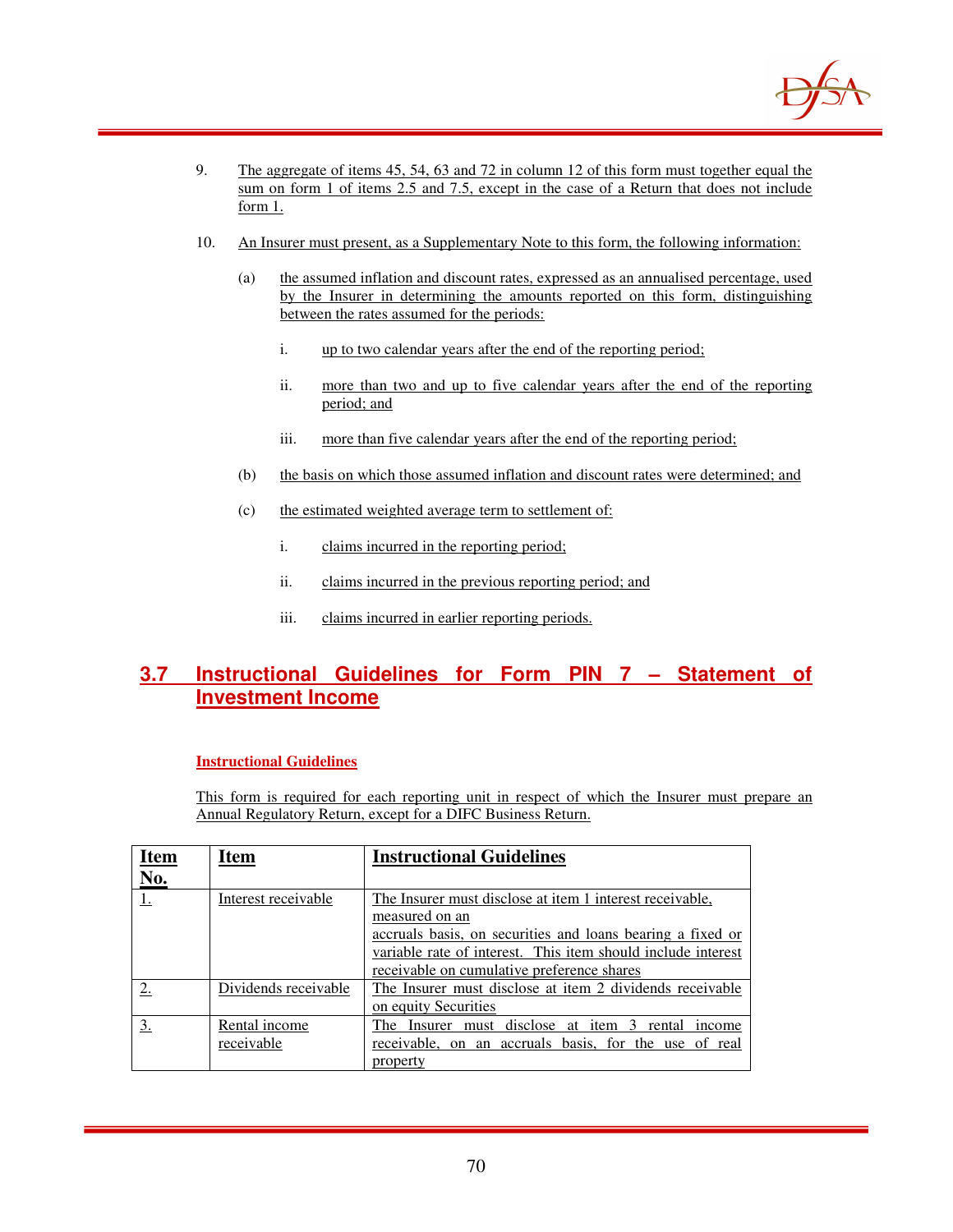

- 9. The aggregate of items 45, 54, 63 and 72 in column 12 of this form must together equal the sum on form 1 of items 2.5 and 7.5, except in the case of a Return that does not include form 1.
- 10. An Insurer must present, as a Supplementary Note to this form, the following information:
	- (a) the assumed inflation and discount rates, expressed as an annualised percentage, used by the Insurer in determining the amounts reported on this form, distinguishing between the rates assumed for the periods:
		- i. up to two calendar years after the end of the reporting period;
		- ii. more than two and up to five calendar years after the end of the reporting period; and
		- iii. more than five calendar years after the end of the reporting period;
	- (b) the basis on which those assumed inflation and discount rates were determined; and
	- (c) the estimated weighted average term to settlement of:
		- i. claims incurred in the reporting period;
		- ii. claims incurred in the previous reporting period; and
		- iii. claims incurred in earlier reporting periods.

## **3.7 Instructional Guidelines for Form PIN 7 – Statement of Investment Income**

### **Instructional Guidelines**

This form is required for each reporting unit in respect of which the Insurer must prepare an Annual Regulatory Return, except for a DIFC Business Return.

| <u>Item</u>   | <b>Item</b>                 | <b>Instructional Guidelines</b>                                                                                                                                                                                                                        |
|---------------|-----------------------------|--------------------------------------------------------------------------------------------------------------------------------------------------------------------------------------------------------------------------------------------------------|
| No.           |                             |                                                                                                                                                                                                                                                        |
|               | Interest receivable         | The Insurer must disclose at item 1 interest receivable,<br>measured on an<br>accruals basis, on securities and loans bearing a fixed or<br>variable rate of interest. This item should include interest<br>receivable on cumulative preference shares |
| $\mathcal{D}$ | Dividends receivable        | The Insurer must disclose at item 2 dividends receivable<br>on equity Securities                                                                                                                                                                       |
| 3.            | Rental income<br>receivable | The Insurer must disclose at item 3 rental<br>income<br>receivable, on an accruals basis, for the use of real<br>property                                                                                                                              |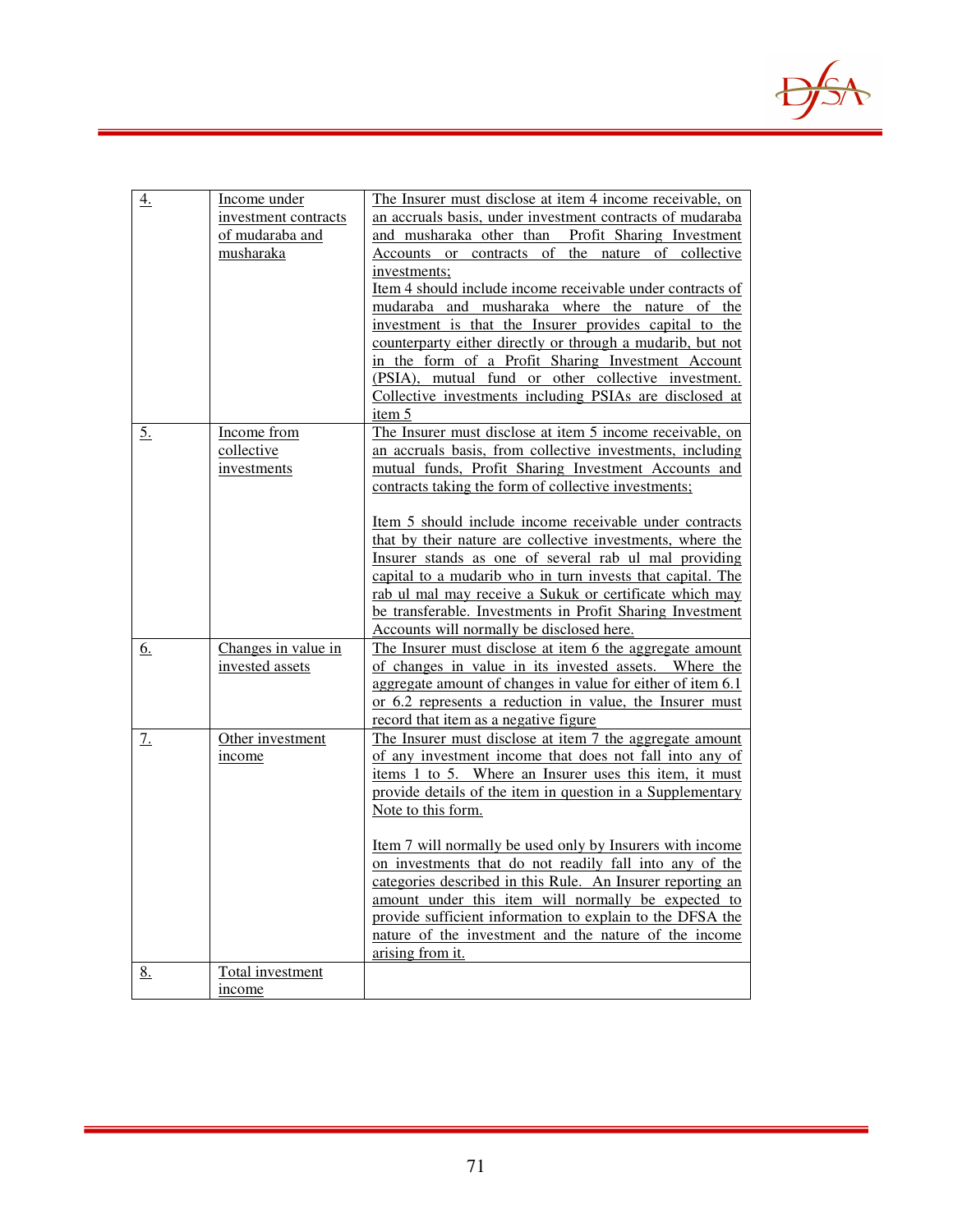

| <u>4.</u>         | Income under<br>investment contracts<br>of mudaraba and<br>musharaka | The Insurer must disclose at item 4 income receivable, on<br>an accruals basis, under investment contracts of mudaraba<br>and musharaka other than Profit Sharing Investment<br>Accounts or contracts of the nature of collective<br>investments;<br>Item 4 should include income receivable under contracts of<br>mudaraba and musharaka where the nature of the<br>investment is that the Insurer provides capital to the<br>counterparty either directly or through a mudarib, but not<br>in the form of a Profit Sharing Investment Account<br>(PSIA), mutual fund or other collective investment.<br>Collective investments including PSIAs are disclosed at<br>item 5                       |
|-------------------|----------------------------------------------------------------------|---------------------------------------------------------------------------------------------------------------------------------------------------------------------------------------------------------------------------------------------------------------------------------------------------------------------------------------------------------------------------------------------------------------------------------------------------------------------------------------------------------------------------------------------------------------------------------------------------------------------------------------------------------------------------------------------------|
| $\underline{5}$ . | Income from<br>collective<br>investments                             | The Insurer must disclose at item 5 income receivable, on<br>an accruals basis, from collective investments, including<br>mutual funds, Profit Sharing Investment Accounts and<br>contracts taking the form of collective investments;<br><u>Item 5 should include income receivable under contracts</u><br>that by their nature are collective investments, where the<br>Insurer stands as one of several rab ul mal providing<br>capital to a mudarib who in turn invests that capital. The<br>rab ul mal may receive a Sukuk or certificate which may                                                                                                                                          |
| <u>6.</u>         | Changes in value in<br>invested assets                               | be transferable. Investments in Profit Sharing Investment<br>Accounts will normally be disclosed here.<br>The Insurer must disclose at item 6 the aggregate amount<br>of changes in value in its invested assets. Where the<br>aggregate amount of changes in value for either of item 6.1<br>or 6.2 represents a reduction in value, the Insurer must                                                                                                                                                                                                                                                                                                                                            |
| 7.                | Other investment<br>income                                           | record that item as a negative figure<br>The Insurer must disclose at item 7 the aggregate amount<br>of any investment income that does not fall into any of<br>items 1 to 5. Where an Insurer uses this item, it must<br>provide details of the item in question in a Supplementary<br>Note to this form.<br>Item 7 will normally be used only by Insurers with income<br>on investments that do not readily fall into any of the<br>categories described in this Rule. An Insurer reporting an<br>amount under this item will normally be expected to<br>provide sufficient information to explain to the DFSA the<br>nature of the investment and the nature of the income<br>arising from it. |
| <u>8.</u>         | Total investment<br>income                                           |                                                                                                                                                                                                                                                                                                                                                                                                                                                                                                                                                                                                                                                                                                   |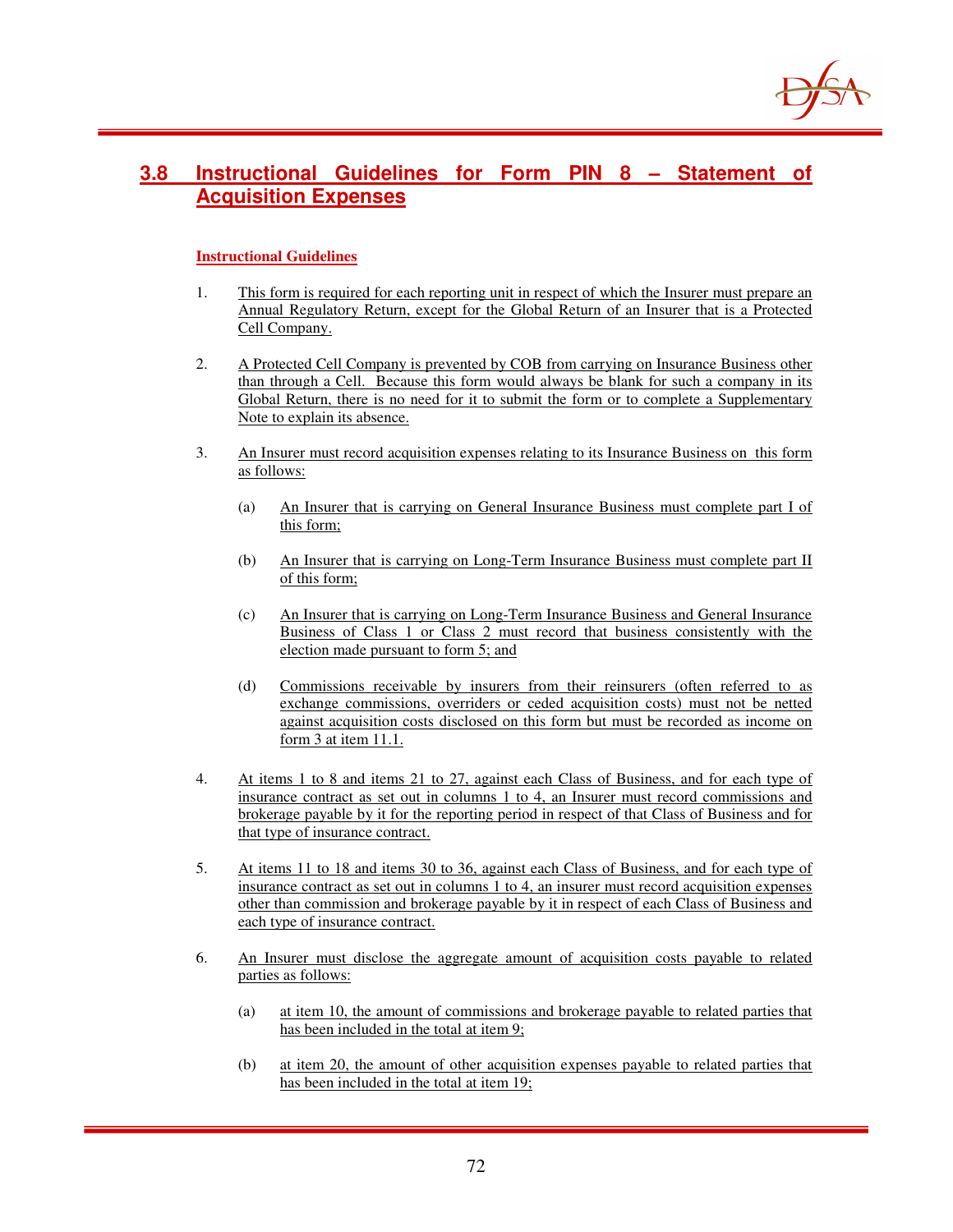

#### **3.8 Instructional Guidelines for Form PIN 8 – Statement of Acquisition Expenses**

#### **Instructional Guidelines**

- 1. This form is required for each reporting unit in respect of which the Insurer must prepare an Annual Regulatory Return, except for the Global Return of an Insurer that is a Protected Cell Company.
- 2. A Protected Cell Company is prevented by COB from carrying on Insurance Business other than through a Cell. Because this form would always be blank for such a company in its Global Return, there is no need for it to submit the form or to complete a Supplementary Note to explain its absence.
- 3. An Insurer must record acquisition expenses relating to its Insurance Business on this form as follows:
	- (a) An Insurer that is carrying on General Insurance Business must complete part I of this form;
	- (b) An Insurer that is carrying on Long-Term Insurance Business must complete part II of this form;
	- (c) An Insurer that is carrying on Long-Term Insurance Business and General Insurance Business of Class 1 or Class 2 must record that business consistently with the election made pursuant to form 5; and
	- (d) Commissions receivable by insurers from their reinsurers (often referred to as exchange commissions, overriders or ceded acquisition costs) must not be netted against acquisition costs disclosed on this form but must be recorded as income on form 3 at item 11.1.
- 4. At items 1 to 8 and items 21 to 27, against each Class of Business, and for each type of insurance contract as set out in columns 1 to 4, an Insurer must record commissions and brokerage payable by it for the reporting period in respect of that Class of Business and for that type of insurance contract.
- 5. At items 11 to 18 and items 30 to 36, against each Class of Business, and for each type of insurance contract as set out in columns 1 to 4, an insurer must record acquisition expenses other than commission and brokerage payable by it in respect of each Class of Business and each type of insurance contract.
- 6. An Insurer must disclose the aggregate amount of acquisition costs payable to related parties as follows:
	- (a) at item 10, the amount of commissions and brokerage payable to related parties that has been included in the total at item 9;
	- (b) at item 20, the amount of other acquisition expenses payable to related parties that has been included in the total at item 19;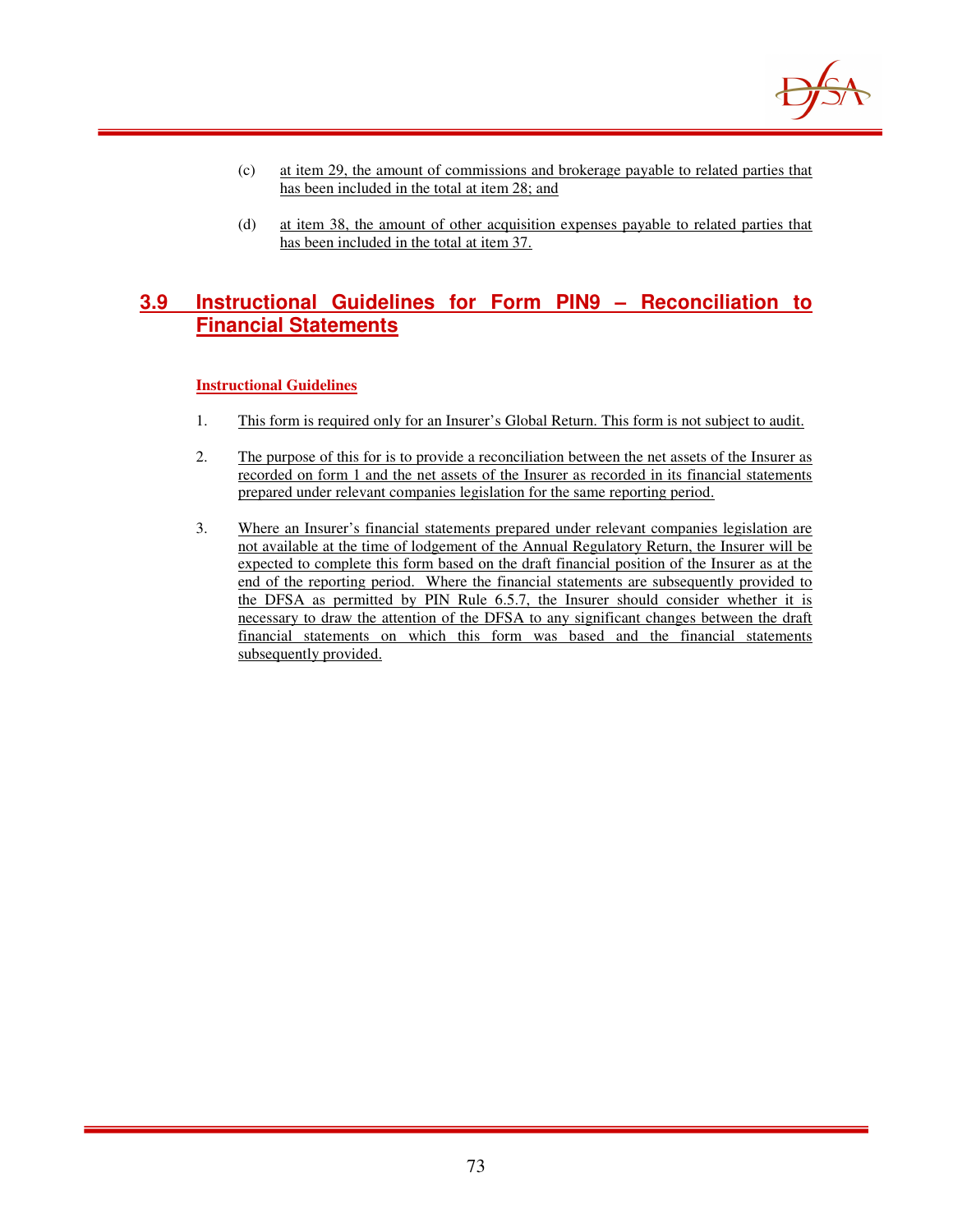

- (c) at item 29, the amount of commissions and brokerage payable to related parties that has been included in the total at item 28; and
- (d) at item 38, the amount of other acquisition expenses payable to related parties that has been included in the total at item 37.

# **3.9 Instructional Guidelines for Form PIN9 – Reconciliation to Financial Statements**

#### **Instructional Guidelines**

- 1. This form is required only for an Insurer's Global Return. This form is not subject to audit.
- 2. The purpose of this for is to provide a reconciliation between the net assets of the Insurer as recorded on form 1 and the net assets of the Insurer as recorded in its financial statements prepared under relevant companies legislation for the same reporting period.
- 3. Where an Insurer's financial statements prepared under relevant companies legislation are not available at the time of lodgement of the Annual Regulatory Return, the Insurer will be expected to complete this form based on the draft financial position of the Insurer as at the end of the reporting period. Where the financial statements are subsequently provided to the DFSA as permitted by PIN Rule 6.5.7, the Insurer should consider whether it is necessary to draw the attention of the DFSA to any significant changes between the draft financial statements on which this form was based and the financial statements subsequently provided.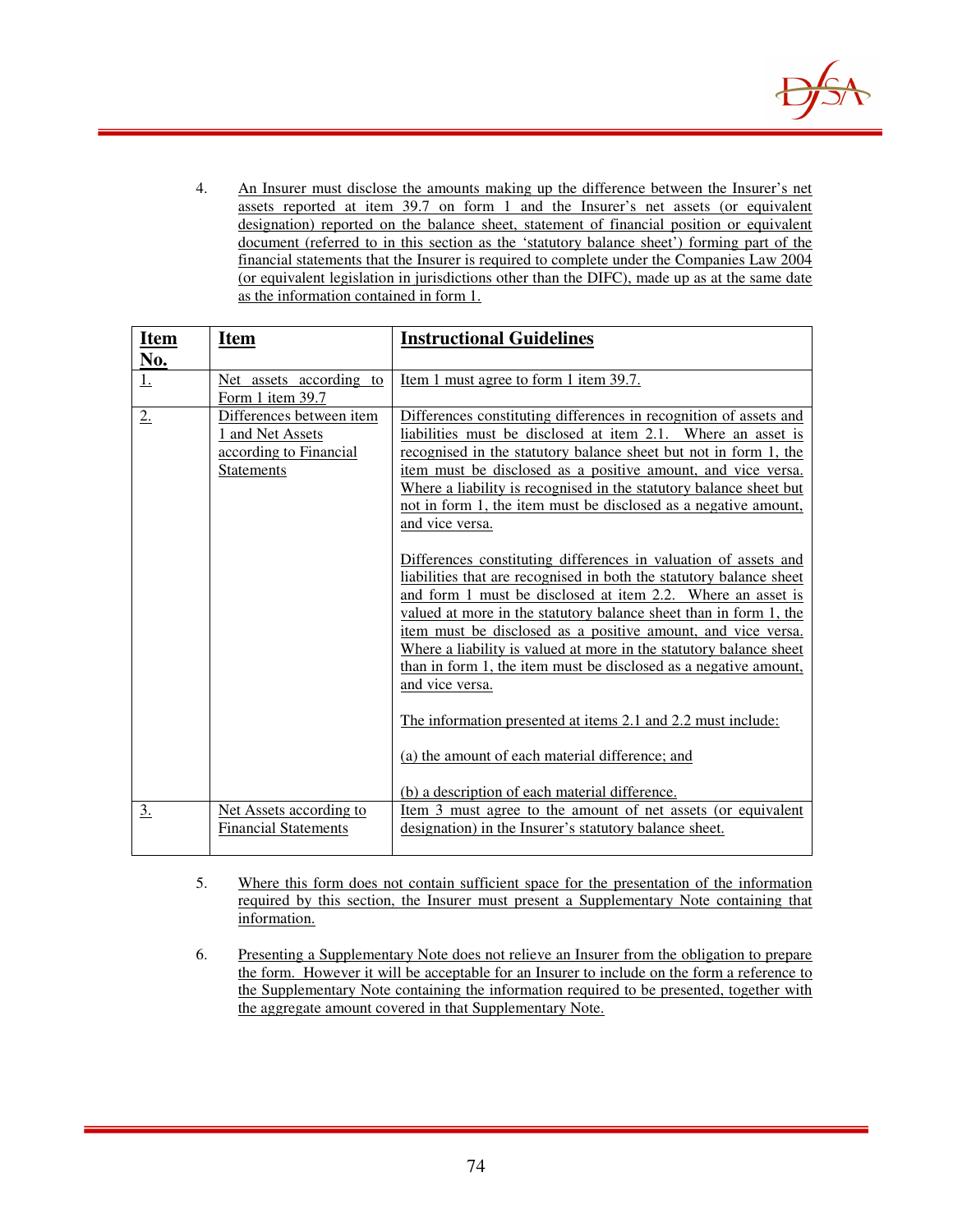

4. An Insurer must disclose the amounts making up the difference between the Insurer's net assets reported at item 39.7 on form 1 and the Insurer's net assets (or equivalent designation) reported on the balance sheet, statement of financial position or equivalent document (referred to in this section as the 'statutory balance sheet') forming part of the financial statements that the Insurer is required to complete under the Companies Law 2004 (or equivalent legislation in jurisdictions other than the DIFC), made up as at the same date as the information contained in form 1.

| <b>Item</b>       | <b>Item</b>                                                                          | <b>Instructional Guidelines</b>                                                                                                                                                                                                                                                                                                                                                                                                                                                                                                                                                                                                            |
|-------------------|--------------------------------------------------------------------------------------|--------------------------------------------------------------------------------------------------------------------------------------------------------------------------------------------------------------------------------------------------------------------------------------------------------------------------------------------------------------------------------------------------------------------------------------------------------------------------------------------------------------------------------------------------------------------------------------------------------------------------------------------|
| No.               |                                                                                      |                                                                                                                                                                                                                                                                                                                                                                                                                                                                                                                                                                                                                                            |
| <u>1.</u>         | Net assets according to                                                              | <u>Item 1 must agree to form 1 item 39.7.</u>                                                                                                                                                                                                                                                                                                                                                                                                                                                                                                                                                                                              |
|                   | Form 1 item 39.7                                                                     |                                                                                                                                                                                                                                                                                                                                                                                                                                                                                                                                                                                                                                            |
| 2.                | Differences between item<br>1 and Net Assets<br>according to Financial<br>Statements | Differences constituting differences in recognition of assets and<br>liabilities must be disclosed at item 2.1. Where an asset is<br>recognised in the statutory balance sheet but not in form 1, the<br>item must be disclosed as a positive amount, and vice versa.<br>Where a liability is recognised in the statutory balance sheet but<br>not in form 1, the item must be disclosed as a negative amount,<br>and vice versa.<br>Differences constituting differences in valuation of assets and<br>liabilities that are recognised in both the statutory balance sheet<br>and form 1 must be disclosed at item 2.2. Where an asset is |
|                   |                                                                                      | valued at more in the statutory balance sheet than in form 1, the<br>item must be disclosed as a positive amount, and vice versa.<br>Where a liability is valued at more in the statutory balance sheet<br>than in form 1, the item must be disclosed as a negative amount,<br>and vice versa.<br>The information presented at items 2.1 and 2.2 must include:<br>(a) the amount of each material difference; and                                                                                                                                                                                                                          |
|                   |                                                                                      | (b) a description of each material difference.                                                                                                                                                                                                                                                                                                                                                                                                                                                                                                                                                                                             |
| $\underline{3}$ . | Net Assets according to<br><b>Financial Statements</b>                               | Item 3 must agree to the amount of net assets (or equivalent<br>designation) in the Insurer's statutory balance sheet.                                                                                                                                                                                                                                                                                                                                                                                                                                                                                                                     |

- 5. Where this form does not contain sufficient space for the presentation of the information required by this section, the Insurer must present a Supplementary Note containing that information.
- 6. Presenting a Supplementary Note does not relieve an Insurer from the obligation to prepare the form. However it will be acceptable for an Insurer to include on the form a reference to the Supplementary Note containing the information required to be presented, together with the aggregate amount covered in that Supplementary Note.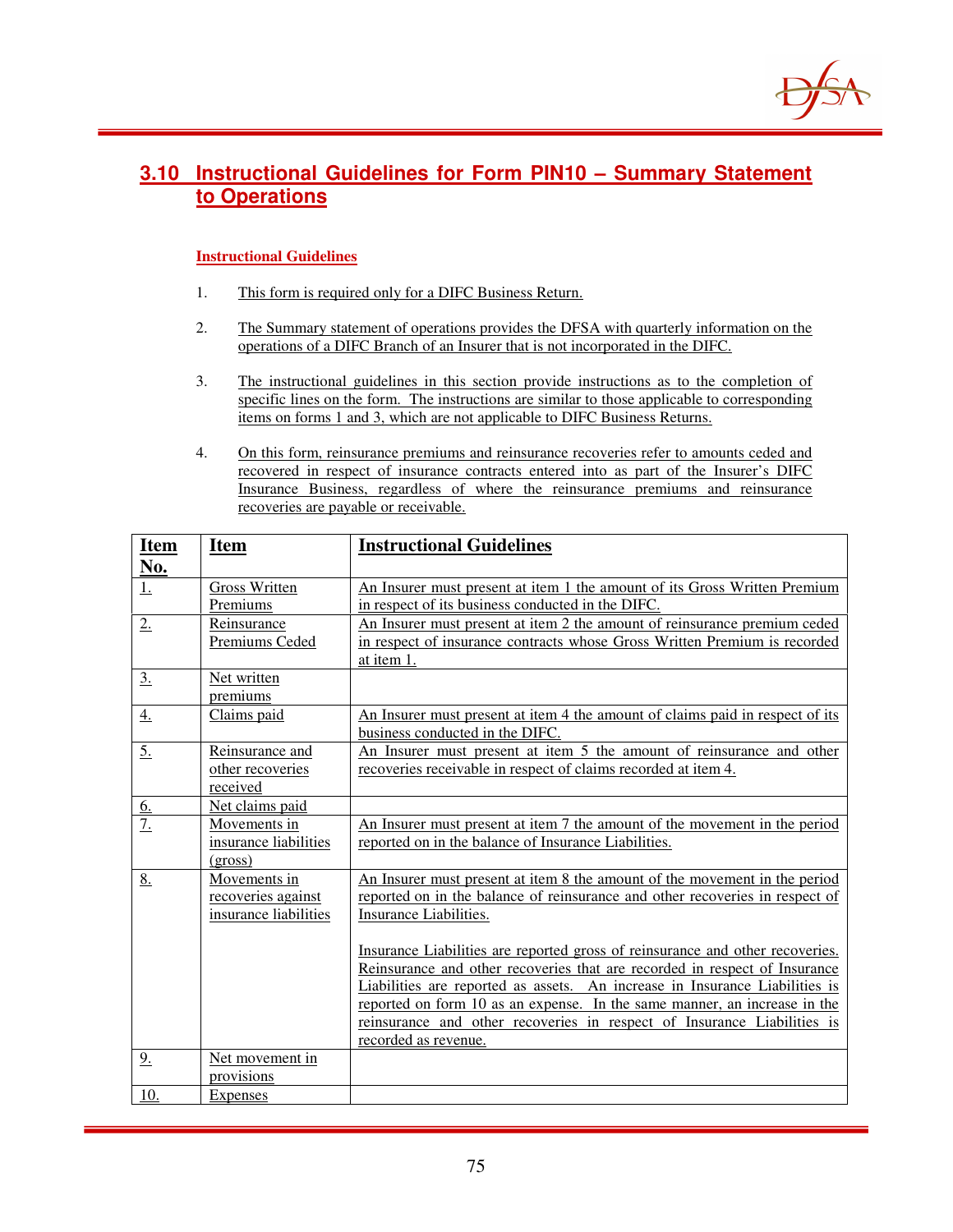

# **3.10 Instructional Guidelines for Form PIN10 – Summary Statement to Operations**

#### **Instructional Guidelines**

- 1. This form is required only for a DIFC Business Return.
- 2. The Summary statement of operations provides the DFSA with quarterly information on the operations of a DIFC Branch of an Insurer that is not incorporated in the DIFC.
- 3. The instructional guidelines in this section provide instructions as to the completion of specific lines on the form. The instructions are similar to those applicable to corresponding items on forms 1 and 3, which are not applicable to DIFC Business Returns.
- 4. On this form, reinsurance premiums and reinsurance recoveries refer to amounts ceded and recovered in respect of insurance contracts entered into as part of the Insurer's DIFC Insurance Business, regardless of where the reinsurance premiums and reinsurance recoveries are payable or receivable.

| <b>Item</b><br><b>Instructional Guidelines</b><br><u>Item</u>                                                                                               |  |
|-------------------------------------------------------------------------------------------------------------------------------------------------------------|--|
| No.                                                                                                                                                         |  |
| Gross Written<br>An Insurer must present at item 1 the amount of its Gross Written Premium<br><u>1.</u>                                                     |  |
| in respect of its business conducted in the DIFC.<br>Premiums                                                                                               |  |
| An Insurer must present at item 2 the amount of reinsurance premium ceded<br>Reinsurance<br>2.                                                              |  |
| in respect of insurance contracts whose Gross Written Premium is recorded<br>Premiums Ceded                                                                 |  |
| at item 1.                                                                                                                                                  |  |
| $\underline{3}$ .<br>Net written                                                                                                                            |  |
| premiums                                                                                                                                                    |  |
| Claims paid<br>An Insurer must present at item 4 the amount of claims paid in respect of its<br>4.                                                          |  |
| business conducted in the DIFC.                                                                                                                             |  |
| 5.<br>An Insurer must present at item 5 the amount of reinsurance and other<br>Reinsurance and                                                              |  |
| recoveries receivable in respect of claims recorded at item 4.<br>other recoveries                                                                          |  |
| received                                                                                                                                                    |  |
| Net claims paid<br><u>6.</u>                                                                                                                                |  |
| $\overline{7}$ .<br>An Insurer must present at item 7 the amount of the movement in the period<br>Movements in                                              |  |
| reported on in the balance of Insurance Liabilities.<br>insurance liabilities                                                                               |  |
| (gross)                                                                                                                                                     |  |
| 8.<br>Movements in<br>An Insurer must present at item 8 the amount of the movement in the period                                                            |  |
| reported on in the balance of reinsurance and other recoveries in respect of<br>recoveries against                                                          |  |
| insurance liabilities<br>Insurance Liabilities.                                                                                                             |  |
|                                                                                                                                                             |  |
| Insurance Liabilities are reported gross of reinsurance and other recoveries.<br>Reinsurance and other recoveries that are recorded in respect of Insurance |  |
| Liabilities are reported as assets. An increase in Insurance Liabilities is                                                                                 |  |
| reported on form 10 as an expense. In the same manner, an increase in the                                                                                   |  |
| reinsurance and other recoveries in respect of Insurance Liabilities is                                                                                     |  |
| recorded as revenue.                                                                                                                                        |  |
| 9 <sub>1</sub><br>Net movement in                                                                                                                           |  |
| provisions                                                                                                                                                  |  |
| 10.<br><b>Expenses</b>                                                                                                                                      |  |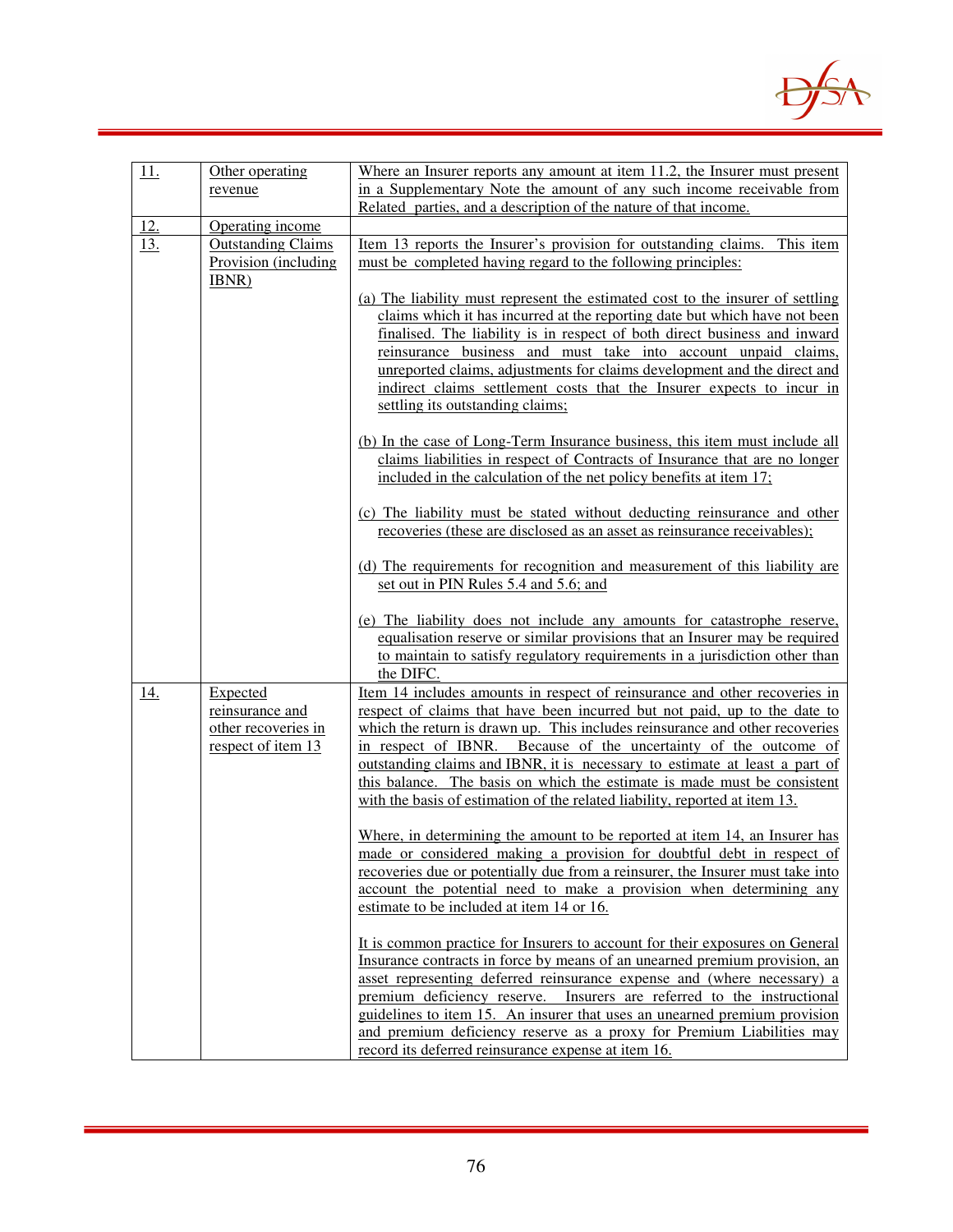

| 11.        | Other operating                                                          | Where an Insurer reports any amount at item 11.2, the Insurer must present                                                                                                                                                                                                                                                                                                                                                                                                                                                                                                                                                                                                                                                                                                                                                                                                                                                                                                                                                                                                                                                                                                                                                                                                                                                                                                                                                                                |
|------------|--------------------------------------------------------------------------|-----------------------------------------------------------------------------------------------------------------------------------------------------------------------------------------------------------------------------------------------------------------------------------------------------------------------------------------------------------------------------------------------------------------------------------------------------------------------------------------------------------------------------------------------------------------------------------------------------------------------------------------------------------------------------------------------------------------------------------------------------------------------------------------------------------------------------------------------------------------------------------------------------------------------------------------------------------------------------------------------------------------------------------------------------------------------------------------------------------------------------------------------------------------------------------------------------------------------------------------------------------------------------------------------------------------------------------------------------------------------------------------------------------------------------------------------------------|
|            | revenue                                                                  | in a Supplementary Note the amount of any such income receivable from                                                                                                                                                                                                                                                                                                                                                                                                                                                                                                                                                                                                                                                                                                                                                                                                                                                                                                                                                                                                                                                                                                                                                                                                                                                                                                                                                                                     |
|            |                                                                          | Related parties, and a description of the nature of that income.                                                                                                                                                                                                                                                                                                                                                                                                                                                                                                                                                                                                                                                                                                                                                                                                                                                                                                                                                                                                                                                                                                                                                                                                                                                                                                                                                                                          |
| <u>12.</u> | Operating income                                                         |                                                                                                                                                                                                                                                                                                                                                                                                                                                                                                                                                                                                                                                                                                                                                                                                                                                                                                                                                                                                                                                                                                                                                                                                                                                                                                                                                                                                                                                           |
| 13.        | <b>Outstanding Claims</b><br>Provision (including<br>IBNR)               | <u>Item 13 reports the Insurer's provision for outstanding claims.</u><br>This item<br>must be completed having regard to the following principles:<br>(a) The liability must represent the estimated cost to the insurer of settling<br>claims which it has incurred at the reporting date but which have not been<br>finalised. The liability is in respect of both direct business and inward<br>reinsurance business and must take into account unpaid claims,<br>unreported claims, adjustments for claims development and the direct and<br>indirect claims settlement costs that the Insurer expects to incur in<br>settling its outstanding claims;<br>(b) In the case of Long-Term Insurance business, this item must include all<br>claims liabilities in respect of Contracts of Insurance that are no longer<br>included in the calculation of the net policy benefits at item 17;<br>(c) The liability must be stated without deducting reinsurance and other<br>recoveries (these are disclosed as an asset as reinsurance receivables);<br>(d) The requirements for recognition and measurement of this liability are                                                                                                                                                                                                                                                                                                                      |
|            |                                                                          | set out in PIN Rules 5.4 and 5.6; and<br>(e) The liability does not include any amounts for catastrophe reserve,<br>equalisation reserve or similar provisions that an Insurer may be required<br>to maintain to satisfy regulatory requirements in a jurisdiction other than<br>the DIFC.                                                                                                                                                                                                                                                                                                                                                                                                                                                                                                                                                                                                                                                                                                                                                                                                                                                                                                                                                                                                                                                                                                                                                                |
| <u>14.</u> | Expected<br>reinsurance and<br>other recoveries in<br>respect of item 13 | <u>Item 14 includes amounts in respect of reinsurance and other recoveries in</u><br>respect of claims that have been incurred but not paid, up to the date to<br>which the return is drawn up. This includes reinsurance and other recoveries<br>in respect of IBNR. Because of the uncertainty of the outcome of<br>outstanding claims and IBNR, it is necessary to estimate at least a part of<br>this balance. The basis on which the estimate is made must be consistent<br>with the basis of estimation of the related liability, reported at item 13.<br>Where, in determining the amount to be reported at item 14, an Insurer has<br>made or considered making a provision for doubtful debt in respect of<br>recoveries due or potentially due from a reinsurer, the Insurer must take into<br>account the potential need to make a provision when determining any<br>estimate to be included at item 14 or 16.<br>It is common practice for Insurers to account for their exposures on General<br>Insurance contracts in force by means of an unearned premium provision, an<br>asset representing deferred reinsurance expense and (where necessary) a<br>premium deficiency reserve. Insurers are referred to the instructional<br>guidelines to item 15. An insurer that uses an unearned premium provision<br>and premium deficiency reserve as a proxy for Premium Liabilities may<br>record its deferred reinsurance expense at item 16. |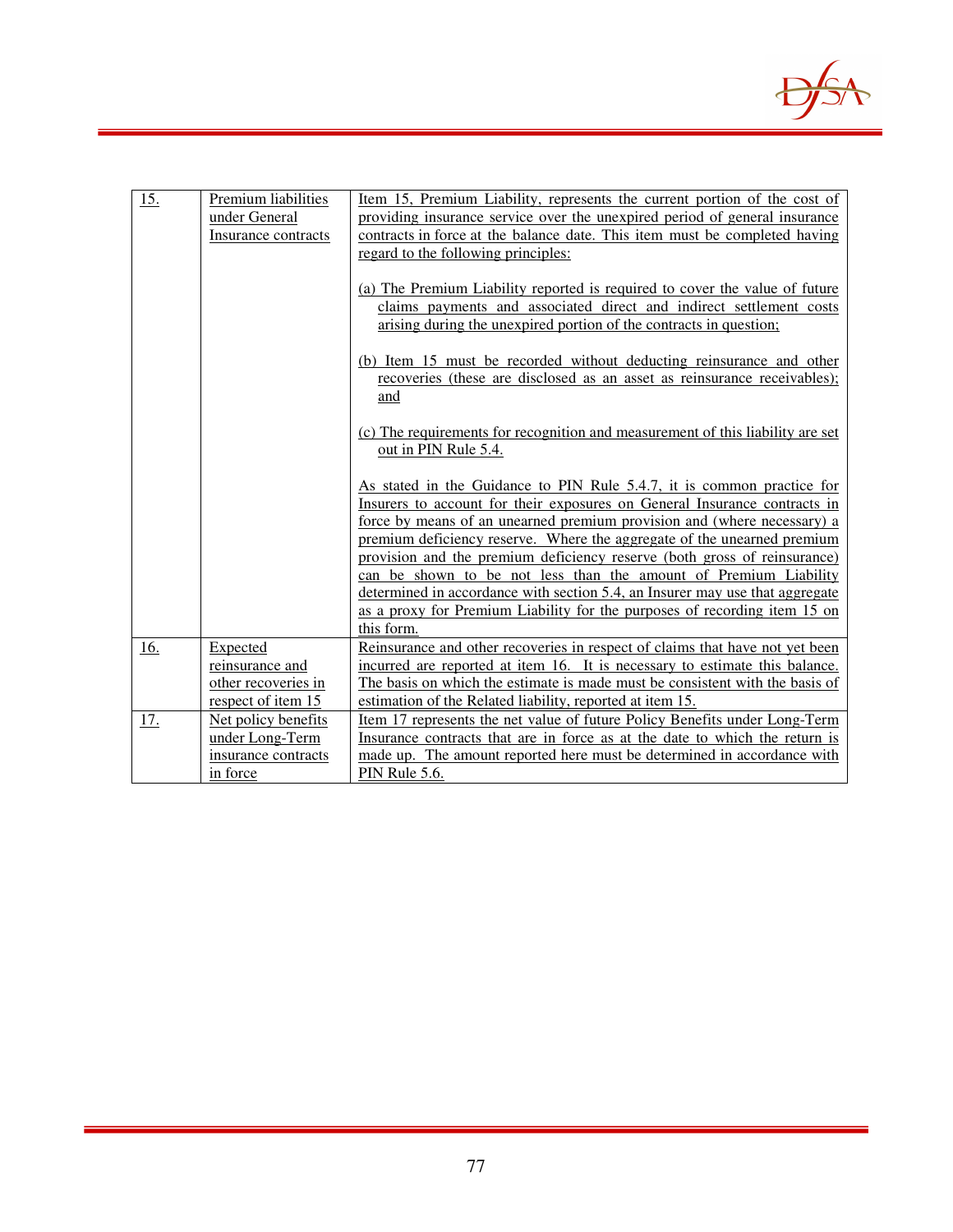

| <u>15.</u> | Premium liabilities | Item 15, Premium Liability, represents the current portion of the cost of                                                                            |
|------------|---------------------|------------------------------------------------------------------------------------------------------------------------------------------------------|
|            | under General       | providing insurance service over the unexpired period of general insurance                                                                           |
|            | Insurance contracts | contracts in force at the balance date. This item must be completed having                                                                           |
|            |                     | regard to the following principles:                                                                                                                  |
|            |                     |                                                                                                                                                      |
|            |                     | (a) The Premium Liability reported is required to cover the value of future                                                                          |
|            |                     | claims payments and associated direct and indirect settlement costs                                                                                  |
|            |                     | arising during the unexpired portion of the contracts in question;                                                                                   |
|            |                     |                                                                                                                                                      |
|            |                     | (b) Item 15 must be recorded without deducting reinsurance and other                                                                                 |
|            |                     | recoveries (these are disclosed as an asset as reinsurance receivables);                                                                             |
|            |                     | and                                                                                                                                                  |
|            |                     |                                                                                                                                                      |
|            |                     | (c) The requirements for recognition and measurement of this liability are set                                                                       |
|            |                     | out in PIN Rule 5.4.                                                                                                                                 |
|            |                     |                                                                                                                                                      |
|            |                     | As stated in the Guidance to PIN Rule 5.4.7, it is common practice for                                                                               |
|            |                     | Insurers to account for their exposures on General Insurance contracts in<br>force by means of an unearned premium provision and (where necessary) a |
|            |                     | premium deficiency reserve. Where the aggregate of the unearned premium                                                                              |
|            |                     | provision and the premium deficiency reserve (both gross of reinsurance)                                                                             |
|            |                     | can be shown to be not less than the amount of Premium Liability                                                                                     |
|            |                     | determined in accordance with section 5.4, an Insurer may use that aggregate                                                                         |
|            |                     | as a proxy for Premium Liability for the purposes of recording item 15 on                                                                            |
|            |                     | this form.                                                                                                                                           |
| 16.        | Expected            | Reinsurance and other recoveries in respect of claims that have not yet been                                                                         |
|            | reinsurance and     | incurred are reported at item 16. It is necessary to estimate this balance.                                                                          |
|            | other recoveries in | The basis on which the estimate is made must be consistent with the basis of                                                                         |
|            | respect of item 15  | estimation of the Related liability, reported at item 15.                                                                                            |
| 17.        | Net policy benefits | Item 17 represents the net value of future Policy Benefits under Long-Term                                                                           |
|            | under Long-Term     | Insurance contracts that are in force as at the date to which the return is                                                                          |
|            | insurance contracts | made up. The amount reported here must be determined in accordance with                                                                              |
|            | in force            | PIN Rule 5.6.                                                                                                                                        |